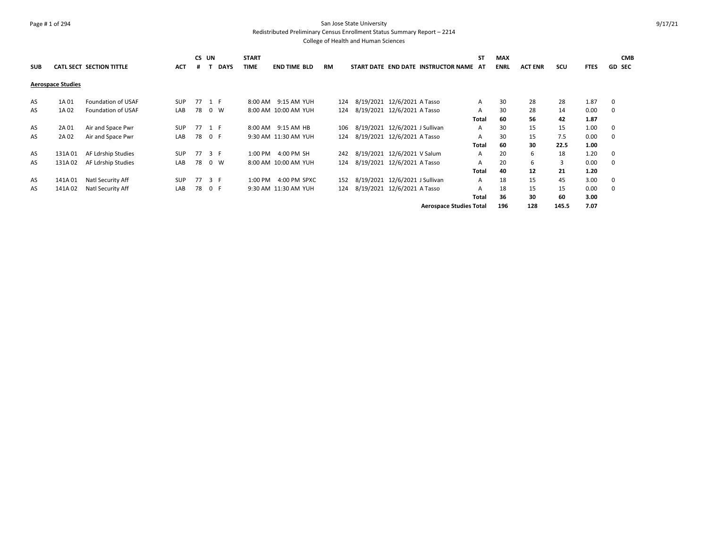# Page # 1 of 294 San Jose State University Redistributed Preliminary Census Enrollment Status Summary Report – 2214

| <b>SUB</b> |                          | <b>CATL SECT SECTION TITTLE</b> | <b>ACT</b> | CS UN | <b>DAYS</b> | <b>START</b><br><b>TIME</b> | <b>END TIME BLD</b>  | <b>RM</b> | START DATE END DATE INSTRUCTOR NAME AT | <b>ST</b> | MAX<br><b>ENRL</b> | <b>ACT ENR</b> | scu   | <b>FTES</b> | <b>CMB</b><br><b>GD SEC</b> |
|------------|--------------------------|---------------------------------|------------|-------|-------------|-----------------------------|----------------------|-----------|----------------------------------------|-----------|--------------------|----------------|-------|-------------|-----------------------------|
|            | <b>Aerospace Studies</b> |                                 |            |       |             |                             |                      |           |                                        |           |                    |                |       |             |                             |
| AS         | 1A01                     | Foundation of USAF              | <b>SUP</b> |       | 77 1 F      |                             | 8:00 AM 9:15 AM YUH  | 124       | 8/19/2021 12/6/2021 A Tasso            | Α         | 30                 | 28             | 28    | 1.87        | 0                           |
| AS         | 1A 02                    | Foundation of USAF              | LAB        | 78    | 0 W         |                             | 8:00 AM 10:00 AM YUH | 124       | 8/19/2021 12/6/2021 A Tasso            | A         | 30                 | 28             | 14    | 0.00        | 0                           |
|            |                          |                                 |            |       |             |                             |                      |           |                                        | Total     | 60                 | 56             | 42    | 1.87        |                             |
| AS         | 2A 01                    | Air and Space Pwr               | <b>SUP</b> | 77    | 1 F         |                             | 8:00 AM 9:15 AM HB   | 106       | 8/19/2021 12/6/2021 J Sullivan         | A         | 30                 | 15             | 15    | 1.00        | 0                           |
| AS         | 2A 02                    | Air and Space Pwr               | LAB        | 78    | 0 F         |                             | 9:30 AM 11:30 AM YUH | 124       | 8/19/2021 12/6/2021 A Tasso            | A         | 30                 | 15             | 7.5   | 0.00        | $\Omega$                    |
|            |                          |                                 |            |       |             |                             |                      |           |                                        | Total     | 60                 | 30             | 22.5  | 1.00        |                             |
| AS         | 131A01                   | AF Ldrship Studies              | <b>SUP</b> | 77    | 3 F         | 1:00 PM                     | 4:00 PM SH           | 242       | 8/19/2021 12/6/2021 V Salum            | A         | 20                 | 6              | 18    | 1.20        | 0                           |
| AS         | 131A02                   | AF Ldrship Studies              | LAB        | 78    | 0 W         |                             | 8:00 AM 10:00 AM YUH | 124       | 8/19/2021 12/6/2021 A Tasso            | A         | 20                 | 6              | 3     | 0.00        | 0                           |
|            |                          |                                 |            |       |             |                             |                      |           |                                        | Total     | 40                 | 12             | 21    | 1.20        |                             |
| AS         | 141A01                   | Natl Security Aff               | <b>SUP</b> | 77    | 3 F         | 1:00 PM                     | 4:00 PM SPXC         | 152       | 8/19/2021 12/6/2021 J Sullivan         | A         | 18                 | 15             | 45    | 3.00        | 0                           |
| AS         | 141A02                   | Natl Security Aff               | LAB        | 78    | 0 F         |                             | 9:30 AM 11:30 AM YUH | 124       | 8/19/2021 12/6/2021 A Tasso            | A         | 18                 | 15             | 15    | 0.00        | 0                           |
|            |                          |                                 |            |       |             |                             |                      |           |                                        | Total     | 36                 | 30             | 60    | 3.00        |                             |
|            |                          |                                 |            |       |             |                             |                      |           | <b>Aerospace Studies Total</b>         |           | 196                | 128            | 145.5 | 7.07        |                             |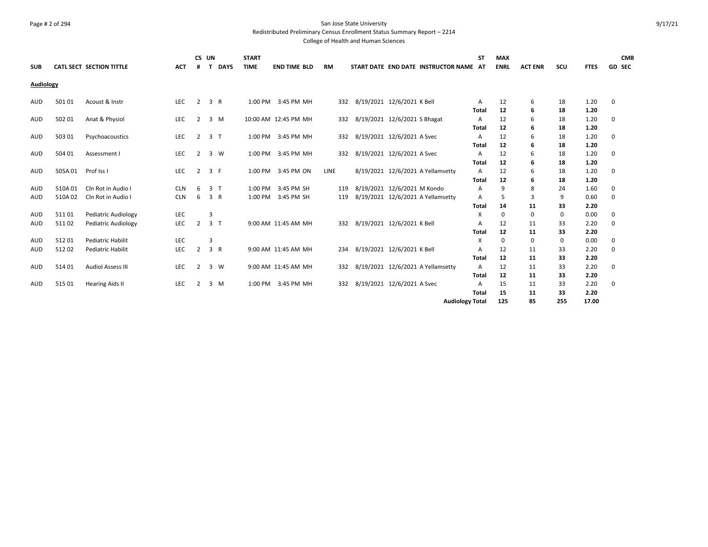#### Page # 2 of 294 San Jose State University Redistributed Preliminary Census Enrollment Status Summary Report – 2214

| <b>SUB</b> |        | CATL SECT SECTION TITTLE   | <b>ACT</b> | CS UN<br>#     | <b>DAYS</b><br>$\mathbf{r}$ | <b>START</b><br><b>TIME</b> | <b>END TIME BLD</b>  | <b>RM</b> | START DATE END DATE INSTRUCTOR NAME AT | <b>ST</b>              | <b>MAX</b><br><b>ENRL</b> | <b>ACT ENR</b> | SCU         | <b>FTES</b> | <b>CMB</b><br><b>GD SEC</b> |
|------------|--------|----------------------------|------------|----------------|-----------------------------|-----------------------------|----------------------|-----------|----------------------------------------|------------------------|---------------------------|----------------|-------------|-------------|-----------------------------|
| Audiology  |        |                            |            |                |                             |                             |                      |           |                                        |                        |                           |                |             |             |                             |
| <b>AUD</b> | 501 01 | Acoust & Instr             | <b>LEC</b> | 2              | 3 R                         |                             | 1:00 PM 3:45 PM MH   | 332       | 8/19/2021 12/6/2021 K Bell             | A                      | 12                        | 6              | 18          | 1.20        | 0                           |
|            |        |                            |            |                |                             |                             |                      |           |                                        | <b>Total</b>           | 12                        | 6              | 18          | 1.20        |                             |
| <b>AUD</b> | 502 01 | Anat & Physiol             | <b>LEC</b> | 2              | 3 M                         |                             | 10:00 AM 12:45 PM MH | 332       | 8/19/2021 12/6/2021 S Bhagat           | Α                      | 12                        | 6              | 18          | 1.20        | 0                           |
|            |        |                            |            |                |                             |                             |                      |           |                                        | Total                  | 12                        | 6              | 18          | 1.20        |                             |
| <b>AUD</b> | 503 01 | Psychoacoustics            | <b>LEC</b> | 2              | 3 <sub>1</sub>              | 1:00 PM                     | 3:45 PM MH           | 332       | 8/19/2021 12/6/2021 A Svec             | A                      | 12                        | 6              | 18          | 1.20        | $\mathbf 0$                 |
|            |        |                            |            |                |                             |                             |                      |           |                                        | Total                  | 12                        | 6              | 18          | 1.20        |                             |
| <b>AUD</b> | 504 01 | Assessment I               | LEC        | 2              | 3 W                         |                             | 1:00 PM 3:45 PM MH   | 332       | 8/19/2021 12/6/2021 A Svec             | A                      | 12                        | 6              | 18          | 1.20        | 0                           |
|            |        |                            |            |                |                             |                             |                      |           |                                        | Total                  | 12                        | 6              | 18          | 1.20        |                             |
| <b>AUD</b> | 505A01 | Prof Iss I                 | LEC        | 2              | 3 F                         | 1:00 PM                     | 3:45 PM ON           | LINE      | 8/19/2021 12/6/2021 A Yellamsetty      | Α                      | 12                        | 6              | 18          | 1.20        | 0                           |
|            |        |                            |            |                |                             |                             |                      |           |                                        | Total                  | 12                        | 6              | 18          | 1.20        |                             |
| <b>AUD</b> | 510A01 | Cln Rot in Audio I         | <b>CLN</b> | 6              | 3 <sub>1</sub>              | 1:00 PM                     | 3:45 PM SH           | 119       | 8/19/2021 12/6/2021 M Kondo            | Α                      | 9                         | 8              | 24          | 1.60        | 0                           |
| <b>AUD</b> | 510A02 | Cln Rot in Audio I         | <b>CLN</b> | 6              | 3 R                         | 1:00 PM                     | 3:45 PM SH           | 119       | 8/19/2021 12/6/2021 A Yellamsetty      | Α                      | 5                         | 3              | 9           | 0.60        | 0                           |
|            |        |                            |            |                |                             |                             |                      |           |                                        | Total                  | 14                        | 11             | 33          | 2.20        |                             |
| <b>AUD</b> | 51101  | Pediatric Audiology        | <b>LEC</b> |                | 3                           |                             |                      |           |                                        | X                      | $\mathbf 0$               | 0              | $\mathbf 0$ | 0.00        | 0                           |
| <b>AUD</b> | 51102  | <b>Pediatric Audiology</b> | LEC        | $\overline{2}$ | 3 <sub>1</sub>              |                             | 9:00 AM 11:45 AM MH  | 332       | 8/19/2021 12/6/2021 K Bell             | A                      | 12                        | 11             | 33          | 2.20        | 0                           |
|            |        |                            |            |                |                             |                             |                      |           |                                        | <b>Total</b>           | 12                        | 11             | 33          | 2.20        |                             |
| <b>AUD</b> | 51201  | Pediatric Habilit          | LEC        |                | 3                           |                             |                      |           |                                        | X                      | $\mathbf 0$               | 0              | 0           | 0.00        | 0                           |
| <b>AUD</b> | 51202  | Pediatric Habilit          | LEC        | $\overline{2}$ | 3 R                         |                             | 9:00 AM 11:45 AM MH  | 234       | 8/19/2021 12/6/2021 K Bell             | A                      | 12                        | 11             | 33          | 2.20        | $\mathbf 0$                 |
|            |        |                            |            |                |                             |                             |                      |           |                                        | <b>Total</b>           | 12                        | 11             | 33          | 2.20        |                             |
| <b>AUD</b> | 51401  | <b>Audiol Assess III</b>   | <b>LEC</b> | 2              | 3 W                         |                             | 9:00 AM 11:45 AM MH  | 332       | 8/19/2021 12/6/2021 A Yellamsetty      | A                      | 12                        | 11             | 33          | 2.20        | 0                           |
|            |        |                            |            |                |                             |                             |                      |           |                                        | <b>Total</b>           | 12                        | 11             | 33          | 2.20        |                             |
| <b>AUD</b> | 515 01 | <b>Hearing Aids II</b>     | LEC        | 2              | 3 M                         |                             | 1:00 PM 3:45 PM MH   | 332       | 8/19/2021 12/6/2021 A Svec             | A                      | 15                        | 11             | 33          | 2.20        | 0                           |
|            |        |                            |            |                |                             |                             |                      |           |                                        | <b>Total</b>           | 15                        | 11             | 33          | 2.20        |                             |
|            |        |                            |            |                |                             |                             |                      |           |                                        | <b>Audiology Total</b> | 125                       | 85             | 255         | 17.00       |                             |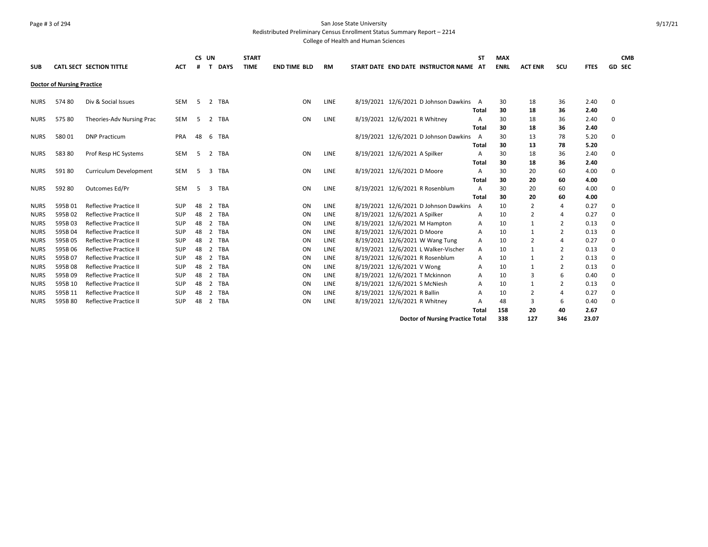# Page # 3 of 294 San Jose State University

Redistributed Preliminary Census Enrollment Status Summary Report – 2214

| <b>SUB</b>  |                                   | <b>CATL SECT SECTION TITTLE</b> | <b>ACT</b> | <b>CS</b><br># | UN<br><b>DAYS</b><br>$\mathbf{T}$ | <b>START</b><br><b>TIME</b> | <b>END TIME BLD</b> | <b>RM</b>   | START DATE END DATE INSTRUCTOR NAME AT  | <b>ST</b>      | <b>MAX</b><br><b>ENRL</b> | <b>ACT ENR</b> | scu            | <b>FTES</b> | <b>GD SEC</b> | <b>CMB</b> |
|-------------|-----------------------------------|---------------------------------|------------|----------------|-----------------------------------|-----------------------------|---------------------|-------------|-----------------------------------------|----------------|---------------------------|----------------|----------------|-------------|---------------|------------|
|             | <b>Doctor of Nursing Practice</b> |                                 |            |                |                                   |                             |                     |             |                                         |                |                           |                |                |             |               |            |
| <b>NURS</b> | 57480                             | Div & Social Issues             | <b>SEM</b> | -5             | $\overline{2}$<br><b>TBA</b>      |                             | ON                  | LINE        | 8/19/2021 12/6/2021 D Johnson Dawkins   | A              | 30                        | 18             | 36             | 2.40        | 0             |            |
|             |                                   |                                 |            |                |                                   |                             |                     |             |                                         | Total          | 30                        | 18             | 36             | 2.40        |               |            |
| <b>NURS</b> | 57580                             | Theories-Adv Nursing Prac       | <b>SEM</b> | -5             | <b>TBA</b><br>$\overline{2}$      |                             | ON                  | <b>LINE</b> | 8/19/2021 12/6/2021 R Whitney           | A              | 30                        | 18             | 36             | 2.40        | 0             |            |
|             |                                   |                                 |            |                |                                   |                             |                     |             |                                         | Total          | 30                        | 18             | 36             | 2.40        |               |            |
| <b>NURS</b> | 58001                             | <b>DNP Practicum</b>            | PRA        | 48             | 6<br><b>TBA</b>                   |                             |                     |             | 8/19/2021 12/6/2021 D Johnson Dawkins   | A              | 30                        | 13             | 78             | 5.20        | 0             |            |
|             |                                   |                                 |            |                |                                   |                             |                     |             |                                         | Total          | 30                        | 13             | 78             | 5.20        |               |            |
| <b>NURS</b> | 58380                             | Prof Resp HC Systems            | SEM        | 5              | <b>TBA</b><br>2                   |                             | ON                  | <b>LINE</b> | 8/19/2021 12/6/2021 A Spilker           | A              | 30                        | 18             | 36             | 2.40        | 0             |            |
|             |                                   |                                 |            |                |                                   |                             |                     |             |                                         | Total          | 30                        | 18             | 36             | 2.40        |               |            |
| <b>NURS</b> | 59180                             | Curriculum Development          | SEM        | 5              | <b>TBA</b><br>3                   |                             | ON                  | LINE        | 8/19/2021 12/6/2021 D Moore             | A              | 30                        | 20             | 60             | 4.00        | 0             |            |
|             |                                   |                                 |            |                |                                   |                             |                     |             |                                         | Total          | 30                        | 20             | 60             | 4.00        |               |            |
| <b>NURS</b> | 592 80                            | Outcomes Ed/Pr                  | <b>SEM</b> | -5             | 3<br>TBA                          |                             | ON                  | <b>LINE</b> | 8/19/2021 12/6/2021 R Rosenblum         | A              | 30                        | 20             | 60             | 4.00        | 0             |            |
|             |                                   |                                 |            |                |                                   |                             |                     |             |                                         | Total          | 30                        | 20             | 60             | 4.00        |               |            |
| <b>NURS</b> | 595B01                            | <b>Reflective Practice II</b>   | <b>SUP</b> | 48             | $\mathcal{P}$<br>TBA              |                             | ON                  | <b>LINE</b> | 8/19/2021 12/6/2021 D Johnson Dawkins   | $\overline{A}$ | 10                        | 2              | $\overline{4}$ | 0.27        | 0             |            |
| <b>NURS</b> | 595B02                            | <b>Reflective Practice II</b>   | SUP        | 48             | 2<br>TBA                          |                             | ON                  | LINE        | 8/19/2021 12/6/2021 A Spilker           | Α              | 10                        | 2              | $\overline{4}$ | 0.27        | $\Omega$      |            |
| <b>NURS</b> | 595B03                            | <b>Reflective Practice II</b>   | SUP        | 48             | <b>TBA</b><br>2                   |                             | ON                  | <b>LINE</b> | 8/19/2021 12/6/2021 M Hampton           | Α              | 10                        | $\mathbf{1}$   | $\overline{2}$ | 0.13        | $\Omega$      |            |
| <b>NURS</b> | 595B04                            | Reflective Practice II          | <b>SUP</b> | 48             | TBA<br>2                          |                             | ON                  | <b>LINE</b> | 8/19/2021 12/6/2021 D Moore             | А              | 10                        | $\mathbf{1}$   | $\overline{2}$ | 0.13        | 0             |            |
| <b>NURS</b> | 595B05                            | <b>Reflective Practice II</b>   | <b>SUP</b> | 48             | <b>TBA</b><br>$\overline{2}$      |                             | ON                  | <b>LINE</b> | 8/19/2021 12/6/2021 W Wang Tung         | Α              | 10                        | $\overline{2}$ | $\overline{4}$ | 0.27        | 0             |            |
| <b>NURS</b> | 595B06                            | <b>Reflective Practice II</b>   | SUP        | 48             | TBA<br>$\overline{2}$             |                             | ON                  | <b>LINE</b> | 8/19/2021 12/6/2021 L Walker-Vischer    | A              | 10                        | $\mathbf{1}$   | $\overline{2}$ | 0.13        | $\Omega$      |            |
| <b>NURS</b> | 595B07                            | <b>Reflective Practice II</b>   | SUP        | 48             | 2<br>TBA                          |                             | ON                  | LINE        | 8/19/2021 12/6/2021 R Rosenblum         | Α              | 10                        | $\mathbf{1}$   | $\overline{2}$ | 0.13        | $\Omega$      |            |
| <b>NURS</b> | 595B08                            | <b>Reflective Practice II</b>   | SUP        | 48             | TBA<br>$\overline{2}$             |                             | ON                  | <b>LINE</b> | 8/19/2021 12/6/2021 V Wong              | Α              | 10                        | 1              | $\overline{2}$ | 0.13        | 0             |            |
| <b>NURS</b> | 595B09                            | <b>Reflective Practice II</b>   | SUP        | 48             | TBA<br>2                          |                             | ON                  | LINE        | 8/19/2021 12/6/2021 T Mckinnon          | Α              | 10                        | 3              | 6              | 0.40        | 0             |            |
| <b>NURS</b> | 595B 10                           | <b>Reflective Practice II</b>   | <b>SUP</b> | 48             | $\overline{2}$<br><b>TBA</b>      |                             | ON                  | <b>LINE</b> | 8/19/2021 12/6/2021 S McNiesh           | Α              | 10                        | $\mathbf{1}$   | $\overline{2}$ | 0.13        | 0             |            |
| <b>NURS</b> | 595B 11                           | <b>Reflective Practice II</b>   | <b>SUP</b> | 48             | TBA<br>$\overline{2}$             |                             | ON                  | <b>LINE</b> | 8/19/2021 12/6/2021 R Ballin            | А              | 10                        | $\overline{2}$ | $\overline{4}$ | 0.27        | 0             |            |
| <b>NURS</b> | 595B80                            | <b>Reflective Practice II</b>   | SUP        | 48             | $\overline{2}$<br>TBA             |                             | ON                  | LINE        | 8/19/2021 12/6/2021 R Whitney           | А              | 48                        | 3              | 6              | 0.40        | 0             |            |
|             |                                   |                                 |            |                |                                   |                             |                     |             |                                         | Total          | 158                       | 20             | 40             | 2.67        |               |            |
|             |                                   |                                 |            |                |                                   |                             |                     |             | <b>Doctor of Nursing Practice Total</b> |                | 338                       | 127            | 346            | 23.07       |               |            |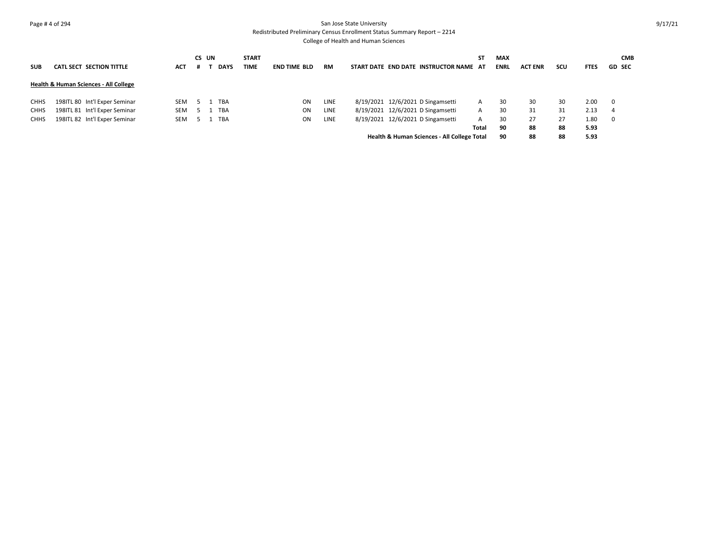#### Page # 4 of 294 San Jose State University Redistributed Preliminary Census Enrollment Status Summary Report – 2214

| <b>SUB</b>  | <b>CATL SECT SECTION TITTLE</b>                  | <b>ACT</b> | CS UN | <b>DAYS</b> | <b>START</b><br><b>TIME</b> | <b>END TIME BLD</b> | <b>RM</b> | START DATE END DATE INSTRUCTOR NAME AT      | ST    | <b>MAX</b><br><b>ENRL</b> | <b>ACT ENR</b> | scu | <b>FTES</b> | <b>CMB</b><br><b>GD SEC</b> |
|-------------|--------------------------------------------------|------------|-------|-------------|-----------------------------|---------------------|-----------|---------------------------------------------|-------|---------------------------|----------------|-----|-------------|-----------------------------|
|             | <b>Health &amp; Human Sciences - All College</b> |            |       |             |                             |                     |           |                                             |       |                           |                |     |             |                             |
| <b>CHHS</b> | 198ITL 80 Int'l Exper Seminar                    | <b>SEM</b> |       | <b>TBA</b>  |                             | ON                  | LINE      | 8/19/2021 12/6/2021 D Singamsetti           | A     | 30                        | 30             | 30  | 2.00        | 0                           |
| <b>CHHS</b> | 198ITL 81 Int'l Exper Seminar                    | <b>SEM</b> |       | <b>TBA</b>  |                             | ON                  | LINE      | 8/19/2021 12/6/2021 D Singamsetti           | A     | 30                        | 31             | 31  | 2.13        | 4                           |
| <b>CHHS</b> | 198ITL 82 Int'l Exper Seminar                    | <b>SEM</b> |       | <b>TBA</b>  |                             | ON                  | LINE      | 8/19/2021 12/6/2021 D Singamsetti           | A     | 30                        | 27             | 27  | 1.80        | $\mathbf 0$                 |
|             |                                                  |            |       |             |                             |                     |           |                                             | Total | 90                        | 88             | 88  | 5.93        |                             |
|             |                                                  |            |       |             |                             |                     |           | Health & Human Sciences - All College Total |       | 90                        | 88             | 88  | 5.93        |                             |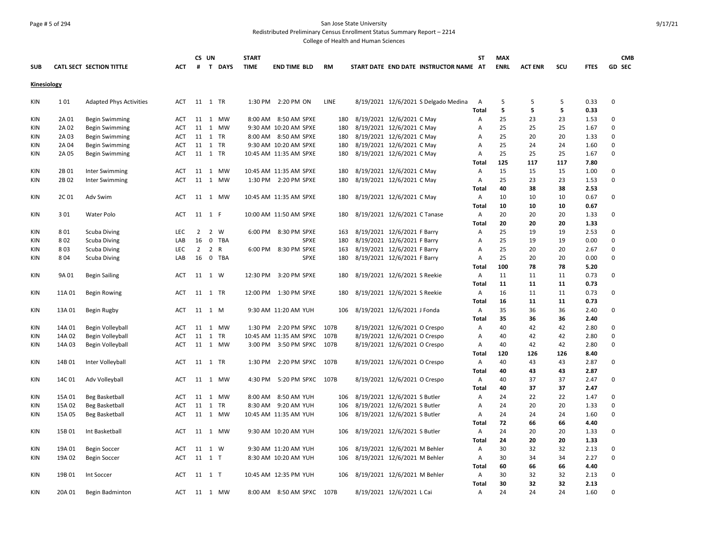#### Page # 5 of 294 San Jose State University Redistributed Preliminary Census Enrollment Status Summary Report – 2214

| <b>SUB</b>  |        | CATL SECT SECTION TITTLE       | ACT        | #           | CS UN  | T DAYS  | <b>START</b><br><b>TIME</b> | <b>END TIME BLD</b>       | <b>RM</b>   | START DATE END DATE INSTRUCTOR NAME AT | <b>ST</b>      | <b>MAX</b><br><b>ENRL</b> | <b>ACT ENR</b> | SCU | <b>FTES</b> | <b>CMB</b><br><b>GD SEC</b> |
|-------------|--------|--------------------------------|------------|-------------|--------|---------|-----------------------------|---------------------------|-------------|----------------------------------------|----------------|---------------------------|----------------|-----|-------------|-----------------------------|
|             |        |                                |            |             |        |         |                             |                           |             |                                        |                |                           |                |     |             |                             |
| Kinesiology |        |                                |            |             |        |         |                             |                           |             |                                        |                |                           |                |     |             |                             |
| KIN         | 101    | <b>Adapted Phys Activities</b> | <b>ACT</b> |             |        | 11 1 TR |                             | 1:30 PM 2:20 PM ON        | <b>LINE</b> | 8/19/2021 12/6/2021 S Delgado Medina   | $\overline{A}$ | 5                         | 5              | 5   | 0.33        | $\Omega$                    |
|             |        |                                |            |             |        |         |                             |                           |             |                                        | Total          | 5                         | 5              | 5   | 0.33        |                             |
| KIN         | 2A 01  | <b>Begin Swimming</b>          | <b>ACT</b> |             |        | 11 1 MW |                             | 8:00 AM 8:50 AM SPXE      | 180         | 8/19/2021 12/6/2021 C May              | Α              | 25                        | 23             | 23  | 1.53        | $\Omega$                    |
| KIN         | 2A 02  | <b>Begin Swimming</b>          | ACT        |             |        | 11 1 MW |                             | 9:30 AM 10:20 AM SPXE     | 180         | 8/19/2021 12/6/2021 C May              | A              | 25                        | 25             | 25  | 1.67        | $\Omega$                    |
| <b>KIN</b>  | 2A 03  | <b>Begin Swimming</b>          | <b>ACT</b> |             |        | 11 1 TR |                             | 8:00 AM 8:50 AM SPXE      | 180         | 8/19/2021 12/6/2021 C May              | A              | 25                        | 20             | 20  | 1.33        | $\Omega$                    |
| KIN         | 2A 04  | <b>Begin Swimming</b>          | <b>ACT</b> |             |        | 11 1 TR |                             | 9:30 AM 10:20 AM SPXE     | 180         | 8/19/2021 12/6/2021 C May              | $\overline{A}$ | 25                        | 24             | 24  | 1.60        | $\Omega$                    |
| KIN         | 2A 05  | <b>Begin Swimming</b>          | ACT        |             |        | 11 1 TR |                             | 10:45 AM 11:35 AM SPXE    | 180         | 8/19/2021 12/6/2021 C May              | A              | 25                        | 25             | 25  | 1.67        | $\Omega$                    |
|             |        |                                |            |             |        |         |                             |                           |             |                                        | Total          | 125                       | 117            | 117 | 7.80        |                             |
| KIN         | 2B01   | Inter Swimming                 | ACT        |             |        | 11 1 MW |                             | 10:45 AM 11:35 AM SPXE    | 180         | 8/19/2021 12/6/2021 C May              | A              | 15                        | 15             | 15  | 1.00        | $\mathbf 0$                 |
| KIN         | 2B02   | Inter Swimming                 | ACT        |             |        | 11 1 MW |                             | 1:30 PM 2:20 PM SPXE      | 180         | 8/19/2021 12/6/2021 C May              | Α              | 25                        | 23             | 23  | 1.53        | $\Omega$                    |
|             |        |                                |            |             |        |         |                             |                           |             |                                        | Total          | 40                        | 38             | 38  | 2.53        |                             |
| KIN         | 2C 01  | Adv Swim                       | <b>ACT</b> |             |        | 11 1 MW |                             | 10:45 AM 11:35 AM SPXE    | 180         | 8/19/2021 12/6/2021 C May              | Α              | 10                        | 10             | 10  | 0.67        | 0                           |
|             |        |                                |            |             |        |         |                             |                           |             |                                        | Total          | 10                        | 10             | 10  | 0.67        |                             |
| KIN         | 301    | Water Polo                     | <b>ACT</b> |             | 11 1 F |         |                             | 10:00 AM 11:50 AM SPXE    | 180         | 8/19/2021 12/6/2021 C Tanase           | Α              | 20                        | 20             | 20  | 1.33        | 0                           |
|             |        |                                |            |             |        |         |                             |                           |             |                                        | Total          | 20                        | 20             | 20  | 1.33        |                             |
| KIN         | 801    | <b>Scuba Diving</b>            | <b>LEC</b> | $2^{\circ}$ |        | 2 W     |                             | 6:00 PM 8:30 PM SPXE      | 163         | 8/19/2021 12/6/2021 F Barry            | Α              | 25                        | 19             | 19  | 2.53        | $\mathbf 0$                 |
| <b>KIN</b>  | 802    | <b>Scuba Diving</b>            | LAB        | 16          |        | 0 TBA   |                             | SPXE                      | 180         | 8/19/2021 12/6/2021 F Barry            | A              | 25                        | 19             | 19  | 0.00        | $\Omega$                    |
| <b>KIN</b>  | 803    | <b>Scuba Diving</b>            | <b>LEC</b> | $2^{\circ}$ |        | 2 R     |                             | 6:00 PM 8:30 PM SPXE      | 163         | 8/19/2021 12/6/2021 F Barry            | A              | 25                        | 20             | 20  | 2.67        | $\Omega$                    |
| ΚIΝ         | 804    | <b>Scuba Diving</b>            | LAB        | 16          |        | 0 TBA   |                             | <b>SPXE</b>               | 180         | 8/19/2021 12/6/2021 F Barry            | $\overline{A}$ | 25                        | 20             | 20  | 0.00        | $\Omega$                    |
|             |        |                                |            |             |        |         |                             |                           |             |                                        | Total          | 100                       | 78             | 78  | 5.20        |                             |
| KIN         | 9A 01  | <b>Begin Sailing</b>           | <b>ACT</b> |             | 11 1 W |         | 12:30 PM                    | 3:20 PM SPXE              | 180         | 8/19/2021 12/6/2021 S Reekie           | A              | 11                        | 11             | 11  | 0.73        | $\Omega$                    |
|             |        |                                |            |             |        |         |                             |                           |             |                                        | Total          | 11                        | 11             | 11  | 0.73        |                             |
| KIN         | 11A 01 | <b>Begin Rowing</b>            | <b>ACT</b> |             |        | 11 1 TR |                             | 12:00 PM 1:30 PM SPXE     | 180         | 8/19/2021 12/6/2021 S Reekie           | Α              | 16                        | 11             | 11  | 0.73        | $\Omega$                    |
|             |        |                                |            |             |        |         |                             |                           |             |                                        | Total          | 16                        | 11             | 11  | 0.73        |                             |
| KIN         | 13A 01 | Begin Rugby                    | <b>ACT</b> |             | 11 1 M |         |                             | 9:30 AM 11:20 AM YUH      | 106         | 8/19/2021 12/6/2021 J Fonda            | A              | 35                        | 36             | 36  | 2.40        | 0                           |
|             |        |                                |            |             |        |         |                             |                           |             |                                        | Total          | 35                        | 36             | 36  | 2.40        |                             |
| <b>KIN</b>  | 14A 01 | Begin Volleyball               | <b>ACT</b> |             |        | 11 1 MW |                             | 1:30 PM 2:20 PM SPXC      | 107B        | 8/19/2021 12/6/2021 O Crespo           | A              | 40                        | 42             | 42  | 2.80        | $\mathbf 0$                 |
| <b>KIN</b>  | 14A 02 | Begin Volleyball               | ACT        |             |        | 11 1 TR |                             | 10:45 AM 11:35 AM SPXC    | 107B        | 8/19/2021 12/6/2021 O Crespo           | A              | 40                        | 42             | 42  | 2.80        | $\Omega$                    |
| <b>KIN</b>  | 14A 03 |                                | <b>ACT</b> |             |        | 11 1 MW |                             | 3:00 PM 3:50 PM SPXC      | 107B        | 8/19/2021 12/6/2021 O Crespo           | Α              | 40                        | 42             | 42  | 2.80        | $\Omega$                    |
|             |        | Begin Volleyball               |            |             |        |         |                             |                           |             |                                        | Total          | 120                       | 126            | 126 | 8.40        |                             |
|             |        |                                |            |             |        |         | 1:30 PM                     |                           | 107B        |                                        |                | 40                        | 43             | 43  |             | $\Omega$                    |
| ΚIΝ         | 14B 01 | Inter Volleyball               | ACT        |             |        | 11 1 TR |                             | 2:20 PM SPXC              |             | 8/19/2021 12/6/2021 O Crespo           | Α              |                           |                |     | 2.87        |                             |
|             |        |                                |            |             |        |         |                             |                           |             |                                        | Total          | 40                        | 43             | 43  | 2.87        |                             |
| KIN         | 14C 01 | Adv Volleyball                 | ACT        |             |        | 11 1 MW | 4:30 PM                     | 5:20 PM SPXC 107B         |             | 8/19/2021 12/6/2021 O Crespo           | Α              | 40                        | 37             | 37  | 2.47        | $\Omega$                    |
|             |        |                                |            |             |        |         |                             |                           |             |                                        | Total          | 40                        | 37             | 37  | 2.47        |                             |
| KIN         | 15A 01 | Beg Basketball                 | <b>ACT</b> |             |        | 11 1 MW |                             | 8:00 AM 8:50 AM YUH       | 106         | 8/19/2021 12/6/2021 S Butler           | Α              | 24                        | 22             | 22  | 1.47        | $\Omega$                    |
| <b>KIN</b>  | 15A 02 | <b>Beg Basketball</b>          | ACT        | 11          |        | 1 TR    |                             | 8:30 AM 9:20 AM YUH       | 106         | 8/19/2021 12/6/2021 S Butler           | A              | 24                        | 20             | 20  | 1.33        | $\mathbf 0$                 |
| KIN         | 15A 05 | Beg Basketball                 | <b>ACT</b> |             |        | 11 1 MW |                             | 10:45 AM 11:35 AM YUH     | 106         | 8/19/2021 12/6/2021 S Butler           | A              | 24                        | 24             | 24  | 1.60        | $\Omega$                    |
|             |        |                                |            |             |        |         |                             |                           |             |                                        | Total          | 72                        | 66             | 66  | 4.40        |                             |
| KIN         | 15B 01 | Int Basketball                 | <b>ACT</b> |             |        | 11 1 MW |                             | 9:30 AM 10:20 AM YUH      | 106         | 8/19/2021 12/6/2021 S Butler           | A              | 24                        | 20             | 20  | 1.33        | 0                           |
|             |        |                                |            |             |        |         |                             |                           |             |                                        | <b>Total</b>   | 24                        | 20             | 20  | 1.33        |                             |
| KIN         | 19A 01 | <b>Begin Soccer</b>            | <b>ACT</b> |             | 11 1 W |         |                             | 9:30 AM 11:20 AM YUH      | 106         | 8/19/2021 12/6/2021 M Behler           | Α              | 30                        | 32             | 32  | 2.13        | $\Omega$                    |
| <b>KIN</b>  | 19A 02 | <b>Begin Soccer</b>            | ACT        |             | 11 1 T |         |                             | 8:30 AM 10:20 AM YUH      | 106         | 8/19/2021 12/6/2021 M Behler           | A              | 30                        | 34             | 34  | 2.27        | $\Omega$                    |
|             |        |                                |            |             |        |         |                             |                           |             |                                        | <b>Total</b>   | 60                        | 66             | 66  | 4.40        |                             |
| ΚIΝ         | 19B 01 | Int Soccer                     | <b>ACT</b> | 11 1 T      |        |         |                             | 10:45 AM 12:35 PM YUH     | 106         | 8/19/2021 12/6/2021 M Behler           | $\overline{A}$ | 30                        | 32             | 32  | 2.13        | $\Omega$                    |
|             |        |                                |            |             |        |         |                             |                           |             |                                        | Total          | 30                        | 32             | 32  | 2.13        |                             |
| KIN         | 20A 01 | Begin Badminton                | <b>ACT</b> |             |        | 11 1 MW |                             | 8:00 AM 8:50 AM SPXC 107B |             | 8/19/2021 12/6/2021 L Cai              | Α              | 24                        | 24             | 24  | 1.60        | $\Omega$                    |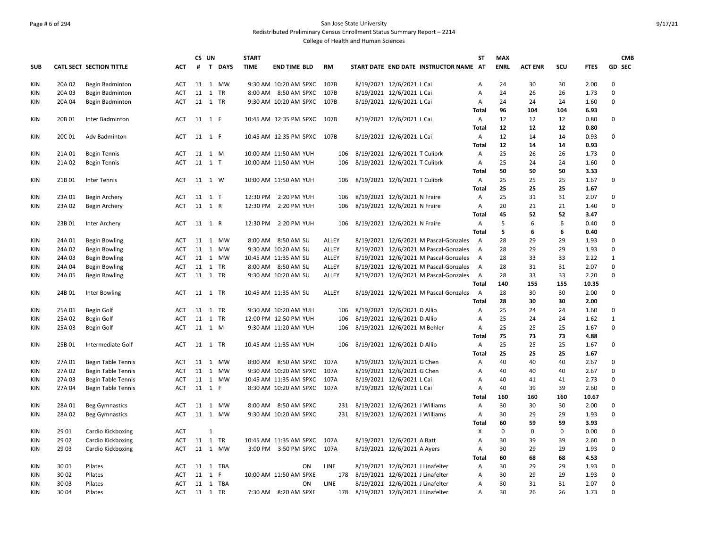# Page # 6 of 294 San Jose State University Redistributed Preliminary Census Enrollment Status Summary Report – 2214 College of Health and Human Sciences

|     |        |                           |            |        | CS UN        |             | <b>START</b> |                             |           |                                        | <b>ST</b>      | <b>MAX</b>  |                |             |             | <b>CMB</b>    |
|-----|--------|---------------------------|------------|--------|--------------|-------------|--------------|-----------------------------|-----------|----------------------------------------|----------------|-------------|----------------|-------------|-------------|---------------|
| SUB |        | CATL SECT SECTION TITTLE  | ACT        | #      | $\mathbf{T}$ | <b>DAYS</b> | <b>TIME</b>  | <b>END TIME BLD</b>         | <b>RM</b> | START DATE END DATE INSTRUCTOR NAME AT |                | <b>ENRL</b> | <b>ACT ENR</b> | SCU         | <b>FTES</b> | <b>GD SEC</b> |
| KIN | 20A 02 | Begin Badminton           | ACT        |        |              | 11 1 MW     |              | 9:30 AM 10:20 AM SPXC 107B  |           | 8/19/2021 12/6/2021 L Cai              | А              | 24          | 30             | 30          | 2.00        | 0             |
| KIN | 20A 03 | Begin Badminton           | <b>ACT</b> |        |              | 11 1 TR     |              | 8:00 AM 8:50 AM SPXC        | 107B      | 8/19/2021 12/6/2021 L Cai              | А              | 24          | 26             | 26          | 1.73        | 0             |
| KIN | 20A 04 | Begin Badminton           | ACT        |        |              | 11 1 TR     |              | 9:30 AM 10:20 AM SPXC 107B  |           | 8/19/2021 12/6/2021 L Cai              | Α              | 24          | 24             | 24          | 1.60        | 0             |
|     |        |                           |            |        |              |             |              |                             |           |                                        | <b>Total</b>   | 96          | 104            | 104         | 6.93        |               |
| KIN | 20B 01 | Inter Badminton           | ACT        | 11 1 F |              |             |              | 10:45 AM 12:35 PM SPXC 107B |           | 8/19/2021 12/6/2021 L Cai              | Α              | 12          | 12             | 12          | 0.80        | 0             |
|     |        |                           |            |        |              |             |              |                             |           |                                        | <b>Total</b>   | 12          | 12             | 12          | 0.80        |               |
| KIN | 20C 01 | Adv Badminton             | ACT        |        | 11 1 F       |             |              | 10:45 AM 12:35 PM SPXC      | 107B      | 8/19/2021 12/6/2021 L Cai              | А              | 12          | 14             | 14          | 0.93        | 0             |
|     |        |                           |            |        |              |             |              |                             |           |                                        | <b>Total</b>   | 12          | 14             | 14          | 0.93        |               |
| KIN | 21A 01 | <b>Begin Tennis</b>       | ACT        |        | 11 1 M       |             |              | 10:00 AM 11:50 AM YUH       | 106       | 8/19/2021 12/6/2021 T Culibrk          | Α              | 25          | 26             | 26          | 1.73        | 0             |
| KIN | 21A 02 | <b>Begin Tennis</b>       | ACT        |        | 11 1 T       |             |              | 10:00 AM 11:50 AM YUH       | 106       | 8/19/2021 12/6/2021 T Culibrk          | А              | 25          | 24             | 24          | 1.60        | 0             |
|     |        |                           |            |        |              |             |              |                             |           |                                        | <b>Total</b>   | 50          | 50             | 50          | 3.33        |               |
| KIN | 21B01  | Inter Tennis              | ACT        |        | 11 1 W       |             |              | 10:00 AM 11:50 AM YUH       | 106       | 8/19/2021 12/6/2021 T Culibrk          | Α              | 25          | 25             | 25          | 1.67        | 0             |
|     |        |                           |            |        |              |             |              |                             |           |                                        | Total          | 25          | 25             | 25          | 1.67        |               |
| KIN | 23A 01 | Begin Archery             | <b>ACT</b> |        | 11 1 T       |             | 12:30 PM     | 2:20 PM YUH                 | 106       | 8/19/2021 12/6/2021 N Fraire           | Α              | 25          | 31             | 31          | 2.07        | 0             |
| KIN | 23A 02 | Begin Archery             | <b>ACT</b> |        | 11 1 R       |             | 12:30 PM     | 2:20 PM YUH                 | 106       | 8/19/2021 12/6/2021 N Fraire           | А              | 20          | 21             | 21          | 1.40        | 0             |
|     |        |                           |            |        |              |             |              |                             |           |                                        | Total          | 45          | 52             | 52          | 3.47        |               |
| KIN | 23B01  | Inter Archery             | ACT        |        | 11 1 R       |             | 12:30 PM     | 2:20 PM YUH                 | 106       | 8/19/2021 12/6/2021 N Fraire           | Α              | 5           | 6              | 6           | 0.40        | 0             |
|     |        |                           |            |        |              |             |              |                             |           |                                        | <b>Total</b>   | 5           | 6              | 6           | 0.40        |               |
| KIN | 24A 01 | <b>Begin Bowling</b>      | <b>ACT</b> |        |              | 11 1 MW     |              | 8:00 AM 8:50 AM SU          | ALLEY     | 8/19/2021 12/6/2021 M Pascal-Gonzales  | $\overline{A}$ | 28          | 29             | 29          | 1.93        | 0             |
| KIN | 24A 02 | Begin Bowling             | ACT        |        |              | 11 1 MW     |              | 9:30 AM 10:20 AM SU         | ALLEY     | 8/19/2021 12/6/2021 M Pascal-Gonzales  | $\overline{A}$ | 28          | 29             | 29          | 1.93        | 0             |
| KIN | 24A 03 | <b>Begin Bowling</b>      | ACT        |        |              | 11 1 MW     |              | 10:45 AM 11:35 AM SU        | ALLEY     | 8/19/2021 12/6/2021 M Pascal-Gonzales  | A              | 28          | 33             | 33          | 2.22        | $\mathbf 1$   |
| KIN | 24A 04 | <b>Begin Bowling</b>      | ACT        |        |              | 11 1 TR     |              | 8:00 AM 8:50 AM SU          | ALLEY     | 8/19/2021 12/6/2021 M Pascal-Gonzales  | $\overline{A}$ | 28          | 31             | 31          | 2.07        | 0             |
| KIN | 24A 05 | Begin Bowling             | ACT        |        |              | 11 1 TR     |              | 9:30 AM 10:20 AM SU         | ALLEY     | 8/19/2021 12/6/2021 M Pascal-Gonzales  | A              | 28          | 33             | 33          | 2.20        | 0             |
|     |        |                           |            |        |              |             |              |                             |           |                                        | <b>Total</b>   | 140         | 155            | 155         | 10.35       |               |
| ΚIΝ | 24B01  | Inter Bowling             | ACT        |        |              | 11 1 TR     |              | 10:45 AM 11:35 AM SU        | ALLEY     | 8/19/2021 12/6/2021 M Pascal-Gonzales  | A              | 28          | 30             | 30          | 2.00        | 0             |
|     |        |                           |            |        |              |             |              |                             |           |                                        | Total          | 28          | 30             | 30          | 2.00        |               |
| KIN | 25A 01 | Begin Golf                | ACT        |        |              | 11 1 TR     |              | 9:30 AM 10:20 AM YUH        | 106       | 8/19/2021 12/6/2021 D Allio            | А              | 25          | 24             | 24          | 1.60        | 0             |
| KIN | 25A 02 | Begin Golf                | ACT        |        |              | 11 1 TR     |              | 12:00 PM 12:50 PM YUH       | 106       | 8/19/2021 12/6/2021 D Allio            | А              | 25          | 24             | 24          | 1.62        | $\mathbf{1}$  |
| KIN | 25A 03 | Begin Golf                | ACT        |        | 11 1 M       |             |              | 9:30 AM 11:20 AM YUH        | 106       | 8/19/2021 12/6/2021 M Behler           | А              | 25          | 25             | 25          | 1.67        | 0             |
|     |        |                           |            |        |              |             |              |                             |           |                                        | <b>Total</b>   | 75          | 73             | 73          | 4.88        |               |
| KIN | 25B01  | Intermediate Golf         | ACT        |        |              | 11 1 TR     |              | 10:45 AM 11:35 AM YUH       | 106       | 8/19/2021 12/6/2021 D Allio            | Α              | 25          | 25             | 25          | 1.67        | 0             |
|     |        |                           |            |        |              |             |              |                             |           |                                        | <b>Total</b>   | 25          | 25             | 25          | 1.67        |               |
| KIN | 27A 01 | <b>Begin Table Tennis</b> | ACT        |        |              | 11 1 MW     |              | 8:00 AM 8:50 AM SPXC        | 107A      | 8/19/2021 12/6/2021 G Chen             | А              | 40          | 40             | 40          | 2.67        | $\Omega$      |
| KIN | 27A 02 | <b>Begin Table Tennis</b> | <b>ACT</b> |        |              | 11 1 MW     |              | 9:30 AM 10:20 AM SPXC       | 107A      | 8/19/2021 12/6/2021 G Chen             | А              | 40          | 40             | 40          | 2.67        | 0             |
| KIN | 27A 03 | <b>Begin Table Tennis</b> | ACT        |        |              | 11 1 MW     |              | 10:45 AM 11:35 AM SPXC      | 107A      | 8/19/2021 12/6/2021 L Cai              | Α              | 40          | 41             | 41          | 2.73        | 0             |
| KIN | 27A 04 | <b>Begin Table Tennis</b> | <b>ACT</b> |        | 11 1 F       |             |              | 8:30 AM 10:20 AM SPXC       | 107A      | 8/19/2021 12/6/2021 L Cai              | Α              | 40          | 39             | 39          | 2.60        | 0             |
|     |        |                           |            |        |              |             |              |                             |           |                                        | Total          | 160         | 160            | 160         | 10.67       |               |
| KIN | 28A01  | <b>Beg Gymnastics</b>     | <b>ACT</b> | 11     |              | 1 MW        |              | 8:00 AM 8:50 AM SPXC        | 231       | 8/19/2021 12/6/2021 J Williams         | Α              | 30          | 30             | 30          | 2.00        | 0             |
| KIN | 28A 02 | <b>Beg Gymnastics</b>     | <b>ACT</b> |        |              | 11 1 MW     |              | 9:30 AM 10:20 AM SPXC       |           | 231 8/19/2021 12/6/2021 J Williams     | А              | 30          | 29             | 29          | 1.93        | 0             |
|     |        |                           |            |        |              |             |              |                             |           |                                        | Total          | 60          | 59             | 59          | 3.93        |               |
| KIN | 29 01  | Cardio Kickboxing         | ACT        |        | $\mathbf{1}$ |             |              |                             |           |                                        | X              | 0           | 0              | $\mathbf 0$ | 0.00        | 0             |
| KIN | 29 02  | Cardio Kickboxing         | ACT        |        |              | 11 1 TR     |              | 10:45 AM 11:35 AM SPXC      | 107A      | 8/19/2021 12/6/2021 A Batt             | A              | 30          | 39             | 39          | 2.60        | 0             |
| KIN | 29 03  | Cardio Kickboxing         | <b>ACT</b> |        |              | 11 1 MW     |              | 3:00 PM 3:50 PM SPXC        | 107A      | 8/19/2021 12/6/2021 A Ayers            | Α              | 30          | 29             | 29          | 1.93        | 0             |
|     |        |                           |            |        |              |             |              |                             |           |                                        | Total          | 60          | 68             | 68          | 4.53        |               |
| KIN | 3001   | Pilates                   | ACT        |        |              | 11 1 TBA    |              | ON                          | LINE      | 8/19/2021 12/6/2021 J Linafelter       | Α              | 30          | 29             | 29          | 1.93        | 0             |
| KIN | 30 02  | Pilates                   | ACT        |        | 11 1 F       |             |              | 10:00 AM 11:50 AM SPXE      |           | 178 8/19/2021 12/6/2021 J Linafelter   | А              | 30          | 29             | 29          | 1.93        | $\Omega$      |
| KIN | 30 03  | Pilates                   | ACT        |        |              | 11 1 TBA    |              | ON                          | LINE      | 8/19/2021 12/6/2021 J Linafelter       | A              | 30          | 31             | 31          | 2.07        | 0             |
| KIN | 3004   | Pilates                   | ACT        |        |              | 11 1 TR     |              | 7:30 AM 8:20 AM SPXE        |           | 178 8/19/2021 12/6/2021 J Linafelter   | A              | 30          | 26             | 26          | 1.73        | $\Omega$      |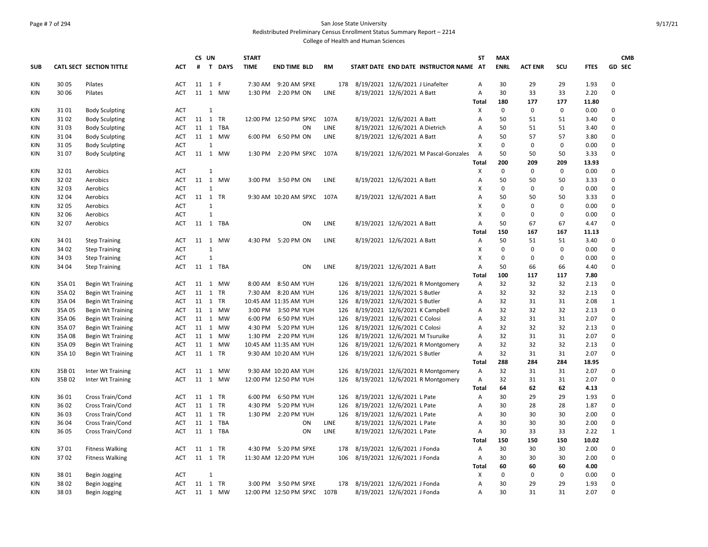# Page # 7 of 294 San Jose State University Redistributed Preliminary Census Enrollment Status Summary Report – 2214

|            |        |                          |            |    | CS UN        | <b>START</b> |                             |      |                                        | <b>ST</b>                 | <b>MAX</b>  |                |             |             | <b>CMB</b>   |
|------------|--------|--------------------------|------------|----|--------------|--------------|-----------------------------|------|----------------------------------------|---------------------------|-------------|----------------|-------------|-------------|--------------|
| <b>SUB</b> |        | CATL SECT SECTION TITTLE | ACT        |    | # T DAYS     | <b>TIME</b>  | <b>END TIME BLD</b>         | RM   | START DATE END DATE INSTRUCTOR NAME AT |                           | <b>ENRL</b> | <b>ACT ENR</b> | scu         | <b>FTES</b> | GD SEC       |
| KIN        | 30 05  | Pilates                  | <b>ACT</b> |    | 11 1 F       |              | 7:30 AM 9:20 AM SPXE        |      | 178 8/19/2021 12/6/2021 J Linafelter   | Α                         | 30          | 29             | 29          | 1.93        | $\Omega$     |
| KIN        | 30 06  | Pilates                  | <b>ACT</b> |    | 11 1 MW      |              | 1:30 PM 2:20 PM ON          | LINE | 8/19/2021 12/6/2021 A Batt             | Α                         | 30          | 33             | 33          | 2.20        | $\Omega$     |
|            |        |                          |            |    |              |              |                             |      |                                        | Total                     | 180         | 177            | 177         | 11.80       |              |
| KIN        | 3101   | <b>Body Sculpting</b>    | <b>ACT</b> |    | $\mathbf{1}$ |              |                             |      |                                        | X                         | 0           | $\mathbf 0$    | $\mathbf 0$ | 0.00        | 0            |
| KIN        | 3102   | <b>Body Sculpting</b>    | <b>ACT</b> |    | 11 1 TR      |              | 12:00 PM 12:50 PM SPXC      | 107A | 8/19/2021 12/6/2021 A Batt             | A                         | 50          | 51             | 51          | 3.40        | $\Omega$     |
| KIN        | 3103   | <b>Body Sculpting</b>    | <b>ACT</b> |    | 11 1 TBA     |              | ON                          | LINE | 8/19/2021 12/6/2021 A Dietrich         | A                         | 50          | 51             | 51          | 3.40        | $\Omega$     |
| KIN        | 3104   | <b>Body Sculpting</b>    | <b>ACT</b> |    | 11 1 MW      |              | 6:00 PM 6:50 PM ON          | LINE | 8/19/2021 12/6/2021 A Batt             | Α                         | 50          | 57             | 57          | 3.80        | $\mathbf 0$  |
| KIN        | 3105   | <b>Body Sculpting</b>    | <b>ACT</b> |    | $\mathbf{1}$ |              |                             |      |                                        | Х                         | 0           | $\mathbf 0$    | $\mathbf 0$ | 0.00        | $\mathbf 0$  |
| KIN        | 3107   | <b>Body Sculpting</b>    | <b>ACT</b> |    | 11 1 MW      |              | 1:30 PM 2:20 PM SPXC 107A   |      | 8/19/2021 12/6/2021 M Pascal-Gonzales  | A                         | 50          | 50             | 50          | 3.33        | $\Omega$     |
|            |        |                          |            |    |              |              |                             |      |                                        | Total                     | 200         | 209            | 209         | 13.93       |              |
| KIN        | 3201   | Aerobics                 | <b>ACT</b> |    | $\mathbf{1}$ |              |                             |      |                                        | X                         | 0           | $\mathbf{0}$   | $\mathbf 0$ | 0.00        | $\Omega$     |
| KIN        | 3202   | Aerobics                 | <b>ACT</b> |    | 11 1 MW      |              | 3:00 PM 3:50 PM ON          | LINE | 8/19/2021 12/6/2021 A Batt             | Α                         | 50          | 50             | 50          | 3.33        | $\mathbf 0$  |
| KIN        | 3203   | Aerobics                 | <b>ACT</b> |    | $\mathbf{1}$ |              |                             |      |                                        | X                         | $\Omega$    | $\mathbf 0$    | $\mathbf 0$ | 0.00        | $\Omega$     |
| KIN        | 32 04  | Aerobics                 | <b>ACT</b> |    | 11 1 TR      |              | 9:30 AM 10:20 AM SPXC       | 107A | 8/19/2021 12/6/2021 A Batt             | Α                         | 50          | 50             | 50          | 3.33        | $\mathbf 0$  |
| <b>KIN</b> | 32 05  | Aerobics                 | <b>ACT</b> |    | $\mathbf{1}$ |              |                             |      |                                        | Х                         | $\Omega$    | $\mathbf 0$    | $\mathbf 0$ | 0.00        | $\mathbf 0$  |
| <b>KIN</b> | 32 06  | Aerobics                 | <b>ACT</b> |    | $\mathbf{1}$ |              |                             |      |                                        | $\boldsymbol{\mathsf{x}}$ | $\Omega$    | $\mathbf 0$    | $\mathbf 0$ | 0.00        | $\Omega$     |
| KIN        | 3207   | Aerobics                 | <b>ACT</b> |    | 11 1 TBA     |              | ON                          | LINE | 8/19/2021 12/6/2021 A Batt             | Α                         | 50          | 67             | 67          | 4.47        | $\mathbf 0$  |
|            |        |                          |            |    |              |              |                             |      |                                        | <b>Total</b>              | 150         | 167            | 167         | 11.13       |              |
| KIN        | 34 01  | <b>Step Training</b>     | ACT        |    | 11 1 MW      |              | 4:30 PM 5:20 PM ON          | LINE | 8/19/2021 12/6/2021 A Batt             | Α                         | 50          | 51             | 51          | 3.40        | $\mathbf 0$  |
| KIN        | 34 02  | <b>Step Training</b>     | <b>ACT</b> |    | $\mathbf{1}$ |              |                             |      |                                        | Х                         | $\Omega$    | $\mathbf 0$    | $\mathbf 0$ | 0.00        | $\Omega$     |
| KIN        | 34 03  | <b>Step Training</b>     | <b>ACT</b> |    | $\mathbf{1}$ |              |                             |      |                                        | Х                         | $\mathbf 0$ | $\mathbf 0$    | $\mathbf 0$ | 0.00        | $\mathbf 0$  |
| KIN        | 34 04  | <b>Step Training</b>     | ACT        |    | 11 1 TBA     |              | ON                          | LINE | 8/19/2021 12/6/2021 A Batt             | A                         | 50          | 66             | 66          | 4.40        | $\Omega$     |
|            |        |                          |            |    |              |              |                             |      |                                        | Total                     | 100         | 117            | 117         | 7.80        |              |
| KIN        | 35A01  | Begin Wt Training        | <b>ACT</b> |    | 11 1 MW      |              | 8:00 AM 8:50 AM YUH         | 126  | 8/19/2021 12/6/2021 R Montgomery       | Α                         | 32          | 32             | 32          | 2.13        | $\mathbf 0$  |
| KIN        | 35A02  | <b>Begin Wt Training</b> | <b>ACT</b> |    | 11 1 TR      |              | 7:30 AM 8:20 AM YUH         | 126  | 8/19/2021 12/6/2021 S Butler           | A                         | 32          | 32             | 32          | 2.13        | $\Omega$     |
| KIN        | 35A 04 | <b>Begin Wt Training</b> | <b>ACT</b> |    | 11 1 TR      |              | 10:45 AM 11:35 AM YUH       | 126  | 8/19/2021 12/6/2021 S Butler           | Α                         | 32          | 31             | 31          | 2.08        | $\mathbf{1}$ |
| KIN        | 35A05  | <b>Begin Wt Training</b> | <b>ACT</b> |    | 11 1 MW      |              | 3:00 PM 3:50 PM YUH         | 126  | 8/19/2021 12/6/2021 K Campbell         | A                         | 32          | 32             | 32          | 2.13        | $\mathbf 0$  |
| KIN        | 35A06  | <b>Begin Wt Training</b> | <b>ACT</b> |    | 11 1 MW      | 6:00 PM      | 6:50 PM YUH                 | 126  | 8/19/2021 12/6/2021 C Colosi           | A                         | 32          | 31             | 31          | 2.07        | $\mathbf 0$  |
| KIN        | 35A 07 | <b>Begin Wt Training</b> | <b>ACT</b> |    | 11 1 MW      |              | 4:30 PM 5:20 PM YUH         | 126  | 8/19/2021 12/6/2021 C Colosi           | A                         | 32          | 32             | 32          | 2.13        | $\Omega$     |
| <b>KIN</b> | 35A08  | <b>Begin Wt Training</b> | <b>ACT</b> |    | 11 1 MW      | 1:30 PM      | 2:20 PM YUH                 | 126  | 8/19/2021 12/6/2021 M Tsuruike         | A                         | 32          | 31             | 31          | 2.07        | $\Omega$     |
| KIN        | 35A09  | Begin Wt Training        | <b>ACT</b> |    | 11 1 MW      |              | 10:45 AM 11:35 AM YUH       | 126  | 8/19/2021 12/6/2021 R Montgomery       | Α                         | 32          | 32             | 32          | 2.13        | $\mathbf 0$  |
| KIN        | 35A 10 | <b>Begin Wt Training</b> | <b>ACT</b> |    | 11 1 TR      |              | 9:30 AM 10:20 AM YUH        | 126  | 8/19/2021 12/6/2021 S Butler           | $\overline{A}$            | 32          | 31             | 31          | 2.07        | $\Omega$     |
|            |        |                          |            |    |              |              |                             |      |                                        | <b>Total</b>              | 288         | 284            | 284         | 18.95       |              |
| KIN        | 35B01  | Inter Wt Training        | <b>ACT</b> | 11 | 1 MW         |              | 9:30 AM 10:20 AM YUH        | 126  | 8/19/2021 12/6/2021 R Montgomery       | A                         | 32          | 31             | 31          | 2.07        | $\mathbf 0$  |
| KIN        | 35B02  | Inter Wt Training        | <b>ACT</b> |    | 11  1  MW    |              | 12:00 PM 12:50 PM YUH       | 126  | 8/19/2021 12/6/2021 R Montgomery       | Α                         | 32          | 31             | 31          | 2.07        | $\mathbf 0$  |
|            |        |                          |            |    |              |              |                             |      |                                        | <b>Total</b>              | 64          | 62             | 62          | 4.13        |              |
| KIN        | 3601   | Cross Train/Cond         | <b>ACT</b> |    | 11 1 TR      | 6:00 PM      | 6:50 PM YUH                 | 126  | 8/19/2021 12/6/2021 L Pate             | Α                         | 30          | 29             | 29          | 1.93        | $\Omega$     |
| KIN        | 36 02  | Cross Train/Cond         | <b>ACT</b> |    | 11 1 TR      | 4:30 PM      | 5:20 PM YUH                 | 126  | 8/19/2021 12/6/2021 L Pate             | Α                         | 30          | 28             | 28          | 1.87        | $\mathbf 0$  |
| KIN        | 3603   | Cross Train/Cond         | <b>ACT</b> |    | 11 1 TR      | 1:30 PM      | 2:20 PM YUH                 |      | 126 8/19/2021 12/6/2021 L Pate         | Α                         | 30          | 30             | 30          | 2.00        | $\Omega$     |
| <b>KIN</b> | 36 04  | Cross Train/Cond         | <b>ACT</b> |    | 11 1 TBA     |              | ON                          | LINE | 8/19/2021 12/6/2021 L Pate             | Α                         | 30          | 30             | 30          | 2.00        | $\mathbf 0$  |
| KIN        | 36 05  | Cross Train/Cond         | <b>ACT</b> |    | 11 1 TBA     |              | ON                          | LINE | 8/19/2021 12/6/2021 L Pate             | Α                         | 30          | 33             | 33          | 2.22        | $\mathbf{1}$ |
|            |        |                          |            |    |              |              |                             |      |                                        | <b>Total</b>              | 150         | 150            | 150         | 10.02       |              |
| KIN        | 3701   | <b>Fitness Walking</b>   | <b>ACT</b> |    | 11 1 TR      |              | 4:30 PM 5:20 PM SPXE        | 178  | 8/19/2021 12/6/2021 J Fonda            | $\overline{A}$            | 30          | 30             | 30          | 2.00        | $\mathbf 0$  |
| <b>KIN</b> | 3702   | <b>Fitness Walking</b>   | <b>ACT</b> |    | 11 1 TR      |              | 11:30 AM 12:20 PM YUH       | 106  | 8/19/2021 12/6/2021 J Fonda            | $\overline{A}$            | 30          | 30             | 30          | 2.00        | $\Omega$     |
|            |        |                          |            |    |              |              |                             |      |                                        | Total                     | 60          | 60             | 60          | 4.00        |              |
| <b>KIN</b> | 3801   | <b>Begin Jogging</b>     | <b>ACT</b> |    | $\mathbf{1}$ |              |                             |      |                                        | X                         | $\Omega$    | $\mathbf 0$    | $\mathbf 0$ | 0.00        | $\Omega$     |
| KIN        | 3802   | Begin Jogging            | <b>ACT</b> |    | 11 1 TR      |              | 3:00 PM 3:50 PM SPXE        |      | 178 8/19/2021 12/6/2021 J Fonda        | Α                         | 30          | 29             | 29          | 1.93        | $\Omega$     |
| KIN        | 3803   | Begin Jogging            | ACT        |    | 11 1 MW      |              | 12:00 PM 12:50 PM SPXC 107B |      | 8/19/2021 12/6/2021 J Fonda            | A                         | 30          | 31             | 31          | 2.07        | $\Omega$     |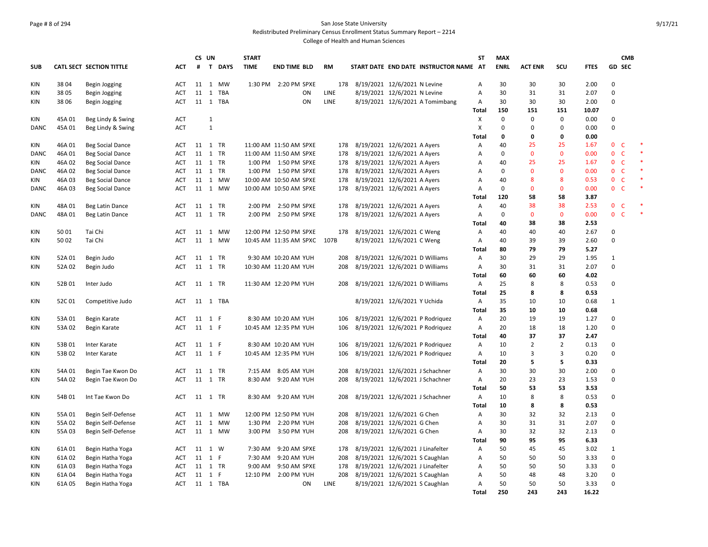#### Page # 8 of 294 San Jose State University Redistributed Preliminary Census Enrollment Status Summary Report – 2214

|                   |                  |                          |                          | CS UN |                            | <b>START</b> |                                    |             |                                                                    | <b>ST</b>                 | <b>MAX</b>  |                |                                  |              | <b>CMB</b>                   |        |
|-------------------|------------------|--------------------------|--------------------------|-------|----------------------------|--------------|------------------------------------|-------------|--------------------------------------------------------------------|---------------------------|-------------|----------------|----------------------------------|--------------|------------------------------|--------|
| <b>SUB</b>        |                  | CATL SECT SECTION TITTLE | ACT                      |       | # T DAYS                   | <b>TIME</b>  | <b>END TIME BLD</b>                | <b>RM</b>   | START DATE END DATE INSTRUCTOR NAME AT                             |                           | <b>ENRL</b> | <b>ACT ENR</b> | SCU                              | <b>FTES</b>  | GD SEC                       |        |
| KIN               | 3804             | <b>Begin Jogging</b>     | ACT                      |       | 11 1 MW                    |              | 1:30 PM 2:20 PM SPXE               | 178         | 8/19/2021 12/6/2021 N Levine                                       | Α                         | 30          | 30             | 30                               | 2.00         | $\Omega$                     |        |
| KIN               | 3805             | Begin Jogging            | <b>ACT</b>               | 11    | <b>TBA</b><br>$\mathbf{1}$ |              | ON                                 | <b>LINE</b> | 8/19/2021 12/6/2021 N Levine                                       | Α                         | 30          | 31             | 31                               | 2.07         | $\Omega$                     |        |
| <b>KIN</b>        | 3806             | Begin Jogging            | <b>ACT</b>               |       | 11 1 TBA                   |              | ON                                 | <b>LINE</b> | 8/19/2021 12/6/2021 A Tomimbang                                    | A                         | 30          | 30             | 30                               | 2.00         | $\Omega$                     |        |
|                   |                  |                          |                          |       |                            |              |                                    |             |                                                                    | <b>Total</b>              | 150         | 151            | 151                              | 10.07        |                              |        |
| KIN               | 45A 01           | Beg Lindy & Swing        | <b>ACT</b>               |       | $\mathbf{1}$               |              |                                    |             |                                                                    | X                         | $\mathsf 0$ | $\mathbf 0$    | $\pmb{0}$                        | 0.00         | $\mathbf 0$                  |        |
| DANC              | 45A 01           | Beg Lindy & Swing        | <b>ACT</b>               |       | $\mathbf{1}$               |              |                                    |             |                                                                    | $\boldsymbol{\mathsf{x}}$ | 0           | $\Omega$       | $\pmb{0}$                        | 0.00         | $\Omega$                     |        |
|                   |                  |                          |                          |       |                            |              |                                    |             |                                                                    | Total                     | 0           | $\mathbf 0$    | $\mathbf 0$                      | 0.00         |                              |        |
| KIN               | 46A01            | <b>Beg Social Dance</b>  | ACT                      |       | 11 1 TR                    |              | 11:00 AM 11:50 AM SPXE             | 178         | 8/19/2021 12/6/2021 A Ayers                                        | Α                         | 40          | 25             | 25                               | 1.67         | $\mathbf 0$<br>$\mathsf{C}$  | $\ast$ |
| <b>DANC</b>       | 46A01            | <b>Beg Social Dance</b>  | <b>ACT</b>               | 11    | 1 TR                       |              | 11:00 AM 11:50 AM SPXE             | 178         | 8/19/2021 12/6/2021 A Ayers                                        | Α                         | $\mathbf 0$ | $\mathbf{0}$   | $\mathbf 0$                      | 0.00         | $\mathbf{0}$<br>$\mathsf{C}$ | $\ast$ |
| KIN               | 46A02            | <b>Beg Social Dance</b>  | <b>ACT</b>               |       | 11 1 TR                    |              | 1:00 PM  1:50 PM SPXE              | 178         | 8/19/2021 12/6/2021 A Ayers                                        | Α                         | 40          | 25             | 25                               | 1.67         | $\mathbf 0$<br>$\mathsf{C}$  |        |
| DANC              | 46A02            | <b>Beg Social Dance</b>  | <b>ACT</b>               |       | 11 1 TR                    |              | 1:00 PM  1:50 PM SPXE              | 178         | 8/19/2021 12/6/2021 A Ayers                                        | A                         | $\mathbf 0$ | $\mathbf{0}$   | $\mathbf{0}$                     | 0.00         | $\mathbf{0}$<br>$\mathsf{C}$ |        |
| KIN               | 46A 03           | <b>Beg Social Dance</b>  | <b>ACT</b>               |       | 11 1 MW                    |              | 10:00 AM 10:50 AM SPXE             | 178         | 8/19/2021 12/6/2021 A Ayers                                        | Α                         | 40          | 8              | 8                                | 0.53         | $\mathsf{C}$<br>$\mathbf{0}$ |        |
| DANC              | 46A 03           | <b>Beg Social Dance</b>  | ACT                      |       | 11 1 MW                    |              | 10:00 AM 10:50 AM SPXE             | 178         | 8/19/2021 12/6/2021 A Ayers                                        | $\overline{A}$            | $\mathbf 0$ | $\overline{0}$ | $\Omega$                         | 0.00         | $\mathbf{0}$<br>$\mathsf{C}$ |        |
|                   |                  |                          |                          |       |                            |              |                                    |             |                                                                    | Total                     | 120         | 58             | 58                               | 3.87         |                              |        |
| KIN               | 48A01            | Beg Latin Dance          | <b>ACT</b>               | 11    | 1 TR                       |              | 2:00 PM 2:50 PM SPXE               | 178         | 8/19/2021 12/6/2021 A Ayers                                        | Α                         | 40          | 38             | 38                               | 2.53         | $\mathbf{0}$<br>$\mathsf{C}$ |        |
| DANC              | 48A01            | Beg Latin Dance          | ACT                      |       | 11 1 TR                    |              | 2:00 PM 2:50 PM SPXE               | 178         | 8/19/2021 12/6/2021 A Ayers                                        | Α                         | $\mathbf 0$ | $\mathbf 0$    | $\mathbf 0$                      | 0.00         | $\mathsf{C}$<br>$\mathbf{0}$ |        |
|                   |                  |                          |                          |       |                            |              |                                    |             |                                                                    | <b>Total</b>              | 40          | 38             | 38                               | 2.53         |                              |        |
| KIN               | 5001             | Tai Chi                  | ACT                      |       | 11 1 MW                    |              | 12:00 PM 12:50 PM SPXE             | 178         | 8/19/2021 12/6/2021 C Weng                                         | A                         | 40          | 40             | 40                               | 2.67         | $\Omega$                     |        |
| KIN               | 50 02            | Tai Chi                  | <b>ACT</b>               |       | 11 1 MW                    |              | 10:45 AM 11:35 AM SPXC 107B        |             | 8/19/2021 12/6/2021 C Weng                                         | Α                         | 40          | 39             | 39                               | 2.60         | $\Omega$                     |        |
|                   |                  |                          |                          |       |                            |              |                                    |             |                                                                    | Total                     | 80          | 79             | 79                               | 5.27         |                              |        |
| <b>KIN</b>        | 52A 01           | Begin Judo               | <b>ACT</b>               |       | 11 1 TR                    |              | 9:30 AM 10:20 AM YUH               | 208         | 8/19/2021 12/6/2021 D Williams                                     | Α                         | 30          | 29             | 29                               | 1.95         | 1                            |        |
| <b>KIN</b>        | 52A 02           | Begin Judo               | <b>ACT</b>               |       | 11 1 TR                    |              | 10:30 AM 11:20 AM YUH              | 208         | 8/19/2021 12/6/2021 D Williams                                     | Α                         | 30          | 31             | 31                               | 2.07         | $\Omega$                     |        |
|                   |                  |                          |                          |       |                            |              |                                    |             |                                                                    | Total                     | 60          | 60             | 60                               | 4.02         |                              |        |
| KIN               | 52B01            | Inter Judo               | <b>ACT</b>               |       | 11 1 TR                    |              | 11:30 AM 12:20 PM YUH              | 208         | 8/19/2021 12/6/2021 D Williams                                     | Α                         | 25          | 8              | 8                                | 0.53         | $\Omega$                     |        |
|                   |                  |                          |                          |       |                            |              |                                    |             |                                                                    | <b>Total</b>              | 25          | 8              | 8                                | 0.53         |                              |        |
| KIN               | 52C01            | Competitive Judo         | ACT                      | 11    | 1 TBA                      |              |                                    |             | 8/19/2021 12/6/2021 Y Uchida                                       | Α                         | 35          | 10             | 10                               | 0.68         | $\mathbf{1}$                 |        |
|                   |                  |                          |                          |       |                            |              |                                    |             |                                                                    | Total                     | 35          | 10             | 10                               | 0.68         |                              |        |
| <b>KIN</b>        | 53A01            | Begin Karate             | <b>ACT</b>               |       | 11 1 F                     |              | 8:30 AM 10:20 AM YUH               | 106         | 8/19/2021 12/6/2021 P Rodriquez                                    | A                         | 20          | 19             | 19                               | 1.27         | $\mathbf 0$                  |        |
| <b>KIN</b>        | 53A 02           | Begin Karate             | <b>ACT</b>               |       | 11 1 F                     |              | 10:45 AM 12:35 PM YUH              | 106         | 8/19/2021 12/6/2021 P Rodriguez                                    | Α                         | 20          | 18             | 18                               | 1.20         | $\Omega$                     |        |
|                   |                  |                          |                          |       |                            |              |                                    |             |                                                                    | <b>Total</b>              | 40          | 37             | 37                               | 2.47         | $\Omega$                     |        |
| KIN               | 53B01            | Inter Karate             | ACT                      |       | 11 1 F                     |              | 8:30 AM 10:20 AM YUH               | 106         | 8/19/2021 12/6/2021 P Rodriquez                                    | Α                         | 10<br>10    | $\overline{2}$ | $\overline{2}$<br>$\overline{3}$ | 0.13         | $\Omega$                     |        |
| KIN               | 53B 02           | Inter Karate             | <b>ACT</b>               |       | 11 1 F                     |              | 10:45 AM 12:35 PM YUH              | 106         | 8/19/2021 12/6/2021 P Rodriquez                                    | A                         | 20          | 3<br>5         | 5                                | 0.20<br>0.33 |                              |        |
|                   |                  |                          |                          |       |                            |              |                                    | 208         |                                                                    | <b>Total</b>              | 30          | 30             | 30                               |              | $\mathbf 0$                  |        |
| KIN<br><b>KIN</b> | 54A 01<br>54A 02 | Begin Tae Kwon Do        | <b>ACT</b><br><b>ACT</b> |       | 11 1 TR<br>11 1 TR         | 8:30 AM      | 7:15 AM 8:05 AM YUH<br>9:20 AM YUH | 208         | 8/19/2021 12/6/2021 J Schachner<br>8/19/2021 12/6/2021 J Schachner | Α<br>Α                    | 20          | 23             | 23                               | 2.00<br>1.53 | $\Omega$                     |        |
|                   |                  | Begin Tae Kwon Do        |                          |       |                            |              |                                    |             |                                                                    | <b>Total</b>              | 50          | 53             | 53                               | 3.53         |                              |        |
| KIN               | 54B01            | Int Tae Kwon Do          | <b>ACT</b>               |       | 11 1 TR                    |              | 8:30 AM 9:20 AM YUH                | 208         | 8/19/2021 12/6/2021 J Schachner                                    | Α                         | 10          | 8              | 8                                | 0.53         | $\Omega$                     |        |
|                   |                  |                          |                          |       |                            |              |                                    |             |                                                                    | Total                     | 10          | 8              | 8                                | 0.53         |                              |        |
| KIN               | 55A01            | Begin Self-Defense       | <b>ACT</b>               | 11    | MW<br>1                    |              | 12:00 PM 12:50 PM YUH              | 208         | 8/19/2021 12/6/2021 G Chen                                         | Α                         | 30          | 32             | 32                               | 2.13         | $\mathbf 0$                  |        |
| <b>KIN</b>        | 55A02            | Begin Self-Defense       | <b>ACT</b>               |       | 11 1 MW                    | 1:30 PM      | 2:20 PM YUH                        | 208         | 8/19/2021 12/6/2021 G Chen                                         | Α                         | 30          | 31             | 31                               | 2.07         | $\Omega$                     |        |
| <b>KIN</b>        | 55A03            | Begin Self-Defense       | <b>ACT</b>               |       | 11 1 MW                    |              | 3:00 PM 3:50 PM YUH                | 208         | 8/19/2021 12/6/2021 G Chen                                         | Α                         | 30          | 32             | 32                               | 2.13         | $\Omega$                     |        |
|                   |                  |                          |                          |       |                            |              |                                    |             |                                                                    | Total                     | 90          | 95             | 95                               | 6.33         |                              |        |
| KIN               | 61A 01           | Begin Hatha Yoga         | ACT                      |       | 11 1 W                     |              | 7:30 AM 9:20 AM SPXE               | 178         | 8/19/2021 12/6/2021 J Linafelter                                   | A                         | 50          | 45             | 45                               | 3.02         | 1                            |        |
| KIN               | 61A02            | Begin Hatha Yoga         | ACT                      |       | 11 1 F                     |              | 7:30 AM 9:20 AM YUH                | 208         | 8/19/2021 12/6/2021 S Caughlan                                     | Α                         | 50          | 50             | 50                               | 3.33         | $\Omega$                     |        |
| <b>KIN</b>        | 61A03            | Begin Hatha Yoga         | ACT                      |       | 11 1 TR                    |              | 9:00 AM 9:50 AM SPXE               | 178         | 8/19/2021 12/6/2021 J Linafelter                                   | A                         | 50          | 50             | 50                               | 3.33         | $\Omega$                     |        |
| KIN               | 61A04            | Begin Hatha Yoga         | <b>ACT</b>               |       | 11 1 F                     |              | 12:10 PM 2:00 PM YUH               | 208         | 8/19/2021 12/6/2021 S Caughlan                                     | Α                         | 50          | 48             | 48                               | 3.20         | $\Omega$                     |        |
| <b>KIN</b>        | 61A 05           | Begin Hatha Yoga         | <b>ACT</b>               |       | 11 1 TBA                   |              | ON                                 | LINE        | 8/19/2021 12/6/2021 S Caughlan                                     | Α                         | 50          | 50             | 50                               | 3.33         | $\Omega$                     |        |
|                   |                  |                          |                          |       |                            |              |                                    |             |                                                                    | <b>Total</b>              | 250         | 243            | 243                              | 16.22        |                              |        |
|                   |                  |                          |                          |       |                            |              |                                    |             |                                                                    |                           |             |                |                                  |              |                              |        |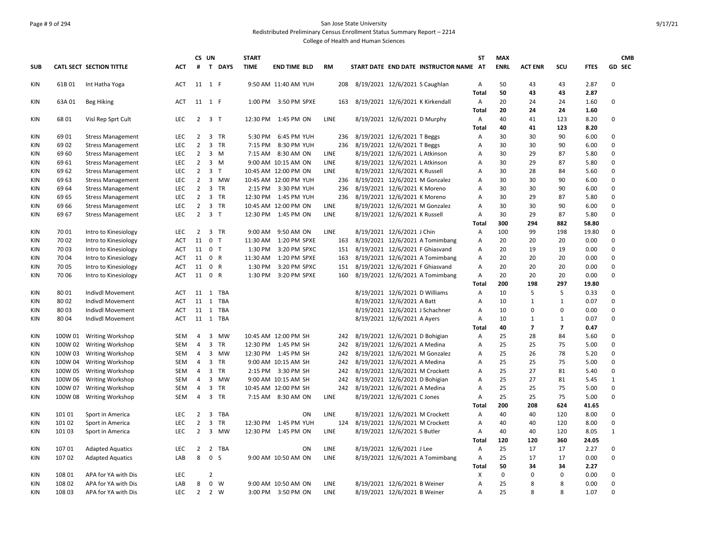#### Page # 9 of 294 San Jose State University Redistributed Preliminary Census Enrollment Status Summary Report – 2214 College of Health and Human Sciences

**SUB CATL SECT SECTION TITTLE ACT CS UN # T DAYS START TIME END TIME BLD RM START DATE END DATE INSTRUCTOR NAME AT ST MAX ENRL ACT ENR SCU FTES GD CMB SEC** KIN 61B 01 Int Hatha Yoga **ACT 11 1 F 9:50 AM 11:40 AM YUH** 208 8/19/2021 12/6/2021 S Caughlan A 50 43 43 2.87 0 **Total 50 43 43 2.87** KIN 63A 01 Beg Hiking **ACT 11 1 F 1:00 PM 3:50 PM SPXE** 163 8/19/2021 12/6/2021 K Kirkendall A 20 24 24 1.60 0 **Total 20 24 24 1.60** KIN 68 01 Visl Rep Sprt Cult LEC 2 3 T 12:30 PM 1:45 PM ON LINE 8/19/2021 12/6/2021 D Murphy A 40 41 123 8.20 0 **Total 40 41 123 8.20** KIN 69 01 Stress Management LEC 2 3 TR 5:30 PM 6:45 PM YUH 236 8/19/2021 12/6/2021 T Beggs A 30 30 90 6.00 0 KIN 69 02 Stress Management LEC 2 3 TR 7:15 PM 8:30 PM YUH 236 8/19/2021 12/6/2021 T Beggs A 30 30 90 6.00 0 KIN 69 60 Stress Management LEC 2 3 M 7:15 AM 8:30 AM ON LINE 8/19/2021 12/6/2021 L Atkinson A 30 29 87 5.80 0 KIN 69 61 Stress Management LEC 2 3 M 9:00 AM 10:15 AM ON LINE 8/19/2021 12/6/2021 L Atkinson A 30 29 87 5.80 0 KIN 69 62 Stress Management LEC 2 3 T 10:45 AM 12:00 PM ON LINE 8/19/2021 12/6/2021 K Russell A 30 28 84 5.60 0 KIN 69 63 Stress Management LEC 2 3 MW 10:45 AM 12:00 PM YUH 236 8/19/2021 12/6/2021 M Gonzalez A 30 30 90 6.00 0 KIN 69 64 Stress Management LEC 2 3 TR 2:15 PM 3:30 PM YUH 236 8/19/2021 12/6/2021 K Moreno A 30 30 90 6.00 0 KIN 69 65 Stress Management LEC 2 3 TR 12:30 PM 1:45 PM YUH 236 8/19/2021 12/6/2021 K Moreno A 30 29 87 5.80 0 KIN 69 66 Stress Management LEC 2 3 TR 10:45 AM 12:00 PM ON LINE 8/19/2021 12/6/2021 M Gonzalez A 30 30 90 6.00 0 KIN 69 67 Stress Management LEC 2 3 T 12:30 PM 1:45 PM ON LINE 8/19/2021 12/6/2021 K Russell A 30 29 87 5.80 0 **Total 300 294 882 58.80** KIN 7001 Intro to Kinesiology LEC 2 3 TR 9:00 AM 9:50 AM ON LINE 8/19/2021 12/6/2021 J Chin A 100 99 198 19.80 0 KIN 7002 Intro to Kinesiology ACT 11 0 T 11:30 AM 1:20 PM SPXE 163 8/19/2021 12/6/2021 A Tomimbang A 20 20 20 0.00 0 KIN 7003 Intro to Kinesiology ACT 11 0 T 1:30 PM 3:20 PM SPXC 151 8/19/2021 12/6/2021 F Ghiasvand A 20 19 19 0.00 0 KIN 7004 Intro to Kinesiology ACT 11 0 R 11:30 AM 1:20 PM SPXE 163 8/19/2021 12/6/2021 A Tomimbang A 20 20 20 0.00 0 KIN 70 05 Intro to Kinesiology ACT 11 0 R 1:30 PM 3:20 PM SPXC 151 8/19/2021 12/6/2021 F Ghiasvand A 20 20 20 0.00 0 KIN 70 06 Intro to Kinesiology ACT 11 0 R 1:30 PM 3:20 PM SPXE 160 8/19/2021 12/6/2021 A Tomimbang A 20 20 20 0.00 0 **Total 200 198 297 19.80** KIN 8001 Indivdl Movement ACT 11 1 TBA 8/19/2021 12/6/2021 D Williams A 10 5 5 0.33 0 KIN 8002 Indivdl Movement ACT 11 1 TBA 8/19/2021 12/6/2021 12/6/2021 A Batt A 10 1 1 0.07 0 KIN 8003 Indivdl Movement ACT 11 1 TBA 8/19/2021 12/6/2021 12/6/2021 J Schachner A 10 0 0 0.00 0 KIN 8004 Indivdl Movement ACT 11 1 TBA 8/19/2021 12/6/2021 Ayers A 10 1 1 0.07 0 **Total 40 7 7 0.47** KIN 100W 01 Writing Workshop SEM 4 3 MW 10:45 AM 12:00 PM SH 242 8/19/2021 12/6/2021 D Bohigian A 25 28 84 5.60 0 KIN 100W 02 Writing Workshop SEM 4 3 TR 12:30 PM 1:45 PM SH 242 8/19/2021 12/6/2021 A Medina A 25 25 75 5.00 0 KIN 100W 03 Writing Workshop SEM 4 3 MW 12:30 PM 1:45 PM SH 242 8/19/2021 12/6/2021 M Gonzalez A 25 26 78 5.20 0 KIN 100W 04 Writing Workshop SEM 4 3 TR 9:00 AM 10:15 AM SH 242 8/19/2021 12/6/2021 A Medina A 25 25 75 5.00 0 KIN 100W 05 Writing Workshop SEM 4 3 TR 2:15 PM 3:30 PM SH 242 8/19/2021 12/6/2021 M Crockett A 25 27 81 5.40 0 KIN 100W 06 Writing Workshop SEM 4 3 MW 9:00 AM 10:15 AM SH 242 8/19/2021 12/6/2021 D Bohigian A 25 27 81 5.45 1 KIN 100W 07 Writing Workshop SEM 4 3 TR 10:45 AM 12:00 PM SH 242 8/19/2021 12/6/2021 A Medina A 25 25 75 5.00 0 KIN 100W 08 Writing Workshop SEM 4 3 TR 7:15 AM 8:30 AM ON LINE 8/19/2021 12/6/2021 C Jones A 25 25 75 5.00 0 **Total 200 208 624 41.65** KIN 101 01 Sport in America LEC 2 3 TBA ON LINE 8/19/2021 12/6/2021 M Crockett A 40 40 120 8.00 0 KIN 101 02 Sport in America LEC 2 3 TR 12:30 PM 1:45 PM YUH 124 8/19/2021 12/6/2021 M Crockett A 40 40 120 8.00 0 KIN 101 03 Sport in America LEC 2 3 MW 12:30 PM 1:45 PM ON LINE 8/19/2021 12/6/2021 S Butler A 40 40 120 8.05 1 **Total 120 120 360 24.05** KIN 10701 Adapted Aquatics CLEC 2 2 TBA CON LINE 8/19/2021 12/6/2021 J Lee A 25 17 17 2.27 0 KIN 10702 Adapted Aquatics CAB 8 0 S 9:00 AM 10:50 AM ON LINE 8/19/2021 12/6/2021 A Tomimbang A 25 17 17 0.00 0 **Total 50 34 34 2.27** KIN 108 01 APA for YA with Dis LEC 2 X 0 0 0 0.00 0 KIN 108 02 APA for YA with Dis LAB 8 0 W 9:00 AM 10:50 AM ON LINE 8/19/2021 12/6/2021 B Weiner A 25 8 8 0.00 0 KIN 108 03 APA for YA with Dis LEC 2 2 W 3:00 PM 3:50 PM ON LINE 8/19/2021 12/6/2021 B Weiner A 25 8 8 1.07 0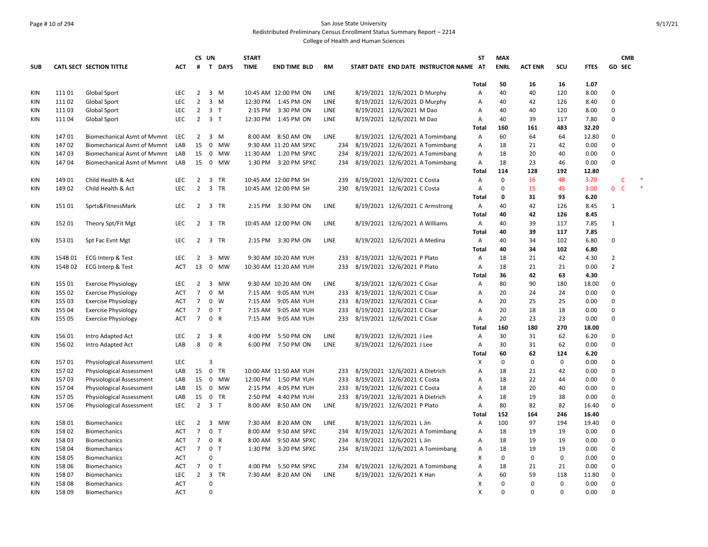# Page # 10 of 294 San Jose State University Redistributed Preliminary Census Enrollment Status Summary Report – 2214

|            |         |                                    |            |                 | CS UN          |              | <b>START</b> |                        |             |                                |                                |                                        | <b>ST</b>      | <b>MAX</b>  |                |             |             | <b>CMB</b>          |        |
|------------|---------|------------------------------------|------------|-----------------|----------------|--------------|--------------|------------------------|-------------|--------------------------------|--------------------------------|----------------------------------------|----------------|-------------|----------------|-------------|-------------|---------------------|--------|
| <b>SUB</b> |         | CATL SECT SECTION TITTLE           | ACT        | #               |                | T DAYS       | <b>TIME</b>  | <b>END TIME BLD</b>    | RM          |                                |                                | START DATE END DATE INSTRUCTOR NAME AT |                | <b>ENRL</b> | <b>ACT ENR</b> | scu         | <b>FTES</b> | GD SEC              |        |
|            |         |                                    |            |                 |                |              |              |                        |             |                                |                                |                                        |                |             |                |             |             |                     |        |
|            |         |                                    |            |                 |                |              |              |                        |             |                                |                                |                                        | <b>Total</b>   | 50          | 16             | 16          | 1.07        |                     |        |
| <b>KIN</b> | 11101   | Global Sport                       | LEC        | $\overline{2}$  | $3 \, M$       |              |              | 10:45 AM 12:00 PM ON   | <b>LINE</b> |                                | 8/19/2021 12/6/2021 D Murphy   |                                        | Α              | 40          | 40             | 120         | 8.00        | $\Omega$            |        |
| KIN        | 11102   | <b>Global Sport</b>                | LEC        | $\overline{2}$  | 3 M            |              |              | 12:30 PM 1:45 PM ON    | LINE        |                                | 8/19/2021 12/6/2021 D Murphy   |                                        | Α              | 40          | 42             | 126         | 8.40        | $\Omega$            |        |
| <b>KIN</b> | 11103   | Global Sport                       | LEC        | $\overline{2}$  | 3 <sub>T</sub> |              |              | 2:15 PM 3:30 PM ON     | <b>LINE</b> |                                | 8/19/2021 12/6/2021 M Dao      |                                        | $\overline{A}$ | 40          | 40             | 120         | 8.00        | $\Omega$            |        |
| KIN        | 11104   | Global Sport                       | LEC        | $\overline{2}$  | 3 <sub>T</sub> |              |              | 12:30 PM 1:45 PM ON    | LINE        |                                | 8/19/2021 12/6/2021 M Dao      |                                        | Α              | 40          | 39             | 117         | 7.80        | $\Omega$            |        |
|            |         |                                    |            |                 |                |              |              |                        |             |                                |                                |                                        | Total          | 160         | 161            | 483         | 32.20       |                     |        |
| <b>KIN</b> | 14701   | <b>Biomechanical Asmt of Mymnt</b> | LEC        | $\overline{2}$  | 3 M            |              |              | 8:00 AM 8:50 AM ON     | LINE        |                                |                                | 8/19/2021 12/6/2021 A Tomimbang        | Α              | 60          | 64             | 64          | 12.80       | $\mathbf 0$         |        |
| KIN        | 14702   | <b>Biomechanical Asmt of Mymnt</b> | LAB        | 15              |                | 0 MW         |              | 9:30 AM 11:20 AM SPXC  | 234         |                                |                                | 8/19/2021 12/6/2021 A Tomimbang        | Α              | 18          | 21             | 42          | 0.00        | $\mathbf 0$         |        |
| <b>KIN</b> | 14703   | <b>Biomechanical Asmt of Mymnt</b> | LAB        | 15              |                | 0 MW         |              | 11:30 AM  1:20 PM SPXC | 234         |                                |                                | 8/19/2021 12/6/2021 A Tomimbang        | Α              | 18          | 20             | 40          | 0.00        | $\Omega$            |        |
| <b>KIN</b> | 14704   | <b>Biomechanical Asmt of Mymnt</b> | LAB        | 15              | 0 MW           |              |              | 1:30 PM 3:20 PM SPXC   | 234         |                                |                                | 8/19/2021 12/6/2021 A Tomimbang        | Α              | 18          | 23             | 46          | 0.00        | $\Omega$            |        |
|            |         |                                    |            |                 |                |              |              |                        |             |                                |                                |                                        | <b>Total</b>   | 114         | 128            | 192         | 12.80       |                     |        |
| KIN        | 149 01  | Child Health & Act                 | <b>LEC</b> | $\overline{2}$  | 3 TR           |              |              | 10:45 AM 12:00 PM SH   | 239         |                                | 8/19/2021 12/6/2021 C Costa    |                                        | Α              | $\mathbf 0$ | 16             | 48          | 3.20        | $\mathsf{C}$        | $\ast$ |
| KIN        | 149 02  | Child Health & Act                 | LEC        | $\overline{2}$  | 3 TR           |              |              | 10:45 AM 12:00 PM SH   | 230         |                                | 8/19/2021 12/6/2021 C Costa    |                                        | $\overline{A}$ | $\mathbf 0$ | 15             | 45          | 3.00        | $\overline{0}$<br>C |        |
|            |         |                                    |            |                 |                |              |              |                        |             |                                |                                |                                        | Total          | 0           | 31             | 93          | 6.20        |                     |        |
| KIN        | 15101   | Sprts&FitnessMark                  | LEC        | $\overline{2}$  | 3 TR           |              |              | 2:15 PM 3:30 PM ON     | LINE        |                                |                                | 8/19/2021 12/6/2021 C Armstrong        | Α              | 40          | 42             | 126         | 8.45        | $\mathbf{1}$        |        |
|            |         |                                    |            |                 |                |              |              |                        |             |                                |                                |                                        | Total          | 40          | 42             | 126         | 8.45        |                     |        |
| KIN        | 152 01  | Theory Spt/Fit Mgt                 | LEC        | $\overline{2}$  | 3 TR           |              |              | 10:45 AM 12:00 PM ON   | LINE        |                                | 8/19/2021 12/6/2021 A Williams |                                        | Α              | 40          | 39             | 117         | 7.85        | $\mathbf{1}$        |        |
|            |         |                                    |            |                 |                |              |              |                        |             |                                |                                |                                        | <b>Total</b>   | 40          | 39             | 117         | 7.85        |                     |        |
| <b>KIN</b> | 153 01  | Spt Fac Evnt Mgt                   | LEC        | $\overline{2}$  | 3 TR           |              |              | 2:15 PM 3:30 PM ON     | LINE        |                                | 8/19/2021 12/6/2021 A Medina   |                                        | A              | 40          | 34             | 102         | 6.80        | $\mathbf 0$         |        |
|            |         |                                    |            |                 |                |              |              |                        |             |                                |                                |                                        | <b>Total</b>   | 40          | 34             | 102         | 6.80        |                     |        |
| KIN        | 154B01  | ECG Interp & Test                  | LEC        | $\overline{2}$  | 3              | <b>MW</b>    |              | 9:30 AM 10:20 AM YUH   | 233         |                                | 8/19/2021 12/6/2021 P Plato    |                                        | Α              | 18          | 21             | 42          | 4.30        | $\overline{2}$      |        |
| KIN        | 154B 02 | ECG Interp & Test                  | <b>ACT</b> | 13              | $\mathbf 0$    | MW           |              | 10:30 AM 11:20 AM YUH  | 233         |                                | 8/19/2021 12/6/2021 P Plato    |                                        | $\overline{A}$ | 18          | 21             | 21          | 0.00        | $\overline{2}$      |        |
|            |         |                                    |            |                 |                |              |              |                        |             |                                |                                |                                        | Total          | 36          | 42             | 63          | 4.30        |                     |        |
| KIN        | 155 01  | <b>Exercise Physiology</b>         | LEC        | $\overline{2}$  |                | 3 MW         |              | 9:30 AM 10:20 AM ON    | LINE        |                                | 8/19/2021 12/6/2021 C Cisar    |                                        | Α              | 80          | 90             | 180         | 18.00       | $\Omega$            |        |
| <b>KIN</b> | 155 02  | <b>Exercise Physiology</b>         | <b>ACT</b> | $\overline{7}$  | $\mathbf{0}$   | M            |              | 7:15 AM 9:05 AM YUH    | 233         |                                | 8/19/2021 12/6/2021 C Cisar    |                                        | $\overline{A}$ | 20          | 24             | 24          | 0.00        | $\Omega$            |        |
| <b>KIN</b> | 155 03  | <b>Exercise Physiology</b>         | ACT        | $\overline{7}$  | $0 \quad W$    |              |              | 7:15 AM 9:05 AM YUH    | 233         |                                | 8/19/2021 12/6/2021 C Cisar    |                                        | Α              | 20          | 25             | 25          | 0.00        | $\Omega$            |        |
| <b>KIN</b> | 155 04  | <b>Exercise Physiology</b>         | ACT        | $\overline{7}$  | 0 <sub>T</sub> |              |              | 7:15 AM 9:05 AM YUH    | 233         |                                | 8/19/2021 12/6/2021 C Cisar    |                                        | $\overline{A}$ | 20          | 18             | 18          | 0.00        | $\Omega$            |        |
| KIN        | 155 05  | <b>Exercise Physiology</b>         | ACT        | $\overline{7}$  | 0 R            |              |              | 7:15 AM 9:05 AM YUH    | 233         | 8/19/2021 12/6/2021 C Cisar    |                                |                                        | A              | 20          | 23             | 23          | 0.00        | $\Omega$            |        |
|            |         |                                    |            |                 |                |              |              |                        |             |                                |                                |                                        | Total          | 160         | 180            | 270         | 18.00       |                     |        |
| KIN        | 156 01  | Intro Adapted Act                  | <b>LEC</b> | $\overline{2}$  | 3 R            |              | 4:00 PM      | 5:50 PM ON             | <b>LINE</b> |                                | 8/19/2021 12/6/2021 J Lee      |                                        | $\overline{A}$ | 30          | 31             | 62          | 6.20        | $\Omega$            |        |
| <b>KIN</b> | 156 02  | Intro Adapted Act                  | LAB        | 8               | 0 R            |              |              | 6:00 PM 7:50 PM ON     | LINE        |                                | 8/19/2021 12/6/2021 J Lee      |                                        | Α              | 30          | 31             | 62          | 0.00        | $\Omega$            |        |
|            |         |                                    |            |                 |                |              |              |                        |             |                                |                                |                                        | Total          | 60          | 62             | 124         | 6.20        |                     |        |
| <b>KIN</b> | 15701   | <b>Physiological Assessment</b>    | LEC        |                 | $\overline{3}$ |              |              |                        |             |                                |                                |                                        | X              | $\mathsf 0$ | 0              | 0           | 0.00        | $\mathbf 0$         |        |
| <b>KIN</b> | 15702   | <b>Physiological Assessment</b>    | LAB        | 15              | $\mathbf 0$    | <b>TR</b>    |              | 10:00 AM 11:50 AM YUH  | 233         |                                | 8/19/2021 12/6/2021 A Dietrich |                                        | A              | 18          | 21             | 42          | 0.00        | $\Omega$            |        |
| <b>KIN</b> | 15703   | <b>Physiological Assessment</b>    | LAB        | 15              |                | 0 MW         |              | 12:00 PM 1:50 PM YUH   | 233         |                                | 8/19/2021 12/6/2021 C Costa    |                                        | Α              | 18          | 22             | 44          | 0.00        | $\mathbf 0$         |        |
| <b>KIN</b> | 15704   | <b>Physiological Assessment</b>    | LAB        | 15              |                | 0 MW         |              | 2:15 PM 4:05 PM YUH    | 233         |                                | 8/19/2021 12/6/2021 C Costa    |                                        | $\overline{A}$ | 18          | 20             | 40          | 0.00        | $\Omega$            |        |
| <b>KIN</b> | 15705   | Physiological Assessment           | LAB        | 15              | 0 TR           |              |              | 2:50 PM 4:40 PM YUH    | 233         | 8/19/2021 12/6/2021 A Dietrich |                                |                                        | Α              | 18          | 19             | 38          | 0.00        | $\Omega$            |        |
| <b>KIN</b> | 15706   | Physiological Assessment           | <b>LEC</b> | $2^{\circ}$     | 3 <sub>T</sub> |              |              | 8:00 AM 8:50 AM ON     | LINE        |                                | 8/19/2021 12/6/2021 P Plato    |                                        | A              | 80          | 82             | 82          | 16.40       | $\mathbf 0$         |        |
|            |         |                                    |            |                 |                |              |              |                        |             |                                |                                |                                        | Total          | 152         | 164            | 246         | 16.40       |                     |        |
| KIN        | 158 01  | <b>Biomechanics</b>                | <b>LEC</b> | $\overline{2}$  |                | 3 MW         |              | 7:30 AM 8:20 AM ON     | LINE        |                                | 8/19/2021 12/6/2021 L Jin      |                                        | Α              | 100         | 97             | 194         | 19.40       | $\Omega$            |        |
| <b>KIN</b> | 158 02  | <b>Biomechanics</b>                | ACT        | $\overline{7}$  | 0 <sub>T</sub> |              |              | 8:00 AM 9:50 AM SPXC   | 234         |                                |                                | 8/19/2021 12/6/2021 A Tomimbang        | Α              | 18          | 19             | 19          | 0.00        | $\Omega$            |        |
| <b>KIN</b> | 158 03  | Biomechanics                       | <b>ACT</b> | $\overline{7}$  | 0 R            |              |              | 8:00 AM 9:50 AM SPXC   | 234         |                                | 8/19/2021 12/6/2021 L Jin      |                                        | Α              | 18          | 19             | 19          | 0.00        | $\Omega$            |        |
| <b>KIN</b> | 158 04  | <b>Biomechanics</b>                | ACT        | $7\overline{ }$ | 0 <sub>T</sub> |              |              | 1:30 PM 3:20 PM SPXC   | 234         |                                |                                | 8/19/2021 12/6/2021 A Tomimbang        | Α              | 18          | 19             | 19          | 0.00        | $\Omega$            |        |
| <b>KIN</b> | 158 05  | Biomechanics                       | <b>ACT</b> |                 | $\Omega$       |              |              |                        |             |                                |                                |                                        | X              | $\mathbf 0$ | 0              | $\Omega$    | 0.00        | $\Omega$            |        |
| <b>KIN</b> | 158 06  | <b>Biomechanics</b>                | <b>ACT</b> | $\overline{7}$  | $\mathbf 0$    | $\mathsf{T}$ | 4:00 PM      | 5:50 PM SPXC           | 234         |                                |                                | 8/19/2021 12/6/2021 A Tomimbang        | A              | 18          | 21             | 21          | 0.00        | $\Omega$            |        |
| KIN        | 158 07  | <b>Biomechanics</b>                | LEC        | $\overline{2}$  | 3 TR           |              |              | 7:30 AM 8:20 AM ON     | LINE        |                                | 8/19/2021 12/6/2021 K Han      |                                        | A              | 60          | 59             | 118         | 11.80       | $\Omega$            |        |
| KIN        | 15808   |                                    | <b>ACT</b> |                 | $\mathbf 0$    |              |              |                        |             |                                |                                |                                        | X              | $\mathbf 0$ | $\mathbf 0$    | $\mathbf 0$ | 0.00        | $\Omega$            |        |
| KIN        | 158 09  | <b>Biomechanics</b>                | <b>ACT</b> |                 | $\Omega$       |              |              |                        |             |                                |                                |                                        | x              | $\Omega$    | $\Omega$       | $\Omega$    | 0.00        | $\Omega$            |        |
|            |         | <b>Biomechanics</b>                |            |                 |                |              |              |                        |             |                                |                                |                                        |                |             |                |             |             |                     |        |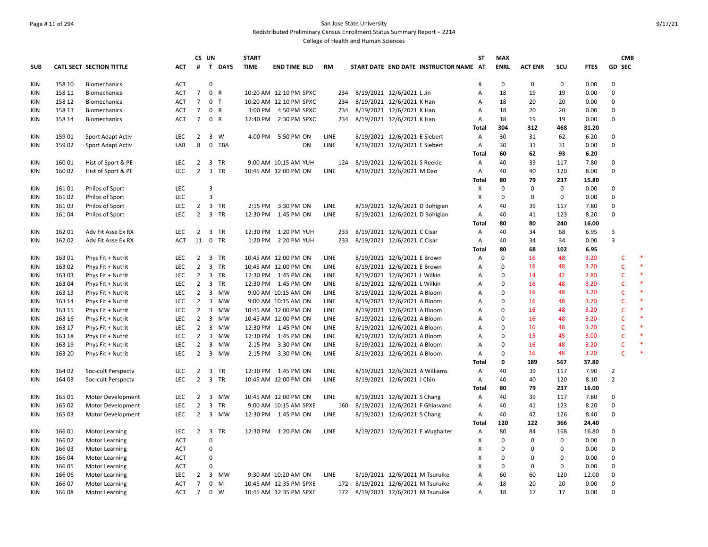# Page # 11 of 294 San Jose State University Redistributed Preliminary Census Enrollment Status Summary Report – 2214

|            |                  |                          |                   | CS UN          |                                      | <b>START</b> |                        |             |                                                                  | <b>ST</b>    | <b>MAX</b>  |                  |                  |               | <b>CMB</b>     |         |
|------------|------------------|--------------------------|-------------------|----------------|--------------------------------------|--------------|------------------------|-------------|------------------------------------------------------------------|--------------|-------------|------------------|------------------|---------------|----------------|---------|
| <b>SUB</b> |                  | CATL SECT SECTION TITTLE | ACT               | #              | $\mathbf{T}$<br><b>DAYS</b>          | <b>TIME</b>  | <b>END TIME BLD</b>    | <b>RM</b>   | START DATE END DATE INSTRUCTOR NAME AT                           |              | <b>ENRL</b> | <b>ACT ENR</b>   | scu              | <b>FTES</b>   | GD SEC         |         |
| KIN        | 158 10           | <b>Biomechanics</b>      | <b>ACT</b>        |                | 0                                    |              |                        |             |                                                                  | Х            | 0           | $\mathbf 0$      | 0                | 0.00          | 0              |         |
| <b>KIN</b> | 158 11           | Biomechanics             | ACT               | $\overline{7}$ | $\mathsf 0$<br>$\mathsf{R}$          |              | 10:20 AM 12:10 PM SPXC | 234         | 8/19/2021 12/6/2021 L Jin                                        | Α            | 18          | 19               | 19               | 0.00          | $\mathbf 0$    |         |
| <b>KIN</b> | 158 12           | <b>Biomechanics</b>      | <b>ACT</b>        | $\overline{7}$ | 0<br>$\mathsf{T}$                    |              | 10:20 AM 12:10 PM SPXC | 234         | 8/19/2021 12/6/2021 K Han                                        | А            | 18          | 20               | 20               | 0.00          | 0              |         |
| KIN        | 158 13           | <b>Biomechanics</b>      | <b>ACT</b>        | $\overline{7}$ | $\mathbf 0$<br>$\mathsf{R}$          |              | 3:00 PM 4:50 PM SPXC   | 234         | 8/19/2021 12/6/2021 K Han                                        | А            | 18          | 20               | 20               | 0.00          | 0              |         |
| <b>KIN</b> | 158 14           | <b>Biomechanics</b>      | <b>ACT</b>        | $7^{\circ}$    | $\mathsf 0$<br>$\mathsf{R}$          |              | 12:40 PM 2:30 PM SPXC  | 234         | 8/19/2021 12/6/2021 K Han                                        | Α            | 18          | 19               | 19               | 0.00          | $\mathbf 0$    |         |
|            |                  |                          |                   |                |                                      |              |                        |             |                                                                  | Total        | 304         | 312              | 468              | 31.20         |                |         |
| <b>KIN</b> | 159 01           | Sport Adapt Activ        | LEC               | $\overline{2}$ | $\overline{3}$<br>W                  |              | 4:00 PM 5:50 PM ON     | <b>LINE</b> | 8/19/2021 12/6/2021 E Siebert                                    | Α            | 30          | 31               | 62               | 6.20          | 0              |         |
| KIN        | 15902            | Sport Adapt Activ        | LAB               | 8              | 0 TBA                                |              | ON                     | <b>LINE</b> | 8/19/2021 12/6/2021 E Siebert                                    | Α            | 30          | 31               | 31               | 0.00          | 0              |         |
|            |                  |                          |                   |                |                                      |              |                        |             |                                                                  | Total        | 60          | 62               | 93               | 6.20          |                |         |
| KIN        | 160 01           | Hist of Sport & PE       | <b>LEC</b>        | $\overline{2}$ | 3 TR                                 |              | 9:00 AM 10:15 AM YUH   | 124         | 8/19/2021 12/6/2021 S Reekie                                     | Α            | 40          | 39               | 117              | 7.80          | 0              |         |
| KIN        | 160 02           | Hist of Sport & PE       | <b>LEC</b>        | $\overline{2}$ | 3 TR                                 |              | 10:45 AM 12:00 PM ON   | <b>LINE</b> | 8/19/2021 12/6/2021 M Dao                                        | Α            | 40          | 40               | 120              | 8.00          | $\mathbf 0$    |         |
|            |                  |                          |                   |                |                                      |              |                        |             |                                                                  | Total        | 80          | 79               | 237              | 15.80         |                |         |
| KIN        | 16101            | Philos of Sport          | <b>LEC</b>        |                | 3                                    |              |                        |             |                                                                  | Χ            | $\mathbf 0$ | $\mathbf 0$      | $\mathbf 0$      | 0.00          | $\Omega$       |         |
| <b>KIN</b> | 16102            | Philos of Sport          | LEC               |                | 3                                    |              |                        |             |                                                                  | Х            | $\pmb{0}$   | $\mathbf 0$      | 0                | 0.00          | $\Omega$       |         |
| KIN        | 16103            | Philos of Sport          | <b>LEC</b>        | 2              | $\overline{3}$<br>TR                 |              | 2:15 PM 3:30 PM ON     | <b>LINE</b> | 8/19/2021 12/6/2021 D Bohigian                                   | А            | 40          | 39               | 117              | 7.80          | $\Omega$       |         |
| <b>KIN</b> | 16104            | Philos of Sport          | <b>LEC</b>        |                | 2 3 TR                               |              | 12:30 PM 1:45 PM ON    | LINE        | 8/19/2021 12/6/2021 D Bohigian                                   | Α            | 40          | 41               | 123              | 8.20          | $\Omega$       |         |
|            |                  |                          |                   |                |                                      |              |                        |             |                                                                  | Total        | 80          | 80               | 240              | 16.00         |                |         |
| <b>KIN</b> | 162 01           | Adv Fit Asse Ex RX       | LEC               | $\overline{2}$ | $\overline{\mathbf{3}}$<br><b>TR</b> |              | 12:30 PM 1:20 PM YUH   | 233         | 8/19/2021 12/6/2021 C Cisar                                      | Α            | 40          | 34               | 68               | 6.95          | 3              |         |
| KIN        | 162 02           | Adv Fit Asse Ex RX       | <b>ACT</b>        | 11             | 0 TR                                 |              | 1:20 PM 2:20 PM YUH    | 233         | 8/19/2021 12/6/2021 C Cisar                                      | Α            | 40          | 34               | 34               | 0.00          | 3              |         |
|            |                  |                          |                   |                |                                      |              |                        |             |                                                                  | Total        | 80          | 68               | 102              | 6.95          |                |         |
| KIN        | 163 01           | Phys Fit + Nutrit        | <b>LEC</b>        | $\overline{2}$ | 3 TR                                 |              | 10:45 AM 12:00 PM ON   | <b>LINE</b> | 8/19/2021 12/6/2021 E Brown                                      | Α            | $\pmb{0}$   | 16               | 48               | 3.20          | C              | $\ast$  |
| KIN        | 163 02           | Phys Fit + Nutrit        | <b>LEC</b>        | $\overline{2}$ | 3 TR                                 |              | 10:45 AM 12:00 PM ON   | <b>LINE</b> | 8/19/2021 12/6/2021 E Brown                                      | Α            | $\mathbf 0$ | 16               | 48               | 3.20          | $\mathsf{C}$   | $\ast$  |
| KIN        | 163 03           | Phys Fit + Nutrit        | <b>LEC</b>        | $\overline{2}$ | 3 TR                                 |              | 12:30 PM 1:45 PM ON    | <b>LINE</b> | 8/19/2021 12/6/2021 L Wilkin                                     | А            | $\pmb{0}$   | 14               | 42               | 2.80          | $\mathsf{C}$   | $\ast$  |
| KIN        | 163 04           | Phys Fit + Nutrit        | <b>LEC</b>        | $\overline{2}$ | 3 TR                                 |              | 12:30 PM 1:45 PM ON    | LINE        | 8/19/2021 12/6/2021 L Wilkin                                     | Α            | 0           | 16               | 48               | 3.20          | $\mathsf{C}$   | $\ast$  |
| KIN        | 163 13           | Phys Fit + Nutrit        | <b>LEC</b>        | $\overline{2}$ | 3 MW                                 |              | 9:00 AM 10:15 AM ON    | <b>LINE</b> | 8/19/2021 12/6/2021 A Bloom                                      | Α            | $\Omega$    | 16               | 48               | 3.20          | $\mathsf{C}$   | $\ast$  |
| KIN        | 163 14           | Phys Fit + Nutrit        | <b>LEC</b>        | $\overline{2}$ | $\overline{3}$<br>MW                 |              | 9:00 AM 10:15 AM ON    | LINE        | 8/19/2021 12/6/2021 A Bloom                                      | Α            | $\Omega$    | 16               | 48               | 3.20          | $\mathsf{C}$   | $\ast$  |
| KIN        | 163 15           | Phys Fit + Nutrit        | <b>LEC</b>        | $\overline{2}$ | 3 MW                                 |              | 10:45 AM 12:00 PM ON   | <b>LINE</b> | 8/19/2021 12/6/2021 A Bloom                                      | A            | $\Omega$    | 16               | 48               | 3.20          | $\mathsf{C}$   | $\ast$  |
| KIN        | 163 16           | Phys Fit + Nutrit        | <b>LEC</b>        | $\overline{2}$ | $\overline{3}$<br><b>MW</b>          |              | 10:45 AM 12:00 PM ON   | <b>LINE</b> | 8/19/2021 12/6/2021 A Bloom                                      | Α            | $\Omega$    | 16               | 48               | 3.20          | $\mathsf{C}$   | $\ast$  |
| KIN        | 163 17           | Phys Fit + Nutrit        | <b>LEC</b>        | 2              | $\overline{\mathbf{3}}$<br>MW        |              | 12:30 PM 1:45 PM ON    | LINE        | 8/19/2021 12/6/2021 A Bloom                                      | Α            | $\mathbf 0$ | 16               | 48               | 3.20          | $\mathsf{C}$   | $\star$ |
| <b>KIN</b> | 163 18           | Phys Fit + Nutrit        | <b>LEC</b>        | $\overline{2}$ | $\overline{3}$<br><b>MW</b>          |              | 12:30 PM 1:45 PM ON    | <b>LINE</b> | 8/19/2021 12/6/2021 A Bloom                                      | A            | $\Omega$    | 15               | 45               | 3.00          | $\mathsf{C}$   | $\ast$  |
| KIN        | 163 19           | Phys Fit + Nutrit        | <b>LEC</b>        | $\overline{2}$ | $\overline{\mathbf{3}}$<br>MW        |              | 2:15 PM 3:30 PM ON     | <b>LINE</b> | 8/19/2021 12/6/2021 A Bloom                                      | Α            | $\pmb{0}$   | 16               | 48               | 3.20          | $\mathsf{C}$   | $\ast$  |
| KIN        | 163 20           | Phys Fit + Nutrit        | <b>LEC</b>        | $\overline{2}$ | $\overline{3}$<br><b>MW</b>          |              | 2:15 PM 3:30 PM ON     | <b>LINE</b> | 8/19/2021 12/6/2021 A Bloom                                      | А            | $\Omega$    | 16               | 48               | 3.20          | $\mathsf{C}$   | 米       |
|            |                  |                          |                   |                |                                      |              |                        |             |                                                                  | <b>Total</b> | 0           | 189              | 567              | 37.80         |                |         |
| KIN        | 164 02           | Soc-cult Perspectv       | <b>LEC</b>        | $\overline{2}$ | 3<br>TR                              |              | 12:30 PM 1:45 PM ON    | <b>LINE</b> | 8/19/2021 12/6/2021 A Williams                                   | Α            | 40          | 39               | 117              | 7.90          | $\overline{2}$ |         |
| <b>KIN</b> | 164 03           | Soc-cult Perspectv       | <b>LEC</b>        | $\overline{2}$ | 3 TR                                 |              | 10:45 AM 12:00 PM ON   | LINE        | 8/19/2021 12/6/2021 J Chin                                       | Α            | 40          | 40               | 120              | 8.10          | $\overline{2}$ |         |
|            |                  |                          |                   |                |                                      |              |                        |             |                                                                  | Total        | 80          | 79               | 237              | 16.00         |                |         |
| <b>KIN</b> | 165 01           | Motor Development        | <b>LEC</b>        | $\overline{2}$ | $\overline{3}$<br><b>MW</b>          |              | 10:45 AM 12:00 PM ON   | <b>LINE</b> | 8/19/2021 12/6/2021 S Chang                                      | Α            | 40          | 39               | 117              | 7.80          | $\Omega$       |         |
| KIN        | 165 02           | Motor Development        | <b>LEC</b>        | $\overline{2}$ | $\overline{3}$<br>TR                 |              | 9:00 AM 10:15 AM SPXE  | 160         | 8/19/2021 12/6/2021 F Ghiasvand                                  | Α            | 40          | 41               | 123              | 8.20          | 0              |         |
| KIN        | 165 03           | Motor Development        | <b>LEC</b>        | 2              | 3 MW                                 |              | 12:30 PM 1:45 PM ON    | <b>LINE</b> | 8/19/2021 12/6/2021 S Chang                                      | Α            | 40          | 42               | 126              | 8.40          | 0              |         |
|            |                  |                          |                   |                |                                      |              |                        |             |                                                                  |              | 120         | 122              | 366              | 24.40         |                |         |
| KIN        | 166 01           | <b>Motor Learning</b>    | <b>LEC</b>        | $2 \quad 3$    | <b>TR</b>                            |              | 12:30 PM 1:20 PM ON    | <b>LINE</b> | 8/19/2021 12/6/2021 E Wughalter                                  | Total<br>Α   | 80          | 84               | 168              | 16.80         | 0              |         |
| KIN        | 166 02           |                          | ACT               |                | $\pmb{0}$                            |              |                        |             |                                                                  | х            | $\mathbf 0$ | $\mathbf 0$      | $\mathbf 0$      | 0.00          | $\Omega$       |         |
|            |                  | <b>Motor Learning</b>    |                   |                |                                      |              |                        |             |                                                                  |              | $\Omega$    |                  |                  |               | $\Omega$       |         |
| KIN        | 166 03           | <b>Motor Learning</b>    | <b>ACT</b>        |                | $\mathbf 0$<br>$\mathbf 0$           |              |                        |             |                                                                  | х            | $\mathbf 0$ | 0<br>$\mathbf 0$ | 0<br>$\mathbf 0$ | 0.00          | $\Omega$       |         |
| <b>KIN</b> | 166 04           | <b>Motor Learning</b>    | ACT               |                | $\Omega$                             |              |                        |             |                                                                  | х            | $\Omega$    | $\mathbf 0$      |                  | 0.00          | $\Omega$       |         |
| KIN        | 166 05           | <b>Motor Learning</b>    | <b>ACT</b><br>LEC | $\overline{2}$ | $\overline{3}$                       |              |                        | <b>LINE</b> |                                                                  | x            | 60          | 60               | 0                | 0.00          | $\Omega$       |         |
| <b>KIN</b> | 166 06<br>166 07 | <b>Motor Learning</b>    |                   | $\overline{7}$ | MW<br>$\mathsf 0$<br>M               |              | 9:30 AM 10:20 AM ON    | 172         | 8/19/2021 12/6/2021 M Tsuruike<br>8/19/2021 12/6/2021 M Tsuruike | A            | 18          | 20               | 120<br>20        | 12.00<br>0.00 | $\Omega$       |         |
| KIN<br>KIN |                  | <b>Motor Learning</b>    | <b>ACT</b>        | $\overline{7}$ | $\mathbf 0$                          |              | 10:45 AM 12:35 PM SPXE |             |                                                                  | Α            |             | 17               | 17               |               | $\Omega$       |         |
|            | 166 08           | <b>Motor Learning</b>    | <b>ACT</b>        |                | W                                    |              | 10:45 AM 12:35 PM SPXE |             | 172 8/19/2021 12/6/2021 M Tsuruike                               | A            | 18          |                  |                  | 0.00          |                |         |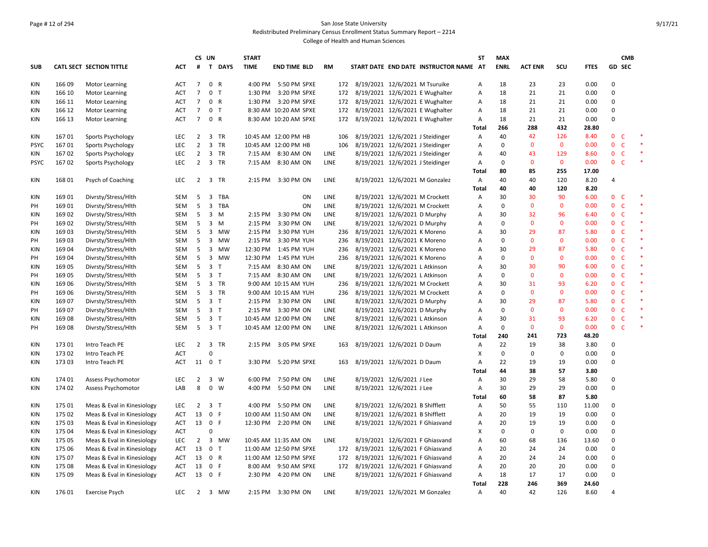# Page # 12 of 294 San Jose State University Redistributed Preliminary Census Enrollment Status Summary Report – 2214

|             |        |                                                          |            |                | CS UN          |                | <b>START</b> |                        |             |                                    |                                 |                                        | ST         | <b>MAX</b>  |                   |              |               |                                | <b>CMB</b> |
|-------------|--------|----------------------------------------------------------|------------|----------------|----------------|----------------|--------------|------------------------|-------------|------------------------------------|---------------------------------|----------------------------------------|------------|-------------|-------------------|--------------|---------------|--------------------------------|------------|
| <b>SUB</b>  |        | <b>CATL SECT SECTION TITTLE</b>                          | АСТ        | #              |                | T DAYS         | <b>TIME</b>  | <b>END TIME BLD</b>    | <b>RM</b>   |                                    |                                 | START DATE END DATE INSTRUCTOR NAME AT |            | <b>ENRL</b> | <b>ACT ENR</b>    | scu          | <b>FTES</b>   | GD SEC                         |            |
| KIN         | 166 09 | <b>Motor Learning</b>                                    | ACT        | $\overline{7}$ |                | 0 R            |              | 4:00 PM 5:50 PM SPXE   |             | 172 8/19/2021 12/6/2021 M Tsuruike |                                 |                                        | А          | 18          | 23                | 23           | 0.00          | $\Omega$                       |            |
| KIN         | 166 10 | <b>Motor Learning</b>                                    | ACT        | $\overline{7}$ | 0              | $\mathsf{T}$   |              | 1:30 PM 3:20 PM SPXE   | 172         |                                    |                                 | 8/19/2021 12/6/2021 E Wughalter        | Α          | 18          | 21                | 21           | 0.00          | $\pmb{0}$                      |            |
| <b>KIN</b>  | 166 11 | <b>Motor Learning</b>                                    | ACT        | $\overline{7}$ |                | 0 R            |              | 1:30 PM 3:20 PM SPXE   |             |                                    |                                 | 172 8/19/2021 12/6/2021 E Wughalter    | А          | 18          | 21                | 21           | 0.00          | $\Omega$                       |            |
| KIN         | 166 12 | <b>Motor Learning</b>                                    | <b>ACT</b> | $\overline{7}$ | $\mathbf 0$    | $\mathsf{T}$   |              | 8:30 AM 10:20 AM SPXE  | 172         |                                    |                                 | 8/19/2021 12/6/2021 E Wughalter        | Α          | 18          | 21                | 21           | 0.00          | 0                              |            |
| <b>KIN</b>  | 166 13 | <b>Motor Learning</b>                                    | ACT        | $7^{\circ}$    |                | 0 R            |              | 8:30 AM 10:20 AM SPXE  |             |                                    |                                 | 172 8/19/2021 12/6/2021 E Wughalter    | Α          | 18          | 21                | 21           | 0.00          | 0                              |            |
|             |        |                                                          |            |                |                |                |              |                        |             |                                    |                                 |                                        | Total      | 266         | 288               | 432          | 28.80         |                                |            |
| KIN         | 16701  | Sports Psychology                                        | <b>LEC</b> | 2              | 3              | TR             |              | 10:45 AM 12:00 PM HB   | 106         |                                    |                                 | 8/19/2021 12/6/2021 J Steidinger       | Α          | 40          | 42                | 126          | 8.40          | $\mathbf{0}$<br>C              |            |
| <b>PSYC</b> | 16701  | Sports Psychology                                        | LEC        | $\overline{2}$ |                | 3 TR           |              | 10:45 AM 12:00 PM HB   | 106         |                                    |                                 | 8/19/2021 12/6/2021 J Steidinger       | Α          | 0           | $\mathbf{0}$      | $\mathbf{0}$ | 0.00          | $\overline{0}$<br>$\mathsf{C}$ | $\ast$     |
| KIN         | 16702  | Sports Psychology                                        | <b>LEC</b> | $\overline{2}$ |                | 3 TR           |              | 7:15 AM 8:30 AM ON     | LINE        |                                    |                                 | 8/19/2021 12/6/2021 J Steidinger       | А          | 40          | 43                | 129          | 8.60          | $\mathbf 0$<br>$\mathsf{C}$    |            |
| <b>PSYC</b> | 16702  | Sports Psychology                                        | LEC        | $\overline{2}$ |                | 3 TR           |              | 7:15 AM 8:30 AM ON     | LINE        |                                    |                                 | 8/19/2021 12/6/2021 J Steidinger       | Α          | $\pmb{0}$   | $\Omega$          | $\mathbf{0}$ | 0.00          | $\mathsf{C}$<br>$\mathbf{0}$   | $\ast$     |
|             |        |                                                          |            |                |                |                |              |                        |             |                                    |                                 |                                        | Total      | 80          | 85                | 255          | 17.00         |                                |            |
| <b>KIN</b>  | 168 01 | Psych of Coaching                                        | LEC        |                |                | 2 3 TR         |              | 2:15 PM 3:30 PM ON     | LINE        |                                    |                                 | 8/19/2021 12/6/2021 M Gonzalez         | Α          | 40          | 40                | 120          | 8.20          | 4                              |            |
|             |        |                                                          |            |                |                |                |              |                        |             |                                    |                                 |                                        | Total      | 40          | 40                | 120          | 8.20          |                                |            |
| KIN         | 169 01 | Divrsty/Stress/Hlth                                      | SEM        | 5              | 3              | <b>TBA</b>     |              | ON                     | LINE        |                                    |                                 | 8/19/2021 12/6/2021 M Crockett         | Α          | 30          | 30                | 90           | 6.00          | $\mathbf{0}$<br><sup>c</sup>   |            |
| PH          | 169 01 | Divrsty/Stress/Hlth                                      | SEM        | 5              | $\overline{3}$ | <b>TBA</b>     |              | ON                     | LINE        |                                    |                                 | 8/19/2021 12/6/2021 M Crockett         | А          | $\pmb{0}$   | $\mathbf{0}$      | $\mathbf 0$  | 0.00          | $\mathbf 0$<br>$\mathsf{C}$    |            |
| <b>KIN</b>  | 169 02 | Divrsty/Stress/Hlth                                      | SEM        | 5              | $\overline{3}$ | M              |              | 2:15 PM 3:30 PM ON     | LINE        |                                    |                                 | 8/19/2021 12/6/2021 D Murphy           | А          | 30          | 32                | 96           | 6.40          | $\mathsf{C}$<br>$\mathbf{0}$   |            |
| PH          | 169 02 | Divrsty/Stress/Hlth                                      | SEM        | 5              | $\overline{3}$ | M              | 2:15 PM      | 3:30 PM ON             | LINE        |                                    | 8/19/2021 12/6/2021 D Murphy    |                                        | Α          | $\pmb{0}$   | $\mathbf{0}$      | $\mathbf 0$  | 0.00          | $\mathbf{0}$<br>$\mathsf{C}$   |            |
| <b>KIN</b>  | 169 03 | Divrsty/Stress/Hlth                                      | SEM        | 5              |                | 3 MW           |              | 2:15 PM 3:30 PM YUH    | 236         |                                    | 8/19/2021 12/6/2021 K Moreno    |                                        | А          | 30          | 29                | 87           | 5.80          | $\mathsf{C}$<br>$\mathbf{0}$   |            |
| PH          | 169 03 | Divrsty/Stress/Hlth                                      | SEM        | 5              |                | 3 MW           |              | 2:15 PM 3:30 PM YUH    | 236         |                                    | 8/19/2021 12/6/2021 K Moreno    |                                        | Α          | $\pmb{0}$   | $\Omega$          | $\mathbf 0$  | 0.00          | $\mathsf{C}$<br>$\mathbf 0$    |            |
| <b>KIN</b>  | 169 04 | Divrsty/Stress/Hlth                                      | SEM        | 5              |                | 3 MW           |              | 12:30 PM 1:45 PM YUH   | 236         |                                    | 8/19/2021 12/6/2021 K Moreno    |                                        | А          | 30          | 29                | 87           | 5.80          | $\mathsf{C}$<br>$\mathbf{0}$   |            |
| PH          | 169 04 | Divrsty/Stress/Hlth                                      | SEM        | 5              |                | 3 MW           |              | 12:30 PM 1:45 PM YUH   | 236         |                                    | 8/19/2021 12/6/2021 K Moreno    |                                        | А          | $\pmb{0}$   | $\Omega$          | $\mathbf 0$  | 0.00          | $\mathsf{C}$<br>$\mathbf 0$    |            |
| KIN         | 169 05 | Divrsty/Stress/Hlth                                      | <b>SEM</b> | 5              |                | 3 <sub>T</sub> |              | 7:15 AM 8:30 AM ON     | LINE        |                                    |                                 | 8/19/2021 12/6/2021 L Atkinson         | А          | 30          | 30                | 90           | 6.00          | $\mathbf{0}$<br>$\mathsf{C}$   |            |
| PH          | 169 05 | Divrsty/Stress/Hlth                                      | SEM        | 5              |                | 3 <sub>1</sub> |              | 7:15 AM 8:30 AM ON     | LINE        |                                    |                                 | 8/19/2021 12/6/2021 L Atkinson         | А          | $\pmb{0}$   | $\Omega$          | $\mathbf{0}$ | 0.00          | $\mathsf{C}$<br>$\mathbf{0}$   |            |
| <b>KIN</b>  | 169 06 | Divrsty/Stress/Hlth                                      | SEM        | 5              |                | 3 TR           |              | 9:00 AM 10:15 AM YUH   | 236         |                                    |                                 | 8/19/2021 12/6/2021 M Crockett         | А          | 30          | 31                | 93           | 6.20          | $\mathbf{0}$<br>$\mathsf{C}$   |            |
| PH          | 169 06 | Divrsty/Stress/Hlth                                      | <b>SEM</b> | 5              |                | 3 TR           |              | 9:00 AM 10:15 AM YUH   | 236         |                                    |                                 | 8/19/2021 12/6/2021 M Crockett         | Α          | $\mathbf 0$ | $\Omega$          | $\mathbf{0}$ | 0.00          | $\mathbf{0}$<br>$\mathsf{C}$   |            |
| <b>KIN</b>  | 169 07 | Divrsty/Stress/Hlth                                      | SEM        | 5              |                | 3 <sub>T</sub> |              | 2:15 PM 3:30 PM ON     | LINE        |                                    |                                 | 8/19/2021 12/6/2021 D Murphy           | А          | 30          | 29                | 87           | 5.80          | $\mathbf 0$<br>$\mathsf{C}$    |            |
| PH          | 169 07 | Divrsty/Stress/Hlth                                      | <b>SEM</b> | 5              | 3T             |                |              | 2:15 PM 3:30 PM ON     | <b>LINE</b> |                                    |                                 | 8/19/2021 12/6/2021 D Murphy           | А          | $\mathbf 0$ | $\Omega$          | $\mathbf{0}$ | 0.00          | $\mathsf{C}$<br>$\mathbf{0}$   |            |
| <b>KIN</b>  | 16908  | Divrsty/Stress/Hlth                                      | SEM        | 5              |                | 3 <sub>T</sub> |              | 10:45 AM 12:00 PM ON   | LINE        |                                    |                                 | 8/19/2021 12/6/2021 L Atkinson         | A          | 30          | 31                | 93           | 6.20          | $\mathbf{0}$<br>$\mathsf{C}$   |            |
| PH          | 16908  | Divrsty/Stress/Hlth                                      | <b>SEM</b> |                | 5 3 T          |                |              | 10:45 AM 12:00 PM ON   | <b>LINE</b> |                                    |                                 | 8/19/2021 12/6/2021 L Atkinson         | A          | $\mathbf 0$ | $\mathbf{0}$      | $\mathbf{0}$ | 0.00          | $\overline{0}$<br>$\mathsf{C}$ |            |
|             |        |                                                          |            |                |                |                |              |                        |             |                                    |                                 |                                        | Total      | 240         | 241               | 723          | 48.20         |                                |            |
| <b>KIN</b>  | 173 01 | Intro Teach PE                                           | <b>LEC</b> | $\overline{2}$ | $\Omega$       | 3 TR           |              | 2:15 PM 3:05 PM SPXE   | 163         |                                    | 8/19/2021 12/6/2021 D Daum      |                                        | Α          | 22          | 19<br>$\mathbf 0$ | 38           | 3.80          | $\Omega$                       |            |
| KIN         | 173 02 | Intro Teach PE                                           | <b>ACT</b> |                |                |                |              |                        |             |                                    |                                 |                                        | X          | 0           |                   | $\mathsf 0$  | 0.00          | $\pmb{0}$<br>$\Omega$          |            |
| <b>KIN</b>  | 173 03 | Intro Teach PE                                           | ACT        |                | 11 0 T         |                |              | 3:30 PM 5:20 PM SPXE   | 163         |                                    | 8/19/2021 12/6/2021 D Daum      |                                        | А          | 22<br>44    | 19                | 19           | 0.00          |                                |            |
|             | 174 01 |                                                          | LEC        |                |                | 3 W            |              |                        | LINE        |                                    |                                 |                                        | Total      | 30          | 38<br>29          | 57<br>58     | 3.80          | $\Omega$                       |            |
| KIN         |        | Assess Psychomotor                                       |            | 2<br>8         | $\mathbf 0$    | W              |              | 6:00 PM 7:50 PM ON     |             |                                    | 8/19/2021 12/6/2021 J Lee       |                                        | Α          |             |                   |              | 5.80          | 0                              |            |
| <b>KIN</b>  | 174 02 | Assess Psychomotor                                       | LAB        |                |                |                |              | 4:00 PM 5:50 PM ON     | LINE        |                                    | 8/19/2021 12/6/2021 J Lee       |                                        | Α          | 30<br>60    | 29<br>58          | 29           | 0.00          |                                |            |
| <b>KIN</b>  | 175 01 |                                                          | LEC        | $\overline{2}$ |                | 3 <sub>1</sub> |              | 4:00 PM 5:50 PM ON     | LINE        |                                    | 8/19/2021 12/6/2021 B Shifflett |                                        | Total<br>Α | 50          | 55                | 87<br>110    | 5.80<br>11.00 | $\mathbf 0$                    |            |
| <b>KIN</b>  | 175 02 | Meas & Eval in Kinesiology<br>Meas & Eval in Kinesiology | <b>ACT</b> | 13             |                | 0 F            |              | 10:00 AM 11:50 AM ON   | LINE        |                                    | 8/19/2021 12/6/2021 B Shifflett |                                        |            | 20          | 19                | 19           | 0.00          | $\Omega$                       |            |
| <b>KIN</b>  | 175 03 | Meas & Eval in Kinesiology                               | <b>ACT</b> |                | 13 0 F         |                |              | 12:30 PM 2:20 PM ON    | LINE        |                                    |                                 | 8/19/2021 12/6/2021 F Ghiasvand        | Α<br>А     | 20          | 19                | 19           | 0.00          | $\Omega$                       |            |
| <b>KIN</b>  | 175 04 | Meas & Eval in Kinesiology                               | <b>ACT</b> |                | $\Omega$       |                |              |                        |             |                                    |                                 |                                        | х          | $\mathbf 0$ | $\mathbf 0$       | $\mathsf 0$  | 0.00          | $\Omega$                       |            |
| <b>KIN</b>  | 175 05 | Meas & Eval in Kinesiology                               | <b>LEC</b> | $\overline{2}$ |                | 3 MW           |              | 10:45 AM 11:35 AM ON   | <b>LINE</b> |                                    |                                 | 8/19/2021 12/6/2021 F Ghiasvand        | А          | 60          | 68                | 136          | 13.60         | $\Omega$                       |            |
| <b>KIN</b>  | 175 06 | Meas & Eval in Kinesiology                               | <b>ACT</b> | 13             | $\mathbf{0}$   | $\mathsf{T}$   |              | 11:00 AM 12:50 PM SPXE | 172         |                                    |                                 | 8/19/2021 12/6/2021 F Ghiasvand        |            | 20          | 24                | 24           | 0.00          | $\Omega$                       |            |
| KIN         | 175 07 | Meas & Eval in Kinesiology                               | ACT        | 13             |                | 0 R            |              | 11:00 AM 12:50 PM SPXE | 172         |                                    |                                 | 8/19/2021 12/6/2021 F Ghiasvand        | А<br>Α     | 20          | 24                | 24           | 0.00          | $\Omega$                       |            |
| KIN         | 175 08 | Meas & Eval in Kinesiology                               | <b>ACT</b> | 13             | $\mathbf 0$    | F              |              | 8:00 AM 9:50 AM SPXE   | 172         |                                    |                                 | 8/19/2021 12/6/2021 F Ghiasvand        | А          | 20          | 20                | 20           | 0.00          | $\mathbf 0$                    |            |
| <b>KIN</b>  | 175 09 | Meas & Eval in Kinesiology                               | ACT        | 13             | 0 F            |                |              | 2:30 PM 4:20 PM ON     | LINE        |                                    |                                 | 8/19/2021 12/6/2021 F Ghiasvand        | Α          | 18          | 17                | 17           | 0.00          | $\Omega$                       |            |
|             |        |                                                          |            |                |                |                |              |                        |             |                                    |                                 |                                        | Total      | 228         | 246               | 369          | 24.60         |                                |            |
| KIN         | 176 01 | <b>Exercise Psych</b>                                    | <b>LEC</b> |                |                | 2 3 MW         |              | 2:15 PM 3:30 PM ON     | <b>LINE</b> |                                    |                                 | 8/19/2021 12/6/2021 M Gonzalez         | А          | 40          | 42                | 126          | 8.60          | $\Delta$                       |            |
|             |        |                                                          |            |                |                |                |              |                        |             |                                    |                                 |                                        |            |             |                   |              |               |                                |            |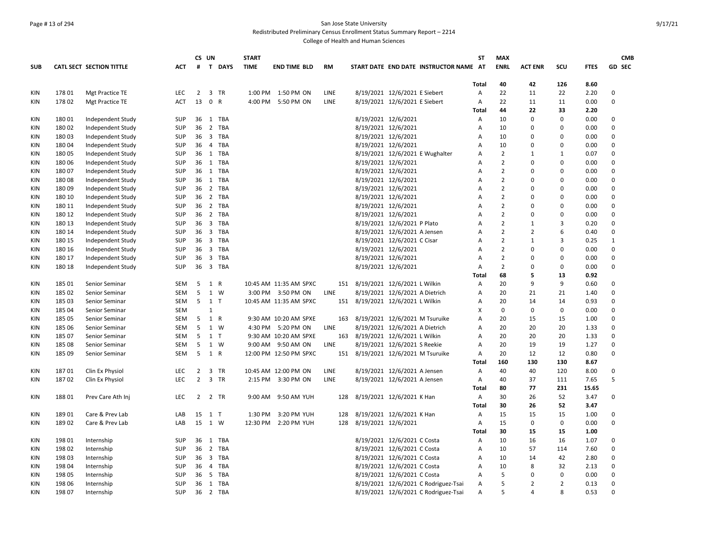#### Page # 13 of 294 San Jose State University Redistributed Preliminary Census Enrollment Status Summary Report – 2214

|            |        |                          |            |                | CS UN        |          | <b>START</b> |                        |           |                     |                                        | ST             | <b>MAX</b>     |                |                |             | <b>CMB</b>   |
|------------|--------|--------------------------|------------|----------------|--------------|----------|--------------|------------------------|-----------|---------------------|----------------------------------------|----------------|----------------|----------------|----------------|-------------|--------------|
| <b>SUB</b> |        | CATL SECT SECTION TITTLE | ACT        | #              |              | T DAYS   | <b>TIME</b>  | <b>END TIME BLD</b>    | <b>RM</b> |                     | START DATE END DATE INSTRUCTOR NAME AT |                | <b>ENRL</b>    | <b>ACT ENR</b> | SCU            | <b>FTES</b> | GD SEC       |
|            |        |                          |            |                |              |          |              |                        |           |                     |                                        | Total          | 40             | 42             | 126            | 8.60        |              |
| KIN        | 178 01 | Mgt Practice TE          | LEC        | $\overline{2}$ |              | 3 TR     | 1:00 PM      | 1:50 PM ON             | LINE      |                     | 8/19/2021 12/6/2021 E Siebert          | Α              | 22             | 11             | 22             | 2.20        | $\mathbf 0$  |
| KIN        | 178 02 | Mgt Practice TE          | <b>ACT</b> | 13             | 0 R          |          | 4:00 PM      | 5:50 PM ON             | LINE      |                     | 8/19/2021 12/6/2021 E Siebert          | Α              | 22             | 11             | 11             | 0.00        | $\Omega$     |
|            |        |                          |            |                |              |          |              |                        |           |                     |                                        | Total          | 44             | 22             | 33             | 2.20        |              |
| KIN        | 18001  | Independent Study        | SUP        | 36             |              | 1 TBA    |              |                        |           |                     | 8/19/2021 12/6/2021                    | Α              | 10             | $\mathbf 0$    | $\mathbf 0$    | 0.00        | $\mathbf 0$  |
| KIN        | 18002  | Independent Study        | <b>SUP</b> | 36             |              | 2 TBA    |              |                        |           |                     | 8/19/2021 12/6/2021                    | $\overline{A}$ | 10             | $\Omega$       | $\Omega$       | 0.00        | $\Omega$     |
| KIN        | 18003  | Independent Study        | <b>SUP</b> | 36             |              | 3 TBA    |              |                        |           |                     | 8/19/2021 12/6/2021                    | A              | 10             | $\Omega$       | $\Omega$       | 0.00        | $\Omega$     |
| KIN        | 18004  | Independent Study        | SUP        | 36             |              | 4 TBA    |              |                        |           |                     | 8/19/2021 12/6/2021                    | $\overline{A}$ | 10             | $\Omega$       | $\Omega$       | 0.00        | $\Omega$     |
| KIN        | 18005  | Independent Study        | SUP        |                |              | 36 1 TBA |              |                        |           |                     | 8/19/2021 12/6/2021 E Wughalter        | A              | $\overline{2}$ | $\mathbf{1}$   | $\overline{1}$ | 0.07        | $\Omega$     |
| <b>KIN</b> | 180 06 | Independent Study        | SUP        |                |              | 36 1 TBA |              |                        |           |                     | 8/19/2021 12/6/2021                    | $\overline{A}$ | $\overline{2}$ | $\Omega$       | 0              | 0.00        | $\Omega$     |
| KIN        | 18007  | Independent Study        | SUP        |                |              | 36 1 TBA |              |                        |           |                     | 8/19/2021 12/6/2021                    | A              | $\overline{2}$ | $\Omega$       | $\Omega$       | 0.00        | $\Omega$     |
| <b>KIN</b> | 18008  | Independent Study        | <b>SUP</b> |                |              | 36 1 TBA |              |                        |           |                     | 8/19/2021 12/6/2021                    | $\overline{A}$ | $\overline{2}$ | $\Omega$       | $\Omega$       | 0.00        | $\Omega$     |
| KIN        | 18009  | Independent Study        | SUP        |                |              | 36 2 TBA |              |                        |           |                     | 8/19/2021 12/6/2021                    | A              | $\overline{2}$ | $\Omega$       | $\Omega$       | 0.00        | $\Omega$     |
| KIN        | 180 10 | Independent Study        | SUP        |                |              | 36 2 TBA |              |                        |           |                     | 8/19/2021 12/6/2021                    | $\overline{A}$ | $\overline{2}$ | $\Omega$       | 0              | 0.00        | $\Omega$     |
| KIN        | 180 11 | Independent Study        | <b>SUP</b> | 36             |              | 2 TBA    |              |                        |           |                     | 8/19/2021 12/6/2021                    | $\overline{A}$ | $\overline{2}$ | $\Omega$       | $\Omega$       | 0.00        | $\Omega$     |
| KIN        | 180 12 | Independent Study        | <b>SUP</b> | 36             |              | 2 TBA    |              |                        |           |                     | 8/19/2021 12/6/2021                    | A              | $\overline{2}$ | $\Omega$       | $\Omega$       | 0.00        | $\Omega$     |
| <b>KIN</b> | 180 13 | Independent Study        | SUP        | 36             |              | 3 TBA    |              |                        |           |                     | 8/19/2021 12/6/2021 P Plato            | A              | $\overline{2}$ | $\mathbf{1}$   | 3              | 0.20        | $\Omega$     |
| KIN        | 180 14 | Independent Study        | SUP        |                |              | 36 3 TBA |              |                        |           |                     | 8/19/2021 12/6/2021 A Jensen           | A              | $\overline{2}$ | $\overline{2}$ | 6              | 0.40        | $\mathbf 0$  |
| KIN        | 180 15 | Independent Study        | SUP        | 36             |              | 3 TBA    |              |                        |           |                     | 8/19/2021 12/6/2021 C Cisar            | $\overline{A}$ | $\overline{2}$ | $\mathbf{1}$   | 3              | 0.25        | $\mathbf{1}$ |
| KIN        | 180 16 | Independent Study        | <b>SUP</b> | 36             |              | 3 TBA    |              |                        |           |                     | 8/19/2021 12/6/2021                    | A              | $\overline{2}$ | $\mathbf 0$    | 0              | 0.00        | $\mathbf 0$  |
| <b>KIN</b> | 180 17 | Independent Study        | <b>SUP</b> | 36             |              | 3 TBA    |              |                        |           |                     | 8/19/2021 12/6/2021                    | $\overline{A}$ | $\overline{2}$ | $\Omega$       | $\Omega$       | 0.00        | $\mathbf 0$  |
| KIN        | 180 18 | Independent Study        | SUP        | 36             |              | 3 TBA    |              |                        |           |                     | 8/19/2021 12/6/2021                    | A              | $\overline{2}$ | $\Omega$       | 0              | 0.00        | $\mathbf 0$  |
|            |        |                          |            |                |              |          |              |                        |           |                     |                                        | Total          | 68             | 5              | 13             | 0.92        |              |
| KIN        | 185 01 | Senior Seminar           | SEM        | 5              | 1 R          |          |              | 10:45 AM 11:35 AM SPXC | 151       |                     | 8/19/2021 12/6/2021 L Wilkin           | A              | 20             | 9              | 9              | 0.60        | $\Omega$     |
| KIN        | 185 02 | Senior Seminar           | SEM        | 5              |              | 1 W      |              | 3:00 PM 3:50 PM ON     | LINE      |                     | 8/19/2021 12/6/2021 A Dietrich         | A              | 20             | 21             | 21             | 1.40        | $\Omega$     |
| KIN        | 185 03 | Senior Seminar           | SEM        | 5              | 1 T          |          |              | 10:45 AM 11:35 AM SPXC | 151       |                     | 8/19/2021 12/6/2021 L Wilkin           | A              | 20             | 14             | 14             | 0.93        | $\Omega$     |
| KIN        | 185 04 | Senior Seminar           | <b>SEM</b> |                | $\mathbf{1}$ |          |              |                        |           |                     |                                        | X              | $\mathbf 0$    | $\mathbf 0$    | $\mathbf 0$    | 0.00        | $\Omega$     |
| KIN        | 185 05 | Senior Seminar           | <b>SEM</b> | 5              | 1 R          |          |              | 9:30 AM 10:20 AM SPXE  | 163       |                     | 8/19/2021 12/6/2021 M Tsuruike         | $\overline{A}$ | 20             | 15             | 15             | 1.00        | $\Omega$     |
| KIN        | 185 06 | Senior Seminar           | SEM        | 5              |              | 1 W      |              | 4:30 PM 5:20 PM ON     | LINE      |                     | 8/19/2021 12/6/2021 A Dietrich         | A              | 20             | 20             | 20             | 1.33        | $\Omega$     |
| KIN        | 185 07 | Senior Seminar           | <b>SEM</b> | 5              | 1 T          |          |              | 9:30 AM 10:20 AM SPXE  | 163       |                     | 8/19/2021 12/6/2021 L Wilkin           | $\overline{A}$ | 20             | 20             | 20             | 1.33        | $\Omega$     |
| KIN        | 185 08 | Senior Seminar           | SEM        | 5              |              | 1 W      |              | 9:00 AM 9:50 AM ON     | LINE      |                     | 8/19/2021 12/6/2021 S Reekie           | A              | 20             | 19             | 19             | 1.27        | $\mathbf 0$  |
| KIN        | 185 09 | Senior Seminar           | SEM        | 5              | 1 R          |          |              | 12:00 PM 12:50 PM SPXC | 151       |                     | 8/19/2021 12/6/2021 M Tsuruike         | A              | 20             | 12             | 12             | 0.80        | $\Omega$     |
|            |        |                          |            |                |              |          |              |                        |           |                     |                                        | Total          | 160            | 130            | 130            | 8.67        |              |
| KIN        | 18701  | Clin Ex Physiol          | LEC        | $\overline{2}$ |              | 3 TR     |              | 10:45 AM 12:00 PM ON   | LINE      |                     | 8/19/2021 12/6/2021 A Jensen           | A              | 40             | 40             | 120            | 8.00        | $\mathbf 0$  |
| KIN        | 18702  | Clin Ex Physiol          | LEC        | $\overline{2}$ |              | 3 TR     |              | 2:15 PM 3:30 PM ON     | LINE      |                     | 8/19/2021 12/6/2021 A Jensen           | Α              | 40             | 37             | 111            | 7.65        | 5            |
|            |        |                          |            |                |              |          |              |                        |           |                     |                                        | Total          | 80             | 77             | 231            | 15.65       |              |
| KIN        | 18801  | Prev Care Ath Inj        | LEC        | $\overline{2}$ |              | 2 TR     | 9:00 AM      | 9:50 AM YUH            | 128       |                     | 8/19/2021 12/6/2021 K Han              | Α              | 30             | 26             | 52             | 3.47        | $\Omega$     |
|            |        |                          |            |                |              |          |              |                        |           |                     |                                        | Total          | 30             | 26             | 52             | 3.47        |              |
| KIN        | 18901  | Care & Prev Lab          | LAB        | 15             | 1 T          |          | 1:30 PM      | 3:20 PM YUH            | 128       |                     | 8/19/2021 12/6/2021 K Han              | A              | 15             | 15             | 15             | 1.00        | $\Omega$     |
| <b>KIN</b> | 18902  | Care & Prev Lab          | LAB        |                | 15 1 W       |          | 12:30 PM     | 2:20 PM YUH            | 128       | 8/19/2021 12/6/2021 |                                        | A              | 15             | $\mathbf 0$    | $\mathsf 0$    | 0.00        | 0            |
|            |        |                          |            |                |              |          |              |                        |           |                     |                                        | Total          | 30             | 15             | 15             | 1.00        |              |
| KIN        | 198 01 | Internship               | <b>SUP</b> |                |              | 36 1 TBA |              |                        |           |                     | 8/19/2021 12/6/2021 C Costa            | Α              | 10             | 16             | 16             | 1.07        | $\Omega$     |
| KIN        | 198 02 | Internship               | <b>SUP</b> | 36             |              | 2 TBA    |              |                        |           |                     | 8/19/2021 12/6/2021 C Costa            | A              | 10             | 57             | 114            | 7.60        | $\Omega$     |
| KIN        | 198 03 | Internship               | SUP        |                |              | 36 3 TBA |              |                        |           |                     | 8/19/2021 12/6/2021 C Costa            | $\overline{A}$ | 10             | 14             | 42             | 2.80        | $\Omega$     |
| KIN        | 198 04 | Internship               | SUP        |                |              | 36 4 TBA |              |                        |           |                     | 8/19/2021 12/6/2021 C Costa            | $\overline{A}$ | 10             | 8              | 32             | 2.13        | $\Omega$     |
| KIN        | 198 05 | Internship               | <b>SUP</b> | 36             |              | 5 TBA    |              |                        |           |                     | 8/19/2021 12/6/2021 C Costa            | $\overline{A}$ | 5              | $\Omega$       | $\mathbf 0$    | 0.00        | $\Omega$     |
| KIN        | 198 06 | Internship               | SUP        | 36             |              | 1 TBA    |              |                        |           |                     | 8/19/2021 12/6/2021 C Rodriguez-Tsai   | Α              | 5              | $\overline{2}$ | $\overline{2}$ | 0.13        | $\mathbf 0$  |
| KIN        | 19807  | Internship               | <b>SUP</b> |                |              | 36 2 TBA |              |                        |           |                     | 8/19/2021 12/6/2021 C Rodriguez-Tsai   | A              | 5              | $\overline{4}$ | $\mathsf{R}$   | 0.53        | $\Omega$     |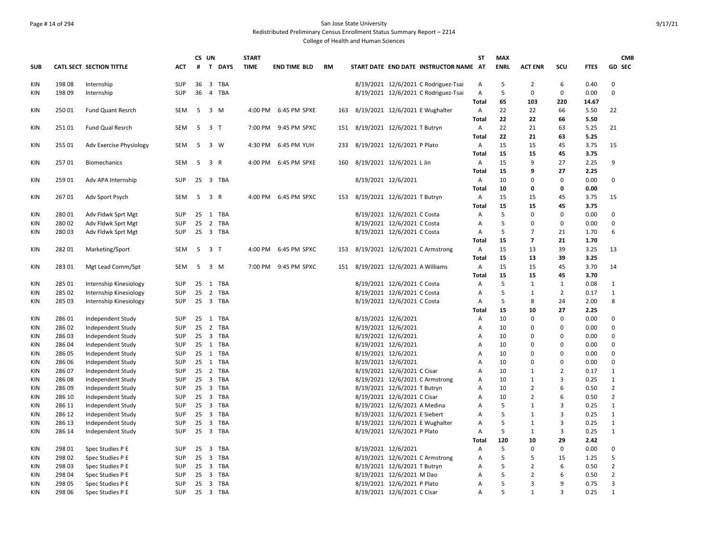#### Page # 14 of 294 San Jose State University Redistributed Preliminary Census Enrollment Status Summary Report – 2214

| $\mathbf{T}$<br><b>TIME</b><br>START DATE END DATE INSTRUCTOR NAME AT<br><b>ENRL</b><br><b>ACT ENR</b><br>SCU<br><b>GD SEC</b><br>CATL SECT SECTION TITTLE<br><b>ACT</b><br>#<br><b>DAYS</b><br><b>END TIME BLD</b><br><b>RM</b><br><b>FTES</b><br>5<br>198 08<br><b>SUP</b><br>36<br>$\overline{\mathbf{3}}$<br><b>TBA</b><br>8/19/2021 12/6/2021 C Rodriguez-Tsai<br>$\overline{2}$<br>6<br>0.40<br>$\mathbf 0$<br>Internship<br>A<br>5<br>SUP<br>36<br><b>TBA</b><br>8/19/2021 12/6/2021 C Rodriguez-Tsai<br>A<br>0<br>$\mathsf 0$<br>0.00<br>$\mathbf 0$<br>198 09<br>4<br>Internship<br>65<br>103<br>220<br><b>Total</b><br>14.67<br>3 M<br>8/19/2021 12/6/2021 E Wughalter<br>22<br>25001<br><b>Fund Quant Resrch</b><br>SEM<br>5<br>4:00 PM 6:45 PM SPXE<br>Α<br>22<br>66<br>5.50<br>22<br>163<br>22<br><b>Total</b><br>22<br>66<br>5.50<br>22<br>21<br>25101<br>Fund Qual Resrch<br>SEM<br>5<br>3 T<br>7:00 PM<br>9:45 PM SPXC<br>8/19/2021 12/6/2021 T Butryn<br>Α<br>63<br>5.25<br>21<br>151<br>22<br>21<br>5.25<br>Total<br>63<br>15<br>5<br>8/19/2021 12/6/2021 P Plato<br>15<br>3.75<br>15<br>255 01<br>Adv Exercise Physiology<br>SEM<br>3 W<br>4:30 PM 6:45 PM YUH<br>Α<br>45<br>233<br>15<br>15<br>45<br>3.75<br>Total<br>25701<br>SEM<br>$5^{\circ}$<br>3 R<br>4:00 PM 6:45 PM SPXE<br>8/19/2021 12/6/2021 L Jin<br>Α<br>15<br>9<br>27<br>2.25<br>9<br><b>Biomechanics</b><br>160<br><b>Total</b><br>15<br>9<br>27<br>2.25<br>259 01<br>25 3 TBA<br>8/19/2021 12/6/2021<br>10<br>0.00<br>$\mathbf 0$<br>Adv APA Internship<br>SUP<br>A<br>0<br>0<br>0.00<br>Total<br>10<br>0<br>0<br>5<br>8/19/2021 12/6/2021 T Butryn<br>15<br>15<br>3.75<br>26701<br>Adv Sport Psych<br>SEM<br>3 R<br>4:00 PM<br>6:45 PM SPXC<br>Α<br>45<br>15<br>153<br>15<br>3.75<br>15<br>45<br>Total<br>5<br>280 01<br>25 1 TBA<br>8/19/2021 12/6/2021 C Costa<br>0<br>0.00<br>$\mathbf 0$<br>Adv Fldwk Sprt Mgt<br><b>SUP</b><br>Α<br>0<br>8/19/2021 12/6/2021 C Costa<br>5<br>$\pmb{0}$<br>28002<br>Adv Fldwk Sprt Mgt<br>SUP<br>25<br>2 TBA<br>Α<br>0<br>$\mathbf 0$<br>0.00<br>5<br>25 3 TBA<br>8/19/2021 12/6/2021 C Costa<br>$\overline{7}$<br>1.70<br>6<br>28003<br>Adv Fldwk Sprt Mgt<br>SUP<br>Α<br>21<br>15<br><b>Total</b><br>$\overline{7}$<br>21<br>1.70<br>15<br>13<br>3.25<br>28201<br>Marketing/Sport<br><b>SEM</b><br>5<br>3 T<br>4:00 PM 6:45 PM SPXC<br>8/19/2021 12/6/2021 C Armstrong<br>Α<br>39<br>13<br>153<br>15<br>13<br>39<br>3.25<br>Total<br>8/19/2021 12/6/2021 A Williams<br>15<br>15<br>3.70<br>28301<br>Mgt Lead Comm/Spt<br>5<br>3 M<br>7:00 PM<br>9:45 PM SPXC<br>Α<br>45<br>14<br>SEM<br>151<br>15<br>15<br><b>Total</b><br>45<br>3.70<br>25<br>1 TBA<br>8/19/2021 12/6/2021 C Costa<br>5<br>$\mathbf{1}$<br>0.08<br>285 01<br>Internship Kinesiology<br>SUP<br>Α<br>1<br>1<br>25<br>2 TBA<br>8/19/2021 12/6/2021 C Costa<br>5<br>285 02<br>Internship Kinesiology<br>SUP<br>Α<br>$\mathbf{1}$<br>$\overline{2}$<br>0.17<br>$\mathbf{1}$<br>5<br>25<br>8/19/2021 12/6/2021 C Costa<br>2.00<br>8<br>285 03<br>Internship Kinesiology<br>SUP<br>$\overline{\mathbf{3}}$<br>TBA<br>8<br>24<br>A<br>2.25<br>15<br>27<br>Total<br>10<br>8/19/2021 12/6/2021<br>$\mathbf 0$<br>$\mathbf 0$<br>0.00<br>$\mathbf 0$<br>286 01<br>Independent Study<br>SUP<br>25<br>TBA<br>Α<br>10<br>1<br>8/19/2021 12/6/2021<br>0.00<br>$\mathbf 0$<br>286 02<br>Independent Study<br>SUP<br>25<br>2 TBA<br>10<br>$\Omega$<br>Α<br>$\Omega$<br>3 TBA<br>8/19/2021 12/6/2021<br>0.00<br>$\mathbf 0$<br>28603<br>Independent Study<br>SUP<br>25<br>10<br>$\mathbf 0$<br>$\Omega$<br>Α<br>$\mathbf 0$<br>286 04<br>Independent Study<br>SUP<br>25 1 TBA<br>8/19/2021 12/6/2021<br>10<br>0<br>0.00<br>Α<br>$\Omega$<br>1 TBA<br>8/19/2021 12/6/2021<br>0.00<br>$\mathbf 0$<br>28605<br>Independent Study<br>SUP<br>25<br>10<br>$\Omega$<br>$\Omega$<br>Α<br>$\mathbf 0$<br>Independent Study<br>SUP<br>25 1 TBA<br>8/19/2021 12/6/2021<br>10<br>$\Omega$<br>0.00<br>286 06<br>A<br>$\Omega$<br>2 TBA<br>$\overline{2}$<br>$\mathbf{1}$<br>28607<br>Independent Study<br>SUP<br>25<br>8/19/2021 12/6/2021 C Cisar<br>10<br>$\mathbf{1}$<br>0.17<br>A<br>$\mathbf{1}$<br><b>SUP</b><br>25 3 TBA<br>8/19/2021 12/6/2021 C Armstrong<br>10<br>$\mathbf{1}$<br>3<br>0.25<br>28608<br>Independent Study<br>A<br>$\overline{2}$<br>25 3 TBA<br>8/19/2021 12/6/2021 T Butryn<br>10<br>$\overline{2}$<br>6<br>0.50<br>286 09<br>Independent Study<br>SUP<br>Α<br>8/19/2021 12/6/2021 C Cisar<br>$\overline{2}$<br>286 10<br>SUP<br>25 3 TBA<br>10<br>$\overline{2}$<br>6<br>0.50<br>Independent Study<br>A<br>25 3 TBA<br>8/19/2021 12/6/2021 A Medina<br>5<br>0.25<br>$\mathbf{1}$<br>286 11<br>Independent Study<br>SUP<br>A<br>$\mathbf{1}$<br>3<br>5<br>$\mathbf{1}$<br>286 12<br><b>SUP</b><br>25<br>$\overline{\mathbf{3}}$<br><b>TBA</b><br>8/19/2021 12/6/2021 E Siebert<br>$\mathbf{1}$<br>3<br>0.25<br>Independent Study<br>A<br>5<br>25<br>3 TBA<br>8/19/2021 12/6/2021 E Wughalter<br>0.25<br>$\mathbf{1}$<br>286 13<br>Independent Study<br>SUP<br>1<br>3<br>A<br>25<br>8/19/2021 12/6/2021 P Plato<br>5<br>$\mathbf{1}$<br>286 14<br><b>SUP</b><br>$\overline{\mathbf{3}}$<br><b>TBA</b><br>$\mathbf{1}$<br>3<br>0.25<br>Independent Study<br>A<br>120<br>2.42<br>10<br>29<br>Total<br>8/19/2021 12/6/2021<br>5<br>0.00<br>298 01<br><b>TBA</b><br>A<br>0<br>$\mathbf 0$<br>0<br>Spec Studies P E<br>SUP<br>25<br>3<br>8/19/2021 12/6/2021 C Armstrong<br>5<br>5<br>1.25<br>5<br>298 02<br>Spec Studies P E<br>SUP<br>25 3 TBA<br>Α<br>15<br>5<br>$\overline{2}$<br>298 03<br>SUP<br>25<br>3 TBA<br>8/19/2021 12/6/2021 T Butryn<br>$\overline{2}$<br>6<br>0.50<br>Spec Studies P E<br>A<br>5<br>$\overline{2}$<br>8/19/2021 12/6/2021 M Dao<br>0.50<br>298 04<br>Spec Studies P E<br>SUP<br>25 3 TBA<br>2<br>6<br>Α<br>5<br>$\overline{3}$<br>298 05<br><b>SUP</b><br>25<br>3 TBA<br>8/19/2021 12/6/2021 P Plato<br>3<br>q<br>0.75<br>Spec Studies P E<br>A |            |        |                  |            | CS UN | <b>START</b> |  |                             | ST | <b>MAX</b> |              |                |      | <b>CMB</b>   |
|------------------------------------------------------------------------------------------------------------------------------------------------------------------------------------------------------------------------------------------------------------------------------------------------------------------------------------------------------------------------------------------------------------------------------------------------------------------------------------------------------------------------------------------------------------------------------------------------------------------------------------------------------------------------------------------------------------------------------------------------------------------------------------------------------------------------------------------------------------------------------------------------------------------------------------------------------------------------------------------------------------------------------------------------------------------------------------------------------------------------------------------------------------------------------------------------------------------------------------------------------------------------------------------------------------------------------------------------------------------------------------------------------------------------------------------------------------------------------------------------------------------------------------------------------------------------------------------------------------------------------------------------------------------------------------------------------------------------------------------------------------------------------------------------------------------------------------------------------------------------------------------------------------------------------------------------------------------------------------------------------------------------------------------------------------------------------------------------------------------------------------------------------------------------------------------------------------------------------------------------------------------------------------------------------------------------------------------------------------------------------------------------------------------------------------------------------------------------------------------------------------------------------------------------------------------------------------------------------------------------------------------------------------------------------------------------------------------------------------------------------------------------------------------------------------------------------------------------------------------------------------------------------------------------------------------------------------------------------------------------------------------------------------------------------------------------------------------------------------------------------------------------------------------------------------------------------------------------------------------------------------------------------------------------------------------------------------------------------------------------------------------------------------------------------------------------------------------------------------------------------------------------------------------------------------------------------------------------------------------------------------------------------------------------------------------------------------------------------------------------------------------------------------------------------------------------------------------------------------------------------------------------------------------------------------------------------------------------------------------------------------------------------------------------------------------------------------------------------------------------------------------------------------------------------------------------------------------------------------------------------------------------------------------------------------------------------------------------------------------------------------------------------------------------------------------------------------------------------------------------------------------------------------------------------------------------------------------------------------------------------------------------------------------------------------------------------------------------------------------------------------------------------------------------------------------------------------------------------------------------------------------------------------------------------------------------------------------------------------------------------------------------------------------------------------------------------------------------------------------------------------------------------------------------------------------------------------------------------------------------------------------------------------------------------------------------------------------------------------------------------------------------------------------------------------------------------------------------------------------------------------------------------------------------------------------------------------------------------------------------------------------------------------------------------------------------------------------------------------------------------------------------------------------------------------------------------------------------------------------------------------------------------------------------------------------------------------------|------------|--------|------------------|------------|-------|--------------|--|-----------------------------|----|------------|--------------|----------------|------|--------------|
|                                                                                                                                                                                                                                                                                                                                                                                                                                                                                                                                                                                                                                                                                                                                                                                                                                                                                                                                                                                                                                                                                                                                                                                                                                                                                                                                                                                                                                                                                                                                                                                                                                                                                                                                                                                                                                                                                                                                                                                                                                                                                                                                                                                                                                                                                                                                                                                                                                                                                                                                                                                                                                                                                                                                                                                                                                                                                                                                                                                                                                                                                                                                                                                                                                                                                                                                                                                                                                                                                                                                                                                                                                                                                                                                                                                                                                                                                                                                                                                                                                                                                                                                                                                                                                                                                                                                                                                                                                                                                                                                                                                                                                                                                                                                                                                                                                                                                                                                                                                                                                                                                                                                                                                                                                                                                                                                                                                                                                                                                                                                                                                                                                                                                                                                                                                                                                                                                                                                                                  | <b>SUB</b> |        |                  |            |       |              |  |                             |    |            |              |                |      |              |
|                                                                                                                                                                                                                                                                                                                                                                                                                                                                                                                                                                                                                                                                                                                                                                                                                                                                                                                                                                                                                                                                                                                                                                                                                                                                                                                                                                                                                                                                                                                                                                                                                                                                                                                                                                                                                                                                                                                                                                                                                                                                                                                                                                                                                                                                                                                                                                                                                                                                                                                                                                                                                                                                                                                                                                                                                                                                                                                                                                                                                                                                                                                                                                                                                                                                                                                                                                                                                                                                                                                                                                                                                                                                                                                                                                                                                                                                                                                                                                                                                                                                                                                                                                                                                                                                                                                                                                                                                                                                                                                                                                                                                                                                                                                                                                                                                                                                                                                                                                                                                                                                                                                                                                                                                                                                                                                                                                                                                                                                                                                                                                                                                                                                                                                                                                                                                                                                                                                                                                  | KIN        |        |                  |            |       |              |  |                             |    |            |              |                |      |              |
|                                                                                                                                                                                                                                                                                                                                                                                                                                                                                                                                                                                                                                                                                                                                                                                                                                                                                                                                                                                                                                                                                                                                                                                                                                                                                                                                                                                                                                                                                                                                                                                                                                                                                                                                                                                                                                                                                                                                                                                                                                                                                                                                                                                                                                                                                                                                                                                                                                                                                                                                                                                                                                                                                                                                                                                                                                                                                                                                                                                                                                                                                                                                                                                                                                                                                                                                                                                                                                                                                                                                                                                                                                                                                                                                                                                                                                                                                                                                                                                                                                                                                                                                                                                                                                                                                                                                                                                                                                                                                                                                                                                                                                                                                                                                                                                                                                                                                                                                                                                                                                                                                                                                                                                                                                                                                                                                                                                                                                                                                                                                                                                                                                                                                                                                                                                                                                                                                                                                                                  | KIN        |        |                  |            |       |              |  |                             |    |            |              |                |      |              |
|                                                                                                                                                                                                                                                                                                                                                                                                                                                                                                                                                                                                                                                                                                                                                                                                                                                                                                                                                                                                                                                                                                                                                                                                                                                                                                                                                                                                                                                                                                                                                                                                                                                                                                                                                                                                                                                                                                                                                                                                                                                                                                                                                                                                                                                                                                                                                                                                                                                                                                                                                                                                                                                                                                                                                                                                                                                                                                                                                                                                                                                                                                                                                                                                                                                                                                                                                                                                                                                                                                                                                                                                                                                                                                                                                                                                                                                                                                                                                                                                                                                                                                                                                                                                                                                                                                                                                                                                                                                                                                                                                                                                                                                                                                                                                                                                                                                                                                                                                                                                                                                                                                                                                                                                                                                                                                                                                                                                                                                                                                                                                                                                                                                                                                                                                                                                                                                                                                                                                                  |            |        |                  |            |       |              |  |                             |    |            |              |                |      |              |
|                                                                                                                                                                                                                                                                                                                                                                                                                                                                                                                                                                                                                                                                                                                                                                                                                                                                                                                                                                                                                                                                                                                                                                                                                                                                                                                                                                                                                                                                                                                                                                                                                                                                                                                                                                                                                                                                                                                                                                                                                                                                                                                                                                                                                                                                                                                                                                                                                                                                                                                                                                                                                                                                                                                                                                                                                                                                                                                                                                                                                                                                                                                                                                                                                                                                                                                                                                                                                                                                                                                                                                                                                                                                                                                                                                                                                                                                                                                                                                                                                                                                                                                                                                                                                                                                                                                                                                                                                                                                                                                                                                                                                                                                                                                                                                                                                                                                                                                                                                                                                                                                                                                                                                                                                                                                                                                                                                                                                                                                                                                                                                                                                                                                                                                                                                                                                                                                                                                                                                  | KIN        |        |                  |            |       |              |  |                             |    |            |              |                |      |              |
|                                                                                                                                                                                                                                                                                                                                                                                                                                                                                                                                                                                                                                                                                                                                                                                                                                                                                                                                                                                                                                                                                                                                                                                                                                                                                                                                                                                                                                                                                                                                                                                                                                                                                                                                                                                                                                                                                                                                                                                                                                                                                                                                                                                                                                                                                                                                                                                                                                                                                                                                                                                                                                                                                                                                                                                                                                                                                                                                                                                                                                                                                                                                                                                                                                                                                                                                                                                                                                                                                                                                                                                                                                                                                                                                                                                                                                                                                                                                                                                                                                                                                                                                                                                                                                                                                                                                                                                                                                                                                                                                                                                                                                                                                                                                                                                                                                                                                                                                                                                                                                                                                                                                                                                                                                                                                                                                                                                                                                                                                                                                                                                                                                                                                                                                                                                                                                                                                                                                                                  |            |        |                  |            |       |              |  |                             |    |            |              |                |      |              |
|                                                                                                                                                                                                                                                                                                                                                                                                                                                                                                                                                                                                                                                                                                                                                                                                                                                                                                                                                                                                                                                                                                                                                                                                                                                                                                                                                                                                                                                                                                                                                                                                                                                                                                                                                                                                                                                                                                                                                                                                                                                                                                                                                                                                                                                                                                                                                                                                                                                                                                                                                                                                                                                                                                                                                                                                                                                                                                                                                                                                                                                                                                                                                                                                                                                                                                                                                                                                                                                                                                                                                                                                                                                                                                                                                                                                                                                                                                                                                                                                                                                                                                                                                                                                                                                                                                                                                                                                                                                                                                                                                                                                                                                                                                                                                                                                                                                                                                                                                                                                                                                                                                                                                                                                                                                                                                                                                                                                                                                                                                                                                                                                                                                                                                                                                                                                                                                                                                                                                                  | KIN        |        |                  |            |       |              |  |                             |    |            |              |                |      |              |
|                                                                                                                                                                                                                                                                                                                                                                                                                                                                                                                                                                                                                                                                                                                                                                                                                                                                                                                                                                                                                                                                                                                                                                                                                                                                                                                                                                                                                                                                                                                                                                                                                                                                                                                                                                                                                                                                                                                                                                                                                                                                                                                                                                                                                                                                                                                                                                                                                                                                                                                                                                                                                                                                                                                                                                                                                                                                                                                                                                                                                                                                                                                                                                                                                                                                                                                                                                                                                                                                                                                                                                                                                                                                                                                                                                                                                                                                                                                                                                                                                                                                                                                                                                                                                                                                                                                                                                                                                                                                                                                                                                                                                                                                                                                                                                                                                                                                                                                                                                                                                                                                                                                                                                                                                                                                                                                                                                                                                                                                                                                                                                                                                                                                                                                                                                                                                                                                                                                                                                  |            |        |                  |            |       |              |  |                             |    |            |              |                |      |              |
|                                                                                                                                                                                                                                                                                                                                                                                                                                                                                                                                                                                                                                                                                                                                                                                                                                                                                                                                                                                                                                                                                                                                                                                                                                                                                                                                                                                                                                                                                                                                                                                                                                                                                                                                                                                                                                                                                                                                                                                                                                                                                                                                                                                                                                                                                                                                                                                                                                                                                                                                                                                                                                                                                                                                                                                                                                                                                                                                                                                                                                                                                                                                                                                                                                                                                                                                                                                                                                                                                                                                                                                                                                                                                                                                                                                                                                                                                                                                                                                                                                                                                                                                                                                                                                                                                                                                                                                                                                                                                                                                                                                                                                                                                                                                                                                                                                                                                                                                                                                                                                                                                                                                                                                                                                                                                                                                                                                                                                                                                                                                                                                                                                                                                                                                                                                                                                                                                                                                                                  | KIN        |        |                  |            |       |              |  |                             |    |            |              |                |      |              |
|                                                                                                                                                                                                                                                                                                                                                                                                                                                                                                                                                                                                                                                                                                                                                                                                                                                                                                                                                                                                                                                                                                                                                                                                                                                                                                                                                                                                                                                                                                                                                                                                                                                                                                                                                                                                                                                                                                                                                                                                                                                                                                                                                                                                                                                                                                                                                                                                                                                                                                                                                                                                                                                                                                                                                                                                                                                                                                                                                                                                                                                                                                                                                                                                                                                                                                                                                                                                                                                                                                                                                                                                                                                                                                                                                                                                                                                                                                                                                                                                                                                                                                                                                                                                                                                                                                                                                                                                                                                                                                                                                                                                                                                                                                                                                                                                                                                                                                                                                                                                                                                                                                                                                                                                                                                                                                                                                                                                                                                                                                                                                                                                                                                                                                                                                                                                                                                                                                                                                                  |            |        |                  |            |       |              |  |                             |    |            |              |                |      |              |
|                                                                                                                                                                                                                                                                                                                                                                                                                                                                                                                                                                                                                                                                                                                                                                                                                                                                                                                                                                                                                                                                                                                                                                                                                                                                                                                                                                                                                                                                                                                                                                                                                                                                                                                                                                                                                                                                                                                                                                                                                                                                                                                                                                                                                                                                                                                                                                                                                                                                                                                                                                                                                                                                                                                                                                                                                                                                                                                                                                                                                                                                                                                                                                                                                                                                                                                                                                                                                                                                                                                                                                                                                                                                                                                                                                                                                                                                                                                                                                                                                                                                                                                                                                                                                                                                                                                                                                                                                                                                                                                                                                                                                                                                                                                                                                                                                                                                                                                                                                                                                                                                                                                                                                                                                                                                                                                                                                                                                                                                                                                                                                                                                                                                                                                                                                                                                                                                                                                                                                  | KIN        |        |                  |            |       |              |  |                             |    |            |              |                |      |              |
|                                                                                                                                                                                                                                                                                                                                                                                                                                                                                                                                                                                                                                                                                                                                                                                                                                                                                                                                                                                                                                                                                                                                                                                                                                                                                                                                                                                                                                                                                                                                                                                                                                                                                                                                                                                                                                                                                                                                                                                                                                                                                                                                                                                                                                                                                                                                                                                                                                                                                                                                                                                                                                                                                                                                                                                                                                                                                                                                                                                                                                                                                                                                                                                                                                                                                                                                                                                                                                                                                                                                                                                                                                                                                                                                                                                                                                                                                                                                                                                                                                                                                                                                                                                                                                                                                                                                                                                                                                                                                                                                                                                                                                                                                                                                                                                                                                                                                                                                                                                                                                                                                                                                                                                                                                                                                                                                                                                                                                                                                                                                                                                                                                                                                                                                                                                                                                                                                                                                                                  |            |        |                  |            |       |              |  |                             |    |            |              |                |      |              |
|                                                                                                                                                                                                                                                                                                                                                                                                                                                                                                                                                                                                                                                                                                                                                                                                                                                                                                                                                                                                                                                                                                                                                                                                                                                                                                                                                                                                                                                                                                                                                                                                                                                                                                                                                                                                                                                                                                                                                                                                                                                                                                                                                                                                                                                                                                                                                                                                                                                                                                                                                                                                                                                                                                                                                                                                                                                                                                                                                                                                                                                                                                                                                                                                                                                                                                                                                                                                                                                                                                                                                                                                                                                                                                                                                                                                                                                                                                                                                                                                                                                                                                                                                                                                                                                                                                                                                                                                                                                                                                                                                                                                                                                                                                                                                                                                                                                                                                                                                                                                                                                                                                                                                                                                                                                                                                                                                                                                                                                                                                                                                                                                                                                                                                                                                                                                                                                                                                                                                                  | KIN        |        |                  |            |       |              |  |                             |    |            |              |                |      |              |
|                                                                                                                                                                                                                                                                                                                                                                                                                                                                                                                                                                                                                                                                                                                                                                                                                                                                                                                                                                                                                                                                                                                                                                                                                                                                                                                                                                                                                                                                                                                                                                                                                                                                                                                                                                                                                                                                                                                                                                                                                                                                                                                                                                                                                                                                                                                                                                                                                                                                                                                                                                                                                                                                                                                                                                                                                                                                                                                                                                                                                                                                                                                                                                                                                                                                                                                                                                                                                                                                                                                                                                                                                                                                                                                                                                                                                                                                                                                                                                                                                                                                                                                                                                                                                                                                                                                                                                                                                                                                                                                                                                                                                                                                                                                                                                                                                                                                                                                                                                                                                                                                                                                                                                                                                                                                                                                                                                                                                                                                                                                                                                                                                                                                                                                                                                                                                                                                                                                                                                  |            |        |                  |            |       |              |  |                             |    |            |              |                |      |              |
|                                                                                                                                                                                                                                                                                                                                                                                                                                                                                                                                                                                                                                                                                                                                                                                                                                                                                                                                                                                                                                                                                                                                                                                                                                                                                                                                                                                                                                                                                                                                                                                                                                                                                                                                                                                                                                                                                                                                                                                                                                                                                                                                                                                                                                                                                                                                                                                                                                                                                                                                                                                                                                                                                                                                                                                                                                                                                                                                                                                                                                                                                                                                                                                                                                                                                                                                                                                                                                                                                                                                                                                                                                                                                                                                                                                                                                                                                                                                                                                                                                                                                                                                                                                                                                                                                                                                                                                                                                                                                                                                                                                                                                                                                                                                                                                                                                                                                                                                                                                                                                                                                                                                                                                                                                                                                                                                                                                                                                                                                                                                                                                                                                                                                                                                                                                                                                                                                                                                                                  | KIN        |        |                  |            |       |              |  |                             |    |            |              |                |      |              |
|                                                                                                                                                                                                                                                                                                                                                                                                                                                                                                                                                                                                                                                                                                                                                                                                                                                                                                                                                                                                                                                                                                                                                                                                                                                                                                                                                                                                                                                                                                                                                                                                                                                                                                                                                                                                                                                                                                                                                                                                                                                                                                                                                                                                                                                                                                                                                                                                                                                                                                                                                                                                                                                                                                                                                                                                                                                                                                                                                                                                                                                                                                                                                                                                                                                                                                                                                                                                                                                                                                                                                                                                                                                                                                                                                                                                                                                                                                                                                                                                                                                                                                                                                                                                                                                                                                                                                                                                                                                                                                                                                                                                                                                                                                                                                                                                                                                                                                                                                                                                                                                                                                                                                                                                                                                                                                                                                                                                                                                                                                                                                                                                                                                                                                                                                                                                                                                                                                                                                                  |            |        |                  |            |       |              |  |                             |    |            |              |                |      |              |
|                                                                                                                                                                                                                                                                                                                                                                                                                                                                                                                                                                                                                                                                                                                                                                                                                                                                                                                                                                                                                                                                                                                                                                                                                                                                                                                                                                                                                                                                                                                                                                                                                                                                                                                                                                                                                                                                                                                                                                                                                                                                                                                                                                                                                                                                                                                                                                                                                                                                                                                                                                                                                                                                                                                                                                                                                                                                                                                                                                                                                                                                                                                                                                                                                                                                                                                                                                                                                                                                                                                                                                                                                                                                                                                                                                                                                                                                                                                                                                                                                                                                                                                                                                                                                                                                                                                                                                                                                                                                                                                                                                                                                                                                                                                                                                                                                                                                                                                                                                                                                                                                                                                                                                                                                                                                                                                                                                                                                                                                                                                                                                                                                                                                                                                                                                                                                                                                                                                                                                  | KIN        |        |                  |            |       |              |  |                             |    |            |              |                |      |              |
|                                                                                                                                                                                                                                                                                                                                                                                                                                                                                                                                                                                                                                                                                                                                                                                                                                                                                                                                                                                                                                                                                                                                                                                                                                                                                                                                                                                                                                                                                                                                                                                                                                                                                                                                                                                                                                                                                                                                                                                                                                                                                                                                                                                                                                                                                                                                                                                                                                                                                                                                                                                                                                                                                                                                                                                                                                                                                                                                                                                                                                                                                                                                                                                                                                                                                                                                                                                                                                                                                                                                                                                                                                                                                                                                                                                                                                                                                                                                                                                                                                                                                                                                                                                                                                                                                                                                                                                                                                                                                                                                                                                                                                                                                                                                                                                                                                                                                                                                                                                                                                                                                                                                                                                                                                                                                                                                                                                                                                                                                                                                                                                                                                                                                                                                                                                                                                                                                                                                                                  | KIN        |        |                  |            |       |              |  |                             |    |            |              |                |      |              |
|                                                                                                                                                                                                                                                                                                                                                                                                                                                                                                                                                                                                                                                                                                                                                                                                                                                                                                                                                                                                                                                                                                                                                                                                                                                                                                                                                                                                                                                                                                                                                                                                                                                                                                                                                                                                                                                                                                                                                                                                                                                                                                                                                                                                                                                                                                                                                                                                                                                                                                                                                                                                                                                                                                                                                                                                                                                                                                                                                                                                                                                                                                                                                                                                                                                                                                                                                                                                                                                                                                                                                                                                                                                                                                                                                                                                                                                                                                                                                                                                                                                                                                                                                                                                                                                                                                                                                                                                                                                                                                                                                                                                                                                                                                                                                                                                                                                                                                                                                                                                                                                                                                                                                                                                                                                                                                                                                                                                                                                                                                                                                                                                                                                                                                                                                                                                                                                                                                                                                                  | KIN        |        |                  |            |       |              |  |                             |    |            |              |                |      |              |
|                                                                                                                                                                                                                                                                                                                                                                                                                                                                                                                                                                                                                                                                                                                                                                                                                                                                                                                                                                                                                                                                                                                                                                                                                                                                                                                                                                                                                                                                                                                                                                                                                                                                                                                                                                                                                                                                                                                                                                                                                                                                                                                                                                                                                                                                                                                                                                                                                                                                                                                                                                                                                                                                                                                                                                                                                                                                                                                                                                                                                                                                                                                                                                                                                                                                                                                                                                                                                                                                                                                                                                                                                                                                                                                                                                                                                                                                                                                                                                                                                                                                                                                                                                                                                                                                                                                                                                                                                                                                                                                                                                                                                                                                                                                                                                                                                                                                                                                                                                                                                                                                                                                                                                                                                                                                                                                                                                                                                                                                                                                                                                                                                                                                                                                                                                                                                                                                                                                                                                  |            |        |                  |            |       |              |  |                             |    |            |              |                |      |              |
|                                                                                                                                                                                                                                                                                                                                                                                                                                                                                                                                                                                                                                                                                                                                                                                                                                                                                                                                                                                                                                                                                                                                                                                                                                                                                                                                                                                                                                                                                                                                                                                                                                                                                                                                                                                                                                                                                                                                                                                                                                                                                                                                                                                                                                                                                                                                                                                                                                                                                                                                                                                                                                                                                                                                                                                                                                                                                                                                                                                                                                                                                                                                                                                                                                                                                                                                                                                                                                                                                                                                                                                                                                                                                                                                                                                                                                                                                                                                                                                                                                                                                                                                                                                                                                                                                                                                                                                                                                                                                                                                                                                                                                                                                                                                                                                                                                                                                                                                                                                                                                                                                                                                                                                                                                                                                                                                                                                                                                                                                                                                                                                                                                                                                                                                                                                                                                                                                                                                                                  | KIN        |        |                  |            |       |              |  |                             |    |            |              |                |      |              |
|                                                                                                                                                                                                                                                                                                                                                                                                                                                                                                                                                                                                                                                                                                                                                                                                                                                                                                                                                                                                                                                                                                                                                                                                                                                                                                                                                                                                                                                                                                                                                                                                                                                                                                                                                                                                                                                                                                                                                                                                                                                                                                                                                                                                                                                                                                                                                                                                                                                                                                                                                                                                                                                                                                                                                                                                                                                                                                                                                                                                                                                                                                                                                                                                                                                                                                                                                                                                                                                                                                                                                                                                                                                                                                                                                                                                                                                                                                                                                                                                                                                                                                                                                                                                                                                                                                                                                                                                                                                                                                                                                                                                                                                                                                                                                                                                                                                                                                                                                                                                                                                                                                                                                                                                                                                                                                                                                                                                                                                                                                                                                                                                                                                                                                                                                                                                                                                                                                                                                                  |            |        |                  |            |       |              |  |                             |    |            |              |                |      |              |
|                                                                                                                                                                                                                                                                                                                                                                                                                                                                                                                                                                                                                                                                                                                                                                                                                                                                                                                                                                                                                                                                                                                                                                                                                                                                                                                                                                                                                                                                                                                                                                                                                                                                                                                                                                                                                                                                                                                                                                                                                                                                                                                                                                                                                                                                                                                                                                                                                                                                                                                                                                                                                                                                                                                                                                                                                                                                                                                                                                                                                                                                                                                                                                                                                                                                                                                                                                                                                                                                                                                                                                                                                                                                                                                                                                                                                                                                                                                                                                                                                                                                                                                                                                                                                                                                                                                                                                                                                                                                                                                                                                                                                                                                                                                                                                                                                                                                                                                                                                                                                                                                                                                                                                                                                                                                                                                                                                                                                                                                                                                                                                                                                                                                                                                                                                                                                                                                                                                                                                  | KIN        |        |                  |            |       |              |  |                             |    |            |              |                |      |              |
|                                                                                                                                                                                                                                                                                                                                                                                                                                                                                                                                                                                                                                                                                                                                                                                                                                                                                                                                                                                                                                                                                                                                                                                                                                                                                                                                                                                                                                                                                                                                                                                                                                                                                                                                                                                                                                                                                                                                                                                                                                                                                                                                                                                                                                                                                                                                                                                                                                                                                                                                                                                                                                                                                                                                                                                                                                                                                                                                                                                                                                                                                                                                                                                                                                                                                                                                                                                                                                                                                                                                                                                                                                                                                                                                                                                                                                                                                                                                                                                                                                                                                                                                                                                                                                                                                                                                                                                                                                                                                                                                                                                                                                                                                                                                                                                                                                                                                                                                                                                                                                                                                                                                                                                                                                                                                                                                                                                                                                                                                                                                                                                                                                                                                                                                                                                                                                                                                                                                                                  |            |        |                  |            |       |              |  |                             |    |            |              |                |      |              |
|                                                                                                                                                                                                                                                                                                                                                                                                                                                                                                                                                                                                                                                                                                                                                                                                                                                                                                                                                                                                                                                                                                                                                                                                                                                                                                                                                                                                                                                                                                                                                                                                                                                                                                                                                                                                                                                                                                                                                                                                                                                                                                                                                                                                                                                                                                                                                                                                                                                                                                                                                                                                                                                                                                                                                                                                                                                                                                                                                                                                                                                                                                                                                                                                                                                                                                                                                                                                                                                                                                                                                                                                                                                                                                                                                                                                                                                                                                                                                                                                                                                                                                                                                                                                                                                                                                                                                                                                                                                                                                                                                                                                                                                                                                                                                                                                                                                                                                                                                                                                                                                                                                                                                                                                                                                                                                                                                                                                                                                                                                                                                                                                                                                                                                                                                                                                                                                                                                                                                                  | KIN        |        |                  |            |       |              |  |                             |    |            |              |                |      |              |
|                                                                                                                                                                                                                                                                                                                                                                                                                                                                                                                                                                                                                                                                                                                                                                                                                                                                                                                                                                                                                                                                                                                                                                                                                                                                                                                                                                                                                                                                                                                                                                                                                                                                                                                                                                                                                                                                                                                                                                                                                                                                                                                                                                                                                                                                                                                                                                                                                                                                                                                                                                                                                                                                                                                                                                                                                                                                                                                                                                                                                                                                                                                                                                                                                                                                                                                                                                                                                                                                                                                                                                                                                                                                                                                                                                                                                                                                                                                                                                                                                                                                                                                                                                                                                                                                                                                                                                                                                                                                                                                                                                                                                                                                                                                                                                                                                                                                                                                                                                                                                                                                                                                                                                                                                                                                                                                                                                                                                                                                                                                                                                                                                                                                                                                                                                                                                                                                                                                                                                  | KIN        |        |                  |            |       |              |  |                             |    |            |              |                |      |              |
|                                                                                                                                                                                                                                                                                                                                                                                                                                                                                                                                                                                                                                                                                                                                                                                                                                                                                                                                                                                                                                                                                                                                                                                                                                                                                                                                                                                                                                                                                                                                                                                                                                                                                                                                                                                                                                                                                                                                                                                                                                                                                                                                                                                                                                                                                                                                                                                                                                                                                                                                                                                                                                                                                                                                                                                                                                                                                                                                                                                                                                                                                                                                                                                                                                                                                                                                                                                                                                                                                                                                                                                                                                                                                                                                                                                                                                                                                                                                                                                                                                                                                                                                                                                                                                                                                                                                                                                                                                                                                                                                                                                                                                                                                                                                                                                                                                                                                                                                                                                                                                                                                                                                                                                                                                                                                                                                                                                                                                                                                                                                                                                                                                                                                                                                                                                                                                                                                                                                                                  | KIN        |        |                  |            |       |              |  |                             |    |            |              |                |      |              |
|                                                                                                                                                                                                                                                                                                                                                                                                                                                                                                                                                                                                                                                                                                                                                                                                                                                                                                                                                                                                                                                                                                                                                                                                                                                                                                                                                                                                                                                                                                                                                                                                                                                                                                                                                                                                                                                                                                                                                                                                                                                                                                                                                                                                                                                                                                                                                                                                                                                                                                                                                                                                                                                                                                                                                                                                                                                                                                                                                                                                                                                                                                                                                                                                                                                                                                                                                                                                                                                                                                                                                                                                                                                                                                                                                                                                                                                                                                                                                                                                                                                                                                                                                                                                                                                                                                                                                                                                                                                                                                                                                                                                                                                                                                                                                                                                                                                                                                                                                                                                                                                                                                                                                                                                                                                                                                                                                                                                                                                                                                                                                                                                                                                                                                                                                                                                                                                                                                                                                                  |            |        |                  |            |       |              |  |                             |    |            |              |                |      |              |
|                                                                                                                                                                                                                                                                                                                                                                                                                                                                                                                                                                                                                                                                                                                                                                                                                                                                                                                                                                                                                                                                                                                                                                                                                                                                                                                                                                                                                                                                                                                                                                                                                                                                                                                                                                                                                                                                                                                                                                                                                                                                                                                                                                                                                                                                                                                                                                                                                                                                                                                                                                                                                                                                                                                                                                                                                                                                                                                                                                                                                                                                                                                                                                                                                                                                                                                                                                                                                                                                                                                                                                                                                                                                                                                                                                                                                                                                                                                                                                                                                                                                                                                                                                                                                                                                                                                                                                                                                                                                                                                                                                                                                                                                                                                                                                                                                                                                                                                                                                                                                                                                                                                                                                                                                                                                                                                                                                                                                                                                                                                                                                                                                                                                                                                                                                                                                                                                                                                                                                  | KIN        |        |                  |            |       |              |  |                             |    |            |              |                |      |              |
|                                                                                                                                                                                                                                                                                                                                                                                                                                                                                                                                                                                                                                                                                                                                                                                                                                                                                                                                                                                                                                                                                                                                                                                                                                                                                                                                                                                                                                                                                                                                                                                                                                                                                                                                                                                                                                                                                                                                                                                                                                                                                                                                                                                                                                                                                                                                                                                                                                                                                                                                                                                                                                                                                                                                                                                                                                                                                                                                                                                                                                                                                                                                                                                                                                                                                                                                                                                                                                                                                                                                                                                                                                                                                                                                                                                                                                                                                                                                                                                                                                                                                                                                                                                                                                                                                                                                                                                                                                                                                                                                                                                                                                                                                                                                                                                                                                                                                                                                                                                                                                                                                                                                                                                                                                                                                                                                                                                                                                                                                                                                                                                                                                                                                                                                                                                                                                                                                                                                                                  | KIN        |        |                  |            |       |              |  |                             |    |            |              |                |      |              |
|                                                                                                                                                                                                                                                                                                                                                                                                                                                                                                                                                                                                                                                                                                                                                                                                                                                                                                                                                                                                                                                                                                                                                                                                                                                                                                                                                                                                                                                                                                                                                                                                                                                                                                                                                                                                                                                                                                                                                                                                                                                                                                                                                                                                                                                                                                                                                                                                                                                                                                                                                                                                                                                                                                                                                                                                                                                                                                                                                                                                                                                                                                                                                                                                                                                                                                                                                                                                                                                                                                                                                                                                                                                                                                                                                                                                                                                                                                                                                                                                                                                                                                                                                                                                                                                                                                                                                                                                                                                                                                                                                                                                                                                                                                                                                                                                                                                                                                                                                                                                                                                                                                                                                                                                                                                                                                                                                                                                                                                                                                                                                                                                                                                                                                                                                                                                                                                                                                                                                                  | <b>KIN</b> |        |                  |            |       |              |  |                             |    |            |              |                |      |              |
|                                                                                                                                                                                                                                                                                                                                                                                                                                                                                                                                                                                                                                                                                                                                                                                                                                                                                                                                                                                                                                                                                                                                                                                                                                                                                                                                                                                                                                                                                                                                                                                                                                                                                                                                                                                                                                                                                                                                                                                                                                                                                                                                                                                                                                                                                                                                                                                                                                                                                                                                                                                                                                                                                                                                                                                                                                                                                                                                                                                                                                                                                                                                                                                                                                                                                                                                                                                                                                                                                                                                                                                                                                                                                                                                                                                                                                                                                                                                                                                                                                                                                                                                                                                                                                                                                                                                                                                                                                                                                                                                                                                                                                                                                                                                                                                                                                                                                                                                                                                                                                                                                                                                                                                                                                                                                                                                                                                                                                                                                                                                                                                                                                                                                                                                                                                                                                                                                                                                                                  | KIN        |        |                  |            |       |              |  |                             |    |            |              |                |      |              |
|                                                                                                                                                                                                                                                                                                                                                                                                                                                                                                                                                                                                                                                                                                                                                                                                                                                                                                                                                                                                                                                                                                                                                                                                                                                                                                                                                                                                                                                                                                                                                                                                                                                                                                                                                                                                                                                                                                                                                                                                                                                                                                                                                                                                                                                                                                                                                                                                                                                                                                                                                                                                                                                                                                                                                                                                                                                                                                                                                                                                                                                                                                                                                                                                                                                                                                                                                                                                                                                                                                                                                                                                                                                                                                                                                                                                                                                                                                                                                                                                                                                                                                                                                                                                                                                                                                                                                                                                                                                                                                                                                                                                                                                                                                                                                                                                                                                                                                                                                                                                                                                                                                                                                                                                                                                                                                                                                                                                                                                                                                                                                                                                                                                                                                                                                                                                                                                                                                                                                                  | KIN        |        |                  |            |       |              |  |                             |    |            |              |                |      |              |
|                                                                                                                                                                                                                                                                                                                                                                                                                                                                                                                                                                                                                                                                                                                                                                                                                                                                                                                                                                                                                                                                                                                                                                                                                                                                                                                                                                                                                                                                                                                                                                                                                                                                                                                                                                                                                                                                                                                                                                                                                                                                                                                                                                                                                                                                                                                                                                                                                                                                                                                                                                                                                                                                                                                                                                                                                                                                                                                                                                                                                                                                                                                                                                                                                                                                                                                                                                                                                                                                                                                                                                                                                                                                                                                                                                                                                                                                                                                                                                                                                                                                                                                                                                                                                                                                                                                                                                                                                                                                                                                                                                                                                                                                                                                                                                                                                                                                                                                                                                                                                                                                                                                                                                                                                                                                                                                                                                                                                                                                                                                                                                                                                                                                                                                                                                                                                                                                                                                                                                  | <b>KIN</b> |        |                  |            |       |              |  |                             |    |            |              |                |      |              |
|                                                                                                                                                                                                                                                                                                                                                                                                                                                                                                                                                                                                                                                                                                                                                                                                                                                                                                                                                                                                                                                                                                                                                                                                                                                                                                                                                                                                                                                                                                                                                                                                                                                                                                                                                                                                                                                                                                                                                                                                                                                                                                                                                                                                                                                                                                                                                                                                                                                                                                                                                                                                                                                                                                                                                                                                                                                                                                                                                                                                                                                                                                                                                                                                                                                                                                                                                                                                                                                                                                                                                                                                                                                                                                                                                                                                                                                                                                                                                                                                                                                                                                                                                                                                                                                                                                                                                                                                                                                                                                                                                                                                                                                                                                                                                                                                                                                                                                                                                                                                                                                                                                                                                                                                                                                                                                                                                                                                                                                                                                                                                                                                                                                                                                                                                                                                                                                                                                                                                                  | KIN        |        |                  |            |       |              |  |                             |    |            |              |                |      |              |
|                                                                                                                                                                                                                                                                                                                                                                                                                                                                                                                                                                                                                                                                                                                                                                                                                                                                                                                                                                                                                                                                                                                                                                                                                                                                                                                                                                                                                                                                                                                                                                                                                                                                                                                                                                                                                                                                                                                                                                                                                                                                                                                                                                                                                                                                                                                                                                                                                                                                                                                                                                                                                                                                                                                                                                                                                                                                                                                                                                                                                                                                                                                                                                                                                                                                                                                                                                                                                                                                                                                                                                                                                                                                                                                                                                                                                                                                                                                                                                                                                                                                                                                                                                                                                                                                                                                                                                                                                                                                                                                                                                                                                                                                                                                                                                                                                                                                                                                                                                                                                                                                                                                                                                                                                                                                                                                                                                                                                                                                                                                                                                                                                                                                                                                                                                                                                                                                                                                                                                  | KIN        |        |                  |            |       |              |  |                             |    |            |              |                |      |              |
|                                                                                                                                                                                                                                                                                                                                                                                                                                                                                                                                                                                                                                                                                                                                                                                                                                                                                                                                                                                                                                                                                                                                                                                                                                                                                                                                                                                                                                                                                                                                                                                                                                                                                                                                                                                                                                                                                                                                                                                                                                                                                                                                                                                                                                                                                                                                                                                                                                                                                                                                                                                                                                                                                                                                                                                                                                                                                                                                                                                                                                                                                                                                                                                                                                                                                                                                                                                                                                                                                                                                                                                                                                                                                                                                                                                                                                                                                                                                                                                                                                                                                                                                                                                                                                                                                                                                                                                                                                                                                                                                                                                                                                                                                                                                                                                                                                                                                                                                                                                                                                                                                                                                                                                                                                                                                                                                                                                                                                                                                                                                                                                                                                                                                                                                                                                                                                                                                                                                                                  | KIN        |        |                  |            |       |              |  |                             |    |            |              |                |      |              |
|                                                                                                                                                                                                                                                                                                                                                                                                                                                                                                                                                                                                                                                                                                                                                                                                                                                                                                                                                                                                                                                                                                                                                                                                                                                                                                                                                                                                                                                                                                                                                                                                                                                                                                                                                                                                                                                                                                                                                                                                                                                                                                                                                                                                                                                                                                                                                                                                                                                                                                                                                                                                                                                                                                                                                                                                                                                                                                                                                                                                                                                                                                                                                                                                                                                                                                                                                                                                                                                                                                                                                                                                                                                                                                                                                                                                                                                                                                                                                                                                                                                                                                                                                                                                                                                                                                                                                                                                                                                                                                                                                                                                                                                                                                                                                                                                                                                                                                                                                                                                                                                                                                                                                                                                                                                                                                                                                                                                                                                                                                                                                                                                                                                                                                                                                                                                                                                                                                                                                                  | KIN        |        |                  |            |       |              |  |                             |    |            |              |                |      |              |
|                                                                                                                                                                                                                                                                                                                                                                                                                                                                                                                                                                                                                                                                                                                                                                                                                                                                                                                                                                                                                                                                                                                                                                                                                                                                                                                                                                                                                                                                                                                                                                                                                                                                                                                                                                                                                                                                                                                                                                                                                                                                                                                                                                                                                                                                                                                                                                                                                                                                                                                                                                                                                                                                                                                                                                                                                                                                                                                                                                                                                                                                                                                                                                                                                                                                                                                                                                                                                                                                                                                                                                                                                                                                                                                                                                                                                                                                                                                                                                                                                                                                                                                                                                                                                                                                                                                                                                                                                                                                                                                                                                                                                                                                                                                                                                                                                                                                                                                                                                                                                                                                                                                                                                                                                                                                                                                                                                                                                                                                                                                                                                                                                                                                                                                                                                                                                                                                                                                                                                  | KIN        |        |                  |            |       |              |  |                             |    |            |              |                |      |              |
|                                                                                                                                                                                                                                                                                                                                                                                                                                                                                                                                                                                                                                                                                                                                                                                                                                                                                                                                                                                                                                                                                                                                                                                                                                                                                                                                                                                                                                                                                                                                                                                                                                                                                                                                                                                                                                                                                                                                                                                                                                                                                                                                                                                                                                                                                                                                                                                                                                                                                                                                                                                                                                                                                                                                                                                                                                                                                                                                                                                                                                                                                                                                                                                                                                                                                                                                                                                                                                                                                                                                                                                                                                                                                                                                                                                                                                                                                                                                                                                                                                                                                                                                                                                                                                                                                                                                                                                                                                                                                                                                                                                                                                                                                                                                                                                                                                                                                                                                                                                                                                                                                                                                                                                                                                                                                                                                                                                                                                                                                                                                                                                                                                                                                                                                                                                                                                                                                                                                                                  | KIN        |        |                  |            |       |              |  |                             |    |            |              |                |      |              |
|                                                                                                                                                                                                                                                                                                                                                                                                                                                                                                                                                                                                                                                                                                                                                                                                                                                                                                                                                                                                                                                                                                                                                                                                                                                                                                                                                                                                                                                                                                                                                                                                                                                                                                                                                                                                                                                                                                                                                                                                                                                                                                                                                                                                                                                                                                                                                                                                                                                                                                                                                                                                                                                                                                                                                                                                                                                                                                                                                                                                                                                                                                                                                                                                                                                                                                                                                                                                                                                                                                                                                                                                                                                                                                                                                                                                                                                                                                                                                                                                                                                                                                                                                                                                                                                                                                                                                                                                                                                                                                                                                                                                                                                                                                                                                                                                                                                                                                                                                                                                                                                                                                                                                                                                                                                                                                                                                                                                                                                                                                                                                                                                                                                                                                                                                                                                                                                                                                                                                                  | KIN        |        |                  |            |       |              |  |                             |    |            |              |                |      |              |
|                                                                                                                                                                                                                                                                                                                                                                                                                                                                                                                                                                                                                                                                                                                                                                                                                                                                                                                                                                                                                                                                                                                                                                                                                                                                                                                                                                                                                                                                                                                                                                                                                                                                                                                                                                                                                                                                                                                                                                                                                                                                                                                                                                                                                                                                                                                                                                                                                                                                                                                                                                                                                                                                                                                                                                                                                                                                                                                                                                                                                                                                                                                                                                                                                                                                                                                                                                                                                                                                                                                                                                                                                                                                                                                                                                                                                                                                                                                                                                                                                                                                                                                                                                                                                                                                                                                                                                                                                                                                                                                                                                                                                                                                                                                                                                                                                                                                                                                                                                                                                                                                                                                                                                                                                                                                                                                                                                                                                                                                                                                                                                                                                                                                                                                                                                                                                                                                                                                                                                  | KIN        |        |                  |            |       |              |  |                             |    |            |              |                |      |              |
|                                                                                                                                                                                                                                                                                                                                                                                                                                                                                                                                                                                                                                                                                                                                                                                                                                                                                                                                                                                                                                                                                                                                                                                                                                                                                                                                                                                                                                                                                                                                                                                                                                                                                                                                                                                                                                                                                                                                                                                                                                                                                                                                                                                                                                                                                                                                                                                                                                                                                                                                                                                                                                                                                                                                                                                                                                                                                                                                                                                                                                                                                                                                                                                                                                                                                                                                                                                                                                                                                                                                                                                                                                                                                                                                                                                                                                                                                                                                                                                                                                                                                                                                                                                                                                                                                                                                                                                                                                                                                                                                                                                                                                                                                                                                                                                                                                                                                                                                                                                                                                                                                                                                                                                                                                                                                                                                                                                                                                                                                                                                                                                                                                                                                                                                                                                                                                                                                                                                                                  |            |        |                  |            |       |              |  |                             |    |            |              |                |      |              |
|                                                                                                                                                                                                                                                                                                                                                                                                                                                                                                                                                                                                                                                                                                                                                                                                                                                                                                                                                                                                                                                                                                                                                                                                                                                                                                                                                                                                                                                                                                                                                                                                                                                                                                                                                                                                                                                                                                                                                                                                                                                                                                                                                                                                                                                                                                                                                                                                                                                                                                                                                                                                                                                                                                                                                                                                                                                                                                                                                                                                                                                                                                                                                                                                                                                                                                                                                                                                                                                                                                                                                                                                                                                                                                                                                                                                                                                                                                                                                                                                                                                                                                                                                                                                                                                                                                                                                                                                                                                                                                                                                                                                                                                                                                                                                                                                                                                                                                                                                                                                                                                                                                                                                                                                                                                                                                                                                                                                                                                                                                                                                                                                                                                                                                                                                                                                                                                                                                                                                                  | <b>KIN</b> |        |                  |            |       |              |  |                             |    |            |              |                |      |              |
|                                                                                                                                                                                                                                                                                                                                                                                                                                                                                                                                                                                                                                                                                                                                                                                                                                                                                                                                                                                                                                                                                                                                                                                                                                                                                                                                                                                                                                                                                                                                                                                                                                                                                                                                                                                                                                                                                                                                                                                                                                                                                                                                                                                                                                                                                                                                                                                                                                                                                                                                                                                                                                                                                                                                                                                                                                                                                                                                                                                                                                                                                                                                                                                                                                                                                                                                                                                                                                                                                                                                                                                                                                                                                                                                                                                                                                                                                                                                                                                                                                                                                                                                                                                                                                                                                                                                                                                                                                                                                                                                                                                                                                                                                                                                                                                                                                                                                                                                                                                                                                                                                                                                                                                                                                                                                                                                                                                                                                                                                                                                                                                                                                                                                                                                                                                                                                                                                                                                                                  | KIN        |        |                  |            |       |              |  |                             |    |            |              |                |      |              |
|                                                                                                                                                                                                                                                                                                                                                                                                                                                                                                                                                                                                                                                                                                                                                                                                                                                                                                                                                                                                                                                                                                                                                                                                                                                                                                                                                                                                                                                                                                                                                                                                                                                                                                                                                                                                                                                                                                                                                                                                                                                                                                                                                                                                                                                                                                                                                                                                                                                                                                                                                                                                                                                                                                                                                                                                                                                                                                                                                                                                                                                                                                                                                                                                                                                                                                                                                                                                                                                                                                                                                                                                                                                                                                                                                                                                                                                                                                                                                                                                                                                                                                                                                                                                                                                                                                                                                                                                                                                                                                                                                                                                                                                                                                                                                                                                                                                                                                                                                                                                                                                                                                                                                                                                                                                                                                                                                                                                                                                                                                                                                                                                                                                                                                                                                                                                                                                                                                                                                                  | KIN        |        |                  |            |       |              |  |                             |    |            |              |                |      |              |
|                                                                                                                                                                                                                                                                                                                                                                                                                                                                                                                                                                                                                                                                                                                                                                                                                                                                                                                                                                                                                                                                                                                                                                                                                                                                                                                                                                                                                                                                                                                                                                                                                                                                                                                                                                                                                                                                                                                                                                                                                                                                                                                                                                                                                                                                                                                                                                                                                                                                                                                                                                                                                                                                                                                                                                                                                                                                                                                                                                                                                                                                                                                                                                                                                                                                                                                                                                                                                                                                                                                                                                                                                                                                                                                                                                                                                                                                                                                                                                                                                                                                                                                                                                                                                                                                                                                                                                                                                                                                                                                                                                                                                                                                                                                                                                                                                                                                                                                                                                                                                                                                                                                                                                                                                                                                                                                                                                                                                                                                                                                                                                                                                                                                                                                                                                                                                                                                                                                                                                  | <b>KIN</b> |        |                  |            |       |              |  |                             |    |            |              |                |      |              |
|                                                                                                                                                                                                                                                                                                                                                                                                                                                                                                                                                                                                                                                                                                                                                                                                                                                                                                                                                                                                                                                                                                                                                                                                                                                                                                                                                                                                                                                                                                                                                                                                                                                                                                                                                                                                                                                                                                                                                                                                                                                                                                                                                                                                                                                                                                                                                                                                                                                                                                                                                                                                                                                                                                                                                                                                                                                                                                                                                                                                                                                                                                                                                                                                                                                                                                                                                                                                                                                                                                                                                                                                                                                                                                                                                                                                                                                                                                                                                                                                                                                                                                                                                                                                                                                                                                                                                                                                                                                                                                                                                                                                                                                                                                                                                                                                                                                                                                                                                                                                                                                                                                                                                                                                                                                                                                                                                                                                                                                                                                                                                                                                                                                                                                                                                                                                                                                                                                                                                                  | KIN        |        |                  |            |       |              |  |                             |    |            |              |                |      |              |
| 25 3 TBA                                                                                                                                                                                                                                                                                                                                                                                                                                                                                                                                                                                                                                                                                                                                                                                                                                                                                                                                                                                                                                                                                                                                                                                                                                                                                                                                                                                                                                                                                                                                                                                                                                                                                                                                                                                                                                                                                                                                                                                                                                                                                                                                                                                                                                                                                                                                                                                                                                                                                                                                                                                                                                                                                                                                                                                                                                                                                                                                                                                                                                                                                                                                                                                                                                                                                                                                                                                                                                                                                                                                                                                                                                                                                                                                                                                                                                                                                                                                                                                                                                                                                                                                                                                                                                                                                                                                                                                                                                                                                                                                                                                                                                                                                                                                                                                                                                                                                                                                                                                                                                                                                                                                                                                                                                                                                                                                                                                                                                                                                                                                                                                                                                                                                                                                                                                                                                                                                                                                                         | KIN        | 298 06 | Spec Studies P E | <b>SUP</b> |       |              |  | 8/19/2021 12/6/2021 C Cisar | A  | 5          | $\mathbf{1}$ | $\overline{3}$ | 0.25 | $\mathbf{1}$ |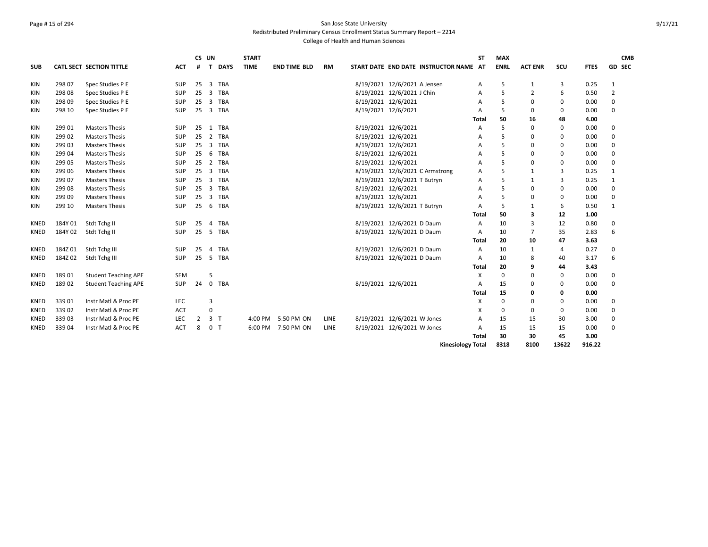# Page # 15 of 294 San Jose State University Redistributed Preliminary Census Enrollment Status Summary Report – 2214

|             |         |                             |            | CS UN          |                              | <b>START</b> |                     |             |                                        | <b>ST</b>    | <b>MAX</b>  |                |                |             | <b>CMB</b>     |
|-------------|---------|-----------------------------|------------|----------------|------------------------------|--------------|---------------------|-------------|----------------------------------------|--------------|-------------|----------------|----------------|-------------|----------------|
| <b>SUB</b>  |         | CATL SECT SECTION TITTLE    | <b>ACT</b> | #              | <b>DAYS</b><br>T             | <b>TIME</b>  | <b>END TIME BLD</b> | <b>RM</b>   | START DATE END DATE INSTRUCTOR NAME AT |              | <b>ENRL</b> | <b>ACT ENR</b> | SCU            | <b>FTES</b> | <b>GD SEC</b>  |
| KIN         | 298 07  | Spec Studies P E            | SUP        | 25             | 3<br><b>TBA</b>              |              |                     |             | 8/19/2021 12/6/2021 A Jensen           | Α            | 5           | $\mathbf{1}$   | 3              | 0.25        | 1              |
| KIN         | 298 08  | Spec Studies P E            | SUP        | 25             | 3<br>TBA                     |              |                     |             | 8/19/2021 12/6/2021 J Chin             | A            | 5           | 2              | 6              | 0.50        | $\overline{2}$ |
| KIN         | 298 09  | Spec Studies P E            | <b>SUP</b> | 25             | 3<br><b>TBA</b>              |              |                     |             | 8/19/2021 12/6/2021                    | A            | 5           | 0              | $\mathbf 0$    | 0.00        | 0              |
| KIN         | 298 10  | Spec Studies P E            | SUP        | 25             | $\overline{3}$<br><b>TBA</b> |              |                     |             | 8/19/2021 12/6/2021                    | A            | 5           | 0              | $\mathbf 0$    | 0.00        | $\Omega$       |
|             |         |                             |            |                |                              |              |                     |             |                                        | <b>Total</b> | 50          | 16             | 48             | 4.00        |                |
| KIN         | 299 01  | <b>Masters Thesis</b>       | SUP        | 25             | <b>TBA</b><br>1              |              |                     |             | 8/19/2021 12/6/2021                    | Α            | 5           | 0              | 0              | 0.00        | 0              |
| KIN         | 299 02  | <b>Masters Thesis</b>       | SUP        | 25             | <b>TBA</b><br>$\overline{2}$ |              |                     |             | 8/19/2021 12/6/2021                    | A            | 5           | 0              | 0              | 0.00        | 0              |
| KIN         | 299 03  | <b>Masters Thesis</b>       | SUP        | 25             | 3<br><b>TBA</b>              |              |                     |             | 8/19/2021 12/6/2021                    | A            | 5           | 0              | $\mathbf 0$    | 0.00        | 0              |
| <b>KIN</b>  | 299 04  | <b>Masters Thesis</b>       | SUP        | 25             | <b>TBA</b><br>6              |              |                     |             | 8/19/2021 12/6/2021                    | A            | 5           | 0              | $\mathbf 0$    | 0.00        | $\Omega$       |
| KIN         | 299 05  | <b>Masters Thesis</b>       | SUP        | 25             | <b>TBA</b><br>2              |              |                     |             | 8/19/2021 12/6/2021                    | A            | 5           | 0              | 0              | 0.00        | 0              |
| <b>KIN</b>  | 299 06  | <b>Masters Thesis</b>       | SUP        | 25             | 3<br><b>TBA</b>              |              |                     |             | 8/19/2021 12/6/2021 C Armstrong        | A            | 5           | $\mathbf{1}$   | 3              | 0.25        | 1              |
| <b>KIN</b>  | 299 07  | <b>Masters Thesis</b>       | SUP        | 25             | 3 TBA                        |              |                     |             | 8/19/2021 12/6/2021 T Butryn           | A            | 5           | $\mathbf{1}$   | 3              | 0.25        | 1              |
| KIN         | 299 08  | <b>Masters Thesis</b>       | SUP        | 25             | $\overline{3}$<br><b>TBA</b> |              |                     |             | 8/19/2021 12/6/2021                    | A            | 5           | 0              | $\mathbf 0$    | 0.00        | $\Omega$       |
| KIN         | 299 09  | <b>Masters Thesis</b>       | SUP        | 25             | <b>TBA</b><br>3              |              |                     |             | 8/19/2021 12/6/2021                    | A            | 5           | 0              | $\mathbf 0$    | 0.00        | 0              |
| <b>KIN</b>  | 299 10  | <b>Masters Thesis</b>       | SUP        | 25             | <b>TBA</b><br>6              |              |                     |             | 8/19/2021 12/6/2021 T Butryn           | A            | 5           | $\mathbf{1}$   | 6              | 0.50        | 1              |
|             |         |                             |            |                |                              |              |                     |             |                                        | Total        | 50          | 3              | 12             | 1.00        |                |
| <b>KNED</b> | 184Y 01 | Stdt Tchg II                | <b>SUP</b> | 25             | <b>TBA</b><br>$\overline{4}$ |              |                     |             | 8/19/2021 12/6/2021 D Daum             | Α            | 10          | 3              | 12             | 0.80        | 0              |
| <b>KNED</b> | 184Y 02 | Stdt Tchg II                | <b>SUP</b> | 25             | 5 TBA                        |              |                     |             | 8/19/2021 12/6/2021 D Daum             | A            | 10          | $\overline{7}$ | 35             | 2.83        | 6              |
|             |         |                             |            |                |                              |              |                     |             |                                        | Total        | 20          | 10             | 47             | 3.63        |                |
| KNED        | 184Z01  | Stdt Tchg III               | SUP        | 25             | <b>TBA</b><br>$\overline{a}$ |              |                     |             | 8/19/2021 12/6/2021 D Daum             | Α            | 10          | $\mathbf{1}$   | $\overline{4}$ | 0.27        | 0              |
| <b>KNED</b> | 184Z02  | Stdt Tchg III               | SUP        | 25             | <b>TBA</b><br>5              |              |                     |             | 8/19/2021 12/6/2021 D Daum             | Α            | 10          | 8              | 40             | 3.17        | 6              |
|             |         |                             |            |                |                              |              |                     |             |                                        | <b>Total</b> | 20          | 9              | 44             | 3.43        |                |
| <b>KNED</b> | 18901   | <b>Student Teaching APE</b> | <b>SEM</b> |                | 5                            |              |                     |             |                                        | X            | $\mathbf 0$ | 0              | $\mathbf 0$    | 0.00        | 0              |
| <b>KNED</b> | 18902   | <b>Student Teaching APE</b> | SUP        | 24             | <b>TBA</b><br>$\mathbf{0}$   |              |                     |             | 8/19/2021 12/6/2021                    | A            | 15          | 0              | 0              | 0.00        | 0              |
|             |         |                             |            |                |                              |              |                     |             |                                        | <b>Total</b> | 15          | 0              | 0              | 0.00        |                |
| <b>KNED</b> | 33901   | Instr Matl & Proc PE        | LEC        |                | 3                            |              |                     |             |                                        | X            | $\mathbf 0$ | 0              | $\mathbf 0$    | 0.00        | 0              |
| <b>KNED</b> | 339 02  | Instr Matl & Proc PE        | ACT        |                |                              |              |                     |             |                                        | X            | $\mathbf 0$ | 0              | $\mathbf 0$    | 0.00        | 0              |
| KNED        | 33903   | Instr Matl & Proc PE        | LEC        | $\overline{2}$ | 3 <sub>1</sub>               | 4:00 PM      | 5:50 PM ON          | LINE        | 8/19/2021 12/6/2021 W Jones            | A            | 15          | 15             | 30             | 3.00        | 0              |
| <b>KNED</b> | 33904   | Instr Matl & Proc PE        | <b>ACT</b> | 8              | 0 <sub>T</sub>               | 6:00 PM      | 7:50 PM ON          | <b>LINE</b> | 8/19/2021 12/6/2021 W Jones            | A            | 15          | 15             | 15             | 0.00        | 0              |
|             |         |                             |            |                |                              |              |                     |             |                                        | <b>Total</b> | 30          | 30             | 45             | 3.00        |                |
|             |         |                             |            |                |                              |              |                     |             | <b>Kinesiology Total</b>               |              | 8318        | 8100           | 13622          | 916.22      |                |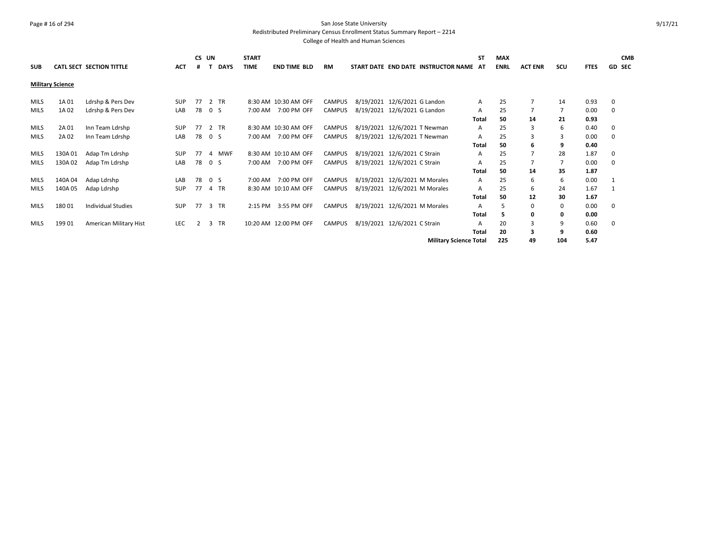#### Page # 16 of 294 San Jose State University Redistributed Preliminary Census Enrollment Status Summary Report – 2214

| <b>SUB</b>  |                         | CATL SECT SECTION TITTLE  | <b>ACT</b> |    | CS UN          | <b>DAYS</b> | <b>START</b><br><b>TIME</b> | <b>END TIME BLD</b>   | <b>RM</b>     |                               | START DATE END DATE INSTRUCTOR NAME AT | <b>ST</b>    | <b>MAX</b><br><b>ENRL</b> | <b>ACT ENR</b> | SCU            | <b>FTES</b> | <b>CMB</b><br><b>GD SEC</b> |
|-------------|-------------------------|---------------------------|------------|----|----------------|-------------|-----------------------------|-----------------------|---------------|-------------------------------|----------------------------------------|--------------|---------------------------|----------------|----------------|-------------|-----------------------------|
|             | <b>Military Science</b> |                           |            |    |                |             |                             |                       |               |                               |                                        |              |                           |                |                |             |                             |
| <b>MILS</b> | 1A 01                   | Ldrshp & Pers Dev         | SUP        | 77 |                | 2 TR        |                             | 8:30 AM 10:30 AM OFF  | <b>CAMPUS</b> | 8/19/2021 12/6/2021 G Landon  |                                        | A            | 25                        | $\overline{7}$ | 14             | 0.93        | 0                           |
| <b>MILS</b> | 1A 02                   | Ldrshp & Pers Dev         | LAB        | 78 | 0 <sub>5</sub> |             | 7:00 AM                     | 7:00 PM OFF           | <b>CAMPUS</b> | 8/19/2021 12/6/2021 G Landon  |                                        | A            | 25                        | $\overline{7}$ | $\overline{7}$ | 0.00        | 0                           |
|             |                         |                           |            |    |                |             |                             |                       |               |                               |                                        | Total        | 50                        | 14             | 21             | 0.93        |                             |
| <b>MILS</b> | 2A 01                   | Inn Team Ldrshp           | SUP        | 77 |                | 2 TR        |                             | 8:30 AM 10:30 AM OFF  | CAMPUS        | 8/19/2021 12/6/2021 T Newman  |                                        | Α            | 25                        | 3              | 6              | 0.40        | 0                           |
| <b>MILS</b> | 2A 02                   | Inn Team Ldrshp           | LAB        | 78 | 0 <sub>S</sub> |             | 7:00 AM                     | 7:00 PM OFF           | <b>CAMPUS</b> | 8/19/2021 12/6/2021 T Newman  |                                        | A            | 25                        | 3              | 3              | 0.00        | 0                           |
|             |                         |                           |            |    |                |             |                             |                       |               |                               |                                        | Total        | 50                        | 6              | 9              | 0.40        |                             |
| MILS        | 130A01                  | Adap Tm Ldrshp            | <b>SUP</b> | 77 | 4              | <b>MWF</b>  |                             | 8:30 AM 10:10 AM OFF  | CAMPUS        | 8/19/2021 12/6/2021 C Strain  |                                        | A            | 25                        | $\overline{7}$ | 28             | 1.87        | 0                           |
| <b>MILS</b> | 130A 02                 | Adap Tm Ldrshp            | LAB        | 78 | 0 <sup>5</sup> |             | 7:00 AM                     | 7:00 PM OFF           | CAMPUS        | 8/19/2021 12/6/2021 C Strain  |                                        | A            | 25                        | $\overline{7}$ | $\overline{7}$ | 0.00        | 0                           |
|             |                         |                           |            |    |                |             |                             |                       |               |                               |                                        | Total        | 50                        | 14             | 35             | 1.87        |                             |
| <b>MILS</b> | 140A04                  | Adap Ldrshp               | LAB        | 78 | 0 <sup>5</sup> |             | 7:00 AM                     | 7:00 PM OFF           | <b>CAMPUS</b> | 8/19/2021 12/6/2021 M Morales |                                        | A            | 25                        | 6              | 6              | 0.00        | 1                           |
| <b>MILS</b> | 140A 05                 | Adap Ldrshp               | SUP        | 77 |                | 4 TR        |                             | 8:30 AM 10:10 AM OFF  | CAMPUS        | 8/19/2021 12/6/2021 M Morales |                                        | A            | 25                        | 6              | 24             | 1.67        |                             |
|             |                         |                           |            |    |                |             |                             |                       |               |                               |                                        | Total        | 50                        | 12             | 30             | 1.67        |                             |
| <b>MILS</b> | 18001                   | <b>Individual Studies</b> | <b>SUP</b> | 77 |                | 3 TR        | 2:15 PM                     | 3:55 PM OFF           | <b>CAMPUS</b> | 8/19/2021 12/6/2021 M Morales |                                        | A            | 5                         | 0              | 0              | 0.00        | 0                           |
|             |                         |                           |            |    |                |             |                             |                       |               |                               |                                        | Total        | 5                         | 0              | 0              | 0.00        |                             |
| <b>MILS</b> | 199 01                  | American Military Hist    | <b>LEC</b> |    | 3              | TR          |                             | 10:20 AM 12:00 PM OFF | CAMPUS        | 8/19/2021 12/6/2021 C Strain  |                                        | A            | 20                        | 3              | 9              | 0.60        | 0                           |
|             |                         |                           |            |    |                |             |                             |                       |               |                               |                                        | <b>Total</b> | 20                        | 3              | 9              | 0.60        |                             |
|             |                         |                           |            |    |                |             |                             |                       |               |                               | <b>Military Science Total</b>          |              | 225                       | 49             | 104            | 5.47        |                             |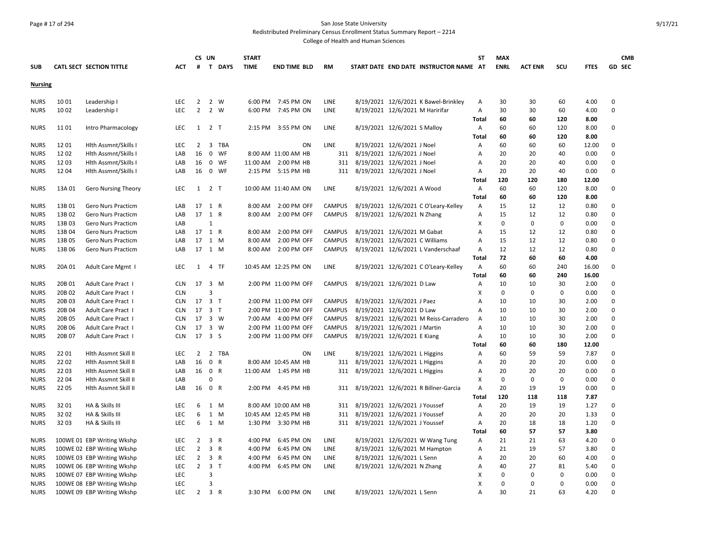# Page # 17 of 294 San Jose State University Redistributed Preliminary Census Enrollment Status Summary Report – 2214

|                |        |                            |            | CS UN          |                |        | <b>START</b> |                      |               |                                |                                 |                                        | <b>ST</b>      | <b>MAX</b>  |                |              |             | <b>CMB</b>  |
|----------------|--------|----------------------------|------------|----------------|----------------|--------|--------------|----------------------|---------------|--------------------------------|---------------------------------|----------------------------------------|----------------|-------------|----------------|--------------|-------------|-------------|
| <b>SUB</b>     |        | CATL SECT SECTION TITTLE   | <b>ACT</b> | #              |                | T DAYS | <b>TIME</b>  | <b>END TIME BLD</b>  | <b>RM</b>     |                                |                                 | START DATE END DATE INSTRUCTOR NAME AT |                | <b>ENRL</b> | <b>ACT ENR</b> | SCU          | <b>FTES</b> | GD SEC      |
| <b>Nursing</b> |        |                            |            |                |                |        |              |                      |               |                                |                                 |                                        |                |             |                |              |             |             |
| <b>NURS</b>    | 1001   | Leadership I               | <b>LEC</b> | $\overline{2}$ |                | 2 W    | 6:00 PM      | 7:45 PM ON           | LINE          |                                |                                 | 8/19/2021 12/6/2021 K Bawel-Brinkley   | A              | 30          | 30             | 60           | 4.00        | $\mathbf 0$ |
| <b>NURS</b>    | 1002   | Leadership I               | LEC        | $\overline{2}$ | 2 W            |        | 6:00 PM      | 7:45 PM ON           | LINE          |                                | 8/19/2021 12/6/2021 M Haririfar |                                        | Α              | 30          | 30             | 60           | 4.00        | $\Omega$    |
|                |        |                            |            |                |                |        |              |                      |               |                                |                                 |                                        | Total          | 60          | 60             | 120          | 8.00        |             |
| <b>NURS</b>    | 1101   | Intro Pharmacology         | <b>LEC</b> | 1              | 2 <sub>T</sub> |        | 2:15 PM      | 3:55 PM ON           | LINE          |                                | 8/19/2021 12/6/2021 S Malloy    |                                        | Α              | 60          | 60             | 120          | 8.00        | $\mathbf 0$ |
|                |        |                            |            |                |                |        |              |                      |               |                                |                                 |                                        | Total          | 60          | 60             | 120          | 8.00        |             |
| <b>NURS</b>    | 1201   | Hlth Assmnt/Skills I       | <b>LEC</b> | $\overline{2}$ |                | 3 TBA  |              | ON                   | LINE          |                                | 8/19/2021 12/6/2021 J Noel      |                                        | Α              | 60          | 60             | 60           | 12.00       | $\Omega$    |
| <b>NURS</b>    | 1202   | Hith Assmnt/Skills I       | LAB        | 16             | $\mathsf 0$    | WF     |              | 8:00 AM 11:00 AM HB  | 311           | 8/19/2021 12/6/2021 J Noel     |                                 |                                        | A              | 20          | 20             | 40           | 0.00        | $\Omega$    |
| <b>NURS</b>    | 1203   | Hith Assmnt/Skills I       | LAB        | 16             |                | 0 WF   | 11:00 AM     | 2:00 PM HB           | 311           | 8/19/2021 12/6/2021 J Noel     |                                 |                                        | $\overline{A}$ | 20          | 20             | 40           | 0.00        | $\Omega$    |
| <b>NURS</b>    | 1204   | Hith Assmnt/Skills I       | LAB        | 16             |                | 0 WF   | 2:15 PM      | 5:15 PM HB           | 311           | 8/19/2021 12/6/2021 J Noel     |                                 |                                        | A              | 20          | 20             | 40           | 0.00        | $\Omega$    |
|                |        |                            |            |                |                |        |              |                      |               |                                |                                 |                                        | Total          | 120         | 120            | 180          | 12.00       |             |
| <b>NURS</b>    | 13A 01 | <b>Gero Nursing Theory</b> | LEC        | 1              | 2 T            |        |              | 10:00 AM 11:40 AM ON | LINE          |                                | 8/19/2021 12/6/2021 A Wood      |                                        | Α              | 60          | 60             | 120          | 8.00        | $\mathbf 0$ |
|                |        |                            |            |                |                |        |              |                      |               |                                |                                 |                                        | Total          | 60          | 60             | 120          | 8.00        |             |
| <b>NURS</b>    | 13B01  | Gero Nurs Practicm         | LAB        | 17             | 1 R            |        | 8:00 AM      | 2:00 PM OFF          | <b>CAMPUS</b> |                                |                                 | 8/19/2021 12/6/2021 C O'Leary-Kelley   | Α              | 15          | 12             | 12           | 0.80        | $\mathbf 0$ |
| <b>NURS</b>    | 13B02  | Gero Nurs Practicm         | LAB        | 17             | 1 R            |        | 8:00 AM      | 2:00 PM OFF          | CAMPUS        | 8/19/2021 12/6/2021 N Zhang    |                                 |                                        | $\overline{A}$ | 15          | 12             | 12           | 0.80        | $\Omega$    |
| <b>NURS</b>    | 13B03  | <b>Gero Nurs Practicm</b>  | LAB        |                | $\mathbf{1}$   |        |              |                      |               |                                |                                 |                                        | X              | $\mathbf 0$ | $\mathbf 0$    | 0            | 0.00        | $\Omega$    |
| <b>NURS</b>    | 13B04  | Gero Nurs Practicm         | LAB        | 17 1 R         |                |        | 8:00 AM      | 2:00 PM OFF          | <b>CAMPUS</b> | 8/19/2021 12/6/2021 M Gabat    |                                 |                                        | $\overline{A}$ | 15          | 12             | 12           | 0.80        | $\Omega$    |
| <b>NURS</b>    | 13B05  | Gero Nurs Practicm         | LAB        | 17             | 1 M            |        | 8:00 AM      | 2:00 PM OFF          | <b>CAMPUS</b> | 8/19/2021 12/6/2021 C Williams |                                 |                                        | A              | 15          | 12             | 12           | 0.80        | $\mathbf 0$ |
| <b>NURS</b>    | 13B 06 | Gero Nurs Practicm         | LAB        | 17 1 M         |                |        |              | 8:00 AM 2:00 PM OFF  | CAMPUS        |                                |                                 | 8/19/2021 12/6/2021 L Vanderschaaf     | Α              | 12          | 12             | 12           | 0.80        | $\Omega$    |
|                |        |                            |            |                |                |        |              |                      |               |                                |                                 |                                        | Total          | 72          | 60             | 60           | 4.00        |             |
| <b>NURS</b>    | 20A 01 | Adult Care Mgmt I          | LEC        | $\mathbf{1}$   |                | 4 TF   |              | 10:45 AM 12:25 PM ON | LINE          |                                |                                 | 8/19/2021 12/6/2021 C O'Leary-Kelley   | Α              | 60          | 60             | 240          | 16.00       | $\Omega$    |
|                |        |                            |            |                |                |        |              |                      |               |                                |                                 |                                        | Total          | 60          | 60             | 240          | 16.00       |             |
| <b>NURS</b>    | 20B 01 | Adult Care Pract I         | <b>CLN</b> | 17             | 3 M            |        |              | 2:00 PM 11:00 PM OFF | <b>CAMPUS</b> | 8/19/2021 12/6/2021 D Law      |                                 |                                        | Α              | 10          | 10             | 30           | 2.00        | $\mathbf 0$ |
| <b>NURS</b>    | 20B 02 | Adult Care Pract I         | <b>CLN</b> |                | 3              |        |              |                      |               |                                |                                 |                                        | X              | $\mathbf 0$ | $\mathbf 0$    | 0            | 0.00        | $\Omega$    |
| <b>NURS</b>    | 20B03  | Adult Care Pract I         | <b>CLN</b> | 17             | 3 <sub>1</sub> |        |              | 2:00 PM 11:00 PM OFF | <b>CAMPUS</b> | 8/19/2021 12/6/2021 J Paez     |                                 |                                        | A              | 10          | 10             | 30           | 2.00        | $\Omega$    |
| <b>NURS</b>    | 20B 04 | Adult Care Pract I         | <b>CLN</b> | 17             | 3 <sub>1</sub> |        |              | 2:00 PM 11:00 PM OFF | <b>CAMPUS</b> | 8/19/2021 12/6/2021 D Law      |                                 |                                        | $\overline{A}$ | 10          | 10             | 30           | 2.00        | $\Omega$    |
| <b>NURS</b>    | 20B 05 | Adult Care Pract I         | <b>CLN</b> | 17             | 3 W            |        |              | 7:00 AM 4:00 PM OFF  | <b>CAMPUS</b> |                                |                                 | 8/19/2021 12/6/2021 M Reiss-Carradero  | $\overline{A}$ | 10          | 10             | 30           | 2.00        | $\mathbf 0$ |
| <b>NURS</b>    | 20B 06 | Adult Care Pract I         | <b>CLN</b> | 17             | 3 W            |        |              | 2:00 PM 11:00 PM OFF | <b>CAMPUS</b> | 8/19/2021 12/6/2021 J Martin   |                                 |                                        | $\overline{A}$ | 10          | 10             | 30           | 2.00        | $\Omega$    |
| <b>NURS</b>    | 20B 07 | Adult Care Pract I         | <b>CLN</b> | 17             | 3 <sub>5</sub> |        |              | 2:00 PM 11:00 PM OFF | <b>CAMPUS</b> | 8/19/2021 12/6/2021 E Kiang    |                                 |                                        | A              | 10          | 10             | 30           | 2.00        | $\mathbf 0$ |
|                |        |                            |            |                |                |        |              |                      |               |                                |                                 |                                        | Total          | 60          | 60             | 180          | 12.00       |             |
| <b>NURS</b>    | 2201   | Hlth Assmnt Skill II       | LEC        | $\overline{2}$ |                | 2 TBA  |              | ON                   | LINE          |                                | 8/19/2021 12/6/2021 L Higgins   |                                        | Α              | 60          | 59             | 59           | 7.87        | $\mathbf 0$ |
| <b>NURS</b>    | 22 02  | Hlth Assmnt Skill II       | LAB        | 16             | 0 R            |        |              | 8:00 AM 10:45 AM HB  | 311           | 8/19/2021 12/6/2021 L Higgins  |                                 |                                        | A              | 20          | 20             | 20           | 0.00        | $\Omega$    |
| <b>NURS</b>    | 22 03  | Hlth Assmnt Skill II       | LAB        | 16             | 0 R            |        |              | 11:00 AM  1:45 PM HB | 311           | 8/19/2021 12/6/2021 L Higgins  |                                 |                                        | Α              | 20          | 20             | 20           | 0.00        | $\mathbf 0$ |
| <b>NURS</b>    | 22 04  | Hlth Assmnt Skill II       | LAB        |                | 0              |        |              |                      |               |                                |                                 |                                        | X              | 0           | $\mathbf 0$    | $\mathbf{0}$ | 0.00        | $\mathbf 0$ |
| <b>NURS</b>    | 22 05  | Hlth Assmnt Skill II       | LAB        | 16             | 0 R            |        |              | 2:00 PM 4:45 PM HB   | 311           |                                |                                 | 8/19/2021 12/6/2021 R Billner-Garcia   | A              | 20          | 19             | 19           | 0.00        | $\mathbf 0$ |
|                |        |                            |            |                |                |        |              |                      |               |                                |                                 |                                        | Total          | 120         | 118            | 118          | 7.87        |             |
| <b>NURS</b>    | 3201   | HA & Skills III            | LEC        | 6              | 1 M            |        |              | 8:00 AM 10:00 AM HB  | 311           | 8/19/2021 12/6/2021 J Youssef  |                                 |                                        | Α              | 20          | 19             | 19           | 1.27        | 0           |
| <b>NURS</b>    | 3202   | HA & Skills III            | LEC        | 6              | 1 M            |        |              | 10:45 AM 12:45 PM HB | 311           | 8/19/2021 12/6/2021 J Youssef  |                                 |                                        | A              | 20          | 20             | 20           | 1.33        | $\Omega$    |
| <b>NURS</b>    | 3203   | HA & Skills III            | LEC        | 6              | 1 M            |        |              | 1:30 PM 3:30 PM HB   | 311           | 8/19/2021 12/6/2021 J Youssef  |                                 |                                        | Α              | 20          | 18             | 18           | 1.20        | $\Omega$    |
|                |        |                            |            |                |                |        |              |                      |               |                                |                                 |                                        | Total          | 60          | 57             | 57           | 3.80        |             |
| <b>NURS</b>    |        | 100WE 01 EBP Writing Wkshp | LEC        | $\overline{2}$ | 3 R            |        | 4:00 PM      | 6:45 PM ON           | LINE          |                                |                                 | 8/19/2021 12/6/2021 W Wang Tung        | Α              | 21          | 21             | 63           | 4.20        | $\Omega$    |
| <b>NURS</b>    |        | 100WE 02 EBP Writing Wkshp | <b>LEC</b> | $\overline{2}$ | 3 R            |        | 4:00 PM      | 6:45 PM ON           | <b>LINE</b>   |                                |                                 | 8/19/2021 12/6/2021 M Hampton          | A              | 21          | 19             | 57           | 3.80        | $\Omega$    |
| <b>NURS</b>    |        | 100WE 03 EBP Writing Wkshp | <b>LEC</b> | $\overline{2}$ | 3 R            |        | 4:00 PM      | 6:45 PM ON           | LINE          |                                | 8/19/2021 12/6/2021 L Senn      |                                        | Α              | 20          | 20             | 60           | 4.00        | $\mathbf 0$ |
| <b>NURS</b>    |        | 100WE 06 EBP Writing Wkshp | LEC        | $\overline{2}$ | 3 <sub>1</sub> |        | 4:00 PM      | 6:45 PM ON           | LINE          |                                | 8/19/2021 12/6/2021 N Zhang     |                                        | Α              | 40          | 27             | 81           | 5.40        | $\Omega$    |
| <b>NURS</b>    |        | 100WE 07 EBP Writing Wkshp | LEC        |                | 3              |        |              |                      |               |                                |                                 |                                        | X              | 0           | $\mathbf 0$    | 0            | 0.00        | $\mathbf 0$ |
| <b>NURS</b>    |        | 100WE 08 EBP Writing Wkshp | LEC        |                | 3              |        |              |                      |               |                                |                                 |                                        | Χ              | 0           | $\Omega$       | $\Omega$     | 0.00        | $\Omega$    |
| <b>NURS</b>    |        | 100WE 09 EBP Writing Wkshp | <b>LEC</b> | $\overline{2}$ | 3 R            |        | 3:30 PM      | 6:00 PM ON           | LINE          |                                | 8/19/2021 12/6/2021 L Senn      |                                        | $\overline{A}$ | 30          | 21             | 63           | 4.20        | $\Omega$    |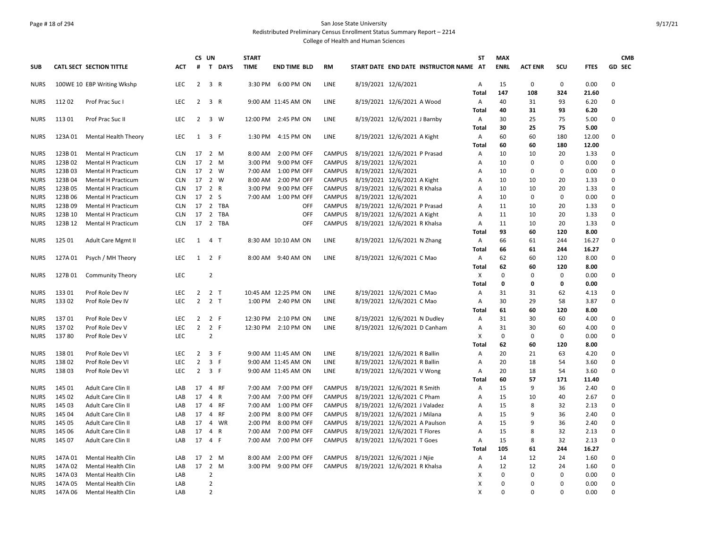# Page # 18 of 294 San Jose State University Redistributed Preliminary Census Enrollment Status Summary Report – 2214

|                     |                  |                                          |                          | CS UN          |                       |              | <b>START</b>       |                            |                                |                     |                                                             | <b>ST</b>      | <b>MAX</b>   |                |                   |              | <b>CMB</b>    |
|---------------------|------------------|------------------------------------------|--------------------------|----------------|-----------------------|--------------|--------------------|----------------------------|--------------------------------|---------------------|-------------------------------------------------------------|----------------|--------------|----------------|-------------------|--------------|---------------|
| <b>SUB</b>          |                  | CATL SECT SECTION TITTLE                 | <b>ACT</b>               | #              |                       | T DAYS       | <b>TIME</b>        | <b>END TIME BLD</b>        | <b>RM</b>                      |                     | START DATE END DATE INSTRUCTOR NAME AT                      |                | <b>ENRL</b>  | <b>ACT ENR</b> | SCU               | <b>FTES</b>  | <b>GD SEC</b> |
| <b>NURS</b>         |                  | 100WE 10 EBP Writing Wkshp               | <b>LEC</b>               | $\overline{2}$ | 3 R                   |              |                    | 3:30 PM 6:00 PM ON         | <b>LINE</b>                    | 8/19/2021 12/6/2021 |                                                             | Α              | 15           | $\mathbf 0$    | 0                 | 0.00         | 0             |
|                     |                  |                                          |                          |                |                       |              |                    |                            |                                |                     |                                                             | <b>Total</b>   | 147          | 108            | 324               | 21.60        |               |
| <b>NURS</b>         | 11202            | Prof Prac Suc I                          | <b>LEC</b>               | $\overline{2}$ | 3 R                   |              |                    | 9:00 AM 11:45 AM ON        | <b>LINE</b>                    |                     | 8/19/2021 12/6/2021 A Wood                                  | Α              | 40           | 31             | 93                | 6.20         | 0             |
|                     |                  |                                          |                          |                |                       |              |                    |                            |                                |                     |                                                             | <b>Total</b>   | 40           | 31             | 93                | 6.20         |               |
| <b>NURS</b>         | 11301            | Prof Prac Suc II                         | <b>LEC</b>               | $\overline{2}$ |                       | 3 W          |                    | 12:00 PM 2:45 PM ON        | <b>LINE</b>                    |                     | 8/19/2021 12/6/2021 J Barnby                                | Α              | 30           | 25             | 75                | 5.00         | 0             |
|                     |                  |                                          |                          |                |                       |              |                    |                            |                                |                     |                                                             | Total          | 30           | 25             | 75                | 5.00         |               |
| <b>NURS</b>         | 123A 01          | Mental Health Theory                     | LEC                      | 1              | 3 F                   |              | 1:30 PM            | 4:15 PM ON                 | LINE                           |                     | 8/19/2021 12/6/2021 A Kight                                 | Α              | 60           | 60             | 180               | 12.00        | 0             |
|                     |                  |                                          |                          |                |                       |              |                    |                            |                                |                     |                                                             | Total          | 60           | 60             | 180               | 12.00        |               |
| <b>NURS</b>         | 123B01           | <b>Mental H Practicum</b>                | <b>CLN</b><br><b>CLN</b> | 17<br>17       | 2 M<br>$2 \mathsf{M}$ |              | 8:00 AM            | 2:00 PM OFF                | <b>CAMPUS</b>                  |                     | 8/19/2021 12/6/2021 P Prasad                                | Α              | 10           | 10             | 20<br>$\mathbf 0$ | 1.33         | 0<br>0        |
| <b>NURS</b>         | 123B02           | Mental H Practicum                       |                          | 17             |                       | 2 W          | 3:00 PM            | 9:00 PM OFF                | <b>CAMPUS</b>                  | 8/19/2021 12/6/2021 |                                                             | A              | 10<br>10     | 0<br>$\Omega$  | $\mathbf 0$       | 0.00         | 0             |
| <b>NURS</b>         | 123B03<br>123B04 | <b>Mental H Practicum</b>                | <b>CLN</b><br><b>CLN</b> | 17             | 2 W                   |              | 7:00 AM<br>8:00 AM | 1:00 PM OFF<br>2:00 PM OFF | <b>CAMPUS</b><br><b>CAMPUS</b> | 8/19/2021 12/6/2021 |                                                             | Α<br>Α         | 10           | 10             |                   | 0.00         | $\Omega$      |
| <b>NURS</b><br>NURS | 123B 05          | Mental H Practicum<br>Mental H Practicum | <b>CLN</b>               | 17             | 2 R                   |              | 3:00 PM            | 9:00 PM OFF                | <b>CAMPUS</b>                  |                     | 8/19/2021 12/6/2021 A Kight<br>8/19/2021 12/6/2021 R Khalsa | Α              | 10           | 10             | 20<br>20          | 1.33<br>1.33 | 0             |
| <b>NURS</b>         | 123B06           | Mental H Practicum                       | <b>CLN</b>               | 17 2 S         |                       |              | 7:00 AM            | 1:00 PM OFF                | CAMPUS                         | 8/19/2021 12/6/2021 |                                                             | $\overline{A}$ | 10           | $\pmb{0}$      | $\pmb{0}$         | 0.00         | 0             |
| <b>NURS</b>         | 123B09           | Mental H Practicum                       | <b>CLN</b>               | 17             |                       | 2 TBA        |                    | OFF                        | <b>CAMPUS</b>                  |                     | 8/19/2021 12/6/2021 P Prasad                                | Α              | 11           | 10             | 20                | 1.33         | 0             |
| <b>NURS</b>         | 123B 10          | Mental H Practicum                       | <b>CLN</b>               | 17             |                       | 2 TBA        |                    | OFF                        | <b>CAMPUS</b>                  |                     | 8/19/2021 12/6/2021 A Kight                                 | A              | 11           | 10             | 20                | 1.33         | 0             |
| <b>NURS</b>         | 123B 12          | Mental H Practicum                       | <b>CLN</b>               | 17             |                       | 2 TBA        |                    | <b>OFF</b>                 | <b>CAMPUS</b>                  |                     | 8/19/2021 12/6/2021 R Khalsa                                | Α              | 11           | 10             | 20                | 1.33         | 0             |
|                     |                  |                                          |                          |                |                       |              |                    |                            |                                |                     |                                                             | Total          | 93           | 60             | 120               | 8.00         |               |
| <b>NURS</b>         | 125 01           | Adult Care Mgmt II                       | <b>LEC</b>               | 1              | 4 T                   |              |                    | 8:30 AM 10:10 AM ON        | <b>LINE</b>                    |                     | 8/19/2021 12/6/2021 N Zhang                                 | Α              | 66           | 61             | 244               | 16.27        | 0             |
|                     |                  |                                          |                          |                |                       |              |                    |                            |                                |                     |                                                             | Total          | 66           | 61             | 244               | 16.27        |               |
| <b>NURS</b>         | 127A 01          | Psych / MH Theory                        | <b>LEC</b>               | 1              | 2 F                   |              |                    | 8:00 AM 9:40 AM ON         | LINE                           |                     | 8/19/2021 12/6/2021 C Mao                                   | Α              | 62           | 60             | 120               | 8.00         | 0             |
|                     |                  |                                          |                          |                |                       |              |                    |                            |                                |                     |                                                             | Total          | 62           | 60             | 120               | 8.00         |               |
| <b>NURS</b>         | 127B01           | <b>Community Theory</b>                  | LEC                      |                | $\overline{2}$        |              |                    |                            |                                |                     |                                                             | X              | $\mathbf 0$  | $\mathbf 0$    | $\mathbf 0$       | 0.00         | 0             |
|                     |                  |                                          |                          |                |                       |              |                    |                            |                                |                     |                                                             | Total          | $\mathbf{0}$ | $\mathbf{0}$   | $\mathbf 0$       | 0.00         |               |
| <b>NURS</b>         | 133 01           | Prof Role Dev IV                         | LEC                      | 2              | 2 <sub>T</sub>        |              |                    | 10:45 AM 12:25 PM ON       | <b>LINE</b>                    |                     | 8/19/2021 12/6/2021 C Mao                                   | Α              | 31           | 31             | 62                | 4.13         | 0             |
| <b>NURS</b>         | 13302            | Prof Role Dev IV                         | <b>LEC</b>               | $\overline{2}$ | 2 <sub>T</sub>        |              | 1:00 PM            | 2:40 PM ON                 | <b>LINE</b>                    |                     | 8/19/2021 12/6/2021 C Mao                                   | Α              | 30           | 29             | 58                | 3.87         | 0             |
|                     |                  |                                          |                          |                |                       |              |                    |                            |                                |                     |                                                             | Total          | 61           | 60             | 120               | 8.00         |               |
| <b>NURS</b>         | 13701            | Prof Role Dev V                          | LEC                      | $\overline{2}$ | 2 F                   |              | 12:30 PM           | 2:10 PM ON                 | LINE                           |                     | 8/19/2021 12/6/2021 N Dudley                                | Α              | 31           | 30             | 60                | 4.00         | 0             |
| <b>NURS</b>         | 13702            | Prof Role Dev V                          | LEC                      | $\overline{2}$ | 2 F                   |              | 12:30 PM           | 2:10 PM ON                 | LINE                           |                     | 8/19/2021 12/6/2021 D Canham                                | A              | 31           | 30             | 60                | 4.00         | 0             |
| <b>NURS</b>         | 13780            | Prof Role Dev V                          | LEC                      |                | $\overline{2}$        |              |                    |                            |                                |                     |                                                             | X              | $\mathbf 0$  | 0              | $\mathbf 0$       | 0.00         | 0             |
|                     |                  |                                          |                          |                |                       |              |                    |                            |                                |                     |                                                             | Total          | 62           | 60             | 120               | 8.00         |               |
| <b>NURS</b>         | 13801            | Prof Role Dev VI                         | <b>LEC</b>               | $\overline{2}$ | 3 F                   |              |                    | 9:00 AM 11:45 AM ON        | <b>LINE</b>                    |                     | 8/19/2021 12/6/2021 R Ballin                                | Α              | 20           | 21             | 63                | 4.20         | 0             |
| <b>NURS</b>         | 13802            | Prof Role Dev VI                         | <b>LEC</b>               | $\overline{2}$ | 3 F                   |              |                    | 9:00 AM 11:45 AM ON        | LINE                           |                     | 8/19/2021 12/6/2021 R Ballin                                | A              | 20           | 18             | 54                | 3.60         | 0             |
| <b>NURS</b>         | 13803            | Prof Role Dev VI                         | <b>LEC</b>               | $\overline{2}$ | 3 F                   |              |                    | 9:00 AM 11:45 AM ON        | <b>LINE</b>                    |                     | 8/19/2021 12/6/2021 V Wong                                  | A              | 20           | 18             | 54                | 3.60         | 0             |
|                     |                  |                                          |                          |                |                       |              |                    |                            |                                |                     |                                                             | Total          | 60           | 57             | 171               | 11.40        |               |
| <b>NURS</b>         | 145 01           | Adult Care Clin II                       | LAB                      | 17             |                       | 4 RF         | 7:00 AM            | 7:00 PM OFF                | <b>CAMPUS</b>                  |                     | 8/19/2021 12/6/2021 R Smith                                 | Α              | 15           | 9              | 36                | 2.40         | 0             |
| <b>NURS</b>         | 145 02           | Adult Care Clin II                       | LAB                      | 17             | 4 R                   |              | 7:00 AM            | 7:00 PM OFF                | <b>CAMPUS</b>                  |                     | 8/19/2021 12/6/2021 C Pham                                  | Α              | 15           | 10             | 40                | 2.67         | 0             |
| <b>NURS</b>         | 145 03           | Adult Care Clin II                       | LAB                      | 17             |                       | 4 RF         | 7:00 AM            | 1:00 PM OFF                | <b>CAMPUS</b>                  |                     | 8/19/2021 12/6/2021 J Valadez                               | Α              | 15           | 8              | 32                | 2.13         | 0             |
| <b>NURS</b>         | 145 04           | Adult Care Clin II                       | LAB                      | 17             |                       | 4 RF         | 2:00 PM            | 8:00 PM OFF                | <b>CAMPUS</b>                  |                     | 8/19/2021 12/6/2021 J Milana                                | Α              | 15           | 9              | 36                | 2.40         | $\Omega$      |
| <b>NURS</b>         | 145 05           | Adult Care Clin II                       | LAB                      | 17             |                       | 4 WR         | 2:00 PM            | 8:00 PM OFF                | <b>CAMPUS</b>                  |                     | 8/19/2021 12/6/2021 A Paulson                               | Α              | 15           | 9              | 36                | 2.40         | $\Omega$      |
| <b>NURS</b>         | 145 06           | Adult Care Clin II                       | LAB                      | 17             | 4                     | $\mathsf{R}$ | 7:00 AM            | 7:00 PM OFF                | <b>CAMPUS</b>                  |                     | 8/19/2021 12/6/2021 T Flores                                | $\overline{A}$ | 15           | 8              | 32                | 2.13         | 0             |
| <b>NURS</b>         | 145 07           | Adult Care Clin II                       | LAB                      | 17 4 F         |                       |              | 7:00 AM            | 7:00 PM OFF                | <b>CAMPUS</b>                  |                     | 8/19/2021 12/6/2021 T Goes                                  | Α              | 15           | 8              | 32                | 2.13         | 0             |
|                     |                  |                                          |                          |                |                       |              |                    |                            |                                |                     |                                                             | Total          | 105          | 61             | 244               | 16.27        |               |
| <b>NURS</b>         | 147A 01          | Mental Health Clin                       | LAB                      | 17             | 2 M                   |              | 8:00 AM            | 2:00 PM OFF                | <b>CAMPUS</b>                  |                     | 8/19/2021 12/6/2021 J Njie                                  | Α              | 14           | 12             | 24                | 1.60         | 0             |
| <b>NURS</b>         | 147A 02          | Mental Health Clin                       | LAB                      | 17             | 2 M                   |              | 3:00 PM            | 9:00 PM OFF                | CAMPUS                         |                     | 8/19/2021 12/6/2021 R Khalsa                                | Α              | 12           | 12             | 24                | 1.60         | 0             |
| <b>NURS</b>         | 147A 03          | <b>Mental Health Clin</b>                | LAB                      |                | $\overline{2}$        |              |                    |                            |                                |                     |                                                             | X              | 0            | 0              | $\mathbf 0$       | 0.00         | 0             |
| <b>NURS</b>         | 147A 05          | <b>Mental Health Clin</b>                | LAB                      |                | $\overline{2}$        |              |                    |                            |                                |                     |                                                             | Χ              | $\Omega$     | $\Omega$       | $\Omega$          | 0.00         | 0             |
| <b>NURS</b>         | 147A 06          | <b>Mental Health Clin</b>                | LAB                      |                | $\overline{2}$        |              |                    |                            |                                |                     |                                                             | $\mathsf{x}$   | $\Omega$     | $\Omega$       | $\Omega$          | 0.00         | 0             |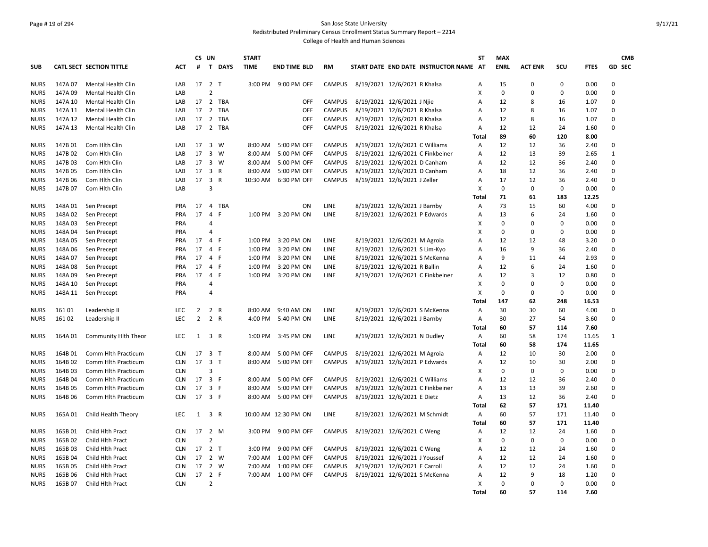# Page # 19 of 294 San Jose State University Redistributed Preliminary Census Enrollment Status Summary Report – 2214

|             |         |                           |            | CS UN          |                                | <b>START</b> |                      |               |                                        | ST                        | <b>MAX</b>  |                |             |             | <b>CMB</b>    |
|-------------|---------|---------------------------|------------|----------------|--------------------------------|--------------|----------------------|---------------|----------------------------------------|---------------------------|-------------|----------------|-------------|-------------|---------------|
| SUB         |         | CATL SECT SECTION TITTLE  | <b>ACT</b> | #              | T DAYS                         | <b>TIME</b>  | <b>END TIME BLD</b>  | <b>RM</b>     | START DATE END DATE INSTRUCTOR NAME AT |                           | <b>ENRL</b> | <b>ACT ENR</b> | SCU         | <b>FTES</b> | <b>GD SEC</b> |
| <b>NURS</b> | 147A 07 | <b>Mental Health Clin</b> | LAB        |                | 17 2 T                         |              | 3:00 PM 9:00 PM OFF  | <b>CAMPUS</b> | 8/19/2021 12/6/2021 R Khalsa           | Α                         | 15          | $\mathbf 0$    | $\mathbf 0$ | 0.00        | 0             |
| <b>NURS</b> | 147A 09 | <b>Mental Health Clin</b> | LAB        |                | $\overline{2}$                 |              |                      |               |                                        | $\mathsf{x}$              | 0           | $\Omega$       | 0           | 0.00        | 0             |
| <b>NURS</b> | 147A 10 | <b>Mental Health Clin</b> | LAB        | 17             | 2 TBA                          |              | OFF                  | <b>CAMPUS</b> | 8/19/2021 12/6/2021 J Njie             | Α                         | 12          | 8              | 16          | 1.07        | 0             |
| <b>NURS</b> | 147A 11 | Mental Health Clin        | LAB        | 17             | $\overline{2}$<br>TBA          |              | <b>OFF</b>           | <b>CAMPUS</b> | 8/19/2021 12/6/2021 R Khalsa           | A                         | 12          | 8              | 16          | 1.07        | 0             |
| <b>NURS</b> | 147A 12 | Mental Health Clin        | LAB        | 17             | $\overline{2}$<br><b>TBA</b>   |              | OFF                  | <b>CAMPUS</b> | 8/19/2021 12/6/2021 R Khalsa           | A                         | 12          | 8              | 16          | 1.07        | $\mathbf 0$   |
| <b>NURS</b> | 147A 13 | <b>Mental Health Clin</b> | LAB        |                | 17 2 TBA                       |              | <b>OFF</b>           | <b>CAMPUS</b> | 8/19/2021 12/6/2021 R Khalsa           | Α                         | 12          | 12             | 24          | 1.60        | 0             |
|             |         |                           |            |                |                                |              |                      |               |                                        | <b>Total</b>              | 89          | 60             | 120         | 8.00        |               |
| <b>NURS</b> | 147B 01 | Com Hlth Clin             | LAB        | 17             | 3 W                            | 8:00 AM      | 5:00 PM OFF          | <b>CAMPUS</b> | 8/19/2021 12/6/2021 C Williams         | Α                         | 12          | 12             | 36          | 2.40        | 0             |
| <b>NURS</b> | 147B 02 | Com Hlth Clin             | LAB        | 17             | $3 \quad W$                    | 8:00 AM      | 5:00 PM OFF          | <b>CAMPUS</b> | 8/19/2021 12/6/2021 C Finkbeiner       | A                         | 12          | 13             | 39          | 2.65        | $\mathbf{1}$  |
| <b>NURS</b> | 147B03  | Com Hlth Clin             | LAB        | 17             | $3 \quad W$                    | 8:00 AM      | 5:00 PM OFF          | <b>CAMPUS</b> | 8/19/2021 12/6/2021 D Canham           | A                         | 12          | 12             | 36          | 2.40        | 0             |
| <b>NURS</b> | 147B 05 | Com Hith Clin             | LAB        | 17             | 3<br>R                         | 8:00 AM      | 5:00 PM OFF          | <b>CAMPUS</b> | 8/19/2021 12/6/2021 D Canham           | A                         | 18          | 12             | 36          | 2.40        | 0             |
| <b>NURS</b> | 147B 06 | Com Hith Clin             | LAB        | 17             | 3<br>$\mathsf{R}$              | 10:30 AM     | 6:30 PM OFF          | <b>CAMPUS</b> | 8/19/2021 12/6/2021 J Zeller           | A                         | 17          | 12             | 36          | 2.40        | 0             |
| <b>NURS</b> | 147B 07 | Com Hith Clin             | LAB        |                | 3                              |              |                      |               |                                        | X                         | 0           | $\mathbf 0$    | 0           | 0.00        | 0             |
|             |         |                           |            |                |                                |              |                      |               |                                        | Total                     | 71          | 61             | 183         | 12.25       |               |
| <b>NURS</b> | 148A01  | Sen Precept               | PRA        | 17             | $\overline{4}$<br>TBA          |              | ON                   | LINE          | 8/19/2021 12/6/2021 J Barnby           | Α                         | 73          | 15             | 60          | 4.00        | 0             |
| <b>NURS</b> | 148A 02 | Sen Precept               | <b>PRA</b> | 17             | $\overline{4}$<br>-F           | 1:00 PM      | 3:20 PM ON           | <b>LINE</b>   | 8/19/2021 12/6/2021 P Edwards          | Α                         | 13          | 6              | 24          | 1.60        | 0             |
| <b>NURS</b> | 148A03  | Sen Precept               | PRA        |                | $\overline{4}$                 |              |                      |               |                                        | X                         | $\Omega$    | $\mathbf 0$    | $\Omega$    | 0.00        | 0             |
| <b>NURS</b> | 148A04  | Sen Precept               | PRA        |                | 4                              |              |                      |               |                                        | X                         | 0           | $\mathbf 0$    | $\mathbf 0$ | 0.00        | 0             |
| <b>NURS</b> | 148A05  | Sen Precept               | <b>PRA</b> | 17             | $\overline{4}$<br>-F           | 1:00 PM      | 3:20 PM ON           | <b>LINE</b>   | 8/19/2021 12/6/2021 M Agroia           | A                         | 12          | 12             | 48          | 3.20        | 0             |
| <b>NURS</b> | 148A06  | Sen Precept               | <b>PRA</b> | 17             | $\mathsf{F}$<br>4              | 1:00 PM      | 3:20 PM ON           | LINE          | 8/19/2021 12/6/2021 S Lim-Kyo          | Α                         | 16          | 9              | 36          | 2.40        | 0             |
| <b>NURS</b> | 148A07  | Sen Precept               | <b>PRA</b> | 17             | 4 F                            | 1:00 PM      | 3:20 PM ON           | LINE          | 8/19/2021 12/6/2021 S McKenna          | А                         | 9           | 11             | 44          | 2.93        | 0             |
| <b>NURS</b> | 148A08  | Sen Precept               | <b>PRA</b> | 17             | - F<br>4                       | 1:00 PM      | 3:20 PM ON           | LINE          | 8/19/2021 12/6/2021 R Ballin           | A                         | 12          | 6              | 24          | 1.60        | $\mathbf 0$   |
| <b>NURS</b> | 148A09  | Sen Precept               | <b>PRA</b> | 17             | $\overline{4}$<br>$\mathsf{F}$ | 1:00 PM      | 3:20 PM ON           | LINE          | 8/19/2021 12/6/2021 C Finkbeiner       | Α                         | 12          | 3              | 12          | 0.80        | 0             |
| <b>NURS</b> | 148A 10 | Sen Precept               | PRA        |                | $\angle$                       |              |                      |               |                                        | X                         | 0           | $\mathbf 0$    | 0           | 0.00        | 0             |
| <b>NURS</b> | 148A 11 | Sen Precept               | PRA        |                | 4                              |              |                      |               |                                        | X                         | $\mathbf 0$ | $\mathbf 0$    | $\mathbf 0$ | 0.00        | 0             |
|             |         |                           |            |                |                                |              |                      |               |                                        | <b>Total</b>              | 147         | 62             | 248         | 16.53       |               |
| <b>NURS</b> | 16101   | Leadership II             | <b>LEC</b> | $\overline{2}$ | 2 R                            | 8:00 AM      | 9:40 AM ON           | <b>LINE</b>   | 8/19/2021 12/6/2021 S McKenna          | $\overline{A}$            | 30          | 30             | 60          | 4.00        | 0             |
| NURS        | 16102   | Leadership II             | <b>LEC</b> | $\overline{2}$ | 2 R                            | 4:00 PM      | 5:40 PM ON           | LINE          | 8/19/2021 12/6/2021 J Barnby           | Α                         | 30          | 27             | 54          | 3.60        | 0             |
|             |         |                           |            |                |                                |              |                      |               |                                        | Total                     | 60          | 57             | 114         | 7.60        |               |
| <b>NURS</b> | 164A01  | Community Hith Theor      | LEC        | 1              | 3 R                            | 1:00 PM      | 3:45 PM ON           | LINE          | 8/19/2021 12/6/2021 N Dudley           | Α                         | 60          | 58             | 174         | 11.65       | $\mathbf{1}$  |
|             |         |                           |            |                |                                |              |                      |               |                                        | Total                     | 60          | 58             | 174         | 11.65       |               |
| <b>NURS</b> | 164B01  | Comm Hlth Practicum       | <b>CLN</b> | 17             | 3 <sub>T</sub>                 | 8:00 AM      | 5:00 PM OFF          | <b>CAMPUS</b> | 8/19/2021 12/6/2021 M Agroia           | Α                         | 12          | 10             | 30          | 2.00        | 0             |
| <b>NURS</b> | 164B02  | Comm Hlth Practicum       | <b>CLN</b> | 17             | 3 <sub>1</sub>                 | 8:00 AM      | 5:00 PM OFF          | <b>CAMPUS</b> | 8/19/2021 12/6/2021 P Edwards          | Α                         | 12          | 10             | 30          | 2.00        | 0             |
| <b>NURS</b> | 164B03  | Comm Hlth Practicum       | <b>CLN</b> |                | 3                              |              |                      |               |                                        | X                         | 0           | $\mathbf 0$    | $\Omega$    | 0.00        | 0             |
| <b>NURS</b> | 164B04  | Comm Hlth Practicum       | <b>CLN</b> | 17             | 3 F                            | 8:00 AM      | 5:00 PM OFF          | <b>CAMPUS</b> | 8/19/2021 12/6/2021 C Williams         | $\overline{A}$            | 12          | 12             | 36          | 2.40        | 0             |
| <b>NURS</b> | 164B05  | Comm Hith Practicum       | <b>CLN</b> | 17             | 3 F                            | 8:00 AM      | 5:00 PM OFF          | <b>CAMPUS</b> | 8/19/2021 12/6/2021 C Finkbeiner       | A                         | 13          | 13             | 39          | 2.60        | 0             |
|             | 164B06  |                           |            |                |                                |              | 5:00 PM OFF          | <b>CAMPUS</b> | 8/19/2021 12/6/2021 E Dietz            |                           | 13          | 12             |             | 2.40        | 0             |
| <b>NURS</b> |         | Comm Hlth Practicum       | <b>CLN</b> |                | 17 3 F                         | 8:00 AM      |                      |               |                                        | Α                         | 62          | 57             | 36<br>171   |             |               |
|             |         |                           |            |                | 3 R                            |              |                      | <b>LINE</b>   |                                        | Total                     |             | 57             | 171         | 11.40       |               |
| <b>NURS</b> | 165A 01 | Child Health Theory       | LEC        | 1              |                                |              | 10:00 AM 12:30 PM ON |               | 8/19/2021 12/6/2021 M Schmidt          | $\mathsf{A}$              | 60          |                |             | 11.40       | 0             |
|             |         |                           |            |                |                                |              |                      |               |                                        | <b>Total</b>              | 60          | 57             | 171         | 11.40       |               |
| <b>NURS</b> | 165B01  | Child Hlth Pract          | <b>CLN</b> | 17             | $2 \, M$                       | 3:00 PM      | 9:00 PM OFF          | <b>CAMPUS</b> | 8/19/2021 12/6/2021 C Weng             | A                         | 12          | 12             | 24          | 1.60        | 0             |
| <b>NURS</b> | 165B02  | Child Hlth Pract          | <b>CLN</b> |                | $\overline{2}$                 |              |                      |               |                                        | X                         | $\mathbf 0$ | $\mathbf 0$    | 0           | 0.00        | 0             |
| <b>NURS</b> | 165B03  | Child Hlth Pract          | <b>CLN</b> | 17             | 2 <sub>T</sub>                 | 3:00 PM      | 9:00 PM OFF          | <b>CAMPUS</b> | 8/19/2021 12/6/2021 C Weng             | A                         | 12          | 12             | 24          | 1.60        | 0             |
| <b>NURS</b> | 165B04  | Child Hlth Pract          | <b>CLN</b> | 17             | 2 W                            | 7:00 AM      | 1:00 PM OFF          | <b>CAMPUS</b> | 8/19/2021 12/6/2021 J Youssef          | A                         | 12          | 12             | 24          | 1.60        | $\mathbf 0$   |
| NURS        | 165B05  | Child Hith Pract          | <b>CLN</b> | 17             | 2 W                            | 7:00 AM      | 1:00 PM OFF          | <b>CAMPUS</b> | 8/19/2021 12/6/2021 E Carroll          | Α                         | 12          | 12             | 24          | 1.60        | 0             |
| <b>NURS</b> | 165B06  | Child Hlth Pract          | <b>CLN</b> | 17             | 2 F                            | 7:00 AM      | 1:00 PM OFF          | <b>CAMPUS</b> | 8/19/2021 12/6/2021 S McKenna          | Α                         | 12          | 9              | 18          | 1.20        | 0             |
| NURS        | 165B07  | Child Hlth Pract          | <b>CLN</b> |                | $\overline{2}$                 |              |                      |               |                                        | $\boldsymbol{\mathsf{X}}$ | 0           | $\mathbf 0$    | $\mathsf 0$ | 0.00        | 0             |
|             |         |                           |            |                |                                |              |                      |               |                                        | <b>Total</b>              | 60          | 57             | 114         | 7.60        |               |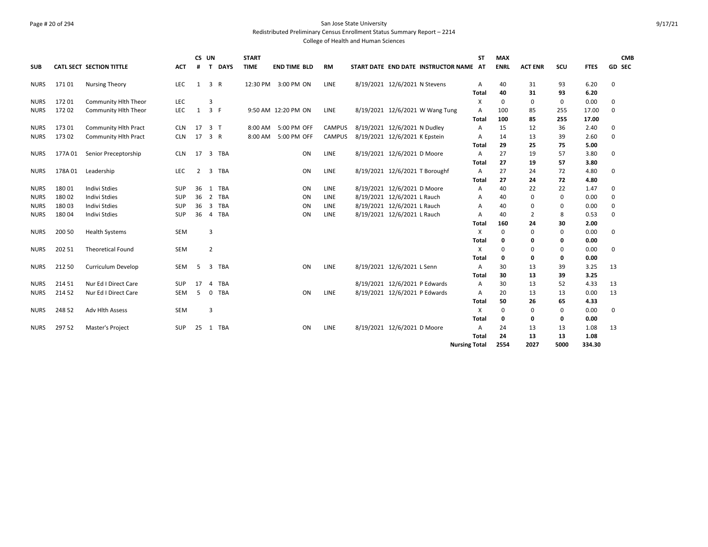# Page # 20 of 294 San Jose State University Redistributed Preliminary Census Enrollment Status Summary Report – 2214

| <b>SUB</b>  |         | CATL SECT SECTION TITTLE    | ACT        | CS UN<br>#     | T              | <b>DAYS</b> | <b>START</b><br><b>TIME</b> | <b>END TIME BLD</b> | <b>RM</b>     | START DATE END DATE INSTRUCTOR NAME AT | <b>ST</b>            | <b>MAX</b><br><b>ENRL</b> | <b>ACT ENR</b> | SCU         | <b>FTES</b> | <b>CMB</b><br><b>GD SEC</b> |
|-------------|---------|-----------------------------|------------|----------------|----------------|-------------|-----------------------------|---------------------|---------------|----------------------------------------|----------------------|---------------------------|----------------|-------------|-------------|-----------------------------|
| NURS        | 17101   | <b>Nursing Theory</b>       | <b>LEC</b> | 1              | 3 R            |             | 12:30 PM                    | 3:00 PM ON          | LINE          | 8/19/2021 12/6/2021 N Stevens          | Α                    | 40                        | 31             | 93          | 6.20        | 0                           |
|             |         |                             |            |                |                |             |                             |                     |               |                                        | Total                | 40                        | 31             | 93          | 6.20        |                             |
| NURS        | 17201   | Community Hlth Theor        | LEC        |                | 3              |             |                             |                     |               |                                        | X                    | $\mathbf 0$               | 0              | $\mathbf 0$ | 0.00        | 0                           |
| <b>NURS</b> | 17202   | Community Hlth Theor        | <b>LEC</b> | 1              | 3 F            |             |                             | 9:50 AM 12:20 PM ON | LINE          | 8/19/2021 12/6/2021 W Wang Tung        | A                    | 100                       | 85             | 255         | 17.00       | 0                           |
|             |         |                             |            |                |                |             |                             |                     |               |                                        | Total                | 100                       | 85             | 255         | 17.00       |                             |
| <b>NURS</b> | 17301   | Community Hlth Pract        | <b>CLN</b> | 17             | 3 <sub>1</sub> |             | 8:00 AM                     | 5:00 PM OFF         | <b>CAMPUS</b> | 8/19/2021 12/6/2021 N Dudley           | A                    | 15                        | 12             | 36          | 2.40        | 0                           |
| NURS        | 173 02  | <b>Community Hlth Pract</b> | <b>CLN</b> | 17             | 3 R            |             | 8:00 AM                     | 5:00 PM OFF         | <b>CAMPUS</b> | 8/19/2021 12/6/2021 K Epstein          | A                    | 14                        | 13             | 39          | 2.60        | 0                           |
|             |         |                             |            |                |                |             |                             |                     |               |                                        | Total                | 29                        | 25             | 75          | 5.00        |                             |
| NURS        | 177A 01 | Senior Preceptorship        | <b>CLN</b> | 17             | 3              | TBA         |                             | ON                  | LINE          | 8/19/2021 12/6/2021 D Moore            | A                    | 27                        | 19             | 57          | 3.80        | 0                           |
|             |         |                             |            |                |                |             |                             |                     |               |                                        | Total                | 27                        | 19             | 57          | 3.80        |                             |
| <b>NURS</b> | 178A01  | Leadership                  | <b>LEC</b> | $\overline{2}$ | 3              | TBA         |                             | ON                  | LINE          | 8/19/2021 12/6/2021 T Boroughf         | Α                    | 27                        | 24             | 72          | 4.80        | 0                           |
|             |         |                             |            |                |                |             |                             |                     |               |                                        | <b>Total</b>         | 27                        | 24             | 72          | 4.80        |                             |
| <b>NURS</b> | 18001   | <b>Indivi Stdies</b>        | <b>SUP</b> | 36             | 1              | <b>TBA</b>  |                             | ON                  | LINE          | 8/19/2021 12/6/2021 D Moore            | A                    | 40                        | 22             | 22          | 1.47        | $\Omega$                    |
| <b>NURS</b> | 180 02  | <b>Indivi Stdies</b>        | <b>SUP</b> | 36             | 2              | <b>TBA</b>  |                             | ON                  | LINE          | 8/19/2021 12/6/2021 L Rauch            | A                    | 40                        | 0              | 0           | 0.00        | $\Omega$                    |
| <b>NURS</b> | 18003   | Indivi Stdies               | <b>SUP</b> | 36             | 3              | <b>TBA</b>  |                             | ON                  | <b>LINE</b>   | 8/19/2021 12/6/2021 L Rauch            | A                    | 40                        | 0              | 0           | 0.00        | 0                           |
| <b>NURS</b> | 18004   | Indivi Stdies               | <b>SUP</b> | 36             | $\overline{4}$ | <b>TBA</b>  |                             | ON                  | LINE          | 8/19/2021 12/6/2021 L Rauch            | A                    | 40                        | $\overline{2}$ | 8           | 0.53        | 0                           |
|             |         |                             |            |                |                |             |                             |                     |               |                                        | Total                | 160                       | 24             | 30          | 2.00        |                             |
| <b>NURS</b> | 200 50  | <b>Health Systems</b>       | SEM        |                | 3              |             |                             |                     |               |                                        | X                    | 0                         | 0              | $\mathbf 0$ | 0.00        | 0                           |
|             |         |                             |            |                |                |             |                             |                     |               |                                        | Total                | 0                         | 0              | 0           | 0.00        |                             |
| <b>NURS</b> | 202 51  | <b>Theoretical Found</b>    | SEM        |                | $\overline{2}$ |             |                             |                     |               |                                        | X                    | $\mathbf 0$               | 0              | $\mathbf 0$ | 0.00        | 0                           |
|             |         |                             |            |                |                |             |                             |                     |               |                                        | Total                | 0                         | 0              | 0           | 0.00        |                             |
| <b>NURS</b> | 212 50  | Curriculum Develop          | <b>SEM</b> | 5              | 3              | <b>TBA</b>  |                             | ON                  | LINE          | 8/19/2021 12/6/2021 L Senn             | A                    | 30                        | 13             | 39          | 3.25        | 13                          |
|             |         |                             |            |                |                |             |                             |                     |               |                                        | Total                | 30                        | 13             | 39          | 3.25        |                             |
| <b>NURS</b> | 214 51  | Nur Ed I Direct Care        | SUP        | 17             |                | <b>TBA</b>  |                             |                     |               | 8/19/2021 12/6/2021 P Edwards          | Α                    | 30                        | 13             | 52          | 4.33        | 13                          |
| <b>NURS</b> | 214 52  | Nur Ed I Direct Care        | <b>SEM</b> | -5             | $\Omega$       | <b>TBA</b>  |                             | ON                  | LINE          | 8/19/2021 12/6/2021 P Edwards          | A                    | 20                        | 13             | 13          | 0.00        | 13                          |
|             |         |                             |            |                |                |             |                             |                     |               |                                        | Total                | 50                        | 26             | 65          | 4.33        |                             |
| <b>NURS</b> | 248 52  | Adv Hlth Assess             | <b>SEM</b> |                | 3              |             |                             |                     |               |                                        | X                    | 0                         | 0              | $\mathbf 0$ | 0.00        | 0                           |
|             |         |                             |            |                |                |             |                             |                     |               |                                        | Total                | 0                         | 0              | 0           | 0.00        |                             |
| NURS        | 297 52  | Master's Project            | <b>SUP</b> | 25             |                | 1 TBA       |                             | ON                  | LINE          | 8/19/2021 12/6/2021 D Moore            | Α                    | 24                        | 13             | 13          | 1.08        | 13                          |
|             |         |                             |            |                |                |             |                             |                     |               |                                        | Total                | 24                        | 13             | 13          | 1.08        |                             |
|             |         |                             |            |                |                |             |                             |                     |               |                                        | <b>Nursing Total</b> | 2554                      | 2027           | 5000        | 334.30      |                             |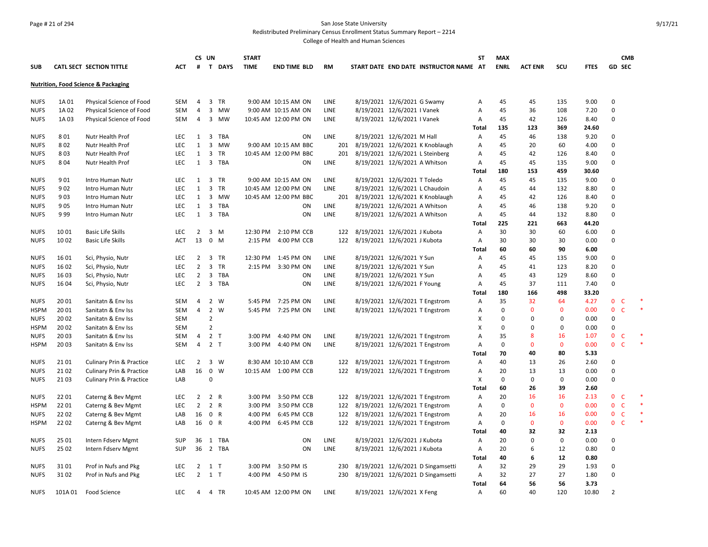#### Page # 21 of 294 San Jose State University Redistributed Preliminary Census Enrollment Status Summary Report – 2214

|             |        |                                                |            | CS UN          |                         |            | <b>START</b> |                       |             |                                     |                                 |                                        | <b>ST</b> | <b>MAX</b>  |                |              |             | <b>CMB</b>                  |        |
|-------------|--------|------------------------------------------------|------------|----------------|-------------------------|------------|--------------|-----------------------|-------------|-------------------------------------|---------------------------------|----------------------------------------|-----------|-------------|----------------|--------------|-------------|-----------------------------|--------|
| <b>SUB</b>  |        | CATL SECT SECTION TITTLE                       | ACT        | #              |                         | T DAYS     | <b>TIME</b>  | <b>END TIME BLD</b>   | <b>RM</b>   |                                     |                                 | START DATE END DATE INSTRUCTOR NAME AT |           | <b>ENRL</b> | <b>ACT ENR</b> | SCU          | <b>FTES</b> | <b>GD SEC</b>               |        |
|             |        | <b>Nutrition, Food Science &amp; Packaging</b> |            |                |                         |            |              |                       |             |                                     |                                 |                                        |           |             |                |              |             |                             |        |
| <b>NUFS</b> | 1A 01  | Physical Science of Food                       | SEM        | $\overline{4}$ |                         | 3 TR       |              | 9:00 AM 10:15 AM ON   | LINE        |                                     | 8/19/2021 12/6/2021 G Swamy     |                                        | Α         | 45          | 45             | 135          | 9.00        | $\mathbf 0$                 |        |
| <b>NUFS</b> | 1A 02  | Physical Science of Food                       | SEM        | $\overline{4}$ | $\overline{\mathbf{3}}$ | MW         |              | 9:00 AM 10:15 AM ON   | LINE        |                                     | 8/19/2021 12/6/2021   Vanek     |                                        | Α         | 45          | 36             | 108          | 7.20        | $\mathbf 0$                 |        |
| <b>NUFS</b> | 1A03   | Physical Science of Food                       | <b>SEM</b> | $\overline{4}$ |                         | 3 MW       |              | 10:45 AM 12:00 PM ON  | LINE        |                                     | 8/19/2021 12/6/2021 I Vanek     |                                        | А         | 45          | 42             | 126          | 8.40        | $\Omega$                    |        |
|             |        |                                                |            |                |                         |            |              |                       |             |                                     |                                 |                                        | Total     | 135         | 123            | 369          | 24.60       |                             |        |
| <b>NUFS</b> | 801    | Nutr Health Prof                               | <b>LEC</b> | 1              | $\overline{\mathbf{3}}$ | TBA        |              | ON                    | <b>LINE</b> |                                     | 8/19/2021 12/6/2021 M Hall      |                                        | А         | 45          | 46             | 138          | 9.20        | $\Omega$                    |        |
| <b>NUFS</b> | 802    | Nutr Health Prof                               | LEC        | 1              | $\overline{\mathbf{3}}$ | MW         |              | 9:00 AM 10:15 AM BBC  | 201         |                                     |                                 | 8/19/2021 12/6/2021 K Knoblaugh        | Α         | 45          | 20             | 60           | 4.00        | $\mathbf 0$                 |        |
| <b>NUFS</b> | 803    | Nutr Health Prof                               | LEC        | 1              | $\overline{\mathbf{3}}$ | TR         |              | 10:45 AM 12:00 PM BBC | 201         |                                     | 8/19/2021 12/6/2021 L Steinberg |                                        | А         | 45          | 42             | 126          | 8.40        | $\Omega$                    |        |
| <b>NUFS</b> | 8 0 4  | Nutr Health Prof                               | <b>LEC</b> | 1              | $\overline{\mathbf{3}}$ | <b>TBA</b> |              | ON                    | LINE        |                                     | 8/19/2021 12/6/2021 A Whitson   |                                        | Α         | 45          | 45             | 135          | 9.00        | $\mathbf 0$                 |        |
|             |        |                                                |            |                |                         |            |              |                       |             |                                     |                                 |                                        | Total     | 180         | 153            | 459          | 30.60       |                             |        |
| <b>NUFS</b> | 901    | Intro Human Nutr                               | <b>LEC</b> | 1              | $\overline{\mathbf{3}}$ | TR         |              | 9:00 AM 10:15 AM ON   | <b>LINE</b> |                                     | 8/19/2021 12/6/2021 T Toledo    |                                        | Α         | 45          | 45             | 135          | 9.00        | $\mathbf 0$                 |        |
| <b>NUFS</b> | 9 0 2  | Intro Human Nutr                               | <b>LEC</b> | 1              | $\overline{3}$          | <b>TR</b>  |              | 10:45 AM 12:00 PM ON  | LINE        |                                     | 8/19/2021 12/6/2021 L Chaudoin  |                                        | Α         | 45          | 44             | 132          | 8.80        | $\Omega$                    |        |
| <b>NUFS</b> | 903    | Intro Human Nutr                               | <b>LEC</b> | 1              |                         | 3 MW       |              | 10:45 AM 12:00 PM BBC |             | 201 8/19/2021 12/6/2021 K Knoblaugh |                                 |                                        | Α         | 45          | 42             | 126          | 8.40        | $\mathbf 0$                 |        |
| <b>NUFS</b> | 905    | Intro Human Nutr                               | LEC        | 1              | $\overline{3}$          | TBA        |              | ON                    | LINE        |                                     | 8/19/2021 12/6/2021 A Whitson   |                                        | Α         | 45          | 46             | 138          | 9.20        | $\Omega$                    |        |
| <b>NUFS</b> | 999    | Intro Human Nutr                               | <b>LEC</b> | 1              |                         | 3 TBA      |              | ON                    | LINE        |                                     | 8/19/2021 12/6/2021 A Whitson   |                                        | А         | 45          | 44             | 132          | 8.80        | $\mathbf 0$                 |        |
|             |        |                                                |            |                |                         |            |              |                       |             |                                     |                                 |                                        | Total     | 225         | 221            | 663          | 44.20       |                             |        |
| <b>NUFS</b> | 1001   | <b>Basic Life Skills</b>                       | LEC        | 2              | $\overline{3}$          | M          |              | 12:30 PM 2:10 PM CCB  | 122         |                                     | 8/19/2021 12/6/2021 J Kubota    |                                        | Α         | 30          | 30             | 60           | 6.00        | $\mathbf 0$                 |        |
| <b>NUFS</b> | 1002   | <b>Basic Life Skills</b>                       | <b>ACT</b> | 13             | $\mathbf 0$             | M          | 2:15 PM      | 4:00 PM CCB           | 122         |                                     | 8/19/2021 12/6/2021 J Kubota    |                                        | Α         | 30          | 30             | 30           | 0.00        | $\mathbf 0$                 |        |
|             |        |                                                |            |                |                         |            |              |                       |             |                                     |                                 |                                        | Total     | 60          | 60             | 90           | 6.00        |                             |        |
| <b>NUFS</b> | 16 01  | Sci, Physio, Nutr                              | LEC        | $\overline{2}$ | $\overline{\mathbf{3}}$ | TR         |              | 12:30 PM 1:45 PM ON   | LINE        |                                     | 8/19/2021 12/6/2021 Y Sun       |                                        | Α         | 45          | 45             | 135          | 9.00        | $\mathbf 0$                 |        |
| <b>NUFS</b> | 16 02  | Sci, Physio, Nutr                              | <b>LEC</b> | $\overline{2}$ | $\overline{\mathbf{3}}$ | TR         |              | 2:15 PM 3:30 PM ON    | LINE        |                                     | 8/19/2021 12/6/2021 Y Sun       |                                        | А         | 45          | 41             | 123          | 8.20        | $\Omega$                    |        |
| <b>NUFS</b> | 1603   | Sci, Physio, Nutr                              | <b>LEC</b> | $\overline{2}$ | $\overline{\mathbf{3}}$ | TBA        |              | ON                    | LINE        |                                     | 8/19/2021 12/6/2021 Y Sun       |                                        | Α         | 45          | 43             | 129          | 8.60        | $\mathbf 0$                 |        |
| <b>NUFS</b> | 16 04  | Sci, Physio, Nutr                              | LEC        | $\overline{2}$ |                         | 3 TBA      |              | ON                    | LINE        |                                     | 8/19/2021 12/6/2021 F Young     |                                        | Α         | 45          | 37             | 111          | 7.40        | $\Omega$                    |        |
|             |        |                                                |            |                |                         |            |              |                       |             |                                     |                                 |                                        | Total     | 180         | 166            | 498          | 33.20       |                             |        |
| <b>NUFS</b> | 2001   | Sanitatn & Env Iss                             | <b>SEM</b> | $\overline{4}$ | 2                       | W          |              | 5:45 PM 7:25 PM ON    | LINE        |                                     | 8/19/2021 12/6/2021 T Engstrom  |                                        | Α         | 35          | 32             | 64           | 4.27        | $\mathbf{0}$<br>- C         |        |
| <b>HSPM</b> | 20 01  | Sanitatn & Env Iss                             | SEM        | $\overline{4}$ | 2 W                     |            |              | 5:45 PM 7:25 PM ON    | LINE        |                                     | 8/19/2021 12/6/2021 T Engstrom  |                                        | Α         | $\mathbf 0$ | $\mathbf{0}$   | $\mathbf 0$  | 0.00        | $\mathbf 0$<br>$\mathsf{C}$ | $\ast$ |
| <b>NUFS</b> | 20 02  | Sanitatn & Env Iss                             | <b>SEM</b> |                | $\overline{2}$          |            |              |                       |             |                                     |                                 |                                        | X         | 0           | $\Omega$       | $\mathbf{0}$ | 0.00        | $\mathbf 0$                 |        |
| <b>HSPM</b> | 20 02  | Sanitatn & Env Iss                             | SEM        |                | $\overline{2}$          |            |              |                       |             |                                     |                                 |                                        | X         | 0           | 0              | $\mathbf{0}$ | 0.00        | $\mathbf 0$                 |        |
| <b>NUFS</b> | 2003   | Sanitatn & Env Iss                             | SEM        | $\overline{4}$ | 2 <sub>T</sub>          |            |              | 3:00 PM 4:40 PM ON    | LINE        |                                     | 8/19/2021 12/6/2021 T Engstrom  |                                        | Α         | 35          | 8              | 16           | 1.07        | $\mathbf{0}$<br>C           |        |
| <b>HSPM</b> | 2003   | Sanitatn & Env Iss                             | SEM        | $\overline{4}$ | 2 <sub>T</sub>          |            |              | 3:00 PM 4:40 PM ON    | <b>LINE</b> |                                     | 8/19/2021 12/6/2021 T Engstrom  |                                        | Α         | $\Omega$    | $\mathbf{0}$   | $\mathbf{0}$ | 0.00        | $\mathbf{0}$<br>-C          | $\ast$ |
|             |        |                                                |            |                |                         |            |              |                       |             |                                     |                                 |                                        | Total     | 70          | 40             | 80           | 5.33        |                             |        |
| <b>NUFS</b> | 2101   | <b>Culinary Prin &amp; Practice</b>            | <b>LEC</b> | $\overline{2}$ | $\overline{\mathbf{3}}$ | W          |              | 8:30 AM 10:10 AM CCB  |             | 122 8/19/2021 12/6/2021 T Engstrom  |                                 |                                        | Α         | 40          | 13             | 26           | 2.60        | 0                           |        |
| <b>NUFS</b> | 2102   | <b>Culinary Prin &amp; Practice</b>            | LAB        | 16             | $\mathbf 0$             | W          |              | 10:15 AM  1:00 PM CCB | 122         |                                     | 8/19/2021 12/6/2021 T Engstrom  |                                        | Α         | 20          | 13             | 13           | 0.00        | $\mathbf 0$                 |        |
| <b>NUFS</b> | 2103   | <b>Culinary Prin &amp; Practice</b>            | LAB        |                | 0                       |            |              |                       |             |                                     |                                 |                                        | X         | $\mathbf 0$ | $\mathbf 0$    | 0            | 0.00        | $\Omega$                    |        |
|             |        |                                                |            |                |                         |            |              |                       |             |                                     |                                 |                                        | Total     | 60          | 26             | 39           | 2.60        |                             |        |
| <b>NUFS</b> | 22 01  | Caterng & Bev Mgmt                             | LEC        | $\overline{2}$ | 2 R                     |            |              | 3:00 PM 3:50 PM CCB   | 122         |                                     | 8/19/2021 12/6/2021 T Engstrom  |                                        | Α         | 20          | 16             | 16           | 2.13        | $\mathbf{0}$<br>- C         |        |
| <b>HSPM</b> | 2201   | Caterng & Bev Mgmt                             | LEC        | $\overline{2}$ | 2 R                     |            |              | 3:00 PM 3:50 PM CCB   | 122         | 8/19/2021 12/6/2021 T Engstrom      |                                 |                                        | Α         | 0           | $\mathbf{0}$   | $\mathbf 0$  | 0.00        | $\mathbf 0$<br>-C           | $\ast$ |
| <b>NUFS</b> | 2202   | Caterng & Bev Mgmt                             | LAB        | 16             | 0 R                     |            |              | 4:00 PM 6:45 PM CCB   | 122         |                                     | 8/19/2021 12/6/2021 T Engstrom  |                                        | А         | 20          | 16             | 16           | 0.00        | 0 <sub>c</sub>              |        |
| <b>HSPM</b> | 22 02  | Caterng & Bev Mgmt                             | LAB        | 16             | 0 R                     |            |              | 4:00 PM 6:45 PM CCB   | 122         |                                     | 8/19/2021 12/6/2021 T Engstrom  |                                        | Α         | $\mathbf 0$ | $\mathbf{0}$   | $\mathbf 0$  | 0.00        | 0 <sub>c</sub>              |        |
|             |        |                                                |            |                |                         |            |              |                       |             |                                     |                                 |                                        | Total     | 40          | 32             | 32           | 2.13        |                             |        |
| <b>NUFS</b> | 25 01  | Intern Fdserv Mgmt                             | SUP        | 36             |                         | 1 TBA      |              | ON                    | LINE        |                                     | 8/19/2021 12/6/2021 J Kubota    |                                        | Α         | 20          | 0              | $\mathbf 0$  | 0.00        | 0                           |        |
| <b>NUFS</b> | 25 02  | Intern Fdserv Mgmt                             | <b>SUP</b> | 36             |                         | 2 TBA      |              | ON                    | LINE        |                                     | 8/19/2021 12/6/2021 J Kubota    |                                        | Α         | 20          | 6              | 12           | 0.80        | 0                           |        |
|             |        |                                                |            |                |                         |            |              |                       |             |                                     |                                 |                                        | Total     | 40          | 6              | 12           | 0.80        |                             |        |
| <b>NUFS</b> | 3101   | Prof in Nufs and Pkg                           | <b>LEC</b> | $\overline{2}$ | 1                       | $\top$     |              | 3:00 PM 3:50 PM IS    | 230         |                                     |                                 | 8/19/2021 12/6/2021 D Singamsetti      | Α         | 32          | 29             | 29           | 1.93        | 0                           |        |
| <b>NUFS</b> | 3102   | Prof in Nufs and Pkg                           | <b>LEC</b> |                | $2$ 1 T                 |            |              | 4:00 PM 4:50 PM IS    | 230         |                                     |                                 | 8/19/2021 12/6/2021 D Singamsetti      | А         | 32          | 27             | 27           | 1.80        | $\Omega$                    |        |
|             |        |                                                |            |                |                         |            |              |                       |             |                                     |                                 |                                        | Total     | 64          | 56             | 56           | 3.73        |                             |        |
| <b>NUFS</b> | 101A01 | Food Science                                   | <b>LEC</b> |                | 4 4 TR                  |            |              | 10:45 AM 12:00 PM ON  | LINE        |                                     | 8/19/2021 12/6/2021 X Feng      |                                        | А         | 60          | 40             | 120          | 10.80       | $\overline{\phantom{0}}$    |        |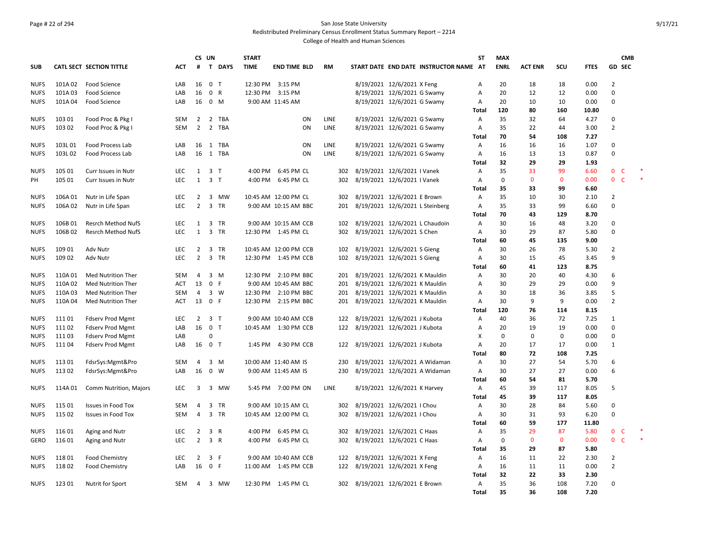#### Page # 22 of 294 San Jose State University Redistributed Preliminary Census Enrollment Status Summary Report – 2214

|                            |                  |                                 |                          | CS UN               |                                                                     | <b>START</b> |                                               |             |                                 |                              |                                        | ST             | <b>MAX</b>  |                |              |              |                     | <b>CMB</b> |        |
|----------------------------|------------------|---------------------------------|--------------------------|---------------------|---------------------------------------------------------------------|--------------|-----------------------------------------------|-------------|---------------------------------|------------------------------|----------------------------------------|----------------|-------------|----------------|--------------|--------------|---------------------|------------|--------|
| <b>SUB</b>                 |                  | <b>CATL SECT SECTION TITTLE</b> | ACT                      | #                   | $\mathbf{T}$<br><b>DAYS</b>                                         | <b>TIME</b>  | <b>END TIME BLD</b>                           | <b>RM</b>   |                                 |                              | START DATE END DATE INSTRUCTOR NAME AT |                | <b>ENRL</b> | <b>ACT ENR</b> | SCU          | <b>FTES</b>  | <b>GD SEC</b>       |            |        |
| <b>NUFS</b>                | 101A02           | Food Science                    | LAB                      | 16                  | 0 <sub>T</sub>                                                      |              | 12:30 PM 3:15 PM                              |             | 8/19/2021 12/6/2021 X Feng      |                              |                                        | Α              | 20          | 18             | 18           | 0.00         | $\overline{2}$      |            |        |
| <b>NUFS</b>                | 101A03           | Food Science                    | LAB                      | 16                  | $\mathbf 0$<br>R                                                    |              | 12:30 PM 3:15 PM                              |             | 8/19/2021 12/6/2021 G Swamy     |                              |                                        | Α              | 20          | 12             | 12           | 0.00         | 0                   |            |        |
| <b>NUFS</b>                | 101A04           | Food Science                    | LAB                      | 16                  | $\mathbf 0$<br>M                                                    |              | 9:00 AM 11:45 AM                              |             | 8/19/2021 12/6/2021 G Swamy     |                              |                                        | Α              | 20          | 10             | 10           | 0.00         | 0                   |            |        |
|                            |                  |                                 |                          |                     |                                                                     |              |                                               |             |                                 |                              |                                        | Total          | 120         | 80             | 160          | 10.80        |                     |            |        |
| <b>NUFS</b>                | 103 01           | Food Proc & Pkg I               | SEM                      | $\overline{2}$      | $\overline{2}$<br>TBA                                               |              | ON                                            | <b>LINE</b> | 8/19/2021 12/6/2021 G Swamy     |                              |                                        | $\overline{A}$ | 35          | 32             | 64           | 4.27         | 0                   |            |        |
| <b>NUFS</b>                | 103 02           | Food Proc & Pkg I               | <b>SEM</b>               | $\overline{2}$      | $\overline{2}$<br>TBA                                               |              | ON                                            | <b>LINE</b> |                                 | 8/19/2021 12/6/2021 G Swamy  |                                        | Α              | 35          | 22             | 44           | 3.00         | $\overline{2}$      |            |        |
|                            |                  |                                 |                          |                     |                                                                     |              |                                               |             |                                 |                              |                                        | Total          | 70          | 54             | 108          | 7.27         |                     |            |        |
| <b>NUFS</b>                | 103L01           | Food Process Lab                | LAB                      | 16                  | 1 TBA                                                               |              | ON                                            | LINE        | 8/19/2021 12/6/2021 G Swamy     |                              |                                        | A              | 16          | 16             | 16           | 1.07         | 0                   |            |        |
| <b>NUFS</b>                | 103L02           | Food Process Lab                | LAB                      | 16                  | 1 TBA                                                               |              | ON                                            | LINE        |                                 | 8/19/2021 12/6/2021 G Swamy  |                                        | Α              | 16          | 13             | 13           | 0.87         | $\mathbf 0$         |            |        |
|                            |                  |                                 |                          |                     |                                                                     |              |                                               |             |                                 |                              |                                        | Total          | 32          | 29             | 29           | 1.93         |                     |            |        |
| <b>NUFS</b>                | 105 01           | Curr Issues in Nutr             | <b>LEC</b>               | 1                   | $\overline{3}$<br>$\top$                                            |              | 4:00 PM 6:45 PM CL                            | 302         | 8/19/2021 12/6/2021 I Vanek     |                              |                                        | Α              | 35          | 33             | 99           | 6.60         | $\mathbf{0}$<br>- C |            |        |
| PH                         | 105 01           | Curr Issues in Nutr             | LEC.                     |                     | $1 \quad 3 \quad T$                                                 |              | 4:00 PM 6:45 PM CL                            | 302         | 8/19/2021 12/6/2021 I Vanek     |                              |                                        | Α              | $\mathbf 0$ | $\mathbf{0}$   | $\mathbf{0}$ | 0.00         | $\mathbf{0}$<br>-C  |            | $\ast$ |
|                            |                  |                                 |                          |                     |                                                                     |              |                                               |             |                                 |                              |                                        | Total          | 35          | 33             | 99           | 6.60         |                     |            |        |
| <b>NUFS</b>                | 106A01           | Nutr in Life Span               | <b>LEC</b>               | 2                   | 3<br>МW                                                             |              | 10:45 AM 12:00 PM CL                          | 302         | 8/19/2021 12/6/2021 E Brown     |                              |                                        | Α              | 35          | 10             | 30           | 2.10         | 2                   |            |        |
| <b>NUFS</b>                | 106A02           | Nutr in Life Span               | <b>LEC</b>               | $\overline{2}$      | $\overline{3}$<br><b>TR</b>                                         |              | 9:00 AM 10:15 AM BBC                          | 201         |                                 |                              | 8/19/2021 12/6/2021 L Steinberg        | Α              | 35          | 33             | 99           | 6.60         | $\mathbf 0$         |            |        |
|                            |                  |                                 |                          |                     |                                                                     |              |                                               |             |                                 |                              |                                        | Total          | 70          | 43             | 129          | 8.70         |                     |            |        |
| <b>NUFS</b>                | 106B01           | Resrch Method NufS              | LEC                      | 1                   | $\overline{3}$<br><b>TR</b>                                         |              | 9:00 AM 10:15 AM CCB                          | 102         |                                 |                              | 8/19/2021 12/6/2021 L Chaudoin         | Α              | 30          | 16             | 48           | 3.20         | 0                   |            |        |
| <b>NUFS</b>                | 106B02           | <b>Resrch Method NufS</b>       | LEC                      | 1                   | 3 TR                                                                |              | 12:30 PM 1:45 PM CL                           | 302         | 8/19/2021 12/6/2021 S Chen      |                              |                                        | Α              | 30          | 29             | 87           | 5.80         | $\mathbf 0$         |            |        |
|                            |                  |                                 |                          |                     |                                                                     |              |                                               |             |                                 |                              |                                        | Total          | 60          | 45             | 135          | 9.00         |                     |            |        |
| <b>NUFS</b><br><b>NUFS</b> | 109 01<br>109 02 | Adv Nutr<br>Adv Nutr            | <b>LEC</b><br><b>LEC</b> | 2<br>$\overline{2}$ | $\overline{\mathbf{3}}$<br><b>TR</b><br>$\overline{3}$<br><b>TR</b> |              | 10:45 AM 12:00 PM CCB<br>12:30 PM 1:45 PM CCB | 102<br>102  | 8/19/2021 12/6/2021 S Gieng     |                              |                                        | Α<br>A         | 30<br>30    | 26<br>15       | 78<br>45     | 5.30<br>3.45 | 2<br>9              |            |        |
|                            |                  |                                 |                          |                     |                                                                     |              |                                               |             |                                 | 8/19/2021 12/6/2021 S Gieng  |                                        | Total          | 60          | 41             | 123          | 8.75         |                     |            |        |
| <b>NUFS</b>                | 110A01           | Med Nutrition Ther              | <b>SEM</b>               | 4                   | $3 \, M$                                                            |              | 12:30 PM 2:10 PM BBC                          | 201         | 8/19/2021 12/6/2021 K Mauldin   |                              |                                        | Α              | 30          | 20             | 40           | 4.30         | 6                   |            |        |
| <b>NUFS</b>                | 110A02           | <b>Med Nutrition Ther</b>       | ACT                      | 13                  | $\mathbf 0$<br>F                                                    |              | 9:00 AM 10:45 AM BBC                          | 201         | 8/19/2021 12/6/2021 K Mauldin   |                              |                                        | Α              | 30          | 29             | 29           | 0.00         | 9                   |            |        |
| <b>NUFS</b>                | 110A03           | Med Nutrition Ther              | <b>SEM</b>               | 4                   | 3 W                                                                 |              | 12:30 PM 2:10 PM BBC                          | 201         | 8/19/2021 12/6/2021 K Mauldin   |                              |                                        | Α              | 30          | 18             | 36           | 3.85         | 5                   |            |        |
| <b>NUFS</b>                | 110A 04          | <b>Med Nutrition Ther</b>       | ACT                      | 13                  | $\overline{0}$<br>F                                                 |              | 12:30 PM 2:15 PM BBC                          | 201         | 8/19/2021 12/6/2021 K Mauldin   |                              |                                        | Α              | 30          | 9              | 9            | 0.00         | $\overline{2}$      |            |        |
|                            |                  |                                 |                          |                     |                                                                     |              |                                               |             |                                 |                              |                                        | Total          | 120         | 76             | 114          | 8.15         |                     |            |        |
| <b>NUFS</b>                | 111 01           | <b>Fdserv Prod Mgmt</b>         | <b>LEC</b>               | 2                   | 3 T                                                                 |              | 9:00 AM 10:40 AM CCB                          | 122         | 8/19/2021 12/6/2021 J Kubota    |                              |                                        | Α              | 40          | 36             | 72           | 7.25         | 1                   |            |        |
| <b>NUFS</b>                | 11102            | <b>Fdserv Prod Mgmt</b>         | LAB                      | 16                  | 0 <sub>T</sub>                                                      |              | 10:45 AM  1:30 PM CCB                         | 122         | 8/19/2021 12/6/2021 J Kubota    |                              |                                        | Α              | 20          | 19             | 19           | 0.00         | 0                   |            |        |
| <b>NUFS</b>                | 111 03           | <b>Fdserv Prod Mgmt</b>         | LAB                      |                     | $\pmb{0}$                                                           |              |                                               |             |                                 |                              |                                        | X              | 0           | 0              | $\mathbf 0$  | 0.00         | 0                   |            |        |
| <b>NUFS</b>                | 11104            | <b>Fdserv Prod Mgmt</b>         | LAB                      | 16                  | 0 <sub>T</sub>                                                      |              | 1:45 PM 4:30 PM CCB                           | 122         | 8/19/2021 12/6/2021 J Kubota    |                              |                                        | Α              | 20          | 17             | 17           | 0.00         | $\mathbf{1}$        |            |        |
|                            |                  |                                 |                          |                     |                                                                     |              |                                               |             |                                 |                              |                                        | Total          | 80          | 72             | 108          | 7.25         |                     |            |        |
| <b>NUFS</b>                | 11301            | FdsrSys:Mgmt&Pro                | <b>SEM</b>               | 4                   | 3<br>M                                                              |              | 10:00 AM 11:40 AM IS                          | 230         |                                 |                              | 8/19/2021 12/6/2021 A Widaman          | Α              | 30          | 27             | 54           | 5.70         | 6                   |            |        |
| <b>NUFS</b>                | 11302            | FdsrSys:Mgmt&Pro                | LAB                      | 16                  | $\mathbf 0$<br>W                                                    |              | 9:00 AM 11:45 AM IS                           | 230         |                                 |                              | 8/19/2021 12/6/2021 A Widaman          | Α              | 30          | 27             | 27           | 0.00         | 6                   |            |        |
|                            |                  |                                 |                          |                     |                                                                     |              |                                               |             |                                 |                              |                                        | Total          | 60          | 54             | 81           | 5.70         |                     |            |        |
| <b>NUFS</b>                | 114A 01          | Comm Nutrition, Majors          | LEC                      | 3                   | 3 MW                                                                |              | 5:45 PM 7:00 PM ON                            | LINE        |                                 | 8/19/2021 12/6/2021 K Harvey |                                        | Α              | 45          | 39             | 117          | 8.05         | 5                   |            |        |
|                            |                  |                                 |                          |                     |                                                                     |              |                                               |             |                                 |                              |                                        | Total          | 45          | 39             | 117          | 8.05         |                     |            |        |
| <b>NUFS</b>                | 115 01           | <b>Issues in Food Tox</b>       | SEM                      | 4                   | 3<br>TR                                                             |              | 9:00 AM 10:15 AM CL                           | 302         | 8/19/2021 12/6/2021   Chou      |                              |                                        | Α              | 30          | 28             | 84           | 5.60         | 0                   |            |        |
| <b>NUFS</b>                | 115 02           | <b>Issues in Food Tox</b>       | <b>SEM</b>               | $\overline{4}$      | 3<br><b>TR</b>                                                      |              | 10:45 AM 12:00 PM CL                          | 302         | 8/19/2021 12/6/2021   Chou      |                              |                                        | Α              | 30          | 31             | 93           | 6.20         | $\mathbf 0$         |            |        |
|                            |                  |                                 |                          |                     |                                                                     |              |                                               |             |                                 |                              |                                        | Total          | 60          | 59             | 177          | 11.80        |                     |            |        |
| <b>NUFS</b>                | 116 01           | Aging and Nutr                  | <b>LEC</b>               | 2                   | 3<br>R                                                              | 4:00 PM      | 6:45 PM CL                                    | 302         |                                 | 8/19/2021 12/6/2021 C Haas   |                                        | $\overline{A}$ | 35          | 29             | 87           | 5.80         | <b>C</b><br>0       |            |        |
| GERO                       | 116 01           | Aging and Nutr                  | <b>LEC</b>               | $\overline{2}$      | 3 R                                                                 |              | 4:00 PM 6:45 PM CL                            | 302         | 8/19/2021 12/6/2021 C Haas      |                              |                                        | Α              | 0           | $\mathbf{0}$   | $\mathbf{0}$ | 0.00         | 0 <sub>c</sub>      |            |        |
|                            |                  |                                 |                          |                     |                                                                     |              |                                               |             |                                 |                              |                                        | Total          | 35          | 29             | 87           | 5.80         |                     |            |        |
| <b>NUFS</b>                | 11801            | <b>Food Chemistry</b>           | <b>LEC</b>               | 2                   | $\overline{\mathbf{3}}$<br>-F                                       |              | 9:00 AM 10:40 AM CCB                          | 122         | 8/19/2021 12/6/2021 X Feng      |                              |                                        | Α              | 16          | 11             | 22           | 2.30         | $\overline{2}$      |            |        |
| <b>NUFS</b>                | 11802            | Food Chemistry                  | LAB                      | 16                  | $\mathbf 0$<br>$\mathsf{F}$                                         |              | 11:00 AM  1:45 PM CCB                         | 122         | 8/19/2021 12/6/2021 X Feng      |                              |                                        | Α              | 16          | 11             | 11           | 0.00         | $\overline{2}$      |            |        |
|                            |                  |                                 |                          |                     |                                                                     |              |                                               |             |                                 |                              |                                        | Total          | 32          | 22             | 33           | 2.30         |                     |            |        |
| <b>NUFS</b>                | 12301            | Nutrit for Sport                | SEM                      | $\overline{4}$      | 3 MW                                                                |              | 12:30 PM 1:45 PM CL                           |             | 302 8/19/2021 12/6/2021 E Brown |                              |                                        | Α              | 35          | 36             | 108          | 7.20         | 0                   |            |        |
|                            |                  |                                 |                          |                     |                                                                     |              |                                               |             |                                 |                              |                                        | Total          | 35          | 36             | 108          | 7.20         |                     |            |        |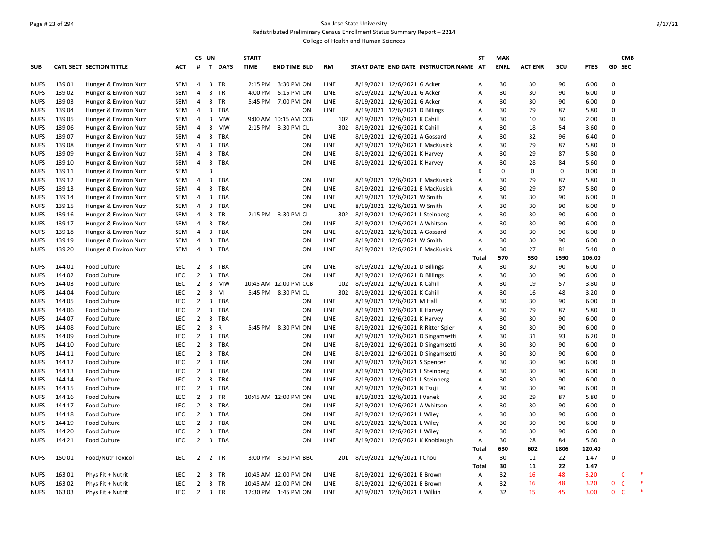#### Page # 23 of 294 San Jose State University Redistributed Preliminary Census Enrollment Status Summary Report – 2214

|             |        |                          |            |                | CS UN                   |              | <b>START</b> |                       |             |     |                                 |                                        | <b>ST</b>    | <b>MAX</b>  |                |      |             | <b>CMB</b>               |  |
|-------------|--------|--------------------------|------------|----------------|-------------------------|--------------|--------------|-----------------------|-------------|-----|---------------------------------|----------------------------------------|--------------|-------------|----------------|------|-------------|--------------------------|--|
| <b>SUB</b>  |        | CATL SECT SECTION TITTLE | ACT        | #              |                         | T DAYS       | <b>TIME</b>  | <b>END TIME BLD</b>   | <b>RM</b>   |     |                                 | START DATE END DATE INSTRUCTOR NAME AT |              | <b>ENRL</b> | <b>ACT ENR</b> | scu  | <b>FTES</b> | GD SEC                   |  |
| <b>NUFS</b> | 13901  | Hunger & Environ Nutr    | SEM        | $\overline{4}$ |                         | 3 TR         |              | 2:15 PM 3:30 PM ON    | <b>LINE</b> |     | 8/19/2021 12/6/2021 G Acker     |                                        | Α            | 30          | 30             | 90   | 6.00        | $\Omega$                 |  |
| <b>NUFS</b> | 139 02 | Hunger & Environ Nutr    | <b>SEM</b> | 4              | 3                       | TR           |              | 4:00 PM 5:15 PM ON    | <b>LINE</b> |     | 8/19/2021 12/6/2021 G Acker     |                                        | A            | 30          | 30             | 90   | 6.00        | 0                        |  |
| <b>NUFS</b> | 13903  | Hunger & Environ Nutr    | SEM        | $\overline{4}$ |                         | 3 TR         |              | 5:45 PM 7:00 PM ON    | LINE        |     | 8/19/2021 12/6/2021 G Acker     |                                        | Α            | 30          | 30             | 90   | 6.00        | 0                        |  |
| <b>NUFS</b> | 139 04 | Hunger & Environ Nutr    | SEM        | 4              | 3                       | TBA          |              | ON                    | <b>LINE</b> |     | 8/19/2021 12/6/2021 D Billings  |                                        | Α            | 30          | 29             | 87   | 5.80        | 0                        |  |
| <b>NUFS</b> | 139 05 | Hunger & Environ Nutr    | SEM        | $\overline{4}$ | $\mathbf{3}$            | MW           |              | 9:00 AM 10:15 AM CCB  |             | 102 | 8/19/2021 12/6/2021 K Cahill    |                                        | Α            | 30          | 10             | 30   | 2.00        | 0                        |  |
| <b>NUFS</b> | 139 06 | Hunger & Environ Nutr    | SEM        | 4              | 3                       | MW           |              | 2:15 PM 3:30 PM CL    |             | 302 | 8/19/2021 12/6/2021 K Cahill    |                                        | Α            | 30          | 18             | 54   | 3.60        | 0                        |  |
| <b>NUFS</b> | 139 07 | Hunger & Environ Nutr    | SEM        | $\overline{4}$ | 3                       | TBA          |              | ON                    | LINE        |     | 8/19/2021 12/6/2021 A Gossard   |                                        | Α            | 30          | 32             | 96   | 6.40        | $\mathbf 0$              |  |
| <b>NUFS</b> | 13908  | Hunger & Environ Nutr    | SEM        | 4              | 3                       | TBA          |              | ON                    | <b>LINE</b> |     |                                 | 8/19/2021 12/6/2021 E MacKusick        | Α            | 30          | 29             | 87   | 5.80        | 0                        |  |
| <b>NUFS</b> | 13909  | Hunger & Environ Nutr    | <b>SEM</b> | $\overline{4}$ | 3                       | TBA          |              | ON                    | <b>LINE</b> |     | 8/19/2021 12/6/2021 K Harvey    |                                        | A            | 30          | 29             | 87   | 5.80        | 0                        |  |
| <b>NUFS</b> | 139 10 | Hunger & Environ Nutr    | SEM        | 4              | 3                       | TBA          |              | ON                    | <b>LINE</b> |     | 8/19/2021 12/6/2021 K Harvey    |                                        | Α            | 30          | 28             | 84   | 5.60        | 0                        |  |
| <b>NUFS</b> | 139 11 | Hunger & Environ Nutr    | <b>SEM</b> |                | 3                       |              |              |                       |             |     |                                 |                                        | X            | $\mathbf 0$ | $\mathbf 0$    | 0    | 0.00        | $\mathbf 0$              |  |
| <b>NUFS</b> | 139 12 | Hunger & Environ Nutr    | SEM        | 4              | $\overline{\mathbf{3}}$ | TBA          |              | ON                    | <b>LINE</b> |     |                                 | 8/19/2021 12/6/2021 E MacKusick        | Α            | 30          | 29             | 87   | 5.80        | $\mathbf 0$              |  |
| <b>NUFS</b> | 139 13 | Hunger & Environ Nutr    | SEM        | $\overline{4}$ | 3                       | <b>TBA</b>   |              | ON                    | LINE        |     |                                 | 8/19/2021 12/6/2021 E MacKusick        | Α            | 30          | 29             | 87   | 5.80        | $\mathbf 0$              |  |
| <b>NUFS</b> | 139 14 | Hunger & Environ Nutr    | SEM        | $\overline{4}$ |                         | 3 TBA        |              | ON                    | LINE        |     | 8/19/2021 12/6/2021 W Smith     |                                        | Α            | 30          | 30             | 90   | 6.00        | 0                        |  |
| <b>NUFS</b> | 139 15 | Hunger & Environ Nutr    | <b>SEM</b> | $\overline{4}$ | 3                       | <b>TBA</b>   |              | ON                    | <b>LINE</b> |     | 8/19/2021 12/6/2021 W Smith     |                                        | A            | 30          | 30             | 90   | 6.00        | 0                        |  |
| <b>NUFS</b> | 139 16 | Hunger & Environ Nutr    | SEM        | $\overline{4}$ | $\overline{3}$          | TR           |              | 2:15 PM 3:30 PM CL    |             | 302 | 8/19/2021 12/6/2021 L Steinberg |                                        | A            | 30          | 30             | 90   | 6.00        | 0                        |  |
| <b>NUFS</b> | 139 17 | Hunger & Environ Nutr    | <b>SEM</b> | $\overline{4}$ | 3                       | TBA          |              | ON                    | LINE        |     | 8/19/2021 12/6/2021 A Whitson   |                                        | A            | 30          | 30             | 90   | 6.00        | 0                        |  |
| <b>NUFS</b> | 139 18 | Hunger & Environ Nutr    | SEM        | $\overline{4}$ |                         | 3 TBA        |              | ON                    | LINE        |     | 8/19/2021 12/6/2021 A Gossard   |                                        | Α            | 30          | 30             | 90   | 6.00        | $\Omega$                 |  |
| <b>NUFS</b> | 139 19 | Hunger & Environ Nutr    | SEM        | $\overline{4}$ | 3                       | TBA          |              | ON                    | <b>LINE</b> |     | 8/19/2021 12/6/2021 W Smith     |                                        | Α            | 30          | 30             | 90   | 6.00        | 0                        |  |
| <b>NUFS</b> | 139 20 | Hunger & Environ Nutr    | SEM        | $\overline{4}$ |                         | 3 TBA        |              | ON                    | LINE        |     |                                 | 8/19/2021 12/6/2021 E MacKusick        | Α            | 30          | 27             | 81   | 5.40        | 0                        |  |
|             |        |                          |            |                |                         |              |              |                       |             |     |                                 |                                        | Total        | 570         | 530            | 1590 | 106.00      |                          |  |
| <b>NUFS</b> | 144 01 | Food Culture             | <b>LEC</b> | $\overline{2}$ | 3                       | TBA          |              | ON                    | LINE        |     | 8/19/2021 12/6/2021 D Billings  |                                        | Α            | 30          | 30             | 90   | 6.00        | 0                        |  |
| <b>NUFS</b> | 144 02 | <b>Food Culture</b>      | <b>LEC</b> | $\overline{2}$ | 3                       | <b>TBA</b>   |              | ON                    | <b>LINE</b> |     | 8/19/2021 12/6/2021 D Billings  |                                        | Α            | 30          | 30             | 90   | 6.00        | 0                        |  |
| <b>NUFS</b> | 144 03 | Food Culture             | <b>LEC</b> | $\overline{2}$ | 3                       | <b>MW</b>    |              | 10:45 AM 12:00 PM CCB |             | 102 | 8/19/2021 12/6/2021 K Cahill    |                                        | Α            | 30          | 19             | 57   | 3.80        | 0                        |  |
| <b>NUFS</b> | 144 04 | <b>Food Culture</b>      | <b>LEC</b> | $\overline{2}$ | $\overline{3}$          | M            |              | 5:45 PM 8:30 PM CL    |             | 302 | 8/19/2021 12/6/2021 K Cahill    |                                        | Α            | 30          | 16             | 48   | 3.20        | 0                        |  |
| <b>NUFS</b> | 144 05 | <b>Food Culture</b>      | <b>LEC</b> | $\overline{2}$ | 3                       | TBA          |              | ON                    | LINE        |     | 8/19/2021 12/6/2021 M Hall      |                                        | Α            | 30          | 30             | 90   | 6.00        | 0                        |  |
| <b>NUFS</b> | 144 06 | <b>Food Culture</b>      | <b>LEC</b> | $\overline{2}$ |                         | 3 TBA        |              | ON                    | LINE        |     | 8/19/2021 12/6/2021 K Harvey    |                                        | Α            | 30          | 29             | 87   | 5.80        | 0                        |  |
| <b>NUFS</b> | 144 07 | Food Culture             | <b>LEC</b> | $\overline{2}$ | $\overline{3}$          | TBA          |              | ON                    | LINE        |     | 8/19/2021 12/6/2021 K Harvey    |                                        | Α            | 30          | 30             | 90   | 6.00        | $\Omega$                 |  |
| <b>NUFS</b> | 144 08 | <b>Food Culture</b>      | <b>LEC</b> | $\overline{2}$ | $\overline{3}$          | $\mathsf{R}$ |              | 5:45 PM 8:30 PM ON    | LINE        |     |                                 | 8/19/2021 12/6/2021 R Ritter Spier     | Α            | 30          | 30             | 90   | 6.00        | 0                        |  |
| <b>NUFS</b> | 144 09 | Food Culture             | LEC        | $\overline{2}$ | 3                       | TBA          |              | ON                    | LINE        |     |                                 | 8/19/2021 12/6/2021 D Singamsetti      | Α            | 30          | 31             | 93   | 6.20        | O                        |  |
| <b>NUFS</b> | 144 10 | <b>Food Culture</b>      | <b>LEC</b> | $\overline{2}$ | $\overline{\mathbf{3}}$ | TBA          |              | ON                    | <b>LINE</b> |     |                                 | 8/19/2021 12/6/2021 D Singamsetti      | Α            | 30          | 30             | 90   | 6.00        | $\Omega$                 |  |
| <b>NUFS</b> | 144 11 | <b>Food Culture</b>      | <b>LEC</b> | $\overline{2}$ | 3                       | TBA          |              | ON                    | LINE        |     |                                 | 8/19/2021 12/6/2021 D Singamsetti      | A            | 30          | 30             | 90   | 6.00        | 0                        |  |
| <b>NUFS</b> | 144 12 | <b>Food Culture</b>      | <b>LEC</b> | $\overline{2}$ |                         | 3 TBA        |              | ON                    | LINE        |     | 8/19/2021 12/6/2021 S Spencer   |                                        | Α            | 30          | 30             | 90   | 6.00        | $\Omega$                 |  |
| <b>NUFS</b> | 144 13 | <b>Food Culture</b>      | <b>LEC</b> | $\overline{2}$ | $\overline{3}$          | TBA          |              | ON                    | <b>LINE</b> |     | 8/19/2021 12/6/2021 L Steinberg |                                        | A            | 30          | 30             | 90   | 6.00        | $\mathbf 0$              |  |
| <b>NUFS</b> | 144 14 | <b>Food Culture</b>      | <b>LEC</b> | $\overline{2}$ |                         | 3 TBA        |              | ON                    | LINE        |     |                                 | 8/19/2021 12/6/2021 L Steinberg        | Α            | 30          | 30             | 90   | 6.00        | 0                        |  |
| <b>NUFS</b> | 144 15 | Food Culture             | LEC        | $\overline{2}$ | 3                       | TBA          |              | ON                    | <b>LINE</b> |     | 8/19/2021 12/6/2021 N Tsuji     |                                        | Α            | 30          | 30             | 90   | 6.00        | $\mathbf 0$              |  |
| <b>NUFS</b> | 144 16 | <b>Food Culture</b>      | <b>LEC</b> | $\overline{2}$ | $\overline{\mathbf{3}}$ | TR           |              | 10:45 AM 12:00 PM ON  | LINE        |     | 8/19/2021 12/6/2021 I Vanek     |                                        | Α            | 30          | 29             | 87   | 5.80        | 0                        |  |
| <b>NUFS</b> | 144 17 | <b>Food Culture</b>      | <b>LEC</b> | $\overline{2}$ | $\overline{3}$          | TBA          |              | ON                    | LINE        |     | 8/19/2021 12/6/2021 A Whitson   |                                        | Α            | 30          | 30             | 90   | 6.00        | $\mathbf 0$              |  |
| <b>NUFS</b> | 144 18 | <b>Food Culture</b>      | <b>LEC</b> | $\overline{2}$ | 3                       | TBA          |              | ON                    | LINE        |     | 8/19/2021 12/6/2021 L Wiley     |                                        | Α            | 30          | 30             | 90   | 6.00        | $\mathbf 0$              |  |
| <b>NUFS</b> | 144 19 | <b>Food Culture</b>      | <b>LEC</b> | $\overline{2}$ |                         | 3 TBA        |              | ON                    | LINE        |     | 8/19/2021 12/6/2021 L Wiley     |                                        | Α            | 30          | 30             | 90   | 6.00        | $\mathbf 0$              |  |
| <b>NUFS</b> | 144 20 | Food Culture             | <b>LEC</b> | $\overline{2}$ | $\overline{3}$          | <b>TBA</b>   |              | ON                    | LINE        |     | 8/19/2021 12/6/2021 L Wiley     |                                        | Α            | 30          | 30             | 90   | 6.00        | $\mathbf 0$              |  |
| <b>NUFS</b> | 144 21 | <b>Food Culture</b>      | <b>LEC</b> | $\overline{2}$ |                         | 3 TBA        |              | ON                    | LINE        |     |                                 | 8/19/2021 12/6/2021 K Knoblaugh        | Α            | 30          | 28             | 84   | 5.60        | 0                        |  |
|             |        |                          |            |                |                         |              |              |                       |             |     |                                 |                                        | <b>Total</b> | 630         | 602            | 1806 | 120.40      |                          |  |
| <b>NUFS</b> | 15001  | Food/Nutr Toxicol        | <b>LEC</b> |                |                         | 2 2 TR       |              | 3:00 PM 3:50 PM BBC   |             | 201 | 8/19/2021 12/6/2021   Chou      |                                        | Α            | 30          | 11             | 22   | 1.47        | 0                        |  |
|             |        |                          |            |                |                         |              |              |                       |             |     |                                 |                                        | <b>Total</b> | 30          | 11             | 22   | 1.47        |                          |  |
| <b>NUFS</b> | 163 01 | Phys Fit + Nutrit        | <b>LEC</b> | $\overline{2}$ |                         | 3 TR         |              | 10:45 AM 12:00 PM ON  | <b>LINE</b> |     | 8/19/2021 12/6/2021 E Brown     |                                        | A            | 32          | 16             | 48   | 3.20        | C                        |  |
| <b>NUFS</b> | 163 02 | Phys Fit + Nutrit        | <b>LEC</b> | $\overline{2}$ |                         | 3 TR         |              | 10:45 AM 12:00 PM ON  | LINE        |     | 8/19/2021 12/6/2021 E Brown     |                                        | Α            | 32          | 16             | 48   | 3.20        | $\mathsf{C}$<br>0        |  |
| <b>NUFS</b> | 16303  | Phys Fit + Nutrit        | <b>LEC</b> | $\overline{2}$ |                         | 3 TR         |              | 12:30 PM 1:45 PM ON   | LINE        |     | 8/19/2021 12/6/2021 L Wilkin    |                                        | A            | 32          | 15             | 45   | 3.00        | $\Omega$<br>$\mathsf{C}$ |  |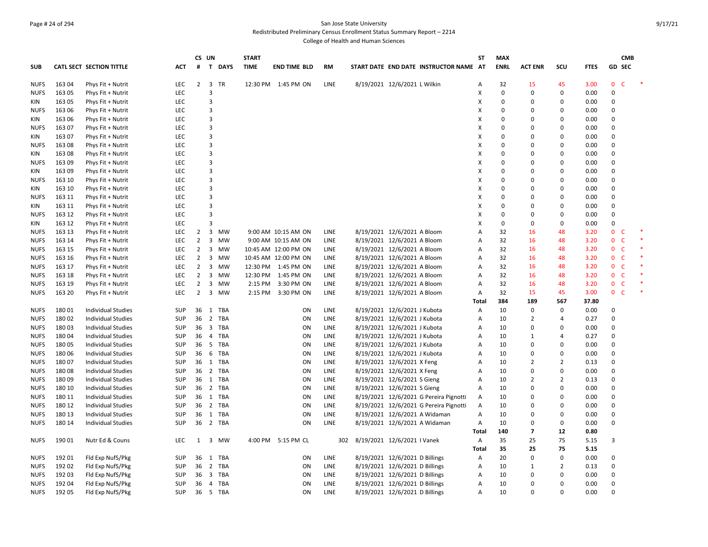#### Page # 24 of 294 San Jose State University Redistributed Preliminary Census Enrollment Status Summary Report – 2214

|             |        |                           |            | CS UN          |                         |             | <b>START</b> |                      |             |                                        | <b>ST</b> | <b>MAX</b>  |                |                |             |                | <b>CMB</b>   |        |
|-------------|--------|---------------------------|------------|----------------|-------------------------|-------------|--------------|----------------------|-------------|----------------------------------------|-----------|-------------|----------------|----------------|-------------|----------------|--------------|--------|
| <b>SUB</b>  |        | CATL SECT SECTION TITTLE  | ACT        | #              | $\mathbf{T}$            | <b>DAYS</b> | <b>TIME</b>  | end time bld         | RM          | START DATE END DATE INSTRUCTOR NAME AT |           | <b>ENRL</b> | <b>ACT ENR</b> | scu            | <b>FTES</b> |                | GD SEC       |        |
| <b>NUFS</b> | 163 04 | Phys Fit + Nutrit         | <b>LEC</b> | $\overline{2}$ | $\overline{\mathbf{3}}$ | <b>TR</b>   |              | 12:30 PM 1:45 PM ON  | LINE        | 8/19/2021 12/6/2021 L Wilkin           | Α         | 32          | 15             | 45             | 3.00        | $\mathbf 0$    | $\mathsf{C}$ |        |
| <b>NUFS</b> | 163 05 | Phys Fit + Nutrit         | LEC        |                | 3                       |             |              |                      |             |                                        | x         | 0           | $\Omega$       | 0              | 0.00        | $\Omega$       |              |        |
| KIN         | 163 05 | Phys Fit + Nutrit         | LEC        |                | 3                       |             |              |                      |             |                                        | X         | 0           | $\Omega$       | $\mathbf 0$    | 0.00        | $\mathbf 0$    |              |        |
| <b>NUFS</b> | 163 06 | Phys Fit + Nutrit         | <b>LEC</b> |                | 3                       |             |              |                      |             |                                        | x         | 0           | $\Omega$       | $\Omega$       | 0.00        | $\Omega$       |              |        |
| KIN         | 163 06 | Phys Fit + Nutrit         | LEC        |                | 3                       |             |              |                      |             |                                        | X         | $\Omega$    | $\Omega$       | $\Omega$       | 0.00        | $\Omega$       |              |        |
| <b>NUFS</b> | 16307  | Phys Fit + Nutrit         | LEC        |                | 3                       |             |              |                      |             |                                        | х         | $\Omega$    | $\Omega$       | $\mathbf{0}$   | 0.00        | $\mathbf 0$    |              |        |
| KIN         | 163 07 | Phys Fit + Nutrit         | <b>LEC</b> |                | 3                       |             |              |                      |             |                                        | x         | $\Omega$    | $\Omega$       | $\Omega$       | 0.00        | $\Omega$       |              |        |
| <b>NUFS</b> | 16308  | Phys Fit + Nutrit         | <b>LEC</b> |                | 3                       |             |              |                      |             |                                        | Χ         | $\Omega$    | $\Omega$       | $\Omega$       | 0.00        | $\mathbf 0$    |              |        |
| KIN         | 163 08 | Phys Fit + Nutrit         | <b>LEC</b> |                | 3                       |             |              |                      |             |                                        | x         | $\Omega$    | $\Omega$       | $\Omega$       | 0.00        | $\Omega$       |              |        |
| <b>NUFS</b> | 163 09 | Phys Fit + Nutrit         | LEC        |                | 3                       |             |              |                      |             |                                        | Χ         | 0           | $\Omega$       | $\mathbf 0$    | 0.00        | $\mathbf 0$    |              |        |
| KIN         | 163 09 | Phys Fit + Nutrit         | LEC        |                | 3                       |             |              |                      |             |                                        | x         | $\Omega$    | $\Omega$       | $\Omega$       | 0.00        | $\mathbf 0$    |              |        |
| <b>NUFS</b> | 163 10 | Phys Fit + Nutrit         | LEC        |                | 3                       |             |              |                      |             |                                        | Χ         | 0           | $\Omega$       | $\Omega$       | 0.00        | $\Omega$       |              |        |
| KIN         | 163 10 | Phys Fit + Nutrit         | <b>LEC</b> |                | 3                       |             |              |                      |             |                                        | х         | $\Omega$    | 0              | $\Omega$       | 0.00        | $\mathbf 0$    |              |        |
| <b>NUFS</b> | 163 11 | Phys Fit + Nutrit         | LEC        |                | 3                       |             |              |                      |             |                                        | Χ         | $\Omega$    | $\Omega$       | $\Omega$       | 0.00        | $\Omega$       |              |        |
| KIN         | 163 11 | Phys Fit + Nutrit         | LEC        |                | 3                       |             |              |                      |             |                                        | X         | $\Omega$    | $\Omega$       | $\Omega$       | 0.00        | $\mathbf 0$    |              |        |
| <b>NUFS</b> | 163 12 | Phys Fit + Nutrit         | <b>LEC</b> |                | 3                       |             |              |                      |             |                                        | x         | $\Omega$    | $\Omega$       | $\Omega$       | 0.00        | $\Omega$       |              |        |
| KIN         | 163 12 | Phys Fit + Nutrit         | LEC        |                | 3                       |             |              |                      |             |                                        | x         | 0           | $\mathbf 0$    | 0              | 0.00        | $\mathbf 0$    |              |        |
| <b>NUFS</b> | 163 13 | Phys Fit + Nutrit         | <b>LEC</b> | 2              | $\overline{\mathbf{3}}$ | <b>MW</b>   |              | 9:00 AM 10:15 AM ON  | LINE        | 8/19/2021 12/6/2021 A Bloom            | Α         | 32          | 16             | 48             | 3.20        | $\mathbf 0$    | C            |        |
| <b>NUFS</b> | 163 14 | Phys Fit + Nutrit         | LEC        | $\overline{2}$ | $\overline{3}$          | MW          |              | 9:00 AM 10:15 AM ON  | LINE        | 8/19/2021 12/6/2021 A Bloom            | Α         | 32          | 16             | 48             | 3.20        | $\mathbf{0}$   | -C           |        |
| <b>NUFS</b> | 163 15 | Phys Fit + Nutrit         | LEC        | $\overline{2}$ | $\overline{\mathbf{3}}$ | MW          |              | 10:45 AM 12:00 PM ON | LINE        | 8/19/2021 12/6/2021 A Bloom            | Α         | 32          | 16             | 48             | 3.20        | 0 <sub>c</sub> |              |        |
| <b>NUFS</b> | 163 16 | Phys Fit + Nutrit         | LEC        | $\overline{2}$ | $\overline{3}$          | MW          |              | 10:45 AM 12:00 PM ON | LINE        | 8/19/2021 12/6/2021 A Bloom            | А         | 32          | 16             | 48             | 3.20        | 0 <sub>c</sub> |              |        |
| <b>NUFS</b> | 163 17 | Phys Fit + Nutrit         | <b>LEC</b> | $\overline{2}$ | $\overline{3}$          | <b>MW</b>   |              | 12:30 PM 1:45 PM ON  | LINE        | 8/19/2021 12/6/2021 A Bloom            | Α         | 32          | 16             | 48             | 3.20        | $\mathbf{0}$   | $\mathsf{C}$ |        |
| <b>NUFS</b> | 163 18 | Phys Fit + Nutrit         | <b>LEC</b> | $\overline{2}$ | $\overline{\mathbf{3}}$ | <b>MW</b>   |              | 12:30 PM 1:45 PM ON  | LINE        | 8/19/2021 12/6/2021 A Bloom            | А         | 32          | 16             | 48             | 3.20        | 0 <sub>c</sub> |              | $\ast$ |
| <b>NUFS</b> | 163 19 | Phys Fit + Nutrit         | LEC        | $\overline{2}$ | $\overline{3}$          | MW          |              | 2:15 PM 3:30 PM ON   | LINE        | 8/19/2021 12/6/2021 A Bloom            | А         | 32          | 16             | 48             | 3.20        | $\mathbf 0$    | <sub>c</sub> | $\ast$ |
| <b>NUFS</b> | 163 20 | Phys Fit + Nutrit         | <b>LEC</b> | $\overline{2}$ | $\overline{\mathbf{3}}$ | MW          |              | 2:15 PM 3:30 PM ON   | LINE        | 8/19/2021 12/6/2021 A Bloom            | А         | 32          | 15             | 45             | 3.00        | 0 <sub>c</sub> |              |        |
|             |        |                           |            |                |                         |             |              |                      |             |                                        | Total     | 384         | 189            | 567            | 37.80       |                |              |        |
| <b>NUFS</b> | 18001  | <b>Individual Studies</b> | SUP        | 36             |                         | 1 TBA       |              | ON                   | LINE        | 8/19/2021 12/6/2021 J Kubota           | Α         | 10          | $\mathbf 0$    | $\mathbf 0$    | 0.00        | $\mathbf 0$    |              |        |
| <b>NUFS</b> | 18002  | <b>Individual Studies</b> | <b>SUP</b> | 36             | $\overline{2}$          | TBA         |              | ON                   | LINE        | 8/19/2021 12/6/2021 J Kubota           | А         | 10          | 2              | $\overline{4}$ | 0.27        | $\mathbf 0$    |              |        |
| <b>NUFS</b> | 18003  | <b>Individual Studies</b> | SUP        | 36             |                         | 3 TBA       |              | ON                   | LINE        | 8/19/2021 12/6/2021 J Kubota           | Α         | 10          | $\mathbf 0$    | $\mathbf 0$    | 0.00        | $\mathbf 0$    |              |        |
| <b>NUFS</b> | 18004  | <b>Individual Studies</b> | SUP        | 36             | $\overline{4}$          | TBA         |              | ON                   | LINE        | 8/19/2021 12/6/2021 J Kubota           | А         | 10          | 1              | $\overline{4}$ | 0.27        | $\mathbf 0$    |              |        |
| <b>NUFS</b> | 18005  | <b>Individual Studies</b> | SUP        | 36             |                         | 5 TBA       |              | ON                   | LINE        | 8/19/2021 12/6/2021 J Kubota           | Α         | 10          | $\mathbf 0$    | $\mathbf 0$    | 0.00        | $\mathbf 0$    |              |        |
| <b>NUFS</b> | 18006  | <b>Individual Studies</b> | SUP        | 36             | 6                       | TBA         |              | ON                   | LINE        | 8/19/2021 12/6/2021 J Kubota           | А         | 10          | $\Omega$       | $\Omega$       | 0.00        | $\Omega$       |              |        |
| <b>NUFS</b> | 18007  | <b>Individual Studies</b> | <b>SUP</b> | 36             | 1                       | TBA         |              | ON                   | LINE        | 8/19/2021 12/6/2021 X Feng             | Α         | 10          | $\overline{2}$ | $\overline{2}$ | 0.13        | $\Omega$       |              |        |
| <b>NUFS</b> | 18008  |                           | SUP        | 36             |                         | 2 TBA       |              | ON                   | LINE        |                                        | А         | 10          | $\Omega$       | $\mathbf 0$    | 0.00        | $\mathbf 0$    |              |        |
| <b>NUFS</b> | 18009  | <b>Individual Studies</b> | <b>SUP</b> | 36             |                         | 1 TBA       |              | ON                   | LINE        | 8/19/2021 12/6/2021 X Feng             |           | 10          | $\overline{2}$ | $\overline{2}$ | 0.13        | $\Omega$       |              |        |
|             |        | <b>Individual Studies</b> |            |                |                         |             |              |                      |             | 8/19/2021 12/6/2021 S Gieng            | А         |             |                |                |             |                |              |        |
| <b>NUFS</b> | 180 10 | <b>Individual Studies</b> | SUP        | 36             |                         | 2 TBA       |              | ON                   | LINE        | 8/19/2021 12/6/2021 S Gieng            | Α         | 10          | $\Omega$       | $\Omega$       | 0.00        | $\mathbf 0$    |              |        |
| <b>NUFS</b> | 180 11 | <b>Individual Studies</b> | SUP        | 36             |                         | 1 TBA       |              | ON                   | LINE        | 8/19/2021 12/6/2021 G Pereira Pignotti | Α         | 10          | $\Omega$       | $\Omega$       | 0.00        | $\Omega$       |              |        |
| <b>NUFS</b> | 180 12 | <b>Individual Studies</b> | SUP        | 36             |                         | 2 TBA       |              | ON                   | LINE        | 8/19/2021 12/6/2021 G Pereira Pignotti | Α         | 10          | $\Omega$       | $\Omega$       | 0.00        | $\Omega$       |              |        |
| <b>NUFS</b> | 180 13 | <b>Individual Studies</b> | SUP        | 36             |                         | 1 TBA       |              | ON                   | LINE        | 8/19/2021 12/6/2021 A Widaman          | А         | 10          | $\Omega$       | $\Omega$       | 0.00        | $\Omega$       |              |        |
| <b>NUFS</b> | 180 14 | <b>Individual Studies</b> | <b>SUP</b> | 36             |                         | 2 TBA       |              | ON                   | <b>LINE</b> | 8/19/2021 12/6/2021 A Widaman          | Α         | 10          | $\Omega$       | $\mathbf 0$    | 0.00        | $\Omega$       |              |        |
|             |        |                           |            |                |                         |             |              |                      |             |                                        | Total     | 140         | $\overline{7}$ | 12             | 0.80        |                |              |        |
| <b>NUFS</b> | 19001  | Nutr Ed & Couns           | <b>LEC</b> | 1              |                         | 3 MW        |              | 4:00 PM 5:15 PM CL   | 302         | 8/19/2021 12/6/2021   Vanek            | А         | 35          | 25             | 75             | 5.15        | 3              |              |        |
|             |        |                           |            |                |                         |             |              |                      |             |                                        | Total     | 35          | 25             | 75             | 5.15        |                |              |        |
| <b>NUFS</b> | 19201  | Fld Exp NufS/Pkg          | SUP        | 36             | 1                       | <b>TBA</b>  |              | ON                   | LINE        | 8/19/2021 12/6/2021 D Billings         | Α         | 20          | $\Omega$       | 0              | 0.00        | $\mathbf 0$    |              |        |
| <b>NUFS</b> | 192 02 | Fld Exp NufS/Pkg          | SUP        | 36             |                         | 2 TBA       |              | ON                   | LINE        | 8/19/2021 12/6/2021 D Billings         | Α         | 10          | $\mathbf{1}$   | $\overline{2}$ | 0.13        | 0              |              |        |
| <b>NUFS</b> | 192 03 | Fld Exp NufS/Pkg          | SUP        | 36             |                         | 3 TBA       |              | ON                   | LINE        | 8/19/2021 12/6/2021 D Billings         | Α         | 10          | $\Omega$       | $\Omega$       | 0.00        | $\mathbf 0$    |              |        |
| <b>NUFS</b> | 192 04 | Fld Exp NufS/Pkg          | SUP        | 36             |                         | 4 TBA       |              | ON                   | LINE        | 8/19/2021 12/6/2021 D Billings         | Α         | 10          | $\Omega$       | $\Omega$       | 0.00        | $\Omega$       |              |        |
| <b>NUFS</b> | 192 05 | Fld Exp NufS/Pkg          | <b>SUP</b> | 36             |                         | 5 TBA       |              | ON                   | LINE        | 8/19/2021 12/6/2021 D Billings         | A         | 10          | $\Omega$       | $\Omega$       | 0.00        | $\Omega$       |              |        |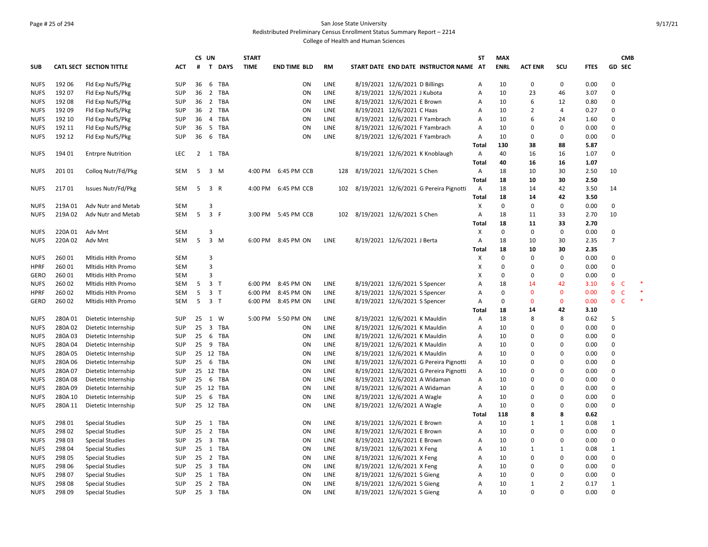#### Page # 25 of 294 San Jose State University Redistributed Preliminary Census Enrollment Status Summary Report – 2214

|             |         |                                            |            |                | CS UN                   |            | <b>START</b> |                     |             |                                |                                                                |                                        | <b>ST</b>      | <b>MAX</b>  |                |                |              |                              | <b>CMB</b> |
|-------------|---------|--------------------------------------------|------------|----------------|-------------------------|------------|--------------|---------------------|-------------|--------------------------------|----------------------------------------------------------------|----------------------------------------|----------------|-------------|----------------|----------------|--------------|------------------------------|------------|
| <b>SUB</b>  |         | <b>CATL SECT SECTION TITTLE</b>            | <b>ACT</b> | #              |                         | T DAYS     | <b>TIME</b>  | <b>END TIME BLD</b> | <b>RM</b>   |                                |                                                                | START DATE END DATE INSTRUCTOR NAME AT |                | <b>ENRL</b> | <b>ACT ENR</b> | SCU            | <b>FTES</b>  | GD SEC                       |            |
| <b>NUFS</b> | 192 06  | Fld Exp NufS/Pkg                           | <b>SUP</b> | 36             |                         | 6 TBA      |              | ON                  | <b>LINE</b> |                                | 8/19/2021 12/6/2021 D Billings                                 |                                        | $\overline{A}$ | 10          | 0              | $\mathbf 0$    | 0.00         | 0                            |            |
| <b>NUFS</b> | 192 07  | Fld Exp NufS/Pkg                           | <b>SUP</b> | 36             | $\overline{2}$          | TBA        |              | ON                  | LINE        |                                | 8/19/2021 12/6/2021 J Kubota                                   |                                        | A              | 10          | 23             | 46             | 3.07         | 0                            |            |
| <b>NUFS</b> | 192 08  | Fld Exp NufS/Pkg                           | <b>SUP</b> | 36             | 2                       | TBA        |              | ON                  | LINE        |                                | 8/19/2021 12/6/2021 E Brown                                    |                                        | A              | 10          | 6              | 12             | 0.80         | $\Omega$                     |            |
| <b>NUFS</b> | 192 09  | Fld Exp NufS/Pkg                           | <b>SUP</b> | 36             | $\overline{2}$          | TBA        |              | ON                  | LINE        |                                | 8/19/2021 12/6/2021 C Haas                                     |                                        | A              | 10          | $\overline{2}$ | 4              | 0.27         | 0                            |            |
| <b>NUFS</b> | 192 10  | Fld Exp NufS/Pkg                           | <b>SUP</b> | 36             | $\overline{4}$          | TBA        |              | ON                  | LINE        |                                |                                                                | 8/19/2021 12/6/2021 F Yambrach         | A              | 10          | 6              | 24             | 1.60         | $\Omega$                     |            |
| <b>NUFS</b> | 192 11  | Fld Exp NufS/Pkg                           | <b>SUP</b> | 36             |                         | 5 TBA      |              | ON                  | LINE        |                                |                                                                | 8/19/2021 12/6/2021 F Yambrach         | A              | 10          | 0              | $\pmb{0}$      | 0.00         | 0                            |            |
| <b>NUFS</b> | 192 12  | Fld Exp NufS/Pkg                           | <b>SUP</b> | 36             |                         | 6 TBA      |              | ON                  | LINE        |                                |                                                                | 8/19/2021 12/6/2021 F Yambrach         | A              | 10          | 0              | $\mathbf 0$    | 0.00         | $\Omega$                     |            |
|             |         |                                            |            |                |                         |            |              |                     |             |                                |                                                                |                                        | <b>Total</b>   | 130         | 38             | 88             | 5.87         |                              |            |
| <b>NUFS</b> | 194 01  | <b>Entrpre Nutrition</b>                   | <b>LEC</b> | $\overline{2}$ |                         | 1 TBA      |              |                     |             |                                |                                                                | 8/19/2021 12/6/2021 K Knoblaugh        | A              | 40          | 16             | 16             | 1.07         | $\Omega$                     |            |
|             |         |                                            |            |                |                         |            |              |                     |             |                                |                                                                |                                        | Total          | 40          | 16             | 16             | 1.07         |                              |            |
| <b>NUFS</b> | 201 01  | Collog Nutr/Fd/Pkg                         | SEM        | 5              | 3 M                     |            |              | 4:00 PM 6:45 PM CCB | 128         | 8/19/2021 12/6/2021 S Chen     |                                                                |                                        | A              | 18          | 10             | 30             | 2.50         | 10                           |            |
|             |         |                                            |            |                |                         |            |              |                     |             |                                |                                                                |                                        | Total          | 18          | 10             | 30             | 2.50         |                              |            |
| <b>NUFS</b> | 21701   | Issues Nutr/Fd/Pkg                         | SEM        | 5              | 3 R                     |            |              | 4:00 PM 6:45 PM CCB | 102         |                                |                                                                | 8/19/2021 12/6/2021 G Pereira Pignotti | $\overline{A}$ | 18          | 14             | 42             | 3.50         | 14                           |            |
|             |         |                                            |            |                |                         |            |              |                     |             |                                |                                                                |                                        | <b>Total</b>   | 18          | 14             | 42             | 3.50         |                              |            |
| <b>NUFS</b> | 219A01  | Adv Nutr and Metab                         | <b>SEM</b> |                | 3                       |            |              |                     |             |                                |                                                                |                                        | X              | $\mathbf 0$ | $\Omega$       | $\mathbf 0$    | 0.00         | 0                            |            |
| <b>NUFS</b> | 219A 02 | Adv Nutr and Metab                         | <b>SEM</b> | 5              | 3 F                     |            |              | 3:00 PM 5:45 PM CCB |             | 102 8/19/2021 12/6/2021 S Chen |                                                                |                                        | $\overline{A}$ | 18          | 11             | 33             | 2.70         | 10                           |            |
|             |         |                                            |            |                |                         |            |              |                     |             |                                |                                                                |                                        | Total          | 18          | 11             | 33             | 2.70         |                              |            |
| <b>NUFS</b> | 220A 01 | Adv Mnt                                    | <b>SEM</b> |                | 3                       |            |              |                     |             |                                |                                                                |                                        | X              | $\mathbf 0$ | 0              | $\mathbf 0$    | 0.00         | 0                            |            |
| <b>NUFS</b> | 220A 02 | Adv Mnt                                    | SEM        | 5              | $3 \, M$                |            |              | 6:00 PM 8:45 PM ON  | LINE        |                                | 8/19/2021 12/6/2021 J Berta                                    |                                        | A              | 18          | 10             | 30             | 2.35         | $\overline{7}$               |            |
|             |         |                                            |            |                |                         |            |              |                     |             |                                |                                                                |                                        | Total          | 18          | 10             | 30             | 2.35         |                              |            |
| <b>NUFS</b> | 260 01  | Mitidis Hith Promo                         | SEM        |                | 3                       |            |              |                     |             |                                |                                                                |                                        | X              | $\mathbf 0$ | 0              | $\pmb{0}$      | 0.00         | 0                            |            |
| <b>HPRF</b> | 260 01  | Mitidis Hith Promo                         | <b>SEM</b> |                | 3                       |            |              |                     |             |                                |                                                                |                                        | X              | $\mathbf 0$ | 0              | 0              | 0.00         | $\Omega$                     |            |
| <b>GERO</b> | 260 01  | <b>Mitidis Hith Promo</b>                  | <b>SEM</b> |                | $\overline{\mathbf{3}}$ |            |              |                     |             |                                |                                                                |                                        | X              | $\mathbf 0$ | 0              | $\mathbf 0$    | 0.00         | 0                            |            |
| <b>NUFS</b> | 260 02  | Mitidis Hith Promo                         | <b>SEM</b> | 5              | 3 <sub>T</sub>          |            |              | 6:00 PM 8:45 PM ON  | LINE        |                                | 8/19/2021 12/6/2021 S Spencer                                  |                                        | A              | 18          | 14             | 42             | 3.10         | 6<br>-C                      |            |
| <b>HPRF</b> | 260 02  | Mitidis Hith Promo                         | SEM        | 5              | 3 <sub>T</sub>          |            | 6:00 PM      | 8:45 PM ON          | LINE        |                                |                                                                |                                        | A              | $\mathsf 0$ | $\mathbf{0}$   | $\mathbf{0}$   | 0.00         | $\mathbf{0}$<br>$\mathsf{C}$ |            |
| <b>GERO</b> | 260 02  | Mitidis Hith Promo                         | SEM        | 5 <sup>5</sup> | 3 <sub>1</sub>          |            |              | 6:00 PM 8:45 PM ON  | LINE        |                                | 8/19/2021 12/6/2021 S Spencer<br>8/19/2021 12/6/2021 S Spencer |                                        | A              | $\mathbf 0$ | $\mathbf{0}$   | $\mathbf 0$    | 0.00         | $\mathbf{0}$<br>-C           |            |
|             |         |                                            |            |                |                         |            |              |                     |             |                                |                                                                |                                        | <b>Total</b>   | 18          | 14             | 42             | 3.10         |                              |            |
| <b>NUFS</b> | 280A01  |                                            | <b>SUP</b> | 25             | 1                       | W          |              | 5:00 PM 5:50 PM ON  | LINE        |                                | 8/19/2021 12/6/2021 K Mauldin                                  |                                        | A              | 18          | 8              | 8              |              | 5                            |            |
|             | 280A02  | Dietetic Internship<br>Dietetic Internship | <b>SUP</b> | 25             |                         | 3 TBA      |              | ON                  | <b>LINE</b> |                                |                                                                |                                        |                | 10          | $\Omega$       | $\Omega$       | 0.62<br>0.00 | $\Omega$                     |            |
| <b>NUFS</b> |         |                                            |            |                | 6                       |            |              | ON                  | LINE        |                                | 8/19/2021 12/6/2021 K Mauldin<br>8/19/2021 12/6/2021 K Mauldin |                                        | A              | 10          | 0              | $\Omega$       |              | 0                            |            |
| <b>NUFS</b> | 280A03  | Dietetic Internship                        | <b>SUP</b> | 25             |                         | TBA        |              | ON                  | <b>LINE</b> |                                |                                                                |                                        | A              | 10          | 0              | $\Omega$       | 0.00         | 0                            |            |
| <b>NUFS</b> | 280A04  | Dietetic Internship                        | <b>SUP</b> | 25             |                         | 9 TBA      |              |                     |             |                                | 8/19/2021 12/6/2021 K Mauldin                                  |                                        | A              |             | $\Omega$       | 0              | 0.00         |                              |            |
| <b>NUFS</b> | 280A05  | Dietetic Internship                        | <b>SUP</b> | 25             | 12                      | <b>TBA</b> |              | ON                  | LINE        |                                | 8/19/2021 12/6/2021 K Mauldin                                  |                                        | A              | 10          |                |                | 0.00         | 0                            |            |
| <b>NUFS</b> | 280A06  | Dietetic Internship                        | <b>SUP</b> | 25             | 6                       | TBA        |              | ON                  | LINE        |                                |                                                                | 8/19/2021 12/6/2021 G Pereira Pignotti | A              | 10          | $\Omega$       | $\mathbf 0$    | 0.00         | $\Omega$                     |            |
| <b>NUFS</b> | 280A 07 | Dietetic Internship                        | <b>SUP</b> | 25             |                         | 12 TBA     |              | ON                  | LINE        |                                |                                                                | 8/19/2021 12/6/2021 G Pereira Pignotti | A              | 10          | 0              | 0              | 0.00         | 0                            |            |
| <b>NUFS</b> | 280A08  | Dietetic Internship                        | <b>SUP</b> | 25             |                         | 6 TBA      |              | ON                  | LINE        |                                |                                                                | 8/19/2021 12/6/2021 A Widaman          | A              | 10          | $\Omega$       | 0              | 0.00         | $\Omega$                     |            |
| <b>NUFS</b> | 280A09  | Dietetic Internship                        | <b>SUP</b> | 25             |                         | 12 TBA     |              | ON                  | LINE        |                                |                                                                | 8/19/2021 12/6/2021 A Widaman          | Α              | 10          | 0              | 0              | 0.00         | 0                            |            |
| <b>NUFS</b> | 280A 10 | Dietetic Internship                        | <b>SUP</b> | 25             |                         | 6 TBA      |              | ON                  | LINE        |                                | 8/19/2021 12/6/2021 A Wagle                                    |                                        | A              | 10          | 0              | 0              | 0.00         | $\Omega$                     |            |
| <b>NUFS</b> | 280A 11 | Dietetic Internship                        | <b>SUP</b> |                |                         | 25 12 TBA  |              | ON                  | LINE        |                                | 8/19/2021 12/6/2021 A Wagle                                    |                                        | A              | 10          | $\Omega$       | $\Omega$       | 0.00         | $\Omega$                     |            |
|             |         |                                            |            |                |                         |            |              |                     |             |                                |                                                                |                                        | Total          | 118         | 8              | 8              | 0.62         |                              |            |
| <b>NUFS</b> | 298 01  | <b>Special Studies</b>                     | <b>SUP</b> | 25             |                         | 1 TBA      |              | ON                  | <b>LINE</b> |                                | 8/19/2021 12/6/2021 E Brown                                    |                                        | Α              | 10          | $\mathbf{1}$   | $\mathbf{1}$   | 0.08         | $\mathbf{1}$                 |            |
| <b>NUFS</b> | 298 02  | <b>Special Studies</b>                     | SUP        | 25             |                         | 2 TBA      |              | ON                  | LINE        |                                | 8/19/2021 12/6/2021 E Brown                                    |                                        | A              | 10          | $\Omega$       | $\pmb{0}$      | 0.00         | 0                            |            |
| <b>NUFS</b> | 298 03  | <b>Special Studies</b>                     | <b>SUP</b> | 25             |                         | 3 TBA      |              | ON                  | <b>LINE</b> |                                | 8/19/2021 12/6/2021 E Brown                                    |                                        | A              | 10          | $\Omega$       | $\mathbf 0$    | 0.00         | $\mathbf 0$                  |            |
| <b>NUFS</b> | 298 04  | <b>Special Studies</b>                     | <b>SUP</b> | 25             |                         | 1 TBA      |              | ON                  | <b>LINE</b> |                                | 8/19/2021 12/6/2021 X Feng                                     |                                        | A              | 10          | 1              | 1              | 0.08         | $\mathbf{1}$                 |            |
| <b>NUFS</b> | 298 05  | <b>Special Studies</b>                     | <b>SUP</b> | 25             |                         | 2 TBA      |              | ON                  | <b>LINE</b> |                                | 8/19/2021 12/6/2021 X Feng                                     |                                        | A              | 10          | $\Omega$       | $\mathbf 0$    | 0.00         | $\mathbf 0$                  |            |
| <b>NUFS</b> | 298 06  | <b>Special Studies</b>                     | SUP        | 25             |                         | 3 TBA      |              | ON                  | <b>LINE</b> |                                | 8/19/2021 12/6/2021 X Feng                                     |                                        | A              | 10          | $\Omega$       | $\Omega$       | 0.00         | $\mathbf 0$                  |            |
| <b>NUFS</b> | 298 07  | <b>Special Studies</b>                     | <b>SUP</b> | 25             |                         | 1 TBA      |              | ON                  | <b>LINE</b> |                                | 8/19/2021 12/6/2021 S Gieng                                    |                                        | $\overline{A}$ | 10          | 0              | $\Omega$       | 0.00         | 0                            |            |
| <b>NUFS</b> | 298 08  | <b>Special Studies</b>                     | <b>SUP</b> | 25             |                         | 2 TBA      |              | ON                  | LINE        |                                | 8/19/2021 12/6/2021 S Gieng                                    |                                        | A              | 10          | $\mathbf{1}$   | $\overline{2}$ | 0.17         | $\mathbf{1}$                 |            |
| <b>NUFS</b> | 298 09  | <b>Special Studies</b>                     | <b>SUP</b> |                |                         | 25 3 TBA   |              | ON                  | LINE        |                                | 8/19/2021 12/6/2021 S Gieng                                    |                                        | $\overline{A}$ | 10          | $\Omega$       | $\Omega$       | 0.00         | $\Omega$                     |            |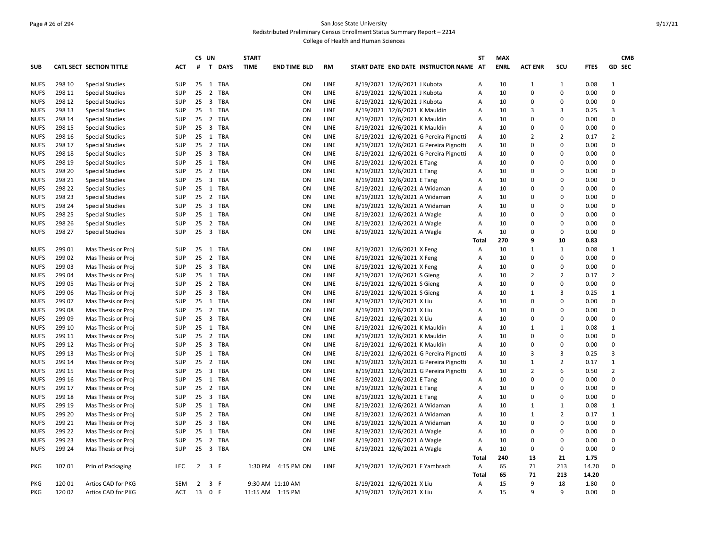#### Page # 26 of 294 San Jose State University Redistributed Preliminary Census Enrollment Status Summary Report – 2214

|             |                  |                          |            | CS UN              |                                       | <b>START</b> |                     |             |                                                             | <b>ST</b>    | <b>MAX</b>  |                      |                         |                | <b>CMB</b>                  |
|-------------|------------------|--------------------------|------------|--------------------|---------------------------------------|--------------|---------------------|-------------|-------------------------------------------------------------|--------------|-------------|----------------------|-------------------------|----------------|-----------------------------|
| <b>SUB</b>  |                  | CATL SECT SECTION TITTLE | <b>ACT</b> |                    | # T DAYS                              | <b>TIME</b>  | <b>END TIME BLD</b> | <b>RM</b>   | START DATE END DATE INSTRUCTOR NAME AT                      |              | <b>ENRL</b> | <b>ACT ENR</b>       | SCU                     | <b>FTES</b>    | GD SEC                      |
| <b>NUFS</b> | 298 10           | <b>Special Studies</b>   | SUP        |                    | 25 1 TBA                              |              | ON                  | LINE        | 8/19/2021 12/6/2021 J Kubota                                | А            | 10          | 1                    | 1                       | 0.08           | 1                           |
| <b>NUFS</b> | 298 11           | <b>Special Studies</b>   | SUP        | 25                 | $\overline{2}$<br><b>TBA</b>          |              | ON                  | LINE        | 8/19/2021 12/6/2021 J Kubota                                | А            | 10          | 0                    | $\Omega$                | 0.00           | $\mathbf 0$                 |
| <b>NUFS</b> | 298 12           | <b>Special Studies</b>   | SUP        |                    | 25 3 TBA                              |              | ON                  | LINE        | 8/19/2021 12/6/2021 J Kubota                                | А            | 10          | 0                    | 0                       | 0.00           | 0                           |
| <b>NUFS</b> | 298 13           | <b>Special Studies</b>   | SUP        | 25                 | 1 TBA                                 |              | ON                  | <b>LINE</b> | 8/19/2021 12/6/2021 K Mauldin                               | A            | 10          | 3                    | 3                       | 0.25           | $\overline{3}$              |
| <b>NUFS</b> | 298 14           | <b>Special Studies</b>   | SUP        |                    | 25 2 TBA                              |              | ON                  | LINE        | 8/19/2021 12/6/2021 K Mauldin                               | A            | 10          | $\Omega$             | 0                       | 0.00           | $\mathbf 0$                 |
| <b>NUFS</b> | 298 15           | <b>Special Studies</b>   | SUP        | 25                 | $\overline{\mathbf{3}}$<br><b>TBA</b> |              | ON                  | <b>LINE</b> | 8/19/2021 12/6/2021 K Mauldin                               | A            | 10          | $\Omega$             | $\Omega$                | 0.00           | $\mathbf 0$                 |
| <b>NUFS</b> | 298 16           | <b>Special Studies</b>   | SUP        |                    | 25 1 TBA                              |              | ON                  | LINE        | 8/19/2021 12/6/2021 G Pereira Pignotti                      | Α            | 10          | $\overline{2}$       | $\overline{2}$          | 0.17           | $\overline{2}$              |
| <b>NUFS</b> | 298 17           | <b>Special Studies</b>   | SUP        |                    | 25 2 TBA                              |              | ON                  | LINE        | 8/19/2021 12/6/2021 G Pereira Pignotti                      | Α            | 10          | 0                    | $\Omega$                | 0.00           | 0                           |
| <b>NUFS</b> | 298 18           | <b>Special Studies</b>   | SUP        | $25 \quad 3$       | TBA                                   |              | ON                  | LINE        | 8/19/2021 12/6/2021 G Pereira Pignotti                      | Α            | 10          | 0                    | $\Omega$                | 0.00           | $\mathbf 0$                 |
| <b>NUFS</b> | 298 19           | <b>Special Studies</b>   | SUP        |                    | 25 1 TBA                              |              | ON                  | LINE        | 8/19/2021 12/6/2021 E Tang                                  | А            | 10          | 0                    | $\Omega$                | 0.00           | 0                           |
| <b>NUFS</b> | 298 20           | <b>Special Studies</b>   | SUP        | 25 <sub>2</sub>    | <b>TBA</b>                            |              | ON                  | LINE        | 8/19/2021 12/6/2021 E Tang                                  | А            | 10          | 0                    | $\Omega$                | 0.00           | $\mathbf 0$                 |
| <b>NUFS</b> | 298 21           | <b>Special Studies</b>   | SUP        |                    | 25 3 TBA                              |              | ON                  | LINE        | 8/19/2021 12/6/2021 E Tang                                  | А            | 10          | $\Omega$             | $\Omega$                | 0.00           | $\mathbf 0$                 |
| <b>NUFS</b> | 298 22           | <b>Special Studies</b>   | SUP        | 25                 | 1 TBA                                 |              | ON                  | <b>LINE</b> | 8/19/2021 12/6/2021 A Widaman                               | A            | 10          | $\Omega$             | $\Omega$                | 0.00           | $\mathbf 0$                 |
| <b>NUFS</b> | 298 23           | <b>Special Studies</b>   | SUP        |                    | 25 2 TBA                              |              | ON                  | LINE        | 8/19/2021 12/6/2021 A Widaman                               | А            | 10          | $\mathbf 0$          | $\Omega$                | 0.00           | $\mathbf 0$                 |
| <b>NUFS</b> | 298 24           | <b>Special Studies</b>   | SUP        | 25                 | $\overline{\mathbf{3}}$<br><b>TBA</b> |              | ON                  | LINE        | 8/19/2021 12/6/2021 A Widaman                               | А            | 10          | $\Omega$             | 0                       | 0.00           | $\mathbf 0$                 |
| <b>NUFS</b> | 298 25           | <b>Special Studies</b>   | SUP        |                    | 25 1 TBA                              |              | ON                  | <b>LINE</b> | 8/19/2021 12/6/2021 A Wagle                                 | A            | 10          | $\Omega$             | $\Omega$                | 0.00           | $\mathbf 0$                 |
| <b>NUFS</b> | 298 26           | <b>Special Studies</b>   | SUP        | 25                 | $\overline{2}$<br>TBA                 |              | ON                  | LINE        | 8/19/2021 12/6/2021 A Wagle                                 | А            | 10          | $\mathbf 0$          | $\Omega$                | 0.00           | 0                           |
| <b>NUFS</b> | 298 27           | <b>Special Studies</b>   | SUP        |                    | 25 3 TBA                              |              | ON                  | LINE        | 8/19/2021 12/6/2021 A Wagle                                 | А            | 10          | 0                    | $\mathbf 0$             | 0.00           | $\mathbf 0$                 |
|             |                  |                          |            |                    |                                       |              |                     |             |                                                             | Total        | 270         | 9                    | 10                      | 0.83           |                             |
| <b>NUFS</b> | 299 01           | Mas Thesis or Proj       | SUP        |                    | 25 1 TBA                              |              | ON                  | LINE        | 8/19/2021 12/6/2021 X Feng                                  | Α            | 10          | $\mathbf{1}$         | 1                       | 0.08           | 1                           |
| <b>NUFS</b> | 299 02           | Mas Thesis or Proj       | SUP        | 25                 | $\overline{2}$<br>TBA                 |              | ON                  | LINE        | 8/19/2021 12/6/2021 X Feng                                  | А            | 10          | $\Omega$             | $\mathbf 0$             | 0.00           | $\mathbf 0$                 |
| <b>NUFS</b> | 299 03           | Mas Thesis or Proj       | SUP        | $25 \quad 3$       | <b>TBA</b>                            |              | ON                  | LINE        | 8/19/2021 12/6/2021 X Feng                                  | А            | 10          | $\Omega$             | 0                       | 0.00           | $\mathbf 0$                 |
| <b>NUFS</b> | 299 04           | Mas Thesis or Proj       | SUP        | 25                 | 1 TBA                                 |              | ON                  | LINE        | 8/19/2021 12/6/2021 S Gieng                                 | А            | 10          | $\overline{2}$       | $\overline{2}$          | 0.17           | $\overline{2}$              |
| <b>NUFS</b> | 299 05           | Mas Thesis or Proj       | SUP        | $25 \quad 2$       | TBA                                   |              | ON                  | LINE        | 8/19/2021 12/6/2021 S Gieng                                 | А            | 10          | 0                    | $\Omega$                | 0.00           | 0                           |
| <b>NUFS</b> | 299 06           | Mas Thesis or Proj       | SUP        |                    | 25 3 TBA                              |              | ON                  | LINE        | 8/19/2021 12/6/2021 S Gieng                                 | A            | 10          | $\mathbf{1}$         | 3                       | 0.25           | $\mathbf{1}$                |
| <b>NUFS</b> | 299 07           | Mas Thesis or Proj       | SUP        | $25 \quad 1$       | TBA                                   |              | ON                  | LINE        | 8/19/2021 12/6/2021 X Liu                                   | А            | 10          | 0                    | $\Omega$                | 0.00           | $\mathbf 0$                 |
| <b>NUFS</b> | 299 08           | Mas Thesis or Proj       | SUP        |                    | 25 2 TBA                              |              | ON                  | LINE        | 8/19/2021 12/6/2021 X Liu                                   | A            | 10          | $\Omega$             | $\Omega$                | 0.00           | $\mathbf 0$                 |
| <b>NUFS</b> | 299 09           | Mas Thesis or Proj       | SUP        | $25 \quad 3$       | <b>TBA</b>                            |              | ON                  | LINE        | 8/19/2021 12/6/2021 X Liu                                   | A            | 10          | $\Omega$             | $\Omega$                | 0.00           | $\mathbf 0$                 |
| <b>NUFS</b> | 299 10           | Mas Thesis or Proj       | SUP        |                    | 25 1 TBA                              |              | ON                  | LINE        | 8/19/2021 12/6/2021 K Mauldin                               | A            | 10          | $\mathbf{1}$         | 1                       | 0.08           | $\mathbf{1}$                |
| <b>NUFS</b> | 299 11           | Mas Thesis or Proj       | SUP        | 25                 | 2<br><b>TBA</b>                       |              | ON                  | <b>LINE</b> | 8/19/2021 12/6/2021 K Mauldin                               | A            | 10          | $\Omega$             | $\Omega$                | 0.00           | $\mathbf 0$                 |
| <b>NUFS</b> | 299 12           | Mas Thesis or Proj       | SUP        | 25                 | $\overline{\mathbf{3}}$<br>TBA        |              | ON                  | LINE        | 8/19/2021 12/6/2021 K Mauldin                               | А            | 10          | 0                    | $\Omega$                | 0.00           | $\mathbf 0$                 |
| <b>NUFS</b> | 299 13           | Mas Thesis or Proj       | SUP        | 25                 | <b>TBA</b><br>1                       |              | ON                  | LINE        | 8/19/2021 12/6/2021 G Pereira Pignotti                      | A            | 10          | 3                    | 3                       | 0.25           | 3                           |
| <b>NUFS</b> | 299 14           | Mas Thesis or Proj       | SUP        | 25                 | 2 TBA                                 |              | ON                  | LINE        | 8/19/2021 12/6/2021 G Pereira Pignotti                      | Α            | 10          | $\mathbf{1}$         | $\overline{2}$          | 0.17           | $\mathbf{1}$                |
| <b>NUFS</b> | 299 15           | Mas Thesis or Proj       | SUP        | 25                 | 3<br><b>TBA</b>                       |              | ON                  | LINE        | 8/19/2021 12/6/2021 G Pereira Pignotti                      | Α            | 10          | $\overline{2}$       | 6                       | 0.50           | $\overline{2}$              |
| <b>NUFS</b> | 299 16           | Mas Thesis or Proj       | SUP        |                    | 25 1 TBA                              |              | ON                  | LINE        | 8/19/2021 12/6/2021 E Tang                                  | А            | 10          | 0                    | $\mathbf 0$<br>$\Omega$ | 0.00           | $\mathbf 0$                 |
| <b>NUFS</b> | 299 17           | Mas Thesis or Proj       | SUP        | 25                 | 2 TBA                                 |              | ON                  | LINE        | 8/19/2021 12/6/2021 E Tang                                  | А            | 10          | $\Omega$<br>$\Omega$ |                         | 0.00           | $\mathbf 0$                 |
| <b>NUFS</b> | 299 18<br>299 19 | Mas Thesis or Proj       | SUP        | $25 \quad 3$<br>25 | TBA<br>1 TBA                          |              | ON                  | LINE        | 8/19/2021 12/6/2021 E Tang<br>8/19/2021 12/6/2021 A Widaman | А            | 10<br>10    | $\mathbf{1}$         | $\Omega$                | 0.00           | $\mathbf 0$<br>$\mathbf{1}$ |
| <b>NUFS</b> | 299 20           | Mas Thesis or Proj       | SUP        |                    | TBA                                   |              | ON                  | LINE        |                                                             | А            |             | $\mathbf{1}$         | 1<br>$\overline{2}$     | 0.08           | $\mathbf{1}$                |
| <b>NUFS</b> | 299 21           | Mas Thesis or Proj       | SUP        | 25                 | $\overline{2}$<br>25 3 TBA            |              | ON                  | LINE        | 8/19/2021 12/6/2021 A Widaman                               | А            | 10<br>10    |                      | $\Omega$                | 0.17           | $\mathbf 0$                 |
| <b>NUFS</b> | 299 22           | Mas Thesis or Proj       | SUP        |                    | <b>TBA</b>                            |              | ON                  | LINE        | 8/19/2021 12/6/2021 A Widaman                               | Α            | 10          | 0                    | $\Omega$                | 0.00           | $\mathbf 0$                 |
| <b>NUFS</b> |                  | Mas Thesis or Proj       | SUP        | $25 \quad 1$       |                                       |              | ON                  | LINE        | 8/19/2021 12/6/2021 A Wagle                                 | А            |             | 0                    | $\Omega$                | 0.00           |                             |
| <b>NUFS</b> | 299 23           | Mas Thesis or Proj       | SUP        | 25 <sub>2</sub>    | <b>TBA</b>                            |              | ON                  | LINE        | 8/19/2021 12/6/2021 A Wagle                                 | А            | 10          | 0                    |                         | 0.00           | $\mathbf 0$                 |
| <b>NUFS</b> | 299 24           | Mas Thesis or Proj       | SUP        |                    | 25 3 TBA                              |              | ON                  | LINE        | 8/19/2021 12/6/2021 A Wagle                                 | Α            | 10          | 0                    | 0                       | 0.00           | $\mathbf 0$                 |
|             |                  |                          |            |                    |                                       |              |                     |             |                                                             | <b>Total</b> | 240         | 13                   | 21                      | 1.75           |                             |
| PKG         | 107 01           | Prin of Packaging        | <b>LEC</b> | 2                  | 3<br>- F                              | 1:30 PM      | 4:15 PM ON          | LINE        | 8/19/2021 12/6/2021 F Yambrach                              | A<br>Total   | 65<br>65    | 71<br>71             | 213<br>213              | 14.20<br>14.20 | $\mathbf 0$                 |
| PKG         | 120 01           | Artios CAD for PKG       | SEM        | $\overline{2}$     | 3 F                                   |              | 9:30 AM 11:10 AM    |             | 8/19/2021 12/6/2021 X Liu                                   | Α            | 15          | 9                    | 18                      | 1.80           | 0                           |
| PKG         | 120 02           |                          | <b>ACT</b> |                    | 13 0 F                                |              |                     |             | 8/19/2021 12/6/2021 X Liu                                   |              | 15          | q                    | $\mathsf{q}$            | 0.00           | $\Omega$                    |
|             |                  | Artios CAD for PKG       |            |                    |                                       |              | 11:15 AM  1:15 PM   |             |                                                             | A            |             |                      |                         |                |                             |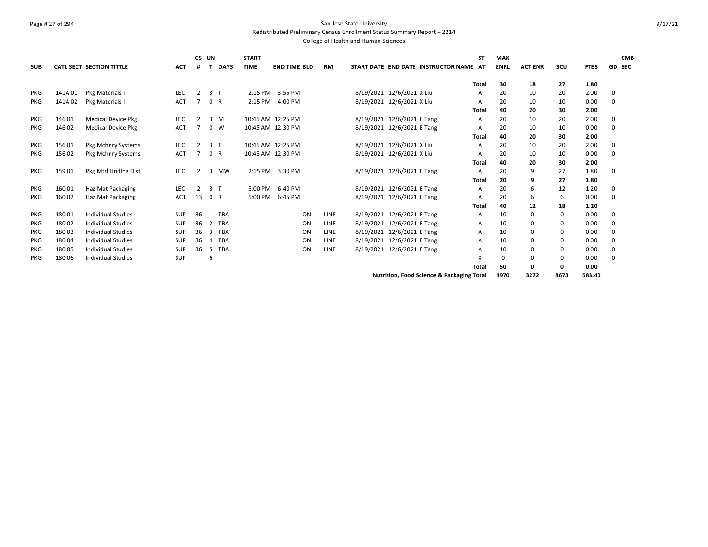#### Page # 27 of 294 San Jose State University Redistributed Preliminary Census Enrollment Status Summary Report – 2214 College of Health and Human Sciences

**SUB CATL SECT SECTION TITTLE ACT CS UN # T DAYS START TIME END TIME BLD RM START DATE END DATE INSTRUCTOR NAME AT ST MAX ENRL ACT ENR SCU FTES GD CMB SEC Total 30 18 27 1.80** PKG 141A 01 Pkg Materials I LEC 2 3 T 2:15 PM 3:55 PM 8/19/2021 12/6/2021 X Liu A 20 10 20 2.00 0 PKG 141A 02 Pkg Materials I ACT 7 0 R 2:15 PM 4:00 PM 8/19/2021 12/6/2021 X Liu A 20 10 10 0.00 0 **Total 40 20 30 2.00** PKG 146 01 Medical Device Pkg LEC 2 3 M 10:45 AM 12:25 PM 8/19/2021 12/6/2021 E Tang A 20 10 20 2.00 0 PKG 14602 Medical Device Pkg ACT 7 0 W 10:45 AM 12:30 PM 8/19/2021 12/6/2021 E Tang A 20 10 10 0.00 0 **Total 40 20 30 2.00** PKG 156 01 Pkg Mchnry Systems LEC 2 3 T 10:45 AM 12:25 PM 8/19/2021 12/6/2021 X Liu A 20 10 20 2.00 0 PKG 15602 Pkg Mchnry Systems ACT 7 0 R 10:45 AM 12:30 PM 8/19/2021 12/6/2021 X Liu A 20 10 10 0.00 0 **Total 40 20 30 2.00** PKG 15901 Pkg Mtrl Hndlng Dist LEC 2 3 MW 2:15 PM 3:30 PM 8/19/2021 12/6/2021 E Tang A 20 9 27 1.80 0 **Total 20 9 27 1.80** PKG 160 01 Haz Mat Packaging LEC 2 3 T 5:00 PM 6:40 PM 8/19/2021 12/6/2021 E Tang A 20 6 12 1.20 0 PKG 16002 Haz Mat Packaging ACT 13 0 R 5:00 PM 6:45 PM 8/19/2021 12/6/2021 E Tang A 20 6 6 0.00 0 **Total 40 12 18 1.20** PKG 18001 Individual Studies 50 SUP 36 1 TBA CON LINE 8/19/2021 12/6/2021 E Tang A 10 0 0 0.00 0 PKG 18002 Individual Studies 50 SUP 36 2 TBA CON LINE 8/19/2021 12/6/2021 E Tang A 10 0 0 0.00 0 PKG 18003 Individual Studies 50 SUP 36 3 TBA 6 00 CON LINE 8/19/2021 12/6/2021 E Tang A 10 0 0 0.00 0 PKG 18004 Individual Studies 50 SUP 36 4 TBA CON LINE 8/19/2021 12/6/2021 E Tang A 10 0 0 0.00 0 PKG 18005 Individual Studies 50 SUP 36 5 TBA CON LINE 8/19/2021 12/6/2021 E Tang A 10 0 0 0.00 0 PKG 180 06 Individual Studies SUP 6 X 0 0 0 0.00 0 **Total 50 0 0 0.00**

**Nutrition, Food Science & Packaging Total 4970 3272 8673 583.40**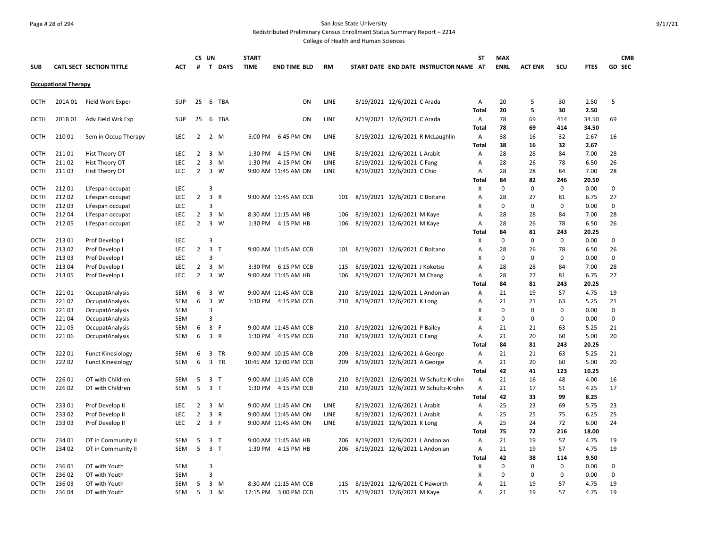# Page # 28 of 294 San Jose State University

Redistributed Preliminary Census Enrollment Status Summary Report – 2214

|             |                             |                          |            |                | CS UN                   |                | <b>START</b> |                       |           |                                        | ST                | <b>MAX</b>  |                |             |                | <b>CMB</b>    |
|-------------|-----------------------------|--------------------------|------------|----------------|-------------------------|----------------|--------------|-----------------------|-----------|----------------------------------------|-------------------|-------------|----------------|-------------|----------------|---------------|
| <b>SUB</b>  |                             | CATL SECT SECTION TITTLE | АСТ        | #              |                         | T DAYS         | <b>TIME</b>  | <b>END TIME BLD</b>   | <b>RM</b> | START DATE END DATE INSTRUCTOR NAME AT |                   | <b>ENRL</b> | <b>ACT ENR</b> | scu         | <b>FTES</b>    | <b>GD SEC</b> |
|             | <b>Occupational Therapy</b> |                          |            |                |                         |                |              |                       |           |                                        |                   |             |                |             |                |               |
| OCTH        |                             | 201A 01 Field Work Exper | <b>SUP</b> | 25             |                         | 6 TBA          |              | ON                    | LINE      | 8/19/2021 12/6/2021 C Arada            | A                 | 20          | 5              | 30          | 2.50           | 5             |
|             |                             |                          |            |                |                         |                |              |                       |           |                                        | <b>Total</b>      | 20          | 5              | 30          | 2.50           |               |
| OCTH        | 201B 01                     | Adv Field Wrk Exp        | <b>SUP</b> | 25             |                         | 6 TBA          |              | ON                    | LINE      | 8/19/2021 12/6/2021 C Arada            | Α<br><b>Total</b> | 78<br>78    | 69<br>69       | 414<br>414  | 34.50<br>34.50 | 69            |
| OCTH        | 210 01                      | Sem in Occup Therapy     | <b>LEC</b> | $\overline{2}$ |                         | 2 M            | 5:00 PM      | 6:45 PM ON            | LINE      | 8/19/2021 12/6/2021 R McLaughlin       | Α                 | 38          | 16             | 32          | 2.67           | 16            |
|             |                             |                          |            |                |                         |                |              |                       |           |                                        | Total             | 38          | 16             | 32          | 2.67           |               |
| OCTH        | 21101                       | Hist Theory OT           | LEC        | $\overline{2}$ |                         | 3 M            | 1:30 PM      | 4:15 PM ON            | LINE      | 8/19/2021 12/6/2021 L Arabit           | Α                 | 28          | 28             | 84          | 7.00           | 28            |
| OCTH        | 21102                       | Hist Theory OT           | <b>LEC</b> | $\overline{2}$ |                         | $3 \, M$       |              | 1:30 PM 4:15 PM ON    | LINE      | 8/19/2021 12/6/2021 C Fang             | A                 | 28          | 26             | 78          | 6.50           | 26            |
| <b>OCTH</b> | 21103                       | Hist Theory OT           | LEC        | $\overline{2}$ |                         | 3 W            |              | 9:00 AM 11:45 AM ON   | LINE      | 8/19/2021 12/6/2021 C Chio             | A                 | 28          | 28             | 84          | 7.00           | 28            |
|             |                             |                          |            |                |                         |                |              |                       |           |                                        | Total             | 84          | 82             | 246         | 20.50          |               |
| OCTH        | 21201                       | Lifespan occupat         | <b>LEC</b> |                | $\overline{3}$          |                |              |                       |           |                                        | X                 | 0           | $\Omega$       | $\mathbf 0$ | 0.00           | 0             |
| <b>OCTH</b> | 21202                       | Lifespan occupat         | <b>LEC</b> | $\overline{2}$ | 3                       | R              |              | 9:00 AM 11:45 AM CCB  | 101       | 8/19/2021 12/6/2021 C Boitano          | A                 | 28          | 27             | 81          | 6.75           | 27            |
| OCTH        | 21203                       | Lifespan occupat         | <b>LEC</b> |                | з                       |                |              |                       |           |                                        | X                 | $\mathbf 0$ | $\mathbf 0$    | $\mathbf 0$ | 0.00           | 0             |
| OCTH        | 21204                       | Lifespan occupat         | <b>LEC</b> | $\overline{2}$ |                         | 3 M            |              | 8:30 AM 11:15 AM HB   | 106       | 8/19/2021 12/6/2021 M Kaye             | A                 | 28          | 28             | 84          | 7.00           | 28            |
| OCTH        | 21205                       | Lifespan occupat         | <b>LEC</b> | $\overline{2}$ |                         | 3 W            |              | 1:30 PM 4:15 PM HB    | 106       | 8/19/2021 12/6/2021 M Kaye             | A                 | 28          | 26             | 78          | 6.50           | 26            |
|             |                             |                          |            |                |                         |                |              |                       |           |                                        | Total             | 84          | 81             | 243         | 20.25          |               |
| OCTH        | 21301                       | Prof Develop I           | <b>LEC</b> |                | 3                       |                |              |                       |           |                                        | X                 | $\mathbf 0$ | 0              | 0           | 0.00           | 0             |
| <b>OCTH</b> | 21302                       | Prof Develop I           | LEC        | $\overline{2}$ | 3 <sub>1</sub>          |                |              | 9:00 AM 11:45 AM CCB  | 101       | 8/19/2021 12/6/2021 C Boitano          | A                 | 28          | 26             | 78          | 6.50           | 26            |
| OCTH        | 21303                       | Prof Develop I           | <b>LEC</b> |                | 3                       |                |              |                       |           |                                        | X                 | $\mathbf 0$ | 0              | $\mathbf 0$ | 0.00           | 0             |
| OCTH        | 213 04                      | Prof Develop I           | LEC        | $\overline{2}$ |                         | 3 M            |              | 3:30 PM 6:15 PM CCB   | 115       | 8/19/2021 12/6/2021 J Koketsu          | A                 | 28          | 28             | 84          | 7.00           | 28            |
| <b>OCTH</b> | 21305                       | Prof Develop I           | <b>LEC</b> | $\overline{2}$ |                         | $3 \quad W$    |              | 9:00 AM 11:45 AM HB   | 106       | 8/19/2021 12/6/2021 M Chang            | А                 | 28          | 27             | 81          | 6.75           | 27            |
|             |                             |                          |            |                |                         |                |              |                       |           |                                        | Total             | 84          | 81             | 243         | 20.25          |               |
| OCTH        | 22101                       | OccupatAnalysis          | SEM        | 6              |                         | 3 W            |              | 9:00 AM 11:45 AM CCB  | 210       | 8/19/2021 12/6/2021 L Andonian         | Α                 | 21          | 19             | 57          | 4.75           | 19            |
| OCTH        | 22102                       | OccupatAnalysis          | <b>SEM</b> | 6              |                         | 3 W            |              | 1:30 PM 4:15 PM CCB   | 210       | 8/19/2021 12/6/2021 K Long             | A                 | 21          | 21             | 63          | 5.25           | 21            |
| <b>OCTH</b> | 22103                       | OccupatAnalysis          | <b>SEM</b> |                | 3                       |                |              |                       |           |                                        | X                 | $\mathbf 0$ | $\mathbf 0$    | $\mathbf 0$ | 0.00           | 0             |
| <b>OCTH</b> | 22104                       | OccupatAnalysis          | <b>SEM</b> |                | $\overline{\mathbf{3}}$ |                |              |                       |           |                                        | X                 | $\mathbf 0$ | $\Omega$       | $\mathbf 0$ | 0.00           | 0             |
| <b>OCTH</b> | 22105                       | OccupatAnalysis          | SEM        | 6              | $\overline{3}$          | F              |              | 9:00 AM 11:45 AM CCB  | 210       | 8/19/2021 12/6/2021 P Bailey           | A                 | 21          | 21             | 63          | 5.25           | 21            |
| OCTH        | 221 06                      | OccupatAnalysis          | <b>SEM</b> | 6              | 3                       | R              |              | 1:30 PM 4:15 PM CCB   | 210       | 8/19/2021 12/6/2021 C Fang             | А                 | 21          | 20             | 60          | 5.00           | 20            |
|             |                             |                          |            |                |                         |                |              |                       |           |                                        | Total             | 84          | 81             | 243         | 20.25          |               |
| OCTH        | 22201                       | <b>Funct Kinesiology</b> | SEM        | 6              |                         | 3 TR           |              | 9:00 AM 10:15 AM CCB  | 209       | 8/19/2021 12/6/2021 A George           | Α                 | 21          | 21             | 63          | 5.25           | 21            |
| <b>OCTH</b> | 22202                       | <b>Funct Kinesiology</b> | SEM        | 6              |                         | 3 TR           |              | 10:45 AM 12:00 PM CCB | 209       | 8/19/2021 12/6/2021 A George           | A                 | 21          | 20             | 60          | 5.00           | 20            |
|             |                             |                          |            |                |                         |                |              |                       |           |                                        | Total             | 42          | 41             | 123         | 10.25          |               |
| <b>OCTH</b> | 226 01                      | OT with Children         | <b>SEM</b> | 5              |                         | 3 <sub>T</sub> |              | 9:00 AM 11:45 AM CCB  | 210       | 8/19/2021 12/6/2021 W Schultz-Krohn    | Α                 | 21          | 16             | 48          | 4.00           | 16            |
| OCTH        | 226 02                      | OT with Children         | <b>SEM</b> | 5              |                         | 3 <sub>1</sub> |              | 1:30 PM 4:15 PM CCB   | 210       | 8/19/2021 12/6/2021 W Schultz-Krohn    | Α                 | 21          | 17             | 51          | 4.25           | 17            |
|             |                             |                          |            |                |                         |                |              |                       |           |                                        | <b>Total</b>      | 42          | 33             | 99          | 8.25           |               |
| <b>OCTH</b> | 23301                       | Prof Develop II          | LEC        | $\overline{2}$ |                         | $3 \, M$       |              | 9:00 AM 11:45 AM ON   | LINE      | 8/19/2021 12/6/2021 L Arabit           | Α                 | 25          | 23             | 69          | 5.75           | 23            |
| OCTH        | 23302                       | Prof Develop II          | LEC        | $\overline{2}$ |                         | 3 R            |              | 9:00 AM 11:45 AM ON   | LINE      | 8/19/2021 12/6/2021 L Arabit           | A                 | 25          | 25             | 75          | 6.25           | 25            |
| OCTH        | 23303                       | Prof Develop II          | LEC        | $2^{\circ}$    | 3 F                     |                |              | 9:00 AM 11:45 AM ON   | LINE      | 8/19/2021 12/6/2021 K Long             | A                 | 25          | 24             | 72          | 6.00           | 24            |
|             |                             |                          |            |                |                         |                |              |                       |           |                                        | Total             | 75          | 72             | 216         | 18.00          |               |
| <b>OCTH</b> | 234 01                      | OT in Community II       | SEM        | 5              |                         | 3 <sub>T</sub> |              | 9:00 AM 11:45 AM HB   | 206       | 8/19/2021 12/6/2021 L Andonian         | Α                 | 21          | 19             | 57          | 4.75           | 19            |
| OCTH        | 234 02                      | OT in Community II       | SEM        | 5              |                         | 3 <sub>T</sub> |              | 1:30 PM 4:15 PM HB    | 206       | 8/19/2021 12/6/2021 L Andonian         | Α                 | 21          | 19             | 57          | 4.75           | 19            |
|             |                             |                          |            |                |                         |                |              |                       |           |                                        | <b>Total</b>      | 42          | 38             | 114         | 9.50           |               |
| <b>OCTH</b> | 236 01                      | OT with Youth            | SEM        |                | $\overline{3}$          |                |              |                       |           |                                        | х                 | 0           | $\Omega$       | $\mathbf 0$ | 0.00           | 0             |
| OCTH        | 23602                       | OT with Youth            | <b>SEM</b> |                | $\overline{3}$          |                |              |                       |           |                                        | X                 | $\mathbf 0$ | 0              | $\mathbf 0$ | 0.00           | 0             |
| ОСТН        | 23603                       | OT with Youth            | SEM        | 5              |                         | 3 M            |              | 8:30 AM 11:15 AM CCB  | 115       | 8/19/2021 12/6/2021 C Haworth          | Α                 | 21          | 19             | 57          | 4.75           | 19            |
| <b>OCTH</b> | 236 04                      | OT with Youth            | <b>SEM</b> | 5              |                         | $3 \, M$       |              | 12:15 PM 3:00 PM CCB  | 115       | 8/19/2021 12/6/2021 M Kaye             | A                 | 21          | 19             | 57          | 4.75           | 19            |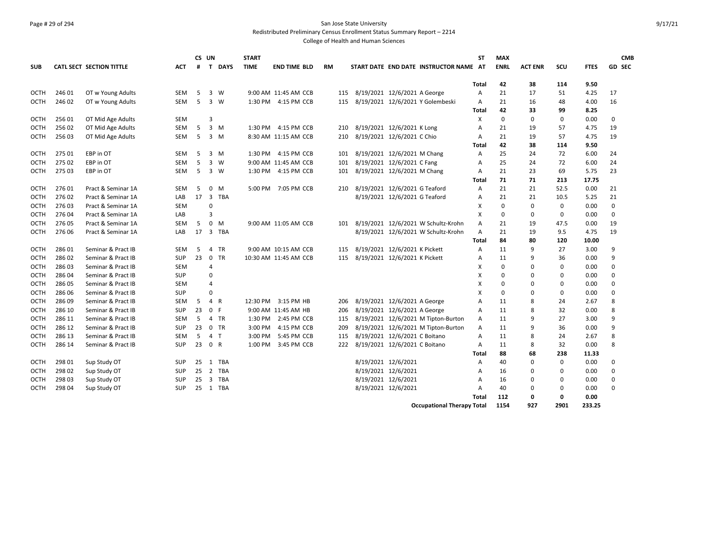# Page # 29 of 294 San Jose State University Redistributed Preliminary Census Enrollment Status Summary Report – 2214

|             |        |                          |            |    | CS UN                   |             | <b>START</b> |                       |           |                                        | <b>ST</b>                 | <b>MAX</b>  |                |              |             | <b>CMB</b>    |
|-------------|--------|--------------------------|------------|----|-------------------------|-------------|--------------|-----------------------|-----------|----------------------------------------|---------------------------|-------------|----------------|--------------|-------------|---------------|
| <b>SUB</b>  |        | CATL SECT SECTION TITTLE | <b>ACT</b> | #  | $\mathbf{T}$            | <b>DAYS</b> | <b>TIME</b>  | <b>END TIME BLD</b>   | <b>RM</b> | START DATE END DATE INSTRUCTOR NAME AT |                           | <b>ENRL</b> | <b>ACT ENR</b> | SCU          | <b>FTES</b> | <b>GD SEC</b> |
|             |        |                          |            |    |                         |             |              |                       |           |                                        | Total                     | 42          | 38             | 114          | 9.50        |               |
| <b>OCTH</b> | 246 01 | OT w Young Adults        | SEM        | 5  |                         | 3 W         |              | 9:00 AM 11:45 AM CCB  | 115       | 8/19/2021 12/6/2021 A George           | Α                         | 21          | 17             | 51           | 4.25        | 17            |
| <b>OCTH</b> | 246 02 | OT w Young Adults        | <b>SEM</b> | 5  |                         | $3 \quad W$ |              | 1:30 PM 4:15 PM CCB   | 115       | 8/19/2021 12/6/2021 Y Golembeski       | A                         | 21          | 16             | 48           | 4.00        | 16            |
|             |        |                          |            |    |                         |             |              |                       |           |                                        | Total                     | 42          | 33             | 99           | 8.25        |               |
| OCTH        | 256 01 | OT Mid Age Adults        | SEM        |    | 3                       |             |              |                       |           |                                        | х                         | 0           | 0              | $\mathbf 0$  | 0.00        | 0             |
| <b>OCTH</b> | 25602  | OT Mid Age Adults        | <b>SEM</b> | 5  |                         | $3 \, M$    |              | 1:30 PM 4:15 PM CCB   | 210       | 8/19/2021 12/6/2021 K Long             | A                         | 21          | 19             | 57           | 4.75        | 19            |
| OCTH        | 256 03 | OT Mid Age Adults        | <b>SEM</b> | 5  |                         | 3 M         |              | 8:30 AM 11:15 AM CCB  | 210       | 8/19/2021 12/6/2021 C Chio             | A                         | 21          | 19             | 57           | 4.75        | 19            |
|             |        |                          |            |    |                         |             |              |                       |           |                                        | Total                     | 42          | 38             | 114          | 9.50        |               |
| <b>OCTH</b> | 275 01 | EBP in OT                | <b>SEM</b> | 5  |                         | $3 \, M$    |              | 1:30 PM 4:15 PM CCB   | 101       | 8/19/2021 12/6/2021 M Chang            | A                         | 25          | 24             | 72           | 6.00        | 24            |
| <b>OCTH</b> | 275 02 | EBP in OT                | <b>SEM</b> | 5  |                         | 3 W         |              | 9:00 AM 11:45 AM CCB  | 101       | 8/19/2021 12/6/2021 C Fang             | A                         | 25          | 24             | 72           | 6.00        | 24            |
| OCTH        | 275 03 | EBP in OT                | <b>SEM</b> | 5  |                         | $3 \quad W$ |              | 1:30 PM 4:15 PM CCB   | 101       | 8/19/2021 12/6/2021 M Chang            | А                         | 21          | 23             | 69           | 5.75        | 23            |
|             |        |                          |            |    |                         |             |              |                       |           |                                        | Total                     | 71          | 71             | 213          | 17.75       |               |
| <b>OCTH</b> | 276 01 | Pract & Seminar 1A       | SEM        | 5  | $\mathbf{0}$            | M           |              | 5:00 PM 7:05 PM CCB   | 210       | 8/19/2021 12/6/2021 G Teaford          | Α                         | 21          | 21             | 52.5         | 0.00        | 21            |
| <b>OCTH</b> | 27602  | Pract & Seminar 1A       | LAB        | 17 |                         | 3 TBA       |              |                       |           | 8/19/2021 12/6/2021 G Teaford          | A                         | 21          | 21             | 10.5         | 5.25        | 21            |
| <b>OCTH</b> | 27603  | Pract & Seminar 1A       | <b>SEM</b> |    | $\Omega$                |             |              |                       |           |                                        | X                         | $\mathbf 0$ | $\mathbf 0$    | $\mathbf{0}$ | 0.00        | 0             |
| <b>OCTH</b> | 27604  | Pract & Seminar 1A       | LAB        |    | 3                       |             |              |                       |           |                                        | $\boldsymbol{\mathsf{x}}$ | 0           | 0              | $\mathbf{0}$ | 0.00        | 0             |
| <b>OCTH</b> | 27605  | Pract & Seminar 1A       | <b>SEM</b> | 5  | $\mathbf 0$             | M           |              | 9:00 AM 11:05 AM CCB  | 101       | 8/19/2021 12/6/2021 W Schultz-Krohn    | A                         | 21          | 19             | 47.5         | 0.00        | 19            |
| <b>OCTH</b> | 276 06 | Pract & Seminar 1A       | LAB        | 17 | $\overline{\mathbf{3}}$ | TBA         |              |                       |           | 8/19/2021 12/6/2021 W Schultz-Krohn    | A                         | 21          | 19             | 9.5          | 4.75        | 19            |
|             |        |                          |            |    |                         |             |              |                       |           |                                        | Total                     | 84          | 80             | 120          | 10.00       |               |
| <b>OCTH</b> | 28601  | Seminar & Pract IB       | <b>SEM</b> | 5  | $\overline{4}$          | TR          |              | 9:00 AM 10:15 AM CCB  | 115       | 8/19/2021 12/6/2021 K Pickett          | A                         | 11          | 9              | 27           | 3.00        | 9             |
| <b>OCTH</b> | 28602  | Seminar & Pract IB       | <b>SUP</b> | 23 | $\mathbf 0$             | TR          |              | 10:30 AM 11:45 AM CCB | 115       | 8/19/2021 12/6/2021 K Pickett          | A                         | 11          | 9              | 36           | 0.00        | 9             |
| OCTH        | 28603  | Seminar & Pract IB       | SEM        |    | 4                       |             |              |                       |           |                                        | X                         | $\mathbf 0$ | $\Omega$       | $\mathbf 0$  | 0.00        | 0             |
| OCTH        | 286 04 | Seminar & Pract IB       | <b>SUP</b> |    | $\mathbf 0$             |             |              |                       |           |                                        | X                         | 0           | 0              | 0            | 0.00        | 0             |
| <b>OCTH</b> | 286 05 | Seminar & Pract IB       | SEM        |    | $\overline{4}$          |             |              |                       |           |                                        | X                         | 0           | 0              | 0            | 0.00        | 0             |
| OCTH        | 286 06 | Seminar & Pract IB       | SUP        |    | $\Omega$                |             |              |                       |           |                                        | X                         | $\mathbf 0$ | $\mathbf 0$    | $\mathbf 0$  | 0.00        | $\mathbf 0$   |
| <b>OCTH</b> | 286 09 | Seminar & Pract IB       | <b>SEM</b> | 5  | 4                       | R           | 12:30 PM     | 3:15 PM HB            | 206       | 8/19/2021 12/6/2021 A George           | A                         | 11          | 8              | 24           | 2.67        | 8             |
| <b>OCTH</b> | 286 10 | Seminar & Pract IB       | <b>SUP</b> | 23 | $\mathbf 0$             | F           |              | 9:00 AM 11:45 AM HB   | 206       | 8/19/2021 12/6/2021 A George           | A                         | 11          | 8              | 32           | 0.00        | 8             |
| <b>OCTH</b> | 286 11 | Seminar & Pract IB       | <b>SEM</b> | 5  |                         | 4 TR        | 1:30 PM      | 2:45 PM CCB           | 115       | 8/19/2021 12/6/2021 M Tipton-Burton    | A                         | 11          | 9              | 27           | 3.00        | 9             |
| OCTH        | 286 12 | Seminar & Pract IB       | <b>SUP</b> | 23 |                         | 0 TR        | 3:00 PM      | 4:15 PM CCB           | 209       | 8/19/2021 12/6/2021 M Tipton-Burton    | A                         | 11          | 9              | 36           | 0.00        | 9             |
| OCTH        | 286 13 | Seminar & Pract IB       | SEM        | 5  | 4 <sub>T</sub>          |             | 3:00 PM      | 5:45 PM CCB           | 115       | 8/19/2021 12/6/2021 C Boitano          | A                         | 11          | 8              | 24           | 2.67        | 8             |
| <b>OCTH</b> | 286 14 | Seminar & Pract IB       | <b>SUP</b> | 23 | 0 R                     |             | 1:00 PM      | 3:45 PM CCB           | 222       | 8/19/2021 12/6/2021 C Boitano          | A                         | 11          | 8              | 32           | 0.00        | 8             |
|             |        |                          |            |    |                         |             |              |                       |           |                                        | Total                     | 88          | 68             | 238          | 11.33       |               |
| OCTH        | 298 01 | Sup Study OT             | SUP        | 25 | 1                       | TBA         |              |                       |           | 8/19/2021 12/6/2021                    | Α                         | 40          | 0              | $\mathbf 0$  | 0.00        | 0             |
| OCTH        | 298 02 | Sup Study OT             | <b>SUP</b> | 25 |                         | 2 TBA       |              |                       |           | 8/19/2021 12/6/2021                    | A                         | 16          | 0              | 0            | 0.00        | 0             |
| <b>OCTH</b> | 298 03 | Sup Study OT             | <b>SUP</b> | 25 | $\overline{\mathbf{3}}$ | TBA         |              |                       |           | 8/19/2021 12/6/2021                    | A                         | 16          | 0              | 0            | 0.00        | 0             |
| <b>OCTH</b> | 298 04 | Sup Study OT             | <b>SUP</b> |    |                         | 25 1 TBA    |              |                       |           | 8/19/2021 12/6/2021                    | A                         | 40          | 0              | $\mathbf 0$  | 0.00        | $\Omega$      |
|             |        |                          |            |    |                         |             |              |                       |           |                                        | Total                     | 112         | 0              | 0            | 0.00        |               |
|             |        |                          |            |    |                         |             |              |                       |           | <b>Occupational Therapy Total</b>      |                           | 1154        | 927            | 2901         | 233.25      |               |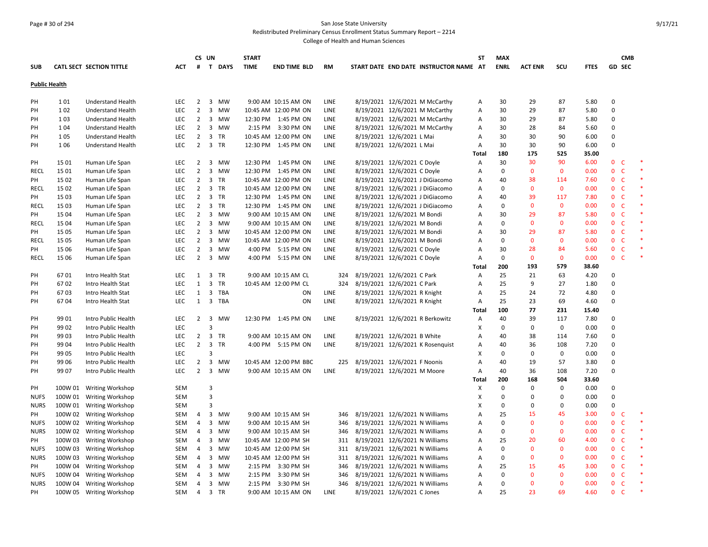#### Page # 30 of 294 San Jose State University Redistributed Preliminary Census Enrollment Status Summary Report – 2214

|                      |         |                                 |            |                | CS UN                   |           | <b>START</b> |                       |             |                                    |                              |                                        | ST           | <b>MAX</b>  |                |              |             |                              | <b>CMB</b> |               |
|----------------------|---------|---------------------------------|------------|----------------|-------------------------|-----------|--------------|-----------------------|-------------|------------------------------------|------------------------------|----------------------------------------|--------------|-------------|----------------|--------------|-------------|------------------------------|------------|---------------|
| <b>SUB</b>           |         | <b>CATL SECT SECTION TITTLE</b> | ACT        | #              |                         | T DAYS    | <b>TIME</b>  | <b>END TIME BLD</b>   | <b>RM</b>   |                                    |                              | START DATE END DATE INSTRUCTOR NAME AT |              | <b>ENRL</b> | <b>ACT ENR</b> | SCU          | <b>FTES</b> | GD SEC                       |            |               |
| <b>Public Health</b> |         |                                 |            |                |                         |           |              |                       |             |                                    |                              |                                        |              |             |                |              |             |                              |            |               |
|                      |         |                                 |            |                |                         |           |              |                       |             |                                    |                              |                                        |              |             |                |              |             |                              |            |               |
| PH                   | 101     | <b>Understand Health</b>        | LEC        | $\overline{2}$ | $\overline{\mathbf{3}}$ | <b>MW</b> |              | 9:00 AM 10:15 AM ON   | LINE        |                                    |                              | 8/19/2021 12/6/2021 M McCarthy         | Α            | 30          | 29             | 87           | 5.80        | $\mathbf 0$                  |            |               |
| PH                   | 102     | <b>Understand Health</b>        | LEC        | $\mathbf 2$    | 3                       | <b>MW</b> |              | 10:45 AM 12:00 PM ON  | LINE        |                                    |                              | 8/19/2021 12/6/2021 M McCarthy         | Α            | 30          | 29             | 87           | 5.80        | 0                            |            |               |
| PH                   | 103     | <b>Understand Health</b>        | LEC        | 2              | 3                       | MW        |              | 12:30 PM 1:45 PM ON   | LINE        |                                    |                              | 8/19/2021 12/6/2021 M McCarthy         | Α            | 30          | 29             | 87           | 5.80        | $\Omega$                     |            |               |
| PH                   | 1 0 4   | <b>Understand Health</b>        | LEC        | $\overline{2}$ | 3                       | MW        |              | 2:15 PM 3:30 PM ON    | LINE        |                                    |                              | 8/19/2021 12/6/2021 M McCarthy         | Α            | 30          | 28             | 84           | 5.60        | 0                            |            |               |
| PH                   | 105     | <b>Understand Health</b>        | <b>LEC</b> | $\overline{2}$ | $\overline{3}$          | <b>TR</b> |              | 10:45 AM 12:00 PM ON  | LINE        |                                    | 8/19/2021 12/6/2021 L Mai    |                                        | Α            | 30          | 30             | 90           | 6.00        | $\mathbf 0$                  |            |               |
| PH                   | 1 0 6   | <b>Understand Health</b>        | <b>LEC</b> | $\overline{2}$ | $\overline{3}$          | <b>TR</b> |              | 12:30 PM 1:45 PM ON   | LINE        |                                    | 8/19/2021 12/6/2021 L Mai    |                                        | Α            | 30          | 30             | 90           | 6.00        | $\Omega$                     |            |               |
|                      |         |                                 |            |                |                         |           |              |                       |             |                                    |                              |                                        | Total        | 180         | 175            | 525          | 35.00       |                              |            |               |
| PH                   | 15 01   | Human Life Span                 | LEC        | $\overline{2}$ |                         | 3 MW      |              | 12:30 PM 1:45 PM ON   | LINE        |                                    | 8/19/2021 12/6/2021 C Doyle  |                                        | Α            | 30          | 30             | 90           | 6.00        | 0 <sub>c</sub>               |            | ×             |
| RECL                 | 15 01   | Human Life Span                 | <b>LEC</b> | $\overline{2}$ | $\overline{3}$          | <b>MW</b> |              | 12:30 PM 1:45 PM ON   | LINE        |                                    | 8/19/2021 12/6/2021 C Doyle  |                                        | Α            | $\mathbf 0$ | $\mathbf{0}$   | $\mathbf 0$  | 0.00        | 0 <sub>c</sub>               |            | $\ast$        |
| PH                   | 15 02   | Human Life Span                 | LEC        | $\overline{2}$ |                         | 3 TR      |              | 10:45 AM 12:00 PM ON  | LINE        |                                    |                              | 8/19/2021 12/6/2021 J DiGiacomo        | Α            | 40          | 38             | 114          | 7.60        | 0 <sub>c</sub>               |            | $\ast$        |
| RECL                 | 15 02   | Human Life Span                 | <b>LEC</b> | $\overline{2}$ | 3                       | <b>TR</b> |              | 10:45 AM 12:00 PM ON  | LINE        |                                    |                              | 8/19/2021 12/6/2021 J DiGiacomo        | Α            | 0           | $\mathbf{0}$   | $\mathbf{0}$ | 0.00        | $\mathbf{0}$<br>- C          |            | $\ast$        |
| PH                   | 15 03   | Human Life Span                 | LEC        | $\overline{2}$ |                         | 3 TR      |              | 12:30 PM 1:45 PM ON   | <b>LINE</b> |                                    |                              | 8/19/2021 12/6/2021 J DiGiacomo        | Α            | 40          | 39             | 117          | 7.80        | 0 <sup>o</sup>               |            | $\ast$        |
| RECL                 | 15 03   | Human Life Span                 | LEC        | $\overline{2}$ | 3                       | <b>TR</b> |              | 12:30 PM 1:45 PM ON   | LINE        |                                    |                              | 8/19/2021 12/6/2021 J DiGiacomo        | Α            | $\mathbf 0$ | $\mathbf{0}$   | $\mathbf{0}$ | 0.00        | $\mathbf 0$<br>$\mathsf{C}$  |            | $\ast$        |
| PH                   | 15 04   | Human Life Span                 | LEC        | $\overline{2}$ | $\overline{3}$          | <b>MW</b> |              | 9:00 AM 10:15 AM ON   | LINE        |                                    | 8/19/2021 12/6/2021 M Bondi  |                                        | Α            | 30          | 29             | 87           | 5.80        | 0 <sup>o</sup>               |            |               |
| <b>RECL</b>          | 15 04   | Human Life Span                 | LEC        | $\overline{2}$ | $\overline{3}$          | <b>MW</b> |              | 9:00 AM 10:15 AM ON   | LINE        |                                    | 8/19/2021 12/6/2021 M Bondi  |                                        | Α            | $\mathsf 0$ | $\mathbf{0}$   | $\mathbf 0$  | 0.00        | $\mathbf{0}$<br>$\mathsf{C}$ |            |               |
| PH                   | 15 05   | Human Life Span                 | LEC        | $\overline{2}$ | $\overline{\mathbf{3}}$ | MW        |              | 10:45 AM 12:00 PM ON  | LINE        |                                    | 8/19/2021 12/6/2021 M Bondi  |                                        | Α            | 30          | 29             | 87           | 5.80        | 0 <sub>c</sub>               |            |               |
| <b>RECL</b>          | 15 05   | Human Life Span                 | LEC        | $\overline{2}$ | $\overline{3}$          | <b>MW</b> |              | 10:45 AM 12:00 PM ON  | LINE        |                                    | 8/19/2021 12/6/2021 M Bondi  |                                        | Α            | $\mathsf 0$ | $\mathbf 0$    | 0            | 0.00        | $\mathbf{0}$<br>$\mathsf{C}$ |            | $\ast$        |
| PH                   | 15 06   | Human Life Span                 | <b>LEC</b> | $\overline{2}$ | 3                       | MW        |              | 4:00 PM 5:15 PM ON    | LINE        |                                    | 8/19/2021 12/6/2021 C Doyle  |                                        | Α            | 30          | 28             | 84           | 5.60        | 0 <sub>c</sub>               |            |               |
| <b>RECL</b>          | 15 06   | Human Life Span                 | <b>LEC</b> | $\overline{2}$ | $\overline{3}$          | MW        |              | 4:00 PM 5:15 PM ON    | LINE        |                                    | 8/19/2021 12/6/2021 C Doyle  |                                        | Α            | $\mathbf 0$ | $\mathbf 0$    | $\mathbf 0$  | 0.00        | 0 <sub>c</sub>               |            | $\ast$        |
|                      |         |                                 |            |                |                         |           |              |                       |             |                                    |                              |                                        | Total        | 200         | 193            | 579          | 38.60       |                              |            |               |
| PH                   | 6701    | Intro Health Stat               | LEC        | $\mathbf{1}$   |                         | 3 TR      |              | 9:00 AM 10:15 AM CL   | 324         | 8/19/2021 12/6/2021 C Park         |                              |                                        | Α            | 25          | 21             | 63           | 4.20        | 0                            |            |               |
| PH                   | 6702    | Intro Health Stat               | LEC        | $\mathbf{1}$   | 3                       | <b>TR</b> |              | 10:45 AM 12:00 PM CL  | 324         | 8/19/2021 12/6/2021 C Park         |                              |                                        | Α            | 25          | 9              | 27           | 1.80        | $\Omega$                     |            |               |
| PH                   | 6703    | Intro Health Stat               | LEC        | $\mathbf{1}$   |                         | 3 TBA     |              | ON                    | LINE        |                                    | 8/19/2021 12/6/2021 R Knight |                                        | Α            | 25          | 24             | 72           | 4.80        | $\Omega$                     |            |               |
| PH                   | 6704    | Intro Health Stat               | <b>LEC</b> | 1              | $\overline{\mathbf{3}}$ | TBA       |              | ON                    | LINE        |                                    | 8/19/2021 12/6/2021 R Knight |                                        | Α            | 25          | 23             | 69           | 4.60        | 0                            |            |               |
|                      |         |                                 |            |                |                         |           |              |                       |             |                                    |                              |                                        | <b>Total</b> | 100         | 77             | 231          | 15.40       |                              |            |               |
| PH                   | 99 01   | Intro Public Health             | LEC        | $\overline{2}$ | $\overline{3}$          | MW        |              | 12:30 PM 1:45 PM ON   | LINE        |                                    |                              | 8/19/2021 12/6/2021 R Berkowitz        | Α            | 40          | 39             | 117          | 7.80        | $\Omega$                     |            |               |
| PH                   | 99 02   | Intro Public Health             | <b>LEC</b> |                | $\overline{3}$          |           |              |                       |             |                                    |                              |                                        | x            | $\mathbf 0$ | 0              | $\mathbf 0$  | 0.00        | $\Omega$                     |            |               |
| PH                   | 99 03   | Intro Public Health             | LEC        | $\overline{2}$ | $\overline{3}$          | <b>TR</b> |              | 9:00 AM 10:15 AM ON   | <b>LINE</b> |                                    | 8/19/2021 12/6/2021 B White  |                                        | Α            | 40          | 38             | 114          | 7.60        | 0                            |            |               |
| PH                   | 99 04   | Intro Public Health             | <b>LEC</b> | $\overline{2}$ | $\overline{3}$          | <b>TR</b> |              | 4:00 PM 5:15 PM ON    | <b>LINE</b> |                                    |                              | 8/19/2021 12/6/2021 K Rosenquist       | Α            | 40          | 36             | 108          | 7.20        | $\Omega$                     |            |               |
| PH                   | 99 05   | Intro Public Health             | LEC        |                | $\overline{3}$          |           |              |                       |             |                                    |                              |                                        | X            | $\mathbf 0$ | 0              | 0            | 0.00        | 0                            |            |               |
| PH                   | 99 06   | Intro Public Health             | LEC        | 2              | $\overline{3}$          | MW        |              | 10:45 AM 12:00 PM BBC | 225         | 8/19/2021 12/6/2021 F Noonis       |                              |                                        | Α            | 40          | 19             | 57           | 3.80        | $\Omega$                     |            |               |
| PH                   | 99 07   | Intro Public Health             | LEC        | $\overline{2}$ | $\overline{3}$          | <b>MW</b> |              | 9:00 AM 10:15 AM ON   | LINE        |                                    | 8/19/2021 12/6/2021 M Moore  |                                        | A            | 40          | 36             | 108          | 7.20        | $\Omega$                     |            |               |
|                      |         |                                 |            |                |                         |           |              |                       |             |                                    |                              |                                        | Total        | 200         | 168            | 504          | 33.60       |                              |            |               |
| PH                   | 100W 01 | Writing Workshop                | SEM        |                | 3                       |           |              |                       |             |                                    |                              |                                        | X            | $\mathbf 0$ | 0              | 0            | 0.00        | 0                            |            |               |
| <b>NUFS</b>          | 100W 01 | <b>Writing Workshop</b>         | SEM        |                | 3                       |           |              |                       |             |                                    |                              |                                        | X            | $\mathbf 0$ | $\Omega$       | 0            | 0.00        | $\mathbf 0$                  |            |               |
| <b>NURS</b>          | 100W 01 | Writing Workshop                | <b>SEM</b> |                | $\overline{3}$          |           |              |                       |             |                                    |                              |                                        | Χ            | 0           | $\Omega$       | 0            | 0.00        | 0                            |            |               |
| PH                   | 100W 02 | <b>Writing Workshop</b>         | SEM        | 4              | 3                       | MW        |              | 9:00 AM 10:15 AM SH   | 346         |                                    |                              | 8/19/2021 12/6/2021 N Williams         | Α            | 25          | 15             | 45           | 3.00        | $\mathbf{0}$<br>-C           |            |               |
| <b>NUFS</b>          | 100W 02 | Writing Workshop                | SEM        | $\overline{4}$ | 3                       | <b>MW</b> |              | 9:00 AM 10:15 AM SH   | 346         | 8/19/2021 12/6/2021 N Williams     |                              |                                        | Α            | $\mathbf 0$ | $\mathbf{0}$   | $\mathbf{0}$ | 0.00        | $\mathsf{C}$<br>$\mathbf{0}$ |            |               |
| <b>NURS</b>          | 100W 02 | <b>Writing Workshop</b>         | SEM        | 4              | 3                       | <b>MW</b> |              | 9:00 AM 10:15 AM SH   | 346         | 8/19/2021 12/6/2021 N Williams     |                              |                                        | Α            | $\mathbf 0$ | $\mathbf{0}$   | $\mathbf 0$  | 0.00        | 0 <sup>o</sup>               |            | $\ast$        |
| PH                   | 100W 03 | Writing Workshop                | SEM        | $\overline{4}$ | $\overline{3}$          | <b>MW</b> |              | 10:45 AM 12:00 PM SH  | 311         | 8/19/2021 12/6/2021 N Williams     |                              |                                        | Α            | 25          | 20             | 60           | 4.00        | 0 <sup>o</sup>               |            |               |
| <b>NUFS</b>          | 100W 03 | <b>Writing Workshop</b>         | SEM        | 4              | 3                       | <b>MW</b> |              | 10:45 AM 12:00 PM SH  |             | 311 8/19/2021 12/6/2021 N Williams |                              |                                        | Α            | $\mathbf 0$ | $\Omega$       | $\mathbf{0}$ | 0.00        | $\mathbf 0$<br>$\mathsf{C}$  |            | $\ast$        |
| <b>NURS</b>          | 100W 03 | <b>Writing Workshop</b>         | SEM        | $\overline{4}$ | 3                       | <b>MW</b> |              | 10:45 AM 12:00 PM SH  |             | 311 8/19/2021 12/6/2021 N Williams |                              |                                        | Α            | $\Omega$    | $\mathbf{0}$   | $\mathbf{0}$ | 0.00        | 0 <sub>c</sub>               |            | $\ast$        |
| PH                   | 100W 04 | <b>Writing Workshop</b>         | SEM        | $\overline{4}$ | 3                       | <b>MW</b> |              | 2:15 PM 3:30 PM SH    | 346         |                                    |                              | 8/19/2021 12/6/2021 N Williams         | Α            | 25          | 15             | 45           | 3.00        | $\mathbf{0}$<br>$\mathsf{C}$ |            | $\ast$        |
| <b>NUFS</b>          | 100W 04 | Writing Workshop                | SEM        | $\overline{4}$ | 3                       | <b>MW</b> |              | 2:15 PM 3:30 PM SH    | 346         |                                    |                              | 8/19/2021 12/6/2021 N Williams         | Α            | $\mathbf 0$ | $\mathbf{0}$   | $\mathbf 0$  | 0.00        | 0 <sub>c</sub>               |            | ×             |
| <b>NURS</b>          | 100W 04 | <b>Writing Workshop</b>         | SEM        | $\overline{4}$ | $\overline{3}$          | MW        |              | 2:15 PM 3:30 PM SH    | 346         | 8/19/2021 12/6/2021 N Williams     |                              |                                        | Α            | $\mathbf 0$ | $\mathbf{0}$   | $\mathbf 0$  | 0.00        | $\mathbf{0}$<br>$\mathsf{C}$ |            | $\frac{1}{2}$ |
| PH                   | 100W 05 | Writing Workshop                | SEM        | $\overline{4}$ |                         | 3 TR      |              | 9:00 AM 10:15 AM ON   | LINE        |                                    | 8/19/2021 12/6/2021 C Jones  |                                        | A            | 25          | 23             | 69           | 4.60        | $0 \quad C$                  |            | $\ast$        |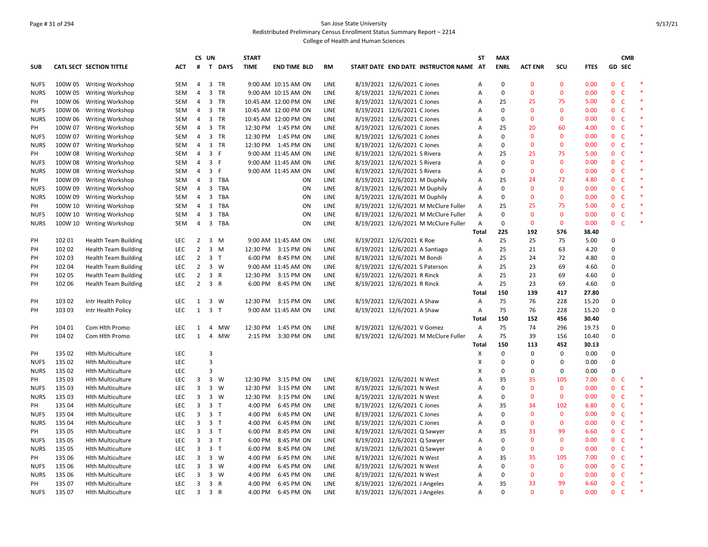# Page # 31 of 294 San Jose State University Redistributed Preliminary Census Enrollment Status Summary Report – 2214

|             |         |                             |            | CS UN          |                |             | <b>START</b> |                      |             |                                        | <b>ST</b>      | <b>MAX</b>   |                |              |             |                | <b>CMB</b>   |        |
|-------------|---------|-----------------------------|------------|----------------|----------------|-------------|--------------|----------------------|-------------|----------------------------------------|----------------|--------------|----------------|--------------|-------------|----------------|--------------|--------|
| <b>SUB</b>  |         | CATL SECT SECTION TITTLE    | <b>ACT</b> | #              |                | T DAYS      | <b>TIME</b>  | <b>END TIME BLD</b>  | <b>RM</b>   | START DATE END DATE INSTRUCTOR NAME AT |                | <b>ENRL</b>  | <b>ACT ENR</b> | scu          | <b>FTES</b> | GD SEC         |              |        |
| <b>NUFS</b> |         | 100W 05 Writing Workshop    | SEM        | $\overline{4}$ |                | 3 TR        |              | 9:00 AM 10:15 AM ON  | LINE        | 8/19/2021 12/6/2021 C Jones            | A              | $\mathbf 0$  | $\mathbf{0}$   | $\mathbf{0}$ | 0.00        | 0 <sup>o</sup> |              |        |
| <b>NURS</b> | 100W 05 | <b>Writing Workshop</b>     | <b>SEM</b> | 4              | $\overline{3}$ | <b>TR</b>   |              | 9:00 AM 10:15 AM ON  | <b>LINE</b> | 8/19/2021 12/6/2021 C Jones            | $\overline{A}$ | $\mathbf 0$  | $\overline{0}$ | $\mathbf{0}$ | 0.00        | $\mathbf{0}$   | $\mathsf{C}$ | $\ast$ |
| PH          | 100W 06 | <b>Writing Workshop</b>     | SEM        | 4              |                | 3 TR        |              | 10:45 AM 12:00 PM ON | LINE        | 8/19/2021 12/6/2021 C Jones            | A              | 25           | 25             | 75           | 5.00        | 0 <sub>c</sub> |              | $\ast$ |
| <b>NUFS</b> | 100W 06 | <b>Writing Workshop</b>     | SEM        | 4              | $\overline{3}$ | TR          |              | 10:45 AM 12:00 PM ON | LINE        | 8/19/2021 12/6/2021 C Jones            | A              | $\mathsf 0$  | $\mathbf 0$    | $\mathbf 0$  | 0.00        | $\mathbf{0}$   | $\mathsf{C}$ | $\ast$ |
| <b>NURS</b> | 100W 06 | <b>Writing Workshop</b>     | SEM        | 4              |                | 3 TR        |              | 10:45 AM 12:00 PM ON | LINE        | 8/19/2021 12/6/2021 C Jones            | A              | $\mathbf 0$  | $\mathbf{0}$   | $\mathbf 0$  | 0.00        | 0 <sub>c</sub> |              | $\ast$ |
| PH          | 100W 07 | <b>Writing Workshop</b>     | SEM        | 4              |                | 3 TR        |              | 12:30 PM 1:45 PM ON  | LINE        | 8/19/2021 12/6/2021 C Jones            | A              | 25           | 20             | 60           | 4.00        | $\mathbf 0$    | $\mathsf{C}$ | $\ast$ |
| <b>NUFS</b> | 100W 07 | Writing Workshop            | <b>SEM</b> | $\overline{4}$ |                | 3 TR        |              | 12:30 PM 1:45 PM ON  | <b>LINE</b> | 8/19/2021 12/6/2021 C Jones            | A              | $\mathbf{0}$ | $\mathbf{0}$   | $\mathbf{0}$ | 0.00        | 0 <sub>c</sub> |              | $\ast$ |
| <b>NURS</b> | 100W 07 | <b>Writing Workshop</b>     | SEM        | 4              |                | 3 TR        |              | 12:30 PM 1:45 PM ON  | LINE        | 8/19/2021 12/6/2021 C Jones            | A              | $\mathbf 0$  | $\mathbf{0}$   | $\mathbf 0$  | 0.00        | $\mathbf{0}$   | $\mathsf{C}$ | $\ast$ |
| PH          | 100W 08 | <b>Writing Workshop</b>     | SEM        | 4              | 3 F            |             |              | 9:00 AM 11:45 AM ON  | LINE        | 8/19/2021 12/6/2021 S Rivera           | A              | 25           | 25             | 75           | 5.00        | 0 <sub>c</sub> |              |        |
| <b>NUFS</b> | 100W 08 | <b>Writing Workshop</b>     | SEM        | 4              | 3 F            |             |              | 9:00 AM 11:45 AM ON  | <b>LINE</b> | 8/19/2021 12/6/2021 S Rivera           | A              | $\mathbf 0$  | $\mathbf{0}$   | $\mathbf 0$  | 0.00        | 0 <sub>c</sub> |              |        |
| <b>NURS</b> | 100W 08 | <b>Writing Workshop</b>     | SEM        | $\overline{4}$ | 3 F            |             |              | 9:00 AM 11:45 AM ON  | LINE        | 8/19/2021 12/6/2021 S Rivera           | A              | $\mathbf 0$  | $\Omega$       | $\mathbf 0$  | 0.00        | $\mathbf{0}$   | $\mathsf{C}$ |        |
| PH          | 100W 09 | <b>Writing Workshop</b>     | <b>SEM</b> | $\overline{4}$ |                | 3 TBA       |              | ON                   | <b>LINE</b> | 8/19/2021 12/6/2021 M Duphily          | A              | 25           | 24             | 72           | 4.80        | 0 <sub>c</sub> |              | $\ast$ |
| <b>NUFS</b> | 100W 09 | Writing Workshop            | <b>SEM</b> | $\overline{4}$ | 3              | TBA         |              | ON                   | <b>LINE</b> | 8/19/2021 12/6/2021 M Duphily          | A              | $\mathbf{0}$ | $\Omega$       | $\mathbf{0}$ | 0.00        | $\mathbf 0$    | C            | $\ast$ |
| <b>NURS</b> | 100W 09 | Writing Workshop            | <b>SEM</b> | $\overline{4}$ | 3              | <b>TBA</b>  |              | ON                   | <b>LINE</b> | 8/19/2021 12/6/2021 M Duphily          | $\overline{A}$ | $\mathbf 0$  | $\mathbf{0}$   | $\mathbf{0}$ | 0.00        | $\mathbf{0}$   | $\mathsf{C}$ |        |
| PH          | 100W 10 | Writing Workshop            | SEM        | $\overline{4}$ | 3              | TBA         |              | ON                   | LINE        | 8/19/2021 12/6/2021 M McClure Fuller   | A              | 25           | 25             | 75           | 5.00        | $\mathbf{0}$   | $\mathsf{C}$ | $\ast$ |
| <b>NUFS</b> | 100W 10 | Writing Workshop            | SEM        | $\overline{4}$ | 3              | <b>TBA</b>  |              | ON                   | <b>LINE</b> | 8/19/2021 12/6/2021 M McClure Fuller   | A              | $\mathbf 0$  | $\mathbf{0}$   | $\mathbf{0}$ | 0.00        | 0 <sup>o</sup> |              |        |
| <b>NURS</b> | 100W 10 | <b>Writing Workshop</b>     | SEM        | $\overline{4}$ | $\overline{3}$ | TBA         |              | ON                   | LINE        | 8/19/2021 12/6/2021 M McClure Fuller   | A              | $\mathbf{0}$ | $\mathbf{0}$   | $\mathbf 0$  | 0.00        | 0 <sup>o</sup> |              | $\ast$ |
|             |         |                             |            |                |                |             |              |                      |             |                                        | Total          | 225          | 192            | 576          | 38.40       |                |              |        |
| PH          | 102 01  | <b>Health Team Building</b> | LEC        | $\overline{2}$ |                | $3 \, M$    |              | 9:00 AM 11:45 AM ON  | <b>LINE</b> | 8/19/2021 12/6/2021 K Roe              | A              | 25           | 25             | 75           | 5.00        | 0              |              |        |
| PH          | 102 02  | <b>Health Team Building</b> | LEC        | $\overline{2}$ | $3 \, M$       |             |              | 12:30 PM 3:15 PM ON  | LINE        | 8/19/2021 12/6/2021 A Santiago         | A              | 25           | 21             | 63           | 4.20        | $\Omega$       |              |        |
| PH          | 102 03  | <b>Health Team Building</b> | <b>LEC</b> | $\overline{2}$ | 3 <sub>1</sub> |             |              | 6:00 PM 8:45 PM ON   | <b>LINE</b> | 8/19/2021 12/6/2021 M Bondi            | A              | 25           | 24             | 72           | 4.80        | $\Omega$       |              |        |
| PH          | 102 04  | <b>Health Team Building</b> | <b>LEC</b> | $\overline{2}$ |                | $3 \quad W$ |              | 9:00 AM 11:45 AM ON  | LINE        | 8/19/2021 12/6/2021 S Paterson         | A              | 25           | 23             | 69           | 4.60        | 0              |              |        |
| PH          | 102 05  | <b>Health Team Building</b> | <b>LEC</b> | $\overline{2}$ | 3 R            |             |              | 12:30 PM 3:15 PM ON  | <b>LINE</b> | 8/19/2021 12/6/2021 R Rinck            | A              | 25           | 23             | 69           | 4.60        | 0              |              |        |
| PH          | 102 06  | <b>Health Team Building</b> | LEC        | $\overline{2}$ | 3 R            |             |              | 6:00 PM 8:45 PM ON   | <b>LINE</b> | 8/19/2021 12/6/2021 R Rinck            | A              | 25           | 23             | 69           | 4.60        | $\Omega$       |              |        |
|             |         |                             |            |                |                |             |              |                      |             |                                        | <b>Total</b>   | 150          | 139            | 417          | 27.80       |                |              |        |
| PH          | 103 02  | Intr Health Policy          | <b>LEC</b> | 1              | 3              | W           |              | 12:30 PM 3:15 PM ON  | <b>LINE</b> | 8/19/2021 12/6/2021 A Shaw             | $\overline{A}$ | 75           | 76             | 228          | 15.20       | 0              |              |        |
| PH          | 103 03  | Intr Health Policy          | LEC        | $\mathbf{1}$   | 3 <sub>T</sub> |             |              | 9:00 AM 11:45 AM ON  | <b>LINE</b> | 8/19/2021 12/6/2021 A Shaw             | A              | 75           | 76             | 228          | 15.20       | $\Omega$       |              |        |
|             |         |                             |            |                |                |             |              |                      |             |                                        | Total          | 150          | 152            | 456          | 30.40       |                |              |        |
| PH          | 104 01  | Com Hlth Promo              | LEC        | $\mathbf{1}$   | $\overline{4}$ | <b>MW</b>   |              | 12:30 PM 1:45 PM ON  | LINE        | 8/19/2021 12/6/2021 V Gomez            | A              | 75           | 74             | 296          | 19.73       | 0              |              |        |
| PH          | 104 02  | Com Hlth Promo              | LEC        | $\mathbf{1}$   | $\overline{4}$ | <b>MW</b>   |              | 2:15 PM 3:30 PM ON   | <b>LINE</b> | 8/19/2021 12/6/2021 M McClure Fuller   | Α              | 75           | 39             | 156          | 10.40       | 0              |              |        |
|             |         |                             |            |                |                |             |              |                      |             |                                        | Total          | 150          | 113            | 452          | 30.13       |                |              |        |
| PH          | 135 02  | <b>Hlth Multiculture</b>    | LEC        |                | 3              |             |              |                      |             |                                        | X              | $\Omega$     | $\Omega$       | $\pmb{0}$    | 0.00        | 0              |              |        |
| <b>NUFS</b> | 135 02  | <b>Hith Multiculture</b>    | <b>LEC</b> |                | $\overline{3}$ |             |              |                      |             |                                        | X              | $\mathbf 0$  | 0              | $\mathbf 0$  | 0.00        | $\Omega$       |              |        |
| <b>NURS</b> | 135 02  | <b>Hith Multiculture</b>    | LEC        |                | $\overline{3}$ |             |              |                      |             |                                        | X              | $\mathbf 0$  | 0              | $\pmb{0}$    | 0.00        | 0              |              |        |
| PH          | 135 03  | <b>Hith Multiculture</b>    | <b>LEC</b> | 3              | $\overline{3}$ | W           |              | 12:30 PM 3:15 PM ON  | LINE        | 8/19/2021 12/6/2021 N West             | A              | 35           | 35             | 105          | 7.00        | $\mathbf{0}$   | <b>C</b>     | 米      |
| <b>NUFS</b> | 135 03  | <b>Hith Multiculture</b>    | LEC        | 3              |                | $3 \quad W$ |              | 12:30 PM 3:15 PM ON  | LINE        | 8/19/2021 12/6/2021 N West             | A              | $\mathbf 0$  | $\mathbf{0}$   | $\mathbf 0$  | 0.00        | $\mathbf 0$    | $\mathsf{C}$ |        |
| <b>NURS</b> | 135 03  | <b>Hlth Multiculture</b>    | LEC        | 3              | $\overline{3}$ | W           |              | 12:30 PM 3:15 PM ON  | <b>LINE</b> | 8/19/2021 12/6/2021 N West             | A              | $\Omega$     | $\Omega$       | $\mathbf{0}$ | 0.00        | $\mathbf{0}$   | $\mathsf{C}$ | $\ast$ |
| PH          | 135 04  | <b>Hith Multiculture</b>    | LEC        | 3              | 3 <sub>1</sub> |             | 4:00 PM      | 6:45 PM ON           | LINE        | 8/19/2021 12/6/2021 C Jones            | A              | 35           | 34             | 102          | 6.80        | $\mathbf{0}$   | $\mathsf{C}$ | $\ast$ |
| <b>NUFS</b> | 135 04  | <b>Hith Multiculture</b>    | LEC        | 3              | 3 <sub>T</sub> |             | 4:00 PM      | 6:45 PM ON           | <b>LINE</b> | 8/19/2021 12/6/2021 C Jones            | A              | $\mathbf 0$  | $\Omega$       | $\mathbf 0$  | 0.00        | $\mathbf 0$    | $\mathsf{C}$ | $\ast$ |
| <b>NURS</b> | 135 04  | <b>Hith Multiculture</b>    | LEC        | 3              | 3 <sub>T</sub> |             | 4:00 PM      | 6:45 PM ON           | LINE        | 8/19/2021 12/6/2021 C Jones            | A              | $\mathbf 0$  | $\mathbf{0}$   | $\mathbf 0$  | 0.00        | 0 <sub>c</sub> |              |        |
| PH          | 135 05  | <b>Hith Multiculture</b>    | LEC        | 3              | 3 <sub>1</sub> |             | 6:00 PM      | 8:45 PM ON           | LINE        | 8/19/2021 12/6/2021 Q Sawyer           | A              | 35           | 33             | 99           | 6.60        | $\mathbf{0}$   | $\mathsf{C}$ | *      |
| <b>NUFS</b> | 135 05  | <b>Hith Multiculture</b>    | LEC        | 3              | 3 <sub>T</sub> |             | 6:00 PM      | 8:45 PM ON           | LINE        | 8/19/2021 12/6/2021 Q Sawyer           | A              | $\mathbf 0$  | $\mathbf{0}$   | $\mathbf 0$  | 0.00        | 0 <sub>c</sub> |              |        |
| <b>NURS</b> | 135 05  | <b>Hlth Multiculture</b>    | LEC        | 3              | 3 <sub>1</sub> |             | 6:00 PM      | 8:45 PM ON           | LINE        | 8/19/2021 12/6/2021 Q Sawyer           | Α              | $\mathbf 0$  | $\mathbf{0}$   | $\mathbf 0$  | 0.00        | $\mathbf 0$    | $\mathsf{C}$ | $\ast$ |
| PH          | 135 06  | <b>Hith Multiculture</b>    | <b>LEC</b> | 3              | $3 \quad W$    |             | 4:00 PM      | 6:45 PM ON           | <b>LINE</b> | 8/19/2021 12/6/2021 N West             | Α              | 35           | 35             | 105          | 7.00        | 0 <sub>c</sub> |              | $\ast$ |
| <b>NUFS</b> | 135 06  | <b>Hith Multiculture</b>    | <b>LEC</b> | 3              |                | $3 \quad W$ | 4:00 PM      | 6:45 PM ON           | LINE        | 8/19/2021 12/6/2021 N West             | A              | $\mathbf 0$  | $\mathbf{0}$   | $\mathbf 0$  | 0.00        | $\mathbf{0}$   | $\mathsf{C}$ | $\ast$ |
| <b>NURS</b> | 135 06  | <b>Hith Multiculture</b>    | LEC        | 3              |                | $3 \quad W$ | 4:00 PM      | 6:45 PM ON           | LINE        | 8/19/2021 12/6/2021 N West             | A              | $\mathbf 0$  | $\mathbf{0}$   | $\mathbf{0}$ | 0.00        | 0 <sub>c</sub> |              |        |
| PH          | 135 07  | <b>Hith Multiculture</b>    | <b>LEC</b> | 3              | 3 R            |             | 4:00 PM      | 6:45 PM ON           | LINE        | 8/19/2021 12/6/2021 J Angeles          | A              | 35           | 33             | 99           | 6.60        | $\mathbf{0}$   | $\mathsf{C}$ |        |
| <b>NUFS</b> | 135 07  | <b>Hlth Multiculture</b>    | LEC        | $\overline{3}$ | 3 R            |             |              | 4:00 PM 6:45 PM ON   | LINE        | 8/19/2021 12/6/2021 J Angeles          | $\overline{A}$ | $\Omega$     | $\Omega$       | $\mathbf{0}$ | 0.00        | $\mathbf{0}$   | $\mathsf{C}$ |        |
|             |         |                             |            |                |                |             |              |                      |             |                                        |                |              |                |              |             |                |              |        |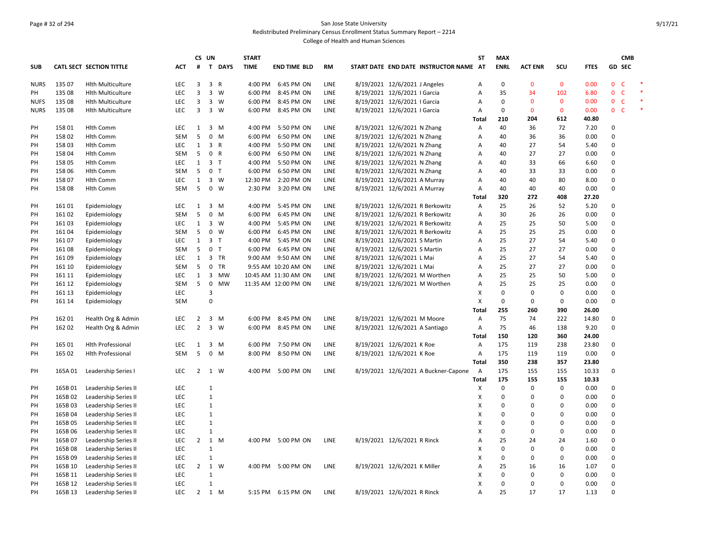# Page # 32 of 294 San Jose State University Redistributed Preliminary Census Enrollment Status Summary Report – 2214

|             |                  |                                 |            | CS UN               |                              |             | <b>START</b> |                      |             |                              |                                |                                        | <b>ST</b>    | <b>MAX</b>              |                            |                   |              |                                | <b>CMB</b> |        |
|-------------|------------------|---------------------------------|------------|---------------------|------------------------------|-------------|--------------|----------------------|-------------|------------------------------|--------------------------------|----------------------------------------|--------------|-------------------------|----------------------------|-------------------|--------------|--------------------------------|------------|--------|
| <b>SUB</b>  |                  | <b>CATL SECT SECTION TITTLE</b> | <b>ACT</b> | #                   |                              | T DAYS      | <b>TIME</b>  | <b>END TIME BLD</b>  | <b>RM</b>   |                              |                                | START DATE END DATE INSTRUCTOR NAME AT |              | <b>ENRL</b>             | <b>ACT ENR</b>             | SCU               | <b>FTES</b>  | <b>GD SEC</b>                  |            |        |
| <b>NURS</b> | 135 07           | <b>Hith Multiculture</b>        | LEC        | $\overline{3}$      | 3 R                          |             |              | 4:00 PM 6:45 PM ON   | LINE        |                              | 8/19/2021 12/6/2021 J Angeles  |                                        | A            | $\mathbf 0$             | $\mathbf{0}$               | $\mathbf{0}$      | 0.00         | $\overline{0}$<br>$\mathsf{C}$ |            |        |
| PH          | 135 08           | <b>Hith Multiculture</b>        | LEC        | 3                   |                              | 3 W         | 6:00 PM      | 8:45 PM ON           | LINE        | 8/19/2021 12/6/2021   Garcia |                                |                                        | Α            | 35                      | 34                         | 102               | 6.80         | $\mathsf{C}$<br>$\mathbf{0}$   |            | $\ast$ |
| <b>NUFS</b> | 135 08           | <b>Hith Multiculture</b>        | LEC        | 3                   |                              | 3 W         | 6:00 PM      | 8:45 PM ON           | LINE        | 8/19/2021 12/6/2021   Garcia |                                |                                        | Α            | $\mathbf 0$             | $\mathbf{0}$               | $\mathbf{0}$      | 0.00         | 0 <sup>o</sup>                 |            |        |
| <b>NURS</b> | 135 08           | <b>Hith Multiculture</b>        | <b>LEC</b> | 3                   |                              | 3 W         | 6:00 PM      | 8:45 PM ON           | <b>LINE</b> | 8/19/2021 12/6/2021   Garcia |                                |                                        | Α            | $\mathbf 0$             | $\mathbf{0}$               | $\mathbf 0$       | 0.00         | 0 <sup>o</sup>                 |            | $\ast$ |
|             |                  |                                 |            |                     |                              |             |              |                      |             |                              |                                |                                        | Total        | 210                     | 204                        | 612               | 40.80        |                                |            |        |
| PH          | 158 01           | <b>Hlth Comm</b>                | LEC        | 1                   | $\overline{3}$               | M           | 4:00 PM      | 5:50 PM ON           | LINE        | 8/19/2021 12/6/2021 N Zhang  |                                |                                        | Α            | 40                      | 36                         | 72                | 7.20         | 0                              |            |        |
| PH          | 158 02           | <b>Hlth Comm</b>                | <b>SEM</b> | 5                   | $\mathbf 0$                  | M           | 6:00 PM      | 6:50 PM ON           | LINE        |                              | 8/19/2021 12/6/2021 N Zhang    |                                        | Α            | 40                      | 36                         | 36                | 0.00         | $\Omega$                       |            |        |
| PH          | 158 03           | <b>Hlth Comm</b>                | LEC        | $\mathbf{1}$        | 3 R                          |             | 4:00 PM      | 5:50 PM ON           | LINE        | 8/19/2021 12/6/2021 N Zhang  |                                |                                        | Α            | 40                      | 27                         | 54                | 5.40         | 0                              |            |        |
| PH          | 158 04           | <b>Hlth Comm</b>                | <b>SEM</b> | 5                   | 0 R                          |             | 6:00 PM      | 6:50 PM ON           | LINE        |                              | 8/19/2021 12/6/2021 N Zhang    |                                        | Α            | 40                      | 27                         | 27                | 0.00         | $\Omega$                       |            |        |
| PH          | 158 05           | <b>Hith Comm</b>                | LEC        | $\mathbf{1}$        | 3 <sub>1</sub>               |             | 4:00 PM      | 5:50 PM ON           | LINE        | 8/19/2021 12/6/2021 N Zhang  |                                |                                        | Α            | 40                      | 33                         | 66                | 6.60         | 0                              |            |        |
| PH          | 158 06           | <b>Hlth Comm</b>                | <b>SEM</b> | 5                   | 0 <sub>T</sub>               |             | 6:00 PM      | 6:50 PM ON           | LINE        | 8/19/2021 12/6/2021 N Zhang  |                                |                                        | Α            | 40                      | 33                         | 33                | 0.00         | 0                              |            |        |
| PH          | 158 07           | <b>Hlth Comm</b>                | <b>LEC</b> | $\mathbf{1}$        |                              | 3 W         | 12:30 PM     | 2:20 PM ON           | LINE        | 8/19/2021 12/6/2021 A Murray |                                |                                        | Α            | 40                      | 40                         | 80                | 8.00         | 0                              |            |        |
| PH          | 15808            | <b>Hlth Comm</b>                | <b>SEM</b> | 5                   | $\mathbf 0$                  | W           | 2:30 PM      | 3:20 PM ON           | LINE        |                              | 8/19/2021 12/6/2021 A Murray   |                                        | Α            | 40                      | 40                         | 40                | 0.00         | $\Omega$                       |            |        |
|             |                  |                                 |            |                     |                              |             |              |                      |             |                              |                                |                                        | <b>Total</b> | 320                     | 272                        | 408               | 27.20        |                                |            |        |
| PH          | 16101            | Epidemiology                    | <b>LEC</b> | 1                   | 3                            | M           | 4:00 PM      | 5:45 PM ON           | LINE        |                              |                                | 8/19/2021 12/6/2021 R Berkowitz        | A            | 25                      | 26                         | 52                | 5.20         | $\Omega$                       |            |        |
| PH          | 161 02           | Epidemiology                    | <b>SEM</b> | 5                   |                              | $0 \quad M$ | 6:00 PM      | 6:45 PM ON           | LINE        |                              |                                | 8/19/2021 12/6/2021 R Berkowitz        | Α            | 30                      | 26                         | 26                | 0.00         | 0                              |            |        |
| PH          | 16103            | Epidemiology                    | LEC        | 1                   |                              | 3 W         | 4:00 PM      | 5:45 PM ON           | LINE        |                              |                                | 8/19/2021 12/6/2021 R Berkowitz        | Α            | 25                      | 25                         | 50                | 5.00         | $\Omega$                       |            |        |
| PH          | 16104            | Epidemiology                    | SEM        | 5                   | $\mathbf 0$                  | W           | 6:00 PM      | 6:45 PM ON           | LINE        |                              |                                | 8/19/2021 12/6/2021 R Berkowitz        | Α            | 25                      | 25                         | 25                | 0.00         | 0                              |            |        |
| PH          | 16107            | Epidemiology                    | LEC        | $\mathbf{1}$        | 3 <sub>T</sub>               |             | 4:00 PM      | 5:45 PM ON           | LINE        | 8/19/2021 12/6/2021 S Martin |                                |                                        | А            | 25                      | 27                         | 54                | 5.40         | 0                              |            |        |
| PH          | 16108            | Epidemiology                    | SEM        | 5                   | 0 <sub>T</sub>               |             | 6:00 PM      | 6:45 PM ON           | LINE        | 8/19/2021 12/6/2021 S Martin |                                |                                        | Α            | 25                      | 27                         | 27                | 0.00         | 0                              |            |        |
| PH          | 16109            | Epidemiology                    | LEC        | $\mathbf{1}$        |                              | 3 TR        | 9:00 AM      | 9:50 AM ON           | <b>LINE</b> | 8/19/2021 12/6/2021 L Mai    |                                |                                        | Α            | 25                      | 27                         | 54                | 5.40         | 0                              |            |        |
| PH          | 161 10           | Epidemiology                    | SEM        | 5                   | $\mathsf 0$                  | TR          |              | 9:55 AM 10:20 AM ON  | LINE        | 8/19/2021 12/6/2021 L Mai    |                                |                                        | Α            | 25                      | 27                         | 27                | 0.00         | $\Omega$                       |            |        |
| PH          | 161 11           | Epidemiology                    | <b>LEC</b> | $\mathbf{1}$        | $\overline{\mathbf{3}}$      | MW          |              | 10:45 AM 11:30 AM ON | <b>LINE</b> |                              |                                | 8/19/2021 12/6/2021 M Worthen          | Α            | 25                      | 25                         | 50                | 5.00         | 0                              |            |        |
| PH          | 161 12           | Epidemiology                    | <b>SEM</b> | 5                   | $\mathsf 0$                  | MW          |              | 11:35 AM 12:00 PM ON | LINE        |                              |                                | 8/19/2021 12/6/2021 M Worthen          | Α            | 25                      | 25                         | 25                | 0.00         | 0                              |            |        |
| PH          | 161 13           | Epidemiology                    | LEC        |                     | 3                            |             |              |                      |             |                              |                                |                                        | X            | $\mathbf 0$             | $\mathbf 0$                | 0                 | 0.00         | 0                              |            |        |
| PH          | 161 14           | Epidemiology                    | SEM        |                     | $\mathbf 0$                  |             |              |                      |             |                              |                                |                                        | X            | $\mathbf 0$             | $\Omega$                   | 0                 | 0.00         | 0                              |            |        |
|             |                  |                                 |            |                     |                              |             |              |                      |             |                              |                                |                                        | <b>Total</b> | 255                     | 260                        | 390               | 26.00        |                                |            |        |
| PH          | 162 01           | Health Org & Admin              | LEC        | $\overline{2}$      | $\overline{3}$               | M           | 6:00 PM      | 8:45 PM ON           | <b>LINE</b> |                              | 8/19/2021 12/6/2021 M Moore    |                                        | A            | 75                      | 74                         | 222               | 14.80        | 0                              |            |        |
| PH          | 162 02           | Health Org & Admin              | <b>LEC</b> | $\overline{2}$      | $\overline{\mathbf{3}}$      | W           |              | 6:00 PM 8:45 PM ON   | LINE        |                              | 8/19/2021 12/6/2021 A Santiago |                                        | Α            | 75                      | 46                         | 138               | 9.20         | $\Omega$                       |            |        |
|             |                  |                                 |            |                     |                              |             |              |                      |             |                              |                                |                                        | Total        | 150                     | 120                        | 360               | 24.00        |                                |            |        |
| PH          | 165 01           | <b>Hith Professional</b>        | LEC        | $\mathbf{1}$        |                              | $3 \, M$    |              | 6:00 PM 7:50 PM ON   | LINE        |                              | 8/19/2021 12/6/2021 K Roe      |                                        | Α            | 175                     | 119                        | 238               | 23.80        | 0                              |            |        |
| PH          | 165 02           | <b>Hlth Professional</b>        | <b>SEM</b> | 5                   | $\mathbf 0$                  | M           | 8:00 PM      | 8:50 PM ON           | LINE        | 8/19/2021 12/6/2021 K Roe    |                                |                                        | Α            | 175                     | 119                        | 119               | 0.00         | 0                              |            |        |
|             |                  |                                 |            |                     |                              |             |              |                      |             |                              |                                |                                        | Total        | 350                     | 238                        | 357               | 23.80        |                                |            |        |
| PH          | 165A01           | Leadership Series I             | LEC        | $\overline{2}$      |                              | 1 W         | 4:00 PM      | 5:00 PM ON           | LINE        |                              |                                | 8/19/2021 12/6/2021 A Buckner-Capone   | A            | 175                     | 155                        | 155               | 10.33        | 0                              |            |        |
|             |                  |                                 |            |                     |                              |             |              |                      |             |                              |                                |                                        | Total        | 175                     | 155                        | 155               | 10.33        |                                |            |        |
| PH          | 165B01           | Leadership Series II            | LEC        |                     | $\mathbf{1}$                 |             |              |                      |             |                              |                                |                                        | Х            | $\mathbf 0$<br>$\Omega$ | $\mathbf 0$                | $\mathbf 0$       | 0.00         | $\Omega$<br>$\Omega$           |            |        |
| PH          | 165B02           | Leadership Series II            | LEC<br>LEC |                     | $\mathbf{1}$<br>$1\,$        |             |              |                      |             |                              |                                |                                        | X<br>X       | $\Omega$                | $\mathbf 0$<br>$\mathbf 0$ | 0<br>0            | 0.00<br>0.00 | 0                              |            |        |
| PH          | 165B03           | Leadership Series II            | LEC        |                     | $1\,$                        |             |              |                      |             |                              |                                |                                        | X            | $\mathbf 0$             | $\mathbf 0$                | 0                 | 0.00         | 0                              |            |        |
| PH          | 165B04<br>165B05 | Leadership Series II            | LEC        |                     | $\mathbf{1}$                 |             |              |                      |             |                              |                                |                                        |              | 0                       | $\Omega$                   | 0                 | 0.00         | $\Omega$                       |            |        |
| PH<br>PH    |                  | Leadership Series II            | LEC        |                     | $1\,$                        |             |              |                      |             |                              |                                |                                        | х<br>X       | $\Omega$                | $\mathbf 0$                | 0                 | 0.00         | 0                              |            |        |
|             | 165B06           | Leadership Series II            | <b>LEC</b> | $\overline{2}$      |                              | $1 \, M$    |              | 4:00 PM 5:00 PM ON   | LINE        |                              |                                |                                        |              | 25                      | 24                         | 24                |              | $\Omega$                       |            |        |
| PH          | 165B07           | Leadership Series II            |            |                     | $\overline{1}$               |             |              |                      |             |                              | 8/19/2021 12/6/2021 R Rinck    |                                        | A            | $\Omega$                | $\Omega$                   |                   | 1.60         | 0                              |            |        |
| PH<br>PH    | 165B08           | Leadership Series II            | LEC<br>LEC |                     | $\mathbf{1}$                 |             |              |                      |             |                              |                                |                                        | x<br>X       | $\Omega$                | $\mathbf 0$                | 0<br>0            | 0.00         | $\Omega$                       |            |        |
|             | 165B09           | Leadership Series II            |            |                     |                              |             |              |                      |             |                              |                                |                                        |              | 25                      |                            |                   | 0.00         | 0                              |            |        |
| PH          | 165B 10          | Leadership Series II            | LEC        | $\overline{2}$      | $\mathbf{1}$<br>$\mathbf{1}$ | W           | 4:00 PM      | 5:00 PM ON           | LINE        |                              | 8/19/2021 12/6/2021 K Miller   |                                        | Α            | $\Omega$                | 16<br>$\mathbf 0$          | 16<br>$\mathbf 0$ | 1.07         | $\Omega$                       |            |        |
| PH          | 165B 11          | <b>Leadership Series II</b>     | LEC<br>LEC |                     | $1\,$                        |             |              |                      |             |                              |                                |                                        | х<br>Χ       | $\Omega$                | $\mathbf 0$                |                   | 0.00<br>0.00 | 0                              |            |        |
| PH          | 165B 12          | Leadership Series II            |            |                     |                              |             |              |                      |             |                              |                                |                                        |              |                         |                            | 0                 |              | $\Omega$                       |            |        |
| PH          | 165B 13          | Leadership Series II            | <b>LEC</b> | $2 \quad 1 \quad M$ |                              |             |              | 5:15 PM 6:15 PM ON   | LINE        |                              | 8/19/2021 12/6/2021 R Rinck    |                                        | A            | 25                      | 17                         | 17                | 1.13         |                                |            |        |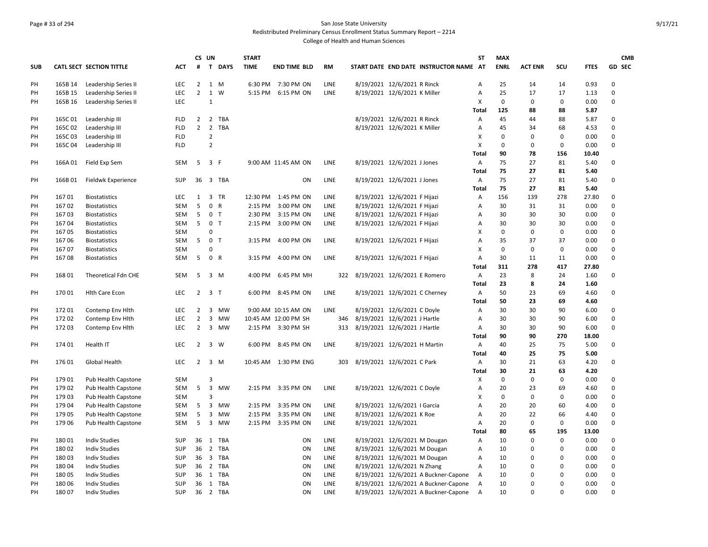#### Page # 33 of 294 San Jose State University Redistributed Preliminary Census Enrollment Status Summary Report – 2214

|            |         |                            |            | CS UN          |                         |                | <b>START</b> |                       |             |                                        | <b>ST</b>      | <b>MAX</b>  |                |             |             | <b>CMB</b>  |
|------------|---------|----------------------------|------------|----------------|-------------------------|----------------|--------------|-----------------------|-------------|----------------------------------------|----------------|-------------|----------------|-------------|-------------|-------------|
| <b>SUB</b> |         | CATL SECT SECTION TITTLE   | <b>ACT</b> | #              |                         | T DAYS         | <b>TIME</b>  | <b>END TIME BLD</b>   | <b>RM</b>   | START DATE END DATE INSTRUCTOR NAME AT |                | <b>ENRL</b> | <b>ACT ENR</b> | scu         | <b>FTES</b> | GD SEC      |
| PH         | 165B 14 | Leadership Series II       | LEC        | $2^{\circ}$    |                         | 1 M            | 6:30 PM      | 7:30 PM ON            | LINE        | 8/19/2021 12/6/2021 R Rinck            | Α              | 25          | 14             | 14          | 0.93        | $\Omega$    |
| PH         | 165B 15 | Leadership Series II       | LEC        | $\overline{2}$ |                         | 1 W            | 5:15 PM      | 6:15 PM ON            | LINE        | 8/19/2021 12/6/2021 K Miller           | $\overline{A}$ | 25          | 17             | 17          | 1.13        | $\Omega$    |
| PH         | 165B 16 | Leadership Series II       | LEC        |                | 1                       |                |              |                       |             |                                        | X              | $\mathsf 0$ | $\pmb{0}$      | $\mathsf 0$ | 0.00        | $\Omega$    |
|            |         |                            |            |                |                         |                |              |                       |             |                                        | Total          | 125         | 88             | 88          | 5.87        |             |
| PH         | 165C01  | Leadership III             | <b>FLD</b> | $\overline{2}$ |                         | 2 TBA          |              |                       |             | 8/19/2021 12/6/2021 R Rinck            | A              | 45          | 44             | 88          | 5.87        | $\Omega$    |
| PH         | 165C02  | Leadership III             | <b>FLD</b> | $\overline{2}$ |                         | 2 TBA          |              |                       |             | 8/19/2021 12/6/2021 K Miller           | A              | 45          | 34             | 68          | 4.53        | $\mathbf 0$ |
| PH         | 165C03  | Leadership III             | <b>FLD</b> |                | $\overline{2}$          |                |              |                       |             |                                        | Χ              | $\mathbf 0$ | $\mathbf 0$    | $\mathbf 0$ | 0.00        | $\Omega$    |
| PH         | 165C 04 | Leadership III             | <b>FLD</b> |                | $\overline{2}$          |                |              |                       |             |                                        | X              | 0           | $\mathbf 0$    | 0           | 0.00        | 0           |
|            |         |                            |            |                |                         |                |              |                       |             |                                        | Total          | 90          | 78             | 156         | 10.40       |             |
| PH         | 166A01  | Field Exp Sem              | SEM        | 5              | 3 F                     |                |              | 9:00 AM 11:45 AM ON   | LINE        | 8/19/2021 12/6/2021 J Jones            | Α              | 75          | 27             | 81          | 5.40        | 0           |
|            |         |                            |            |                |                         |                |              |                       |             |                                        | Total          | 75          | 27             | 81          | 5.40        |             |
| PH         | 166B01  | Fieldwk Experience         | <b>SUP</b> | 36             |                         | 3 TBA          |              | ON                    | LINE        | 8/19/2021 12/6/2021 J Jones            | A              | 75          | 27             | 81          | 5.40        | $\mathbf 0$ |
|            |         |                            |            |                |                         |                |              |                       |             |                                        | Total          | 75          | 27             | 81          | 5.40        |             |
| PH         | 16701   | <b>Biostatistics</b>       | LEC        | $\mathbf{1}$   |                         | 3 TR           | 12:30 PM     | 1:45 PM ON            | LINE        | 8/19/2021 12/6/2021 F Hijazi           | Α              | 156         | 139            | 278         | 27.80       | $\mathbf 0$ |
| PH         | 16702   | <b>Biostatistics</b>       | <b>SEM</b> | 5              |                         | 0 R            | 2:15 PM      | 3:00 PM ON            | LINE        | 8/19/2021 12/6/2021 F Hijazi           | A              | 30          | 31             | 31          | 0.00        | $\Omega$    |
| PH         | 16703   | <b>Biostatistics</b>       | SEM        | 5              |                         | 0 <sub>T</sub> | 2:30 PM      | 3:15 PM ON            | LINE        | 8/19/2021 12/6/2021 F Hijazi           | A              | 30          | 30             | 30          | 0.00        | $\Omega$    |
| PH         | 16704   | <b>Biostatistics</b>       | <b>SEM</b> | 5              |                         | 0 <sub>T</sub> | 2:15 PM      | 3:00 PM ON            | <b>LINE</b> | 8/19/2021 12/6/2021 F Hijazi           | $\overline{A}$ | 30          | 30             | 30          | 0.00        | $\Omega$    |
| PH         | 16705   | <b>Biostatistics</b>       | <b>SEM</b> |                | 0                       |                |              |                       |             |                                        | X              | $\mathsf 0$ | $\mathbf 0$    | $\mathsf 0$ | 0.00        | $\mathbf 0$ |
| PH         | 16706   | <b>Biostatistics</b>       | <b>SEM</b> | 5              |                         | 0 <sub>T</sub> | 3:15 PM      | 4:00 PM ON            | <b>LINE</b> | 8/19/2021 12/6/2021 F Hijazi           | A              | 35          | 37             | 37          | 0.00        | $\mathbf 0$ |
| PH         | 16707   | <b>Biostatistics</b>       | SEM        |                | $\Omega$                |                |              |                       |             |                                        | Χ              | $\mathsf 0$ | $\pmb{0}$      | $\mathsf 0$ | 0.00        | $\mathbf 0$ |
| PH         | 16708   | <b>Biostatistics</b>       | SEM        | 5              |                         | 0 R            | 3:15 PM      | 4:00 PM ON            | LINE        | 8/19/2021 12/6/2021 F Hijazi           | A              | 30          | 11             | 11          | 0.00        | $\mathbf 0$ |
|            |         |                            |            |                |                         |                |              |                       |             |                                        | Total          | 311         | 278            | 417         | 27.80       |             |
| PH         | 168 01  | Theoretical Fdn CHE        | <b>SEM</b> | 5              |                         | $3 \, M$       | 4:00 PM      | 6:45 PM MH            | 322         | 8/19/2021 12/6/2021 E Romero           | Α              | 23          | 8              | 24          | 1.60        | 0           |
|            |         |                            |            |                |                         |                |              |                       |             |                                        | Total          | 23          | 8              | 24          | 1.60        |             |
| PH         | 17001   | <b>Hith Care Econ</b>      | LEC        | $\overline{2}$ | 3 <sub>T</sub>          |                | 6:00 PM      | 8:45 PM ON            | LINE        | 8/19/2021 12/6/2021 C Cherney          | Α              | 50          | 23             | 69          | 4.60        | $\mathbf 0$ |
|            |         |                            |            |                |                         |                |              |                       |             |                                        | Total          | 50          | 23             | 69          | 4.60        |             |
| PH         | 17201   | Contemp Env Hith           | LEC        | $\overline{2}$ |                         | 3 MW           |              | 9:00 AM 10:15 AM ON   | LINE        | 8/19/2021 12/6/2021 C Doyle            | Α              | 30          | 30             | 90          | 6.00        | $\mathbf 0$ |
| PH         | 172 02  | Contemp Env Hlth           | LEC        | $\overline{2}$ | $\mathbf{3}$            | <b>MW</b>      |              | 10:45 AM 12:00 PM SH  | 346         | 8/19/2021 12/6/2021 J Hartle           | Α              | 30          | 30             | 90          | 6.00        | $\Omega$    |
| PH         | 17203   | Contemp Env Hith           | LEC        | $\overline{2}$ | $\overline{\mathbf{3}}$ | MW             |              | 2:15 PM 3:30 PM SH    | 313         | 8/19/2021 12/6/2021 J Hartle           | Α              | 30          | 30             | 90          | 6.00        | $\Omega$    |
|            |         |                            |            |                |                         |                |              |                       |             |                                        | <b>Total</b>   | 90          | 90             | 270         | 18.00       |             |
| PH         | 174 01  | Health IT                  | <b>LEC</b> | $\overline{2}$ |                         | 3 W            | 6:00 PM      | 8:45 PM ON            | <b>LINE</b> | 8/19/2021 12/6/2021 H Martin           | Α              | 40          | 25             | 75          | 5.00        | $\Omega$    |
|            |         |                            |            |                |                         |                |              |                       |             |                                        | Total          | 40          | 25             | 75          | 5.00        |             |
| PH         | 176 01  | Global Health              | LEC        | $\overline{2}$ |                         | 3 M            |              | 10:45 AM  1:30 PM ENG | 303         | 8/19/2021 12/6/2021 C Park             | Α              | 30          | 21             | 63          | 4.20        | $\mathbf 0$ |
|            |         |                            |            |                |                         |                |              |                       |             |                                        | <b>Total</b>   | 30          | 21             | 63          | 4.20        |             |
| PH         | 179 01  | Pub Health Capstone        | <b>SEM</b> |                | 3                       |                |              |                       |             |                                        | X              | 0           | $\mathbf 0$    | 0           | 0.00        | $\mathbf 0$ |
| PH         | 179 02  | Pub Health Capstone        | SEM        | 5              | $\mathbf{3}$            | <b>MW</b>      | 2:15 PM      | 3:35 PM ON            | LINE        | 8/19/2021 12/6/2021 C Doyle            | A              | 20          | 23             | 69          | 4.60        | $\mathbf 0$ |
| PH         | 179 03  | <b>Pub Health Capstone</b> | SEM        |                | 3                       |                |              |                       |             |                                        | X              | $\mathbf 0$ | $\mathbf 0$    | 0           | 0.00        | $\mathbf 0$ |
| PH         | 17904   | Pub Health Capstone        | <b>SEM</b> | 5              | $\overline{3}$          | <b>MW</b>      | 2:15 PM      | 3:35 PM ON            | LINE        | 8/19/2021 12/6/2021   Garcia           | $\overline{A}$ | 20          | 20             | 60          | 4.00        | $\Omega$    |
| PH         | 179 05  | Pub Health Capstone        | <b>SEM</b> | 5              | $\mathbf{3}$            | <b>MW</b>      | 2:15 PM      | 3:35 PM ON            | LINE        | 8/19/2021 12/6/2021 K Roe              | A              | 20          | 22             | 66          | 4.40        | $\mathbf 0$ |
| PH         | 179 06  | Pub Health Capstone        | SEM        | 5              | $\overline{3}$          | <b>MW</b>      | 2:15 PM      | 3:35 PM ON            | <b>LINE</b> | 8/19/2021 12/6/2021                    | $\overline{A}$ | 20          | $\mathbf 0$    | $\mathbf 0$ | 0.00        | $\mathbf 0$ |
|            |         |                            |            |                |                         |                |              |                       |             |                                        | Total          | 80          | 65             | 195         | 13.00       |             |
| PH         | 18001   | <b>Indiv Studies</b>       | SUP        | 36             |                         | 1 TBA          |              | ON                    | LINE        | 8/19/2021 12/6/2021 M Dougan           | Α              | 10          | $\Omega$       | $\mathbf 0$ | 0.00        | 0           |
| PH         | 18002   | <b>Indiv Studies</b>       | <b>SUP</b> | 36             |                         | 2 TBA          |              | ON                    | LINE        | 8/19/2021 12/6/2021 M Dougan           | A              | 10          | $\mathbf 0$    | 0           | 0.00        | $\mathbf 0$ |
| PH         | 18003   | <b>Indiv Studies</b>       | <b>SUP</b> | 36             |                         | 3 TBA          |              | ON                    | LINE        | 8/19/2021 12/6/2021 M Dougan           | A              | 10          | $\Omega$       | 0           | 0.00        | $\Omega$    |
| PH         | 18004   | <b>Indiv Studies</b>       | <b>SUP</b> | 36             |                         | 2 TBA          |              | ON                    | LINE        | 8/19/2021 12/6/2021 N Zhang            | A              | 10          | $\Omega$       | $\Omega$    | 0.00        | $\mathbf 0$ |
| PH         | 18005   | <b>Indiv Studies</b>       | SUP        | 36             |                         | 1 TBA          |              | ON                    | <b>LINE</b> | 8/19/2021 12/6/2021 A Buckner-Capone   | $\overline{A}$ | 10          | $\Omega$       | $\Omega$    | 0.00        | $\Omega$    |
| PH         | 180 06  | <b>Indiv Studies</b>       | SUP        | 36             |                         | 1 TBA          |              | ON                    | LINE        | 8/19/2021 12/6/2021 A Buckner-Capone   | A              | 10          | $\Omega$       | $\Omega$    | 0.00        | $\mathbf 0$ |
| PH         | 18007   | <b>Indiv Studies</b>       | <b>SUP</b> | 36             |                         | 2 TBA          |              | ON                    | LINE        | 8/19/2021 12/6/2021 A Buckner-Capone   | $\overline{A}$ | 10          | $\Omega$       | $\Omega$    | 0.00        | $\Omega$    |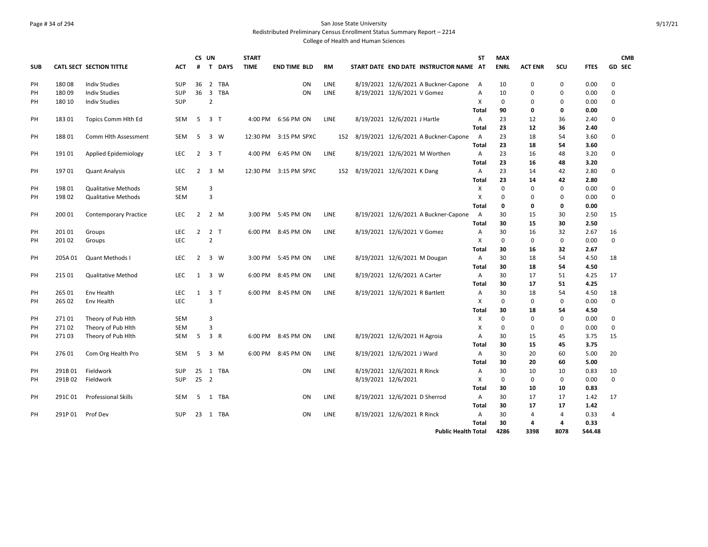# Page # 34 of 294 San Jose State University Redistributed Preliminary Census Enrollment Status Summary Report – 2214

|            |         |                              |            | CS UN          |                |             | <b>START</b> |                     |             |     |                     |                                        | <b>ST</b>                 | <b>MAX</b>  |                |                |             | <b>CMB</b>    |
|------------|---------|------------------------------|------------|----------------|----------------|-------------|--------------|---------------------|-------------|-----|---------------------|----------------------------------------|---------------------------|-------------|----------------|----------------|-------------|---------------|
| <b>SUB</b> |         | CATL SECT SECTION TITTLE     | <b>ACT</b> | #              | $\mathbf{T}$   | <b>DAYS</b> | <b>TIME</b>  | <b>END TIME BLD</b> | <b>RM</b>   |     |                     | START DATE END DATE INSTRUCTOR NAME AT |                           | <b>ENRL</b> | <b>ACT ENR</b> | SCU            | <b>FTES</b> | <b>GD SEC</b> |
| PH         | 18008   | <b>Indiv Studies</b>         | <b>SUP</b> | 36             | $\overline{2}$ | <b>TBA</b>  |              | ON                  | LINE        |     |                     | 8/19/2021 12/6/2021 A Buckner-Capone   | A                         | 10          | $\mathbf 0$    | $\mathbf 0$    | 0.00        | 0             |
| PH         | 18009   | <b>Indiv Studies</b>         | <b>SUP</b> | 36             | $\overline{3}$ | <b>TBA</b>  |              | ON                  | LINE        |     |                     | 8/19/2021 12/6/2021 V Gomez            | $\overline{A}$            | 10          | $\mathbf 0$    | $\mathbf 0$    | 0.00        | 0             |
| PH         | 180 10  | <b>Indiv Studies</b>         | SUP        |                | $\overline{2}$ |             |              |                     |             |     |                     |                                        | X                         | $\mathbf 0$ | 0              | 0              | 0.00        | 0             |
|            |         |                              |            |                |                |             |              |                     |             |     |                     |                                        | Total                     | 90          | 0              | 0              | 0.00        |               |
| PH         | 18301   | Topics Comm Hlth Ed          | SEM        | 5              | 3 <sub>1</sub> |             | 4:00 PM      | 6:56 PM ON          | <b>LINE</b> |     |                     | 8/19/2021 12/6/2021 J Hartle           | Α                         | 23          | 12             | 36             | 2.40        | 0             |
|            |         |                              |            |                |                |             |              |                     |             |     |                     |                                        | <b>Total</b>              | 23          | 12             | 36             | 2.40        |               |
| PH         | 18801   | Comm Hith Assessment         | <b>SEM</b> | 5              | 3 W            |             | 12:30 PM     | 3:15 PM SPXC        |             | 152 |                     | 8/19/2021 12/6/2021 A Buckner-Capone   | A                         | 23          | 18             | 54             | 3.60        | 0             |
|            |         |                              |            |                |                |             |              |                     |             |     |                     |                                        | Total                     | 23          | 18             | 54             | 3.60        |               |
| PH         | 19101   | Applied Epidemiology         | LEC        | $\overline{2}$ | 3 <sub>T</sub> |             | 4:00 PM      | 6:45 PM ON          | LINE        |     |                     | 8/19/2021 12/6/2021 M Worthen          | Α                         | 23          | 16             | 48             | 3.20        | 0             |
|            |         |                              |            |                |                |             |              |                     |             |     |                     |                                        | <b>Total</b>              | 23          | 16             | 48             | 3.20        |               |
| PH         | 19701   | <b>Quant Analysis</b>        | <b>LEC</b> | $\overline{2}$ |                | $3 \, M$    | 12:30 PM     | 3:15 PM SPXC        |             | 152 |                     | 8/19/2021 12/6/2021 K Dang             | Α                         | 23          | 14             | 42             | 2.80        | 0             |
|            |         |                              |            |                |                |             |              |                     |             |     |                     |                                        | <b>Total</b>              | 23          | 14             | 42             | 2.80        |               |
| PH         | 198 01  | <b>Qualitative Methods</b>   | <b>SEM</b> |                | 3              |             |              |                     |             |     |                     |                                        | X                         | $\mathbf 0$ | $\mathbf 0$    | $\mathbf 0$    | 0.00        | 0             |
| PH         | 198 02  | <b>Qualitative Methods</b>   | <b>SEM</b> |                | $\overline{3}$ |             |              |                     |             |     |                     |                                        | X                         | $\Omega$    | $\mathbf 0$    | $\mathbf 0$    | 0.00        | 0             |
|            |         |                              |            |                |                |             |              |                     |             |     |                     |                                        | <b>Total</b>              | $\mathbf 0$ | $\mathbf{0}$   | $\mathbf 0$    | 0.00        |               |
| PH         | 200 01  | <b>Contemporary Practice</b> | <b>LEC</b> | $\overline{2}$ | 2 M            |             |              | 3:00 PM 5:45 PM ON  | <b>LINE</b> |     |                     | 8/19/2021 12/6/2021 A Buckner-Capone   | A                         | 30          | 15             | 30             | 2.50        | 15            |
|            |         |                              |            |                |                |             |              |                     |             |     |                     |                                        | <b>Total</b>              | 30          | 15             | 30             | 2.50        |               |
| PH         | 201 01  | Groups                       | <b>LEC</b> | $\overline{2}$ | 2 <sub>T</sub> |             | 6:00 PM      | 8:45 PM ON          | <b>LINE</b> |     |                     | 8/19/2021 12/6/2021 V Gomez            | Α                         | 30          | 16             | 32             | 2.67        | 16            |
| PH         | 201 02  | Groups                       | LEC        |                | $\overline{2}$ |             |              |                     |             |     |                     |                                        | X                         | $\mathbf 0$ | 0              | $\mathbf 0$    | 0.00        | 0             |
|            |         |                              |            |                |                |             |              |                     |             |     |                     |                                        | Total                     | 30          | 16             | 32             | 2.67        |               |
| PH         | 205A01  | Quant Methods                | <b>LEC</b> | $\overline{2}$ |                | $3 \quad W$ | 3:00 PM      | 5:45 PM ON          | LINE        |     |                     | 8/19/2021 12/6/2021 M Dougan           | Α                         | 30          | 18             | 54             | 4.50        | 18            |
|            |         |                              |            |                |                |             |              |                     |             |     |                     |                                        | <b>Total</b>              | 30          | 18             | 54             | 4.50        |               |
| PH         | 215 01  | <b>Qualitative Method</b>    | <b>LEC</b> | $\mathbf{1}$   |                | $3 \quad W$ | 6:00 PM      | 8:45 PM ON          | <b>LINE</b> |     |                     | 8/19/2021 12/6/2021 A Carter           | Α                         | 30          | 17             | 51             | 4.25        | 17            |
|            |         |                              |            |                |                |             |              |                     |             |     |                     |                                        | Total                     | 30          | 17             | 51             | 4.25        |               |
| PH         | 265 01  | Env Health                   | LEC        | $\mathbf{1}$   | 3 <sub>1</sub> |             | 6:00 PM      | 8:45 PM ON          | <b>LINE</b> |     |                     | 8/19/2021 12/6/2021 R Bartlett         | Α                         | 30          | 18             | 54             | 4.50        | 18            |
| PH         | 265 02  | Env Health                   | <b>LEC</b> |                | 3              |             |              |                     |             |     |                     |                                        | X                         | $\mathbf 0$ | 0              | $\mathbf{0}$   | 0.00        | 0             |
|            |         |                              |            |                |                |             |              |                     |             |     |                     |                                        | <b>Total</b>              | 30          | 18             | 54             | 4.50        |               |
| PH         | 27101   | Theory of Pub Hith           | SEM        |                | $\overline{3}$ |             |              |                     |             |     |                     |                                        | X                         | $\mathbf 0$ | 0              | 0              | 0.00        | 0             |
| PH         | 27102   | Theory of Pub Hith           | <b>SEM</b> |                | 3              |             |              |                     |             |     |                     |                                        | $\boldsymbol{\mathsf{X}}$ | $\mathbf 0$ | 0              | $\mathsf 0$    | 0.00        | 0             |
| PH         | 27103   | Theory of Pub Hith           | <b>SEM</b> | 5              | 3 R            |             |              | 6:00 PM 8:45 PM ON  | LINE        |     |                     | 8/19/2021 12/6/2021 H Agroia           | A                         | 30          | 15             | 45             | 3.75        | 15            |
|            |         |                              |            |                |                |             |              |                     |             |     |                     |                                        | <b>Total</b>              | 30          | 15             | 45             | 3.75        |               |
| PH         | 27601   | Com Org Health Pro           | SEM        | 5              |                | 3 M         | 6:00 PM      | 8:45 PM ON          | LINE        |     |                     | 8/19/2021 12/6/2021 J Ward             | Α                         | 30          | 20             | 60             | 5.00        | 20            |
|            |         |                              |            |                |                |             |              |                     |             |     |                     |                                        | <b>Total</b>              | 30          | 20             | 60             | 5.00        |               |
| PH         | 291B01  | Fieldwork                    | <b>SUP</b> | 25             |                | 1 TBA       |              | ON                  | LINE        |     |                     | 8/19/2021 12/6/2021 R Rinck            | Α                         | 30          | 10             | 10             | 0.83        | 10            |
| PH         | 291B02  | Fieldwork                    | <b>SUP</b> | 25             | $\overline{2}$ |             |              |                     |             |     | 8/19/2021 12/6/2021 |                                        | X                         | $\Omega$    | $\Omega$       | $\mathbf 0$    | 0.00        | 0             |
|            |         |                              |            |                |                |             |              |                     |             |     |                     |                                        | <b>Total</b>              | 30          | 10             | 10             | 0.83        |               |
| PH         | 291C01  | <b>Professional Skills</b>   | <b>SEM</b> | 5              |                | 1 TBA       |              | ON                  | <b>LINE</b> |     |                     | 8/19/2021 12/6/2021 D Sherrod          | Α                         | 30          | 17             | 17             | 1.42        | 17            |
|            |         |                              |            |                |                |             |              |                     |             |     |                     |                                        | Total                     | 30          | 17             | 17             | 1.42        |               |
| PH         | 291P 01 | Prof Dev                     | <b>SUP</b> | 23             |                | 1 TBA       |              | ON                  | LINE        |     |                     | 8/19/2021 12/6/2021 R Rinck            | Α                         | 30          | 4              | $\overline{4}$ | 0.33        | 4             |
|            |         |                              |            |                |                |             |              |                     |             |     |                     |                                        | <b>Total</b>              | 30          | 4              | $\overline{4}$ | 0.33        |               |
|            |         |                              |            |                |                |             |              |                     |             |     |                     | <b>Public Health Total</b>             |                           | 4286        | 3398           | 8078           | 544.48      |               |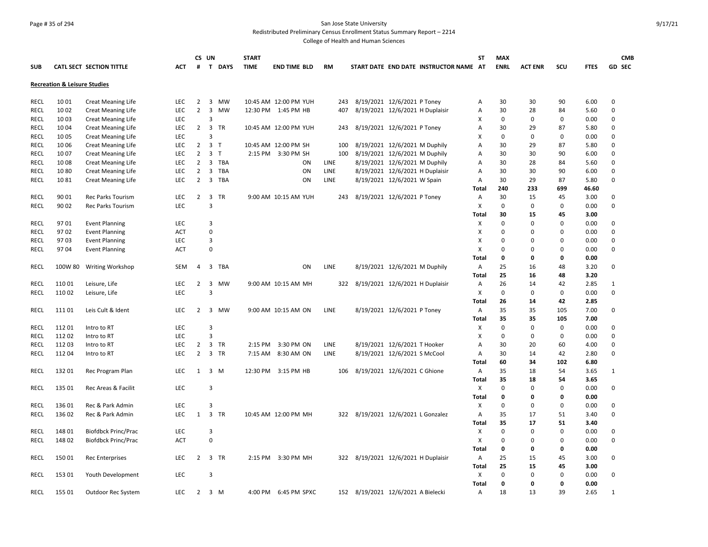#### Page # 35 of 294 San Jose State University Redistributed Preliminary Census Enrollment Status Summary Report – 2214

|             |                                         |                                 |            | CS UN          |                                | <b>START</b> |                       |           |                                     |                               |                                        | ST           | <b>MAX</b>  |                |             |             | <b>CMB</b>    |
|-------------|-----------------------------------------|---------------------------------|------------|----------------|--------------------------------|--------------|-----------------------|-----------|-------------------------------------|-------------------------------|----------------------------------------|--------------|-------------|----------------|-------------|-------------|---------------|
| <b>SUB</b>  |                                         | <b>CATL SECT SECTION TITTLE</b> | АСТ        | #              | T DAYS                         | <b>TIME</b>  | <b>END TIME BLD</b>   | <b>RM</b> |                                     |                               | START DATE END DATE INSTRUCTOR NAME AT |              | <b>ENRL</b> | <b>ACT ENR</b> | SCU         | <b>FTES</b> | <b>GD SEC</b> |
|             | <b>Recreation &amp; Leisure Studies</b> |                                 |            |                |                                |              |                       |           |                                     |                               |                                        |              |             |                |             |             |               |
| <b>RECL</b> | 1001                                    | <b>Creat Meaning Life</b>       | <b>LEC</b> | $\overline{2}$ | 3<br>MW                        |              | 10:45 AM 12:00 PM YUH | 243       | 8/19/2021 12/6/2021 P Toney         |                               |                                        | Α            | 30          | 30             | 90          | 6.00        | $\mathbf 0$   |
| RECL        | 1002                                    | <b>Creat Meaning Life</b>       | LEC        | $\overline{2}$ | $\overline{3}$<br><b>MW</b>    |              | 12:30 PM 1:45 PM HB   | 407       | 8/19/2021 12/6/2021 H Duplaisir     |                               |                                        | Α            | 30          | 28             | 84          | 5.60        | $\pmb{0}$     |
| <b>RECL</b> | 1003                                    | <b>Creat Meaning Life</b>       | LEC        |                | 3                              |              |                       |           |                                     |                               |                                        | х            | 0           | 0              | 0           | 0.00        | 0             |
| RECL        | 1004                                    | <b>Creat Meaning Life</b>       | LEC        | $\overline{2}$ | $\overline{3}$<br>TR           |              | 10:45 AM 12:00 PM YUH | 243       | 8/19/2021 12/6/2021 P Toney         |                               |                                        | Α            | 30          | 29             | 87          | 5.80        | $\pmb{0}$     |
| <b>RECL</b> | 1005                                    | <b>Creat Meaning Life</b>       | <b>LEC</b> |                | $\overline{3}$                 |              |                       |           |                                     |                               |                                        | х            | 0           | 0              | $\mathbf 0$ | 0.00        | $\Omega$      |
| <b>RECL</b> | 1006                                    | <b>Creat Meaning Life</b>       | <b>LEC</b> | $\overline{2}$ | $\overline{3}$<br>$\mathsf{T}$ |              | 10:45 AM 12:00 PM SH  | 100       | 8/19/2021 12/6/2021 M Duphily       |                               |                                        | Α            | 30          | 29             | 87          | 5.80        | 0             |
| <b>RECL</b> | 1007                                    | <b>Creat Meaning Life</b>       | <b>LEC</b> | $\overline{2}$ | $\overline{3}$<br>$\mathsf{T}$ |              | 2:15 PM 3:30 PM SH    | 100       | 8/19/2021 12/6/2021 M Duphily       |                               |                                        | A            | 30          | 30             | 90          | 6.00        | $\mathbf 0$   |
| RECL        | 1008                                    | <b>Creat Meaning Life</b>       | <b>LEC</b> | 2              | 3 TBA                          |              | ON                    | LINE      |                                     | 8/19/2021 12/6/2021 M Duphily |                                        | Α            | 30          | 28             | 84          | 5.60        | $\pmb{0}$     |
| RECL        | 1080                                    |                                 | <b>LEC</b> | $\overline{2}$ | 3<br><b>TBA</b>                |              | ON                    | LINE      | 8/19/2021 12/6/2021 H Duplaisir     |                               |                                        | Α            | 30          | 30             | 90          | 6.00        | $\mathbf 0$   |
| <b>RECL</b> | 1081                                    | <b>Creat Meaning Life</b>       | LEC        | $\overline{2}$ | 3 TBA                          |              | ON                    | LINE      | 8/19/2021 12/6/2021 W Spain         |                               |                                        |              | 30          | 29             | 87          | 5.80        | $\pmb{0}$     |
|             |                                         | <b>Creat Meaning Life</b>       |            |                |                                |              |                       |           |                                     |                               |                                        | Α<br>Total   | 240         | 233            | 699         | 46.60       |               |
| RECL        | 90 01                                   | <b>Rec Parks Tourism</b>        | LEC        | $\overline{2}$ | $\mathbf{3}$<br>TR             |              | 9:00 AM 10:15 AM YUH  | 243       | 8/19/2021 12/6/2021 P Toney         |                               |                                        | Α            | 30          | 15             | 45          | 3.00        | 0             |
| RECL        | 90 02                                   | Rec Parks Tourism               | <b>LEC</b> |                | $\overline{3}$                 |              |                       |           |                                     |                               |                                        | X            | $\mathbf 0$ | 0              | $\mathbf 0$ | 0.00        | $\Omega$      |
|             |                                         |                                 |            |                |                                |              |                       |           |                                     |                               |                                        | Total        | 30          | 15             | 45          | 3.00        |               |
| RECL        | 9701                                    | <b>Event Planning</b>           | <b>LEC</b> |                | 3                              |              |                       |           |                                     |                               |                                        | X            | $\mathbf 0$ | $\Omega$       | $\Omega$    | 0.00        | $\mathbf 0$   |
| <b>RECL</b> | 9702                                    | <b>Event Planning</b>           | <b>ACT</b> |                | $\pmb{0}$                      |              |                       |           |                                     |                               |                                        | X            | $\pmb{0}$   | 0              | 0           | 0.00        | $\pmb{0}$     |
| RECL        | 9703                                    | <b>Event Planning</b>           | LEC        |                | 3                              |              |                       |           |                                     |                               |                                        | x            | $\mathbf 0$ | $\Omega$       | 0           | 0.00        | 0             |
| <b>RECL</b> | 9704                                    |                                 | <b>ACT</b> |                | $\mathbf 0$                    |              |                       |           |                                     |                               |                                        | х            | 0           | $\Omega$       | 0           | 0.00        | $\pmb{0}$     |
|             |                                         | <b>Event Planning</b>           |            |                |                                |              |                       |           |                                     |                               |                                        | Total        | 0           | 0              | 0           | 0.00        |               |
| RECL        | 100W 80                                 | Writing Workshop                | SEM        | 4              | 3<br><b>TBA</b>                |              | ON                    | LINE      |                                     | 8/19/2021 12/6/2021 M Duphily |                                        | Α            | 25          | 16             | 48          | 3.20        | 0             |
|             |                                         |                                 |            |                |                                |              |                       |           |                                     |                               |                                        | Total        | 25          | 16             | 48          | 3.20        |               |
| RECL        | 11001                                   | Leisure, Life                   | <b>LEC</b> | $\overline{2}$ | 3<br>MW                        |              | 9:00 AM 10:15 AM MH   |           | 322 8/19/2021 12/6/2021 H Duplaisir |                               |                                        | Α            | 26          | 14             | 42          | 2.85        | 1             |
| RECL        | 110 02                                  | Leisure, Life                   | LEC        |                | $\overline{3}$                 |              |                       |           |                                     |                               |                                        | X            | $\pmb{0}$   | 0              | 0           | 0.00        | $\pmb{0}$     |
|             |                                         |                                 |            |                |                                |              |                       |           |                                     |                               |                                        | <b>Total</b> | 26          | 14             | 42          | 2.85        |               |
| <b>RECL</b> | 11101                                   | Leis Cult & Ident               | LEC        | $\overline{2}$ | 3 MW                           |              | 9:00 AM 10:15 AM ON   | LINE      |                                     | 8/19/2021 12/6/2021 P Toney   |                                        | Α            | 35          | 35             | 105         | 7.00        | 0             |
|             |                                         |                                 |            |                |                                |              |                       |           |                                     |                               |                                        | <b>Total</b> | 35          | 35             | 105         | 7.00        |               |
| RECL        | 11201                                   | Intro to RT                     | LEC        |                | $\overline{3}$                 |              |                       |           |                                     |                               |                                        | х            | $\pmb{0}$   | $\mathbf 0$    | $\mathsf 0$ | 0.00        | 0             |
| <b>RECL</b> | 11202                                   | Intro to RT                     | <b>LEC</b> |                | $\overline{3}$                 |              |                       |           |                                     |                               |                                        | X            | $\mathbf 0$ | $\Omega$       | 0           | 0.00        | $\mathbf 0$   |
| RECL        | 112 03                                  | Intro to RT                     | <b>LEC</b> | 2              | $\overline{3}$<br>TR           | 2:15 PM      | 3:30 PM ON            | LINE      |                                     | 8/19/2021 12/6/2021 T Hooker  |                                        | Α            | 30          | 20             | 60          | 4.00        | $\pmb{0}$     |
| RECL        | 11204                                   | Intro to RT                     | <b>LEC</b> | $\overline{2}$ | 3 TR                           | 7:15 AM      | 8:30 AM ON            | LINE      | 8/19/2021 12/6/2021 S McCool        |                               |                                        | Α            | 30          | 14             | 42          | 2.80        | $\mathbf 0$   |
|             |                                         |                                 |            |                |                                |              |                       |           |                                     |                               |                                        | Total        | 60          | 34             | 102         | 6.80        |               |
| RECL        | 13201                                   | Rec Program Plan                | <b>LEC</b> | 1              | 3 M                            | 12:30 PM     | 3:15 PM HB            | 106       | 8/19/2021 12/6/2021 C Ghione        |                               |                                        | Α            | 35          | 18             | 54          | 3.65        | $\mathbf{1}$  |
|             |                                         |                                 |            |                |                                |              |                       |           |                                     |                               |                                        | Total        | 35          | 18             | 54          | 3.65        |               |
| RECL        | 135 01                                  | Rec Areas & Facilit             | <b>LEC</b> |                | 3                              |              |                       |           |                                     |                               |                                        | Χ            | $\pmb{0}$   | $\mathbf 0$    | $\mathbf 0$ | 0.00        | 0             |
|             |                                         |                                 |            |                |                                |              |                       |           |                                     |                               |                                        | Total        | 0           | 0              | 0           | 0.00        |               |
| <b>RECL</b> | 136 01                                  | Rec & Park Admin                | <b>LEC</b> |                | 3                              |              |                       |           |                                     |                               |                                        | х            | $\mathbf 0$ | 0              | $\mathbf 0$ | 0.00        | 0             |
| RECL        | 136 02                                  | Rec & Park Admin                | LEC        | $\mathbf{1}$   | 3 TR                           |              | 10:45 AM 12:00 PM MH  |           | 322 8/19/2021 12/6/2021 L Gonzalez  |                               |                                        | Α            | 35          | 17             | 51          | 3.40        | $\pmb{0}$     |
|             |                                         |                                 |            |                |                                |              |                       |           |                                     |                               |                                        | Total        | 35          | 17             | 51          | 3.40        |               |
| RECL        | 148 01                                  | <b>Biofdbck Princ/Prac</b>      | LEC        |                | 3                              |              |                       |           |                                     |                               |                                        | х            | $\mathbf 0$ | 0              | $\mathbf 0$ | 0.00        | 0             |
| RECL        | 14802                                   | <b>Biofdbck Princ/Prac</b>      | <b>ACT</b> |                | $\Omega$                       |              |                       |           |                                     |                               |                                        | X            | $\mathbf 0$ | 0              | 0           | 0.00        | $\mathbf 0$   |
|             |                                         |                                 |            |                |                                |              |                       |           |                                     |                               |                                        | <b>Total</b> | 0           | 0              | 0           | 0.00        |               |
| RECL        | 15001                                   | <b>Rec Enterprises</b>          | LEC        |                | 2 3 TR                         |              | 2:15 PM 3:30 PM MH    |           | 322 8/19/2021 12/6/2021 H Duplaisir |                               |                                        | Α            | 25          | 15             | 45          | 3.00        | $\mathbf 0$   |
|             |                                         |                                 |            |                |                                |              |                       |           |                                     |                               |                                        | Total        | 25          | 15             | 45          | 3.00        |               |
| RECL        | 153 01                                  | Youth Development               | <b>LEC</b> |                | $\overline{3}$                 |              |                       |           |                                     |                               |                                        | X            | 0           | 0              | $\mathbf 0$ | 0.00        | 0             |
|             |                                         |                                 |            |                |                                |              |                       |           |                                     |                               |                                        | Total        | 0           | 0              | 0           | 0.00        |               |
| <b>RECL</b> | 155 01                                  | Outdoor Rec System              | <b>LEC</b> |                | $2 \quad 3 \quad M$            |              | 4:00 PM 6:45 PM SPXC  |           | 152 8/19/2021 12/6/2021 A Bielecki  |                               |                                        | Α            | 18          | 13             | 39          | 2.65        | 1             |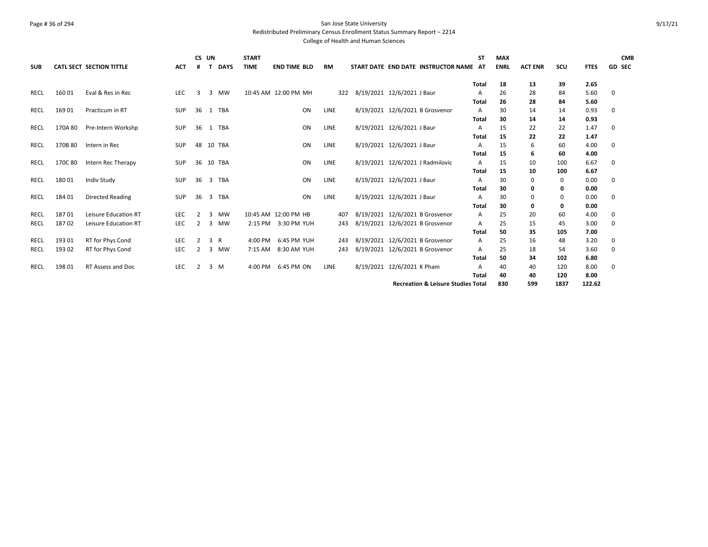# Page # 36 of 294 San Jose State University Redistributed Preliminary Census Enrollment Status Summary Report – 2214

| <b>SUB</b> |         | <b>CATL SECT SECTION TITTLE</b> | <b>ACT</b> |    | CS UN | <b>DAYS</b> | <b>START</b><br><b>TIME</b> | <b>END TIME BLD</b> |    | <b>RM</b>   | START DATE END DATE INSTRUCTOR NAME AT        | <b>ST</b>    | <b>MAX</b><br><b>ENRL</b> | <b>ACT ENR</b> | scu  | <b>FTES</b> | <b>CMB</b><br><b>GD SEC</b> |
|------------|---------|---------------------------------|------------|----|-------|-------------|-----------------------------|---------------------|----|-------------|-----------------------------------------------|--------------|---------------------------|----------------|------|-------------|-----------------------------|
|            |         |                                 |            |    |       |             |                             |                     |    |             |                                               | Total        | 18                        | 13             | 39   | 2.65        |                             |
| RECL       | 16001   | Eval & Res in Rec               | LEC        | 3  | 3     | <b>MW</b>   | 10:45 AM 12:00 PM MH        |                     |    | 322         | 8/19/2021 12/6/2021 J Baur                    | A            | 26                        | 28             | 84   | 5.60        | 0                           |
|            |         |                                 |            |    |       |             |                             |                     |    |             |                                               | Total        | 26                        | 28             | 84   | 5.60        |                             |
| RECL       | 169 01  | Practicum in RT                 | <b>SUP</b> | 36 |       | 1 TBA       |                             |                     | ON | LINE        | 8/19/2021 12/6/2021 B Grosvenor               | A            | 30                        | 14             | 14   | 0.93        | 0                           |
|            |         |                                 |            |    |       |             |                             |                     |    |             |                                               | Total        | 30                        | 14             | 14   | 0.93        |                             |
| RECL       | 170A 80 | Pre-Intern Workshp              | <b>SUP</b> | 36 |       | 1 TBA       |                             |                     | ON | <b>LINE</b> | 8/19/2021 12/6/2021 J Baur                    | A            | 15                        | 22             | 22   | 1.47        | 0                           |
|            |         |                                 |            |    |       |             |                             |                     |    |             |                                               | <b>Total</b> | 15                        | 22             | 22   | 1.47        |                             |
| RECL       | 170B 80 | Intern in Rec                   | SUP        | 48 |       | 10 TBA      |                             |                     | ON | LINE        | 8/19/2021 12/6/2021 J Baur                    | A            | 15                        | 6              | 60   | 4.00        | 0                           |
|            |         |                                 |            |    |       |             |                             |                     |    |             |                                               | Total        | 15                        | 6              | 60   | 4.00        |                             |
| RECL       | 170C 80 | Intern Rec Therapy              | SUP        | 36 |       | 10 TBA      |                             |                     | ON | LINE        | 8/19/2021 12/6/2021 J Radmilovic              | A            | 15                        | 10             | 100  | 6.67        | 0                           |
|            |         |                                 |            |    |       |             |                             |                     |    |             |                                               | <b>Total</b> | 15                        | 10             | 100  | 6.67        |                             |
| RECL       | 18001   | Indiv Study                     | <b>SUP</b> | 36 | 3     | <b>TBA</b>  |                             |                     | ON | <b>LINE</b> | 8/19/2021 12/6/2021 J Baur                    | A            | 30                        | 0              | 0    | 0.00        | 0                           |
|            |         |                                 |            |    |       |             |                             |                     |    |             |                                               | Total        | 30                        | 0              | 0    | 0.00        |                             |
| RECL       | 184 01  | <b>Directed Reading</b>         | <b>SUP</b> | 36 |       | 3 TBA       |                             |                     | ON | LINE        | 8/19/2021 12/6/2021 J Baur                    | A            | 30                        | 0              | 0    | 0.00        | 0                           |
|            |         |                                 |            |    |       |             |                             |                     |    |             |                                               | Total        | 30                        | 0              | 0    | 0.00        |                             |
| RECL       | 18701   | Leisure Education RT            | <b>LEC</b> | 2  | 3     | <b>MW</b>   | 10:45 AM 12:00 PM HB        |                     |    | 407         | 8/19/2021 12/6/2021 B Grosvenor               | Α            | 25                        | 20             | 60   | 4.00        | 0                           |
| RECL       | 18702   | Leisure Education RT            | <b>LEC</b> | 2  | 3     | <b>MW</b>   | 2:15 PM                     | 3:30 PM YUH         |    | 243         | 8/19/2021 12/6/2021 B Grosvenor               | A            | 25                        | 15             | 45   | 3.00        | 0                           |
|            |         |                                 |            |    |       |             |                             |                     |    |             |                                               | Total        | 50                        | 35             | 105  | 7.00        |                             |
| RECL       | 193 01  | RT for Phys Cond                | LEC        | 2  | 3 R   |             | 4:00 PM                     | 6:45 PM YUH         |    | 243         | 8/19/2021 12/6/2021 B Grosvenor               | Α            | 25                        | 16             | 48   | 3.20        | 0                           |
| RECL       | 193 02  | RT for Phys Cond                | LEC        | 2  | 3     | <b>MW</b>   | 7:15 AM                     | 8:30 AM YUH         |    | 243         | 8/19/2021 12/6/2021 B Grosvenor               | A            | 25                        | 18             | 54   | 3.60        | 0                           |
|            |         |                                 |            |    |       |             |                             |                     |    |             |                                               | Total        | 50                        | 34             | 102  | 6.80        |                             |
| RECL       | 198 01  | RT Assess and Doc               | LEC        | 2  |       | $3 \, M$    | 4:00 PM                     | 6:45 PM ON          |    | LINE        | 8/19/2021 12/6/2021 K Pham                    | A            | 40                        | 40             | 120  | 8.00        | 0                           |
|            |         |                                 |            |    |       |             |                             |                     |    |             |                                               | Total        | 40                        | 40             | 120  | 8.00        |                             |
|            |         |                                 |            |    |       |             |                             |                     |    |             | <b>Recreation &amp; Leisure Studies Total</b> |              | 830                       | 599            | 1837 | 122.62      |                             |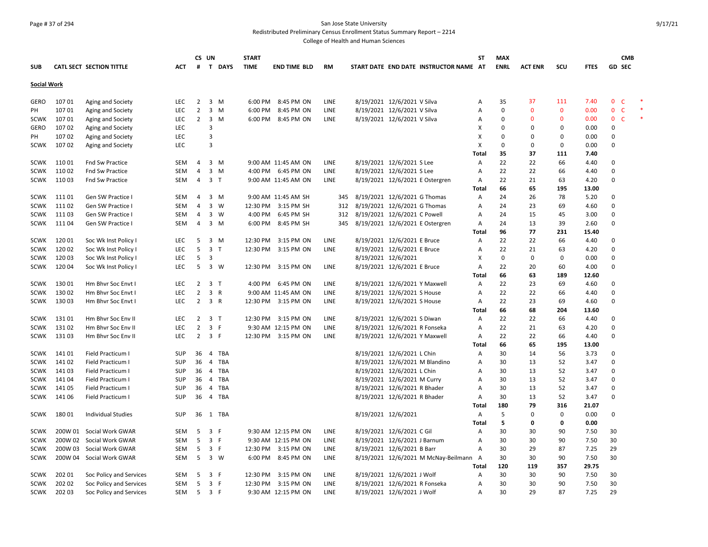# Page # 37 of 294 San Jose State University Redistributed Preliminary Census Enrollment Status Summary Report – 2214

|                            |                 |                                          |                   |                                  | CS UN                          | <b>START</b> |                                            |              |                     |                                 |                                        | ST           | <b>MAX</b>  |                |             |              |                         | <b>CMB</b>   |  |
|----------------------------|-----------------|------------------------------------------|-------------------|----------------------------------|--------------------------------|--------------|--------------------------------------------|--------------|---------------------|---------------------------------|----------------------------------------|--------------|-------------|----------------|-------------|--------------|-------------------------|--------------|--|
| <b>SUB</b>                 |                 | CATL SECT SECTION TITTLE                 | АСТ               | #                                | $\mathbf{T}$<br><b>DAYS</b>    | <b>TIME</b>  | <b>END TIME BLD</b>                        | <b>RM</b>    |                     |                                 | START DATE END DATE INSTRUCTOR NAME AT |              | <b>ENRL</b> | <b>ACT ENR</b> | scu         | <b>FTES</b>  | <b>GD SEC</b>           |              |  |
|                            |                 |                                          |                   |                                  |                                |              |                                            |              |                     |                                 |                                        |              |             |                |             |              |                         |              |  |
| <b>Social Work</b>         |                 |                                          |                   |                                  |                                |              |                                            |              |                     |                                 |                                        |              |             |                |             |              |                         |              |  |
| GERO                       | 10701           | Aging and Society                        | LEC               | $\overline{2}$                   | 3<br>M                         |              | 6:00 PM 8:45 PM ON                         | <b>LINE</b>  |                     | 8/19/2021 12/6/2021 V Silva     |                                        | Α            | 35          | 37             | 111         | 7.40         | $0-$                    |              |  |
| PH                         | 10701           | Aging and Society                        | LEC               | $\overline{2}$                   | 3<br>M                         | 6:00 PM      | 8:45 PM ON                                 | LINE         |                     | 8/19/2021 12/6/2021 V Silva     |                                        | Α            | $\mathbf 0$ | $\mathbf{0}$   | $\mathbf 0$ | 0.00         | $\mathbf 0$             | $\mathsf{C}$ |  |
| <b>SCWK</b>                | 10701           | Aging and Society                        | LEC               | $\overline{2}$                   | 3 M                            |              | 6:00 PM 8:45 PM ON                         | <b>LINE</b>  |                     | 8/19/2021 12/6/2021 V Silva     |                                        | Α            | $\mathbf 0$ | $\mathbf{0}$   | 0           | 0.00         | $\mathbf{0}$            | $\mathsf{C}$ |  |
| GERO                       | 10702           | Aging and Society                        | LEC               |                                  | $\overline{3}$                 |              |                                            |              |                     |                                 |                                        | х            | $\Omega$    | $\Omega$       | 0           | 0.00         | 0                       |              |  |
| PН                         | 107 02          | Aging and Society                        | <b>LEC</b>        |                                  | 3                              |              |                                            |              |                     |                                 |                                        | x            | $\mathbf 0$ | $\Omega$       | 0           | 0.00         | $\Omega$                |              |  |
| <b>SCWK</b>                | 10702           | Aging and Society                        | <b>LEC</b>        |                                  | $\overline{3}$                 |              |                                            |              |                     |                                 |                                        | X            | $\mathbf 0$ | 0              | 0           | 0.00         | $\Omega$                |              |  |
|                            |                 |                                          |                   |                                  |                                |              |                                            |              |                     |                                 |                                        | Total        | 35          | 37             | 111         | 7.40         |                         |              |  |
| <b>SCWK</b>                | 11001           | Fnd Sw Practice                          | SEM               | 4                                | $3 \, M$                       |              | 9:00 AM 11:45 AM ON                        | LINE         |                     | 8/19/2021 12/6/2021 S Lee       |                                        | Α            | 22          | 22             | 66          | 4.40         | 0                       |              |  |
| <b>SCWK</b>                | 11002           | Fnd Sw Practice                          | SEM               | 4                                | 3<br>M                         |              | 4:00 PM 6:45 PM ON                         | LINE         |                     | 8/19/2021 12/6/2021 S Lee       |                                        | Α            | 22          | 22             | 66          | 4.40         | $\Omega$                |              |  |
| <b>SCWK</b>                | 11003           | Fnd Sw Practice                          | <b>SEM</b>        | $\overline{4}$                   | 3 <sub>1</sub>                 |              | 9:00 AM 11:45 AM ON                        | LINE         |                     | 8/19/2021 12/6/2021 E Ostergren |                                        | Α            | 22          | 21             | 63          | 4.20         | $\Omega$                |              |  |
|                            |                 |                                          |                   |                                  |                                |              |                                            |              |                     |                                 |                                        | Total        | 66          | 65             | 195         | 13.00        |                         |              |  |
| <b>SCWK</b>                | 111 01          | Gen SW Practice I                        | SEM               | 4                                | 3<br>M                         |              | 9:00 AM 11:45 AM SH                        | 345          |                     | 8/19/2021 12/6/2021 G Thomas    |                                        | Α            | 24          | 26             | 78          | 5.20         | 0                       |              |  |
| <b>SCWK</b>                | 11102           | Gen SW Practice I                        | SEM               | 4                                | 3<br>W                         |              | 12:30 PM 3:15 PM SH                        | 312          |                     | 8/19/2021 12/6/2021 G Thomas    |                                        | Α            | 24          | 23             | 69          | 4.60         | 0                       |              |  |
| <b>SCWK</b>                | 11103           | Gen SW Practice I                        | SEM               | 4                                | 3<br>w                         |              | 4:00 PM 6:45 PM SH                         | 312          |                     | 8/19/2021 12/6/2021 C Powell    |                                        | Α            | 24          | 15             | 45          | 3.00         | $\Omega$                |              |  |
| <b>SCWK</b>                | 11104           | Gen SW Practice I                        | SEM               | 4                                | $3 \, M$                       |              | 6:00 PM 8:45 PM SH                         | 345          |                     | 8/19/2021 12/6/2021 E Ostergren |                                        | Α            | 24          | 13             | 39          | 2.60         | $\Omega$                |              |  |
|                            |                 |                                          |                   |                                  |                                |              |                                            |              |                     |                                 |                                        | Total        | 96          | 77             | 231         | 15.40        |                         |              |  |
| <b>SCWK</b>                | 12001           | Soc Wk Inst Policy I                     | LEC               | 5                                | $\overline{3}$<br>M            |              | 12:30 PM 3:15 PM ON                        | LINE         |                     | 8/19/2021 12/6/2021 E Bruce     |                                        | Α            | 22          | 22             | 66          | 4.40         | 0                       |              |  |
| <b>SCWK</b>                | 120 02          | Soc Wk Inst Policy I                     | <b>LEC</b>        | 5                                | 3<br>$\top$                    |              | 12:30 PM 3:15 PM ON                        | LINE         |                     | 8/19/2021 12/6/2021 E Bruce     |                                        | Α            | 22          | 21             | 63          | 4.20         | $\Omega$                |              |  |
| SCWK                       | 12003           | Soc Wk Inst Policy I                     | LEC               | 5                                | 3                              |              |                                            |              | 8/19/2021 12/6/2021 |                                 |                                        | X            | 0           | 0              | 0           | 0.00         | $\Omega$                |              |  |
| <b>SCWK</b>                | 12004           | Soc Wk Inst Policy I                     | <b>LEC</b>        | 5                                | $\overline{\mathbf{3}}$<br>W   |              | 12:30 PM 3:15 PM ON                        | LINE         |                     | 8/19/2021 12/6/2021 E Bruce     |                                        | Α            | 22          | 20             | 60          | 4.00         | $\Omega$                |              |  |
|                            |                 |                                          |                   |                                  |                                |              |                                            |              |                     |                                 |                                        |              | 66          | 63             | 189         | 12.60        |                         |              |  |
|                            | 13001           |                                          | LEC               |                                  | 3 <sub>1</sub>                 |              |                                            | LINE         |                     | 8/19/2021 12/6/2021 Y Maxwell   |                                        | Total        | 22          |                |             |              |                         |              |  |
| <b>SCWK</b>                |                 | Hm Bhvr Soc Envt I                       |                   | 2                                |                                |              | 4:00 PM 6:45 PM ON                         |              |                     |                                 |                                        | Α            |             | 23             | 69          | 4.60         | 0                       |              |  |
| <b>SCWK</b><br><b>SCWK</b> | 130 02<br>13003 | Hm Bhvr Soc Envt I<br>Hm Bhvr Soc Envt I | LEC<br><b>LEC</b> | $\overline{2}$<br>$\overline{2}$ | 3 R<br>3 R                     |              | 9:00 AM 11:45 AM ON<br>12:30 PM 3:15 PM ON | LINE<br>LINE |                     | 8/19/2021 12/6/2021 S House     |                                        | Α<br>Α       | 22<br>22    | 22<br>23       | 66<br>69    | 4.40<br>4.60 | $\Omega$<br>$\mathbf 0$ |              |  |
|                            |                 |                                          |                   |                                  |                                |              |                                            |              |                     | 8/19/2021 12/6/2021 S House     |                                        |              | 66          | 68             |             |              |                         |              |  |
|                            |                 |                                          |                   |                                  |                                |              |                                            |              |                     |                                 |                                        | Total        |             |                | 204         | 13.60        |                         |              |  |
| <b>SCWK</b>                | 13101           | Hm Bhvr Soc Env II                       | LEC               | $\overline{2}$                   | $\overline{3}$<br>$\mathsf{T}$ |              | 12:30 PM 3:15 PM ON                        | LINE         |                     | 8/19/2021 12/6/2021 S Diwan     |                                        | Α            | 22          | 22             | 66          | 4.40         | 0                       |              |  |
| <b>SCWK</b>                | 13102           | Hm Bhvr Soc Env II                       | <b>LEC</b>        | $\overline{2}$                   | $\overline{\mathbf{3}}$<br>F.  |              | 9:30 AM 12:15 PM ON                        | LINE         |                     | 8/19/2021 12/6/2021 R Fonseka   |                                        | Α            | 22          | 21             | 63          | 4.20         | $\Omega$                |              |  |
| <b>SCWK</b>                | 13103           | Hm Bhvr Soc Env II                       | LEC               | $\overline{2}$                   | 3 F                            |              | 12:30 PM 3:15 PM ON                        | LINE         |                     | 8/19/2021 12/6/2021 Y Maxwell   |                                        | Α            | 22          | 22             | 66          | 4.40         | 0                       |              |  |
|                            |                 |                                          |                   |                                  |                                |              |                                            |              |                     |                                 |                                        | Total        | 66          | 65             | 195         | 13.00        |                         |              |  |
| <b>SCWK</b>                | 14101           | Field Practicum I                        | SUP               | 36                               | 4 TBA                          |              |                                            |              |                     | 8/19/2021 12/6/2021 L Chin      |                                        | Α            | 30          | 14             | 56          | 3.73         | 0                       |              |  |
| <b>SCWK</b>                | 14102           | Field Practicum I                        | <b>SUP</b>        | 36                               | 4 TBA                          |              |                                            |              |                     | 8/19/2021 12/6/2021 M Blandino  |                                        | Α            | 30          | 13             | 52          | 3.47         | 0                       |              |  |
| <b>SCWK</b>                | 14103           | Field Practicum I                        | <b>SUP</b>        | 36                               | 4 TBA                          |              |                                            |              |                     | 8/19/2021 12/6/2021 L Chin      |                                        | Α            | 30          | 13             | 52          | 3.47         | $\Omega$                |              |  |
| SCWK                       | 14104           | Field Practicum I                        | <b>SUP</b>        | 36                               | 4 TBA                          |              |                                            |              |                     | 8/19/2021 12/6/2021 M Curry     |                                        | Α            | 30          | 13             | 52          | 3.47         | $\Omega$                |              |  |
| SCWK                       | 14105           | Field Practicum I                        | <b>SUP</b>        | 36                               | 4 TBA                          |              |                                            |              |                     | 8/19/2021 12/6/2021 R Bhader    |                                        | A            | 30          | 13             | 52          | 3.47         | $\Omega$                |              |  |
| <b>SCWK</b>                | 14106           | Field Practicum I                        | <b>SUP</b>        | 36                               | 4 TBA                          |              |                                            |              |                     | 8/19/2021 12/6/2021 R Bhader    |                                        | Α            | 30          | 13             | 52          | 3.47         | 0                       |              |  |
|                            |                 |                                          |                   |                                  |                                |              |                                            |              |                     |                                 |                                        | Total        | 180         | 79             | 316         | 21.07        |                         |              |  |
| <b>SCWK</b>                | 18001           | <b>Individual Studies</b>                | SUP               | 36                               | 1 TBA                          |              |                                            |              | 8/19/2021 12/6/2021 |                                 |                                        | A            | 5           | 0              | 0           | 0.00         | $\mathbf 0$             |              |  |
|                            |                 |                                          |                   |                                  |                                |              |                                            |              |                     |                                 |                                        | Total        | 5           | 0              | 0           | 0.00         |                         |              |  |
| <b>SCWK</b>                | 200W 01         | Social Work GWAR                         | <b>SEM</b>        | 5                                | 3<br>F                         |              | 9:30 AM 12:15 PM ON                        | <b>LINE</b>  |                     | 8/19/2021 12/6/2021 C Gil       |                                        | Α            | 30          | 30             | 90          | 7.50         | 30                      |              |  |
| <b>SCWK</b>                |                 | 200W 02 Social Work GWAR                 | SEM               | -5                               | 3 F                            |              | 9:30 AM 12:15 PM ON                        | <b>LINE</b>  |                     | 8/19/2021 12/6/2021 J Barnum    |                                        | Α            | 30          | 30             | 90          | 7.50         | 30                      |              |  |
| <b>SCWK</b>                | 200W 03         | Social Work GWAR                         | SEM               | 5                                | $\overline{3}$<br>-F           |              | 12:30 PM 3:15 PM ON                        | LINE         |                     | 8/19/2021 12/6/2021 B Barr      |                                        | Α            | 30          | 29             | 87          | 7.25         | 29                      |              |  |
| <b>SCWK</b>                | 200W 04         | Social Work GWAR                         | SEM               | 5                                | 3 W                            |              | 6:00 PM 8:45 PM ON                         | LINE         |                     |                                 | 8/19/2021 12/6/2021 M McNay-Beilmann A |              | 30          | 30             | 90          | 7.50         | 30                      |              |  |
|                            |                 |                                          |                   |                                  |                                |              |                                            |              |                     |                                 |                                        | <b>Total</b> | 120         | 119            | 357         | 29.75        |                         |              |  |
| <b>SCWK</b>                | 202 01          | Soc Policy and Services                  | SEM               | 5                                | $\overline{3}$<br>F            |              | 12:30 PM 3:15 PM ON                        | LINE         |                     | 8/19/2021 12/6/2021 J Wolf      |                                        | Α            | 30          | 30             | 90          | 7.50         | 30                      |              |  |
| <b>SCWK</b>                | 202 02          | Soc Policy and Services                  | SEM               | 5                                | $\overline{3}$<br>-F           |              | 12:30 PM 3:15 PM ON                        | LINE         |                     | 8/19/2021 12/6/2021 R Fonseka   |                                        | A            | 30          | 30             | 90          | 7.50         | 30                      |              |  |
| SCWK                       | 202 03          | Soc Policy and Services                  | SEM               | 5                                | 3 F                            |              | 9:30 AM 12:15 PM ON                        | LINE         |                     | 8/19/2021 12/6/2021 J Wolf      |                                        | A            | 30          | 29             | 87          | 7.25         | 29                      |              |  |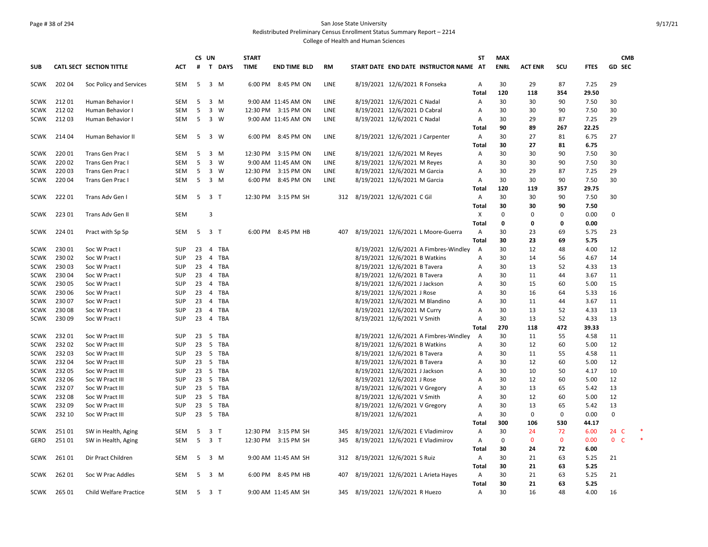# Page # 38 of 294 San Jose State University Redistributed Preliminary Census Enrollment Status Summary Report – 2214

|             |        |                               |            | CS UN          |                         |          | <b>START</b> |                     |             |                                 |                                 |                                        | ST             | <b>MAX</b>  |                |              |             | <b>CMB</b>        |  |
|-------------|--------|-------------------------------|------------|----------------|-------------------------|----------|--------------|---------------------|-------------|---------------------------------|---------------------------------|----------------------------------------|----------------|-------------|----------------|--------------|-------------|-------------------|--|
| <b>SUB</b>  |        | CATL SECT SECTION TITTLE      | ACT        | #              |                         | T DAYS   | <b>TIME</b>  | <b>END TIME BLD</b> | <b>RM</b>   |                                 |                                 | START DATE END DATE INSTRUCTOR NAME AT |                | <b>ENRL</b> | <b>ACT ENR</b> | SCU          | <b>FTES</b> | <b>GD SEC</b>     |  |
| <b>SCWK</b> | 202 04 | Soc Policy and Services       | SEM        | 5              | 3 M                     |          |              | 6:00 PM 8:45 PM ON  | <b>LINE</b> |                                 | 8/19/2021 12/6/2021 R Fonseka   |                                        | Α              | 30          | 29             | 87           | 7.25        | 29                |  |
|             |        |                               |            |                |                         |          |              |                     |             |                                 |                                 |                                        | <b>Total</b>   | 120         | 118            | 354          | 29.50       |                   |  |
| <b>SCWK</b> | 21201  | Human Behavior I              | <b>SEM</b> | 5              | 3                       | M        |              | 9:00 AM 11:45 AM ON | LINE        |                                 | 8/19/2021 12/6/2021 C Nadal     |                                        | Α              | 30          | 30             | 90           | 7.50        | 30                |  |
| <b>SCWK</b> | 21202  | Human Behavior I              | <b>SEM</b> | 5              | $\overline{\mathbf{3}}$ | <b>W</b> |              | 12:30 PM 3:15 PM ON | <b>LINE</b> |                                 | 8/19/2021 12/6/2021 D Cabral    |                                        | Α              | 30          | 30             | 90           | 7.50        | 30                |  |
| SCWK        | 21203  | Human Behavior I              | <b>SEM</b> | 5              | 3 W                     |          |              | 9:00 AM 11:45 AM ON | LINE        |                                 | 8/19/2021 12/6/2021 C Nadal     |                                        | $\overline{A}$ | 30          | 29             | 87           | 7.25        | 29                |  |
|             |        |                               |            |                |                         |          |              |                     |             |                                 |                                 |                                        | Total          | 90          | 89             | 267          | 22.25       |                   |  |
| SCWK        | 214 04 | Human Behavior II             | SEM        | 5              | 3 W                     |          |              | 6:00 PM 8:45 PM ON  | LINE        |                                 | 8/19/2021 12/6/2021 J Carpenter |                                        | Α              | 30          | 27             | 81           | 6.75        | 27                |  |
|             |        |                               |            |                |                         |          |              |                     |             |                                 |                                 |                                        | Total          | 30          | 27             | 81           | 6.75        |                   |  |
| <b>SCWK</b> | 220 01 | Trans Gen Prac I              | SEM        | 5              | $3 \, M$                |          |              | 12:30 PM 3:15 PM ON | LINE        |                                 | 8/19/2021 12/6/2021 M Reyes     |                                        | Α              | 30          | 30             | 90           | 7.50        | 30                |  |
| <b>SCWK</b> | 220 02 | Trans Gen Prac I              | SEM        | 5              | $3 \quad W$             |          |              | 9:00 AM 11:45 AM ON | LINE        |                                 | 8/19/2021 12/6/2021 M Reyes     |                                        | Α              | 30          | 30             | 90           | 7.50        | 30                |  |
| <b>SCWK</b> | 22003  | Trans Gen Prac I              | <b>SEM</b> | 5              | $\overline{\mathbf{3}}$ | W        |              | 12:30 PM 3:15 PM ON | LINE        |                                 | 8/19/2021 12/6/2021 M Garcia    |                                        | $\overline{A}$ | 30          | 29             | 87           | 7.25        | 29                |  |
| <b>SCWK</b> | 220 04 | Trans Gen Prac I              | SEM        | 5              | 3 M                     |          |              | 6:00 PM 8:45 PM ON  | LINE        |                                 | 8/19/2021 12/6/2021 M Garcia    |                                        | Α              | 30          | 30             | 90           | 7.50        | 30                |  |
|             |        |                               |            |                |                         |          |              |                     |             |                                 |                                 |                                        | Total          | 120         | 119            | 357          | 29.75       |                   |  |
| <b>SCWK</b> | 22201  | Trans Adv Gen I               | SEM        |                | 5 3 T                   |          |              | 12:30 PM 3:15 PM SH | 312         | 8/19/2021 12/6/2021 C Gil       |                                 |                                        | Α              | 30          | 30             | 90           | 7.50        | 30                |  |
|             |        |                               |            |                |                         |          |              |                     |             |                                 |                                 |                                        | Total          | 30          | 30             | 90           | 7.50        |                   |  |
| <b>SCWK</b> | 223 01 | Trans Adv Gen II              | SEM        |                | $\overline{\mathbf{3}}$ |          |              |                     |             |                                 |                                 |                                        | X              | $\mathbf 0$ | $\Omega$       | $\mathbf{0}$ | 0.00        | $\mathbf 0$       |  |
|             |        |                               |            |                |                         |          |              |                     |             |                                 |                                 |                                        | Total          | 0           | 0              | 0            | 0.00        |                   |  |
| <b>SCWK</b> | 224 01 | Pract with Sp Sp              | <b>SEM</b> | 5              | 3 <sub>T</sub>          |          |              | 6:00 PM 8:45 PM HB  | 407         |                                 |                                 | 8/19/2021 12/6/2021 L Moore-Guerra     | Α              | 30          | 23             | 69           | 5.75        | 23                |  |
|             |        |                               |            |                |                         |          |              |                     |             |                                 |                                 |                                        | Total          | 30          | 23             | 69           | 5.75        |                   |  |
| <b>SCWK</b> | 23001  | Soc W Pract I                 | <b>SUP</b> | 23             | $\overline{4}$          | TBA      |              |                     |             |                                 |                                 | 8/19/2021 12/6/2021 A Fimbres-Windley  | $\overline{A}$ | 30          | 12             | 48           | 4.00        | 12                |  |
| <b>SCWK</b> | 230 02 | Soc W Pract I                 | <b>SUP</b> | 23             | 4                       | TBA      |              |                     |             |                                 | 8/19/2021 12/6/2021 B Watkins   |                                        | Α              | 30          | 14             | 56           | 4.67        | 14                |  |
| <b>SCWK</b> | 23003  | Soc W Pract I                 | <b>SUP</b> | 23             |                         | 4 TBA    |              |                     |             |                                 | 8/19/2021 12/6/2021 B Tavera    |                                        | A              | 30          | 13             | 52           | 4.33        | 13                |  |
| <b>SCWK</b> | 230 04 | Soc W Pract I                 | <b>SUP</b> | 23             |                         | 4 TBA    |              |                     |             |                                 | 8/19/2021 12/6/2021 B Tavera    |                                        | Α              | 30          | 11             | 44           | 3.67        | 11                |  |
| <b>SCWK</b> | 230 05 | Soc W Pract I                 | SUP        | 23             |                         | 4 TBA    |              |                     |             |                                 | 8/19/2021 12/6/2021 J Jackson   |                                        | A              | 30          | 15             | 60           | 5.00        | 15                |  |
| <b>SCWK</b> | 230 06 | Soc W Pract I                 | <b>SUP</b> | 23             |                         | 4 TBA    |              |                     |             |                                 | 8/19/2021 12/6/2021 J Rose      |                                        | Α              | 30          | 16             | 64           | 5.33        | 16                |  |
| <b>SCWK</b> | 23007  | Soc W Pract I                 | <b>SUP</b> | 23             |                         | 4 TBA    |              |                     |             |                                 | 8/19/2021 12/6/2021 M Blandino  |                                        | $\overline{A}$ | 30          | 11             | 44           | 3.67        | 11                |  |
| <b>SCWK</b> | 230 08 | Soc W Pract I                 | <b>SUP</b> | 23             |                         | 4 TBA    |              |                     |             |                                 | 8/19/2021 12/6/2021 M Curry     |                                        | А              | 30          | 13             | 52           | 4.33        | 13                |  |
| <b>SCWK</b> | 230 09 | Soc W Pract I                 | <b>SUP</b> | 23             |                         | 4 TBA    |              |                     |             |                                 | 8/19/2021 12/6/2021 V Smith     |                                        | Α              | 30          | 13             | 52           | 4.33        | 13                |  |
|             |        |                               |            |                |                         |          |              |                     |             |                                 |                                 |                                        | Total          | 270         | 118            | 472          | 39.33       |                   |  |
| <b>SCWK</b> | 23201  | Soc W Pract III               | <b>SUP</b> | 23             | 5                       | TBA      |              |                     |             |                                 |                                 | 8/19/2021 12/6/2021 A Fimbres-Windley  | A              | 30          | 11             | 55           | 4.58        | 11                |  |
| <b>SCWK</b> | 23202  | Soc W Pract III               | SUP        | 23             |                         | 5 TBA    |              |                     |             |                                 | 8/19/2021 12/6/2021 B Watkins   |                                        | Α              | 30          | 12             | 60           | 5.00        | 12                |  |
| <b>SCWK</b> | 23203  | Soc W Pract III               | <b>SUP</b> | 23             |                         | 5 TBA    |              |                     |             |                                 | 8/19/2021 12/6/2021 B Tavera    |                                        | Α              | 30          | 11             | 55           | 4.58        | 11                |  |
| <b>SCWK</b> | 232 04 | Soc W Pract III               | <b>SUP</b> | 23             |                         | 5 TBA    |              |                     |             |                                 | 8/19/2021 12/6/2021 B Tavera    |                                        | А              | 30          | 12             | 60           | 5.00        | 12                |  |
| <b>SCWK</b> | 23205  | Soc W Pract III               | <b>SUP</b> | 23             | 5                       | TBA      |              |                     |             |                                 | 8/19/2021 12/6/2021 J Jackson   |                                        | A              | 30          | 10             | 50           | 4.17        | 10                |  |
| <b>SCWK</b> | 232 06 | Soc W Pract III               | <b>SUP</b> | 23             |                         | 5 TBA    |              |                     |             |                                 | 8/19/2021 12/6/2021 J Rose      |                                        | Α              | 30          | 12             | 60           | 5.00        | 12                |  |
| <b>SCWK</b> | 232 07 | Soc W Pract III               | <b>SUP</b> | 23             |                         | 5 TBA    |              |                     |             |                                 | 8/19/2021 12/6/2021 V Gregory   |                                        | Α              | 30          | 13             | 65           | 5.42        | 13                |  |
| <b>SCWK</b> | 23208  | Soc W Pract III               | <b>SUP</b> | 23             |                         | 5 TBA    |              |                     |             |                                 | 8/19/2021 12/6/2021 V Smith     |                                        | Α              | 30          | 12             | 60           | 5.00        | 12                |  |
| <b>SCWK</b> | 23209  | Soc W Pract III               | <b>SUP</b> | 23             |                         | 5 TBA    |              |                     |             |                                 | 8/19/2021 12/6/2021 V Gregory   |                                        | Α              | 30          | 13             | 65           | 5.42        | 13                |  |
| <b>SCWK</b> | 232 10 | Soc W Pract III               | <b>SUP</b> |                |                         | 23 5 TBA |              |                     |             |                                 | 8/19/2021 12/6/2021             |                                        | Α              | 30          | $\Omega$       | $\Omega$     | 0.00        | $\Omega$          |  |
|             |        |                               |            |                |                         |          |              |                     |             |                                 |                                 |                                        | Total          | 300         | 106            | 530          | 44.17       |                   |  |
| <b>SCWK</b> | 25101  | SW in Health, Aging           | SEM        | 5              | 3                       | $\top$   |              | 12:30 PM 3:15 PM SH | 345         |                                 |                                 | 8/19/2021 12/6/2021 E Vladimirov       | Α              | 30          | 24             | 72           | 6.00        | 24 C              |  |
| GERO        | 25101  | SW in Health, Aging           | SEM        | 5 <sub>5</sub> | 3 <sub>T</sub>          |          |              | 12:30 PM 3:15 PM SH | 345         |                                 |                                 | 8/19/2021 12/6/2021 E Vladimirov       | Α              | $\mathbf 0$ | $\mathbf{0}$   | $\mathbf 0$  | 0.00        | $\mathbf{0}$<br>C |  |
|             |        |                               |            |                |                         |          |              |                     |             |                                 |                                 |                                        | Total          | 30          | 24             | 72           | 6.00        |                   |  |
| <b>SCWK</b> | 26101  | Dir Pract Children            | SEM        | 5              | 3 M                     |          |              | 9:00 AM 11:45 AM SH | 312         |                                 | 8/19/2021 12/6/2021 S Ruiz      |                                        | A              | 30          | 21             | 63           | 5.25        | 21                |  |
|             |        |                               |            |                |                         |          |              |                     |             |                                 |                                 |                                        | Total          | 30          | 21             |              | 5.25        |                   |  |
|             | 26201  |                               | SEM        | 5              | 3 M                     |          |              | 6:00 PM 8:45 PM HB  | 407         |                                 |                                 | 8/19/2021 12/6/2021 L Arieta Hayes     | A              | 30          | 21             | 63<br>63     | 5.25        | 21                |  |
| <b>SCWK</b> |        | Soc W Prac Addles             |            |                |                         |          |              |                     |             |                                 |                                 |                                        | Total          | 30          | 21             | 63           | 5.25        |                   |  |
|             |        |                               |            |                |                         |          |              |                     |             |                                 |                                 |                                        |                | 30          |                | 48           |             |                   |  |
| SCWK        | 265 01 | <b>Child Welfare Practice</b> | <b>SEM</b> | 5              | 3 <sub>T</sub>          |          |              | 9:00 AM 11:45 AM SH |             | 345 8/19/2021 12/6/2021 R Huezo |                                 |                                        | $\overline{A}$ |             | 16             |              | 4.00        | 16                |  |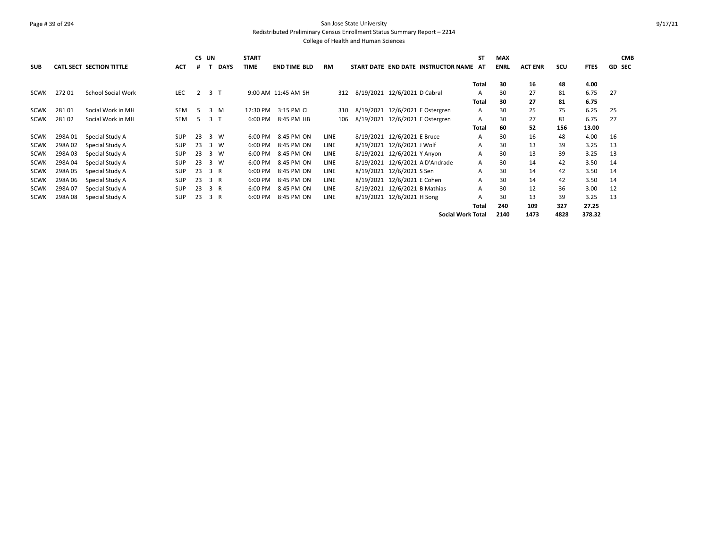# Page # 39 of 294 San Jose State University Redistributed Preliminary Census Enrollment Status Summary Report – 2214

|             |        |                           |            |    | CS UN          |                | <b>START</b> |                     |             |                                        | ST           | <b>MAX</b>  |                |      |             | <b>CMB</b>    |
|-------------|--------|---------------------------|------------|----|----------------|----------------|--------------|---------------------|-------------|----------------------------------------|--------------|-------------|----------------|------|-------------|---------------|
| <b>SUB</b>  |        | CATL SECT SECTION TITTLE  | <b>ACT</b> | #  |                | <b>DAYS</b>    | TIME         | <b>END TIME BLD</b> | <b>RM</b>   | START DATE END DATE INSTRUCTOR NAME AT |              | <b>ENRL</b> | <b>ACT ENR</b> | scu  | <b>FTES</b> | <b>GD SEC</b> |
|             |        |                           |            |    |                |                |              |                     |             |                                        |              |             |                |      |             |               |
|             |        |                           |            |    |                |                |              |                     |             |                                        | Total        | 30          | 16             | 48   | 4.00        |               |
| <b>SCWK</b> | 27201  | <b>School Social Work</b> | <b>LEC</b> | 2  |                | 3 <sub>1</sub> |              | 9:00 AM 11:45 AM SH | 312         | 8/19/2021 12/6/2021 D Cabral           | А            | 30          | 27             | 81   | 6.75        | 27            |
|             |        |                           |            |    |                |                |              |                     |             |                                        | <b>Total</b> | 30          | 27             | 81   | 6.75        |               |
| <b>SCWK</b> | 28101  | Social Work in MH         | SEM        | .5 |                | 3 M            | 12:30 PM     | 3:15 PM CL          | 310         | 8/19/2021 12/6/2021 E Ostergren        | A            | 30          | 25             | 75   | 6.25        | 25            |
| <b>SCWK</b> | 28102  | Social Work in MH         | SEM        | -5 | 3 <sub>T</sub> |                | 6:00 PM      | 8:45 PM HB          | 106         | 8/19/2021 12/6/2021 E Ostergren        | A            | 30          | 27             | 81   | 6.75        | 27            |
|             |        |                           |            |    |                |                |              |                     |             |                                        | Total        | 60          | 52             | 156  | 13.00       |               |
| <b>SCWK</b> | 298A01 | Special Study A           | <b>SUP</b> | 23 |                | 3 W            | 6:00 PM      | 8:45 PM ON          | LINE        | 8/19/2021 12/6/2021 E Bruce            | A            | 30          | 16             | 48   | 4.00        | 16            |
| <b>SCWK</b> | 298A02 | Special Study A           | <b>SUP</b> | 23 |                | 3 W            | 6:00 PM      | 8:45 PM ON          | LINE        | 8/19/2021 12/6/2021 J Wolf             | А            | 30          | 13             | 39   | 3.25        | 13            |
| <b>SCWK</b> | 298A03 | Special Study A           | <b>SUP</b> | 23 |                | 3 W            | 6:00 PM      | 8:45 PM ON          | <b>LINE</b> | 8/19/2021 12/6/2021 Y Anyon            | A            | 30          | 13             | 39   | 3.25        | 13            |
| <b>SCWK</b> | 298A04 | Special Study A           | <b>SUP</b> | 23 |                | 3 W            | 6:00 PM      | 8:45 PM ON          | LINE        | 8/19/2021 12/6/2021 A D'Andrade        | A            | 30          | 14             | 42   | 3.50        | 14            |
| <b>SCWK</b> | 298A05 | Special Study A           | <b>SUP</b> | 23 | 3 R            |                | 6:00 PM      | 8:45 PM ON          | LINE        | 8/19/2021 12/6/2021 S Sen              | A            | 30          | 14             | 42   | 3.50        | 14            |
| <b>SCWK</b> | 298A06 | Special Study A           | <b>SUP</b> | 23 | 3 R            |                | 6:00 PM      | 8:45 PM ON          | LINE        | 8/19/2021 12/6/2021 E Cohen            | A            | 30          | 14             | 42   | 3.50        | 14            |
| <b>SCWK</b> | 298A07 | Special Study A           | <b>SUP</b> | 23 | 3 R            |                | 6:00 PM      | 8:45 PM ON          | LINE        | 8/19/2021 12/6/2021 B Mathias          | A            | 30          | 12             | 36   | 3.00        | 12            |
| <b>SCWK</b> | 298A08 | Special Study A           | <b>SUP</b> | 23 | 3 R            |                | 6:00 PM      | 8:45 PM ON          | <b>LINE</b> | 8/19/2021 12/6/2021 H Song             | A            | 30          | 13             | 39   | 3.25        | 13            |
|             |        |                           |            |    |                |                |              |                     |             |                                        | Total        | 240         | 109            | 327  | 27.25       |               |
|             |        |                           |            |    |                |                |              |                     |             | <b>Social Work Total</b>               |              | 2140        | 1473           | 4828 | 378.32      |               |